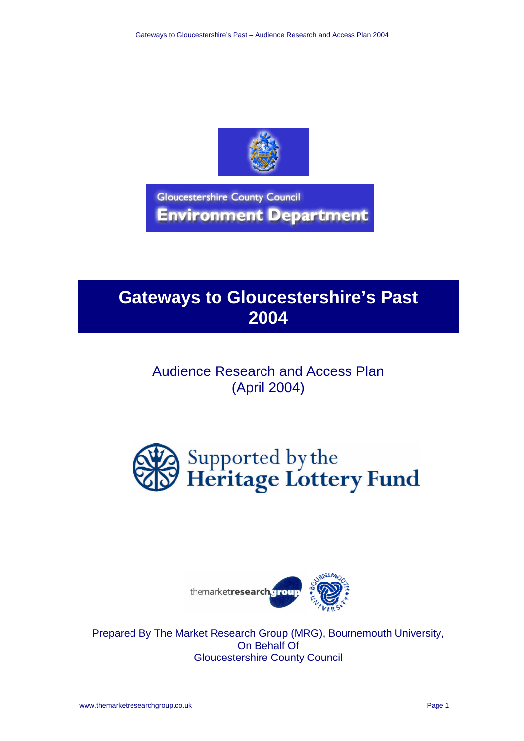

**Gloucestershire County Council Environment Department** 

# **Gateways to Gloucestershire's Past 2004**

# Audience Research and Access Plan (April 2004)





Prepared By The Market Research Group (MRG), Bournemouth University, On Behalf Of Gloucestershire County Council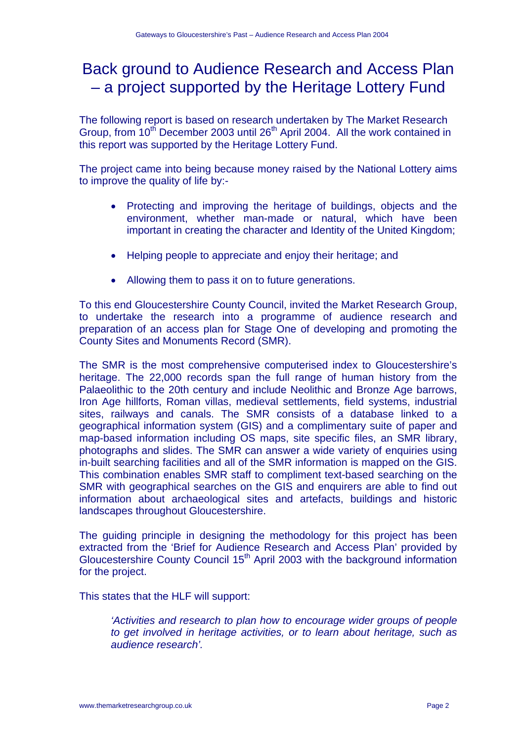# Back ground to Audience Research and Access Plan – a project supported by the Heritage Lottery Fund

The following report is based on research undertaken by The Market Research Group, from 10<sup>th</sup> December 2003 until 26<sup>th</sup> April 2004. All the work contained in this report was supported by the Heritage Lottery Fund.

The project came into being because money raised by the National Lottery aims to improve the quality of life by:-

- Protecting and improving the heritage of buildings, objects and the environment, whether man-made or natural, which have been important in creating the character and Identity of the United Kingdom;
- Helping people to appreciate and enjoy their heritage; and
- Allowing them to pass it on to future generations.

To this end Gloucestershire County Council, invited the Market Research Group, to undertake the research into a programme of audience research and preparation of an access plan for Stage One of developing and promoting the County Sites and Monuments Record (SMR).

The SMR is the most comprehensive computerised index to Gloucestershire's heritage. The 22,000 records span the full range of human history from the Palaeolithic to the 20th century and include Neolithic and Bronze Age barrows, Iron Age hillforts, Roman villas, medieval settlements, field systems, industrial sites, railways and canals. The SMR consists of a database linked to a geographical information system (GIS) and a complimentary suite of paper and map-based information including OS maps, site specific files, an SMR library, photographs and slides. The SMR can answer a wide variety of enquiries using in-built searching facilities and all of the SMR information is mapped on the GIS. This combination enables SMR staff to compliment text-based searching on the SMR with geographical searches on the GIS and enquirers are able to find out information about archaeological sites and artefacts, buildings and historic landscapes throughout Gloucestershire.

The guiding principle in designing the methodology for this project has been extracted from the 'Brief for Audience Research and Access Plan' provided by Gloucestershire County Council 15th April 2003 with the background information for the project.

This states that the HLF will support:

*'Activities and research to plan how to encourage wider groups of people to get involved in heritage activities, or to learn about heritage, such as audience research'.*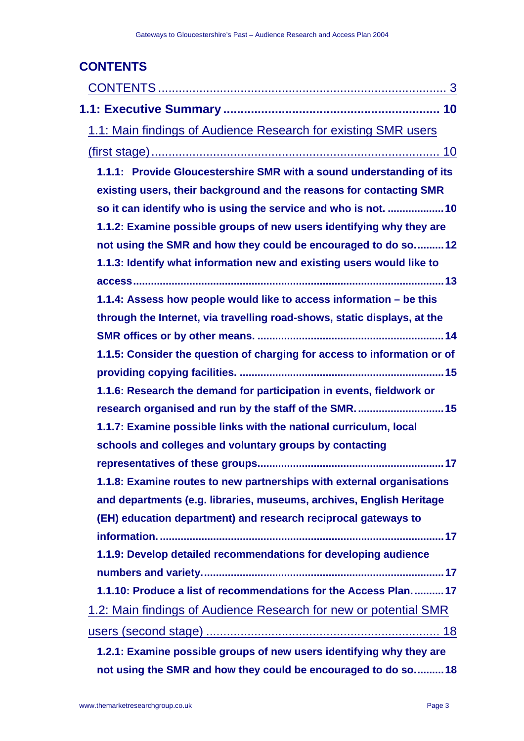| <b>CONTENTS</b>                                                          |
|--------------------------------------------------------------------------|
|                                                                          |
|                                                                          |
| 1.1: Main findings of Audience Research for existing SMR users           |
|                                                                          |
| 1.1.1: Provide Gloucestershire SMR with a sound understanding of its     |
| existing users, their background and the reasons for contacting SMR      |
| so it can identify who is using the service and who is not. 10           |
| 1.1.2: Examine possible groups of new users identifying why they are     |
| not using the SMR and how they could be encouraged to do so12            |
| 1.1.3: Identify what information new and existing users would like to    |
|                                                                          |
| 1.1.4: Assess how people would like to access information – be this      |
| through the Internet, via travelling road-shows, static displays, at the |
|                                                                          |
| 1.1.5: Consider the question of charging for access to information or of |
|                                                                          |
| 1.1.6: Research the demand for participation in events, fieldwork or     |
| research organised and run by the staff of the SMR.  15                  |
| 1.1.7: Examine possible links with the national curriculum, local        |
| schools and colleges and voluntary groups by contacting                  |
|                                                                          |
| 1.1.8: Examine routes to new partnerships with external organisations    |
| and departments (e.g. libraries, museums, archives, English Heritage     |
| (EH) education department) and research reciprocal gateways to           |
|                                                                          |
| 1.1.9: Develop detailed recommendations for developing audience          |
|                                                                          |
| 1.1.10: Produce a list of recommendations for the Access Plan17          |
| <u>1.2: Main findings of Audience Research for new or potential SMR</u>  |
|                                                                          |
| 1.2.1: Examine possible groups of new users identifying why they are     |

**not using the SMR and how they could be encouraged to do so..........18**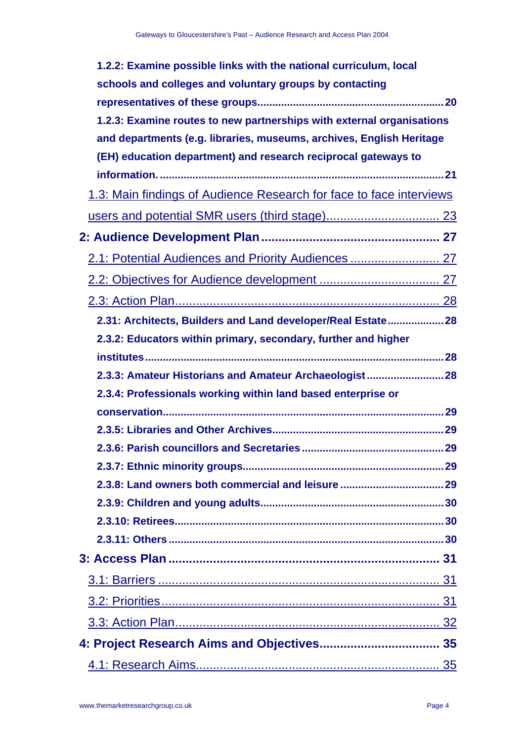| 1.2.2: Examine possible links with the national curriculum, local     |
|-----------------------------------------------------------------------|
| schools and colleges and voluntary groups by contacting               |
|                                                                       |
| 1.2.3: Examine routes to new partnerships with external organisations |
| and departments (e.g. libraries, museums, archives, English Heritage  |
| (EH) education department) and research reciprocal gateways to        |
|                                                                       |
| 1.3: Main findings of Audience Research for face to face interviews   |
|                                                                       |
|                                                                       |
| 2.1: Potential Audiences and Priority Audiences  27                   |
|                                                                       |
|                                                                       |
| 2.31: Architects, Builders and Land developer/Real Estate 28          |
| 2.3.2: Educators within primary, secondary, further and higher        |
|                                                                       |
| 2.3.3: Amateur Historians and Amateur Archaeologist 28                |
| 2.3.4: Professionals working within land based enterprise or          |
|                                                                       |
|                                                                       |
|                                                                       |
|                                                                       |
|                                                                       |
|                                                                       |
|                                                                       |
|                                                                       |
|                                                                       |
|                                                                       |
|                                                                       |
|                                                                       |
|                                                                       |
|                                                                       |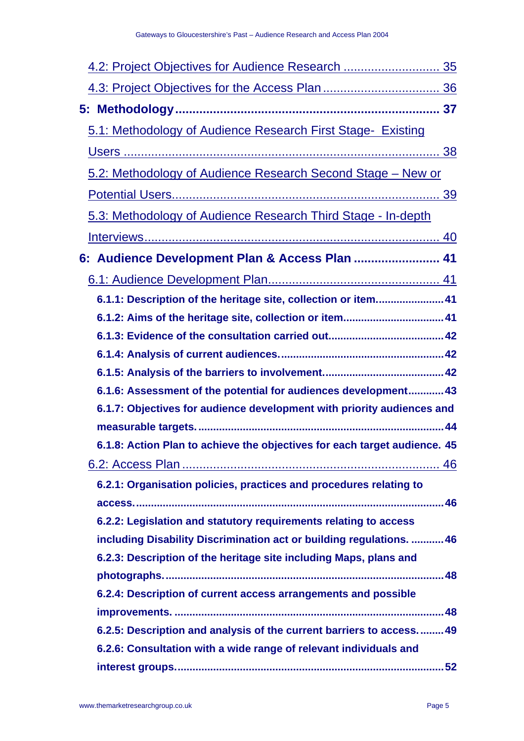| 4.2: Project Objectives for Audience Research  35                         |
|---------------------------------------------------------------------------|
|                                                                           |
|                                                                           |
| 5.1: Methodology of Audience Research First Stage- Existing               |
|                                                                           |
| 5.2: Methodology of Audience Research Second Stage - New or               |
|                                                                           |
| 5.3: Methodology of Audience Research Third Stage - In-depth              |
|                                                                           |
| 6: Audience Development Plan & Access Plan  41                            |
|                                                                           |
| 6.1.1: Description of the heritage site, collection or item 41            |
| 6.1.2: Aims of the heritage site, collection or item 41                   |
|                                                                           |
|                                                                           |
|                                                                           |
| 6.1.6: Assessment of the potential for audiences development 43           |
| 6.1.7: Objectives for audience development with priority audiences and    |
|                                                                           |
| 6.1.8: Action Plan to achieve the objectives for each target audience. 45 |
|                                                                           |
| 6.2.1: Organisation policies, practices and procedures relating to        |
|                                                                           |
| 6.2.2: Legislation and statutory requirements relating to access          |
| including Disability Discrimination act or building regulations.  46      |
| 6.2.3: Description of the heritage site including Maps, plans and         |
|                                                                           |
| 6.2.4: Description of current access arrangements and possible            |
|                                                                           |
| 6.2.5: Description and analysis of the current barriers to access 49      |
| 6.2.6: Consultation with a wide range of relevant individuals and         |
|                                                                           |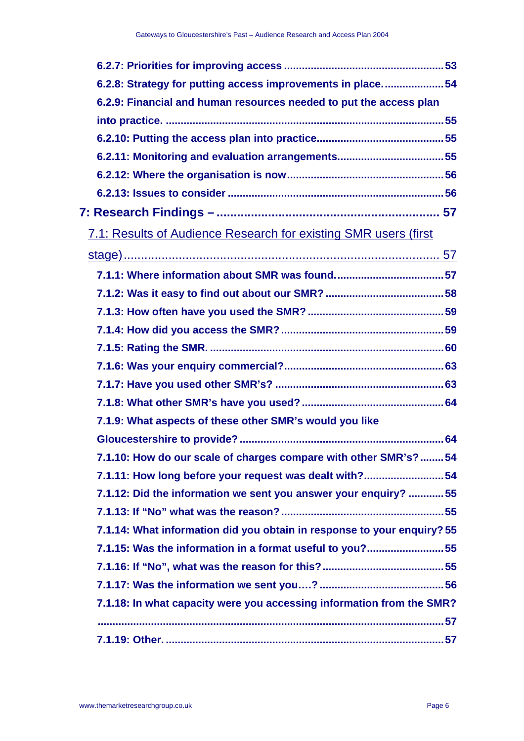| 6.2.8: Strategy for putting access improvements in place54              |
|-------------------------------------------------------------------------|
| 6.2.9: Financial and human resources needed to put the access plan      |
|                                                                         |
|                                                                         |
| 6.2.11: Monitoring and evaluation arrangements 55                       |
|                                                                         |
|                                                                         |
|                                                                         |
| 7.1: Results of Audience Research for existing SMR users (first         |
|                                                                         |
|                                                                         |
|                                                                         |
|                                                                         |
|                                                                         |
|                                                                         |
|                                                                         |
|                                                                         |
|                                                                         |
| 7.1.9: What aspects of these other SMR's would you like                 |
|                                                                         |
| 7.1.10: How do our scale of charges compare with other SMR's?54         |
| 7.1.11: How long before your request was dealt with?54                  |
| 7.1.12: Did the information we sent you answer your enquiry? 55         |
|                                                                         |
| 7.1.14: What information did you obtain in response to your enquiry? 55 |
| 7.1.15: Was the information in a format useful to you?55                |
|                                                                         |
|                                                                         |
| 7.1.18: In what capacity were you accessing information from the SMR?   |
|                                                                         |
|                                                                         |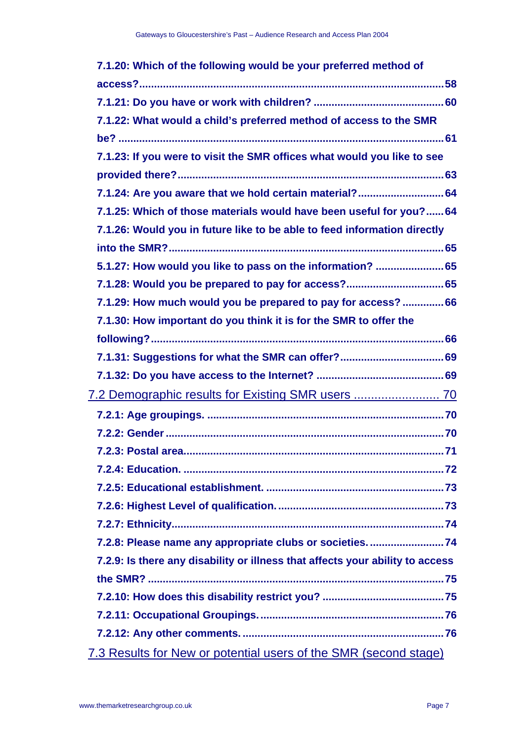| 7.1.20: Which of the following would be your preferred method of              |
|-------------------------------------------------------------------------------|
|                                                                               |
|                                                                               |
| 7.1.22: What would a child's preferred method of access to the SMR            |
|                                                                               |
| 7.1.23: If you were to visit the SMR offices what would you like to see       |
|                                                                               |
| 7.1.24: Are you aware that we hold certain material? 64                       |
| 7.1.25: Which of those materials would have been useful for you? 64           |
| 7.1.26: Would you in future like to be able to feed information directly      |
|                                                                               |
| 5.1.27: How would you like to pass on the information?  65                    |
| 7.1.28: Would you be prepared to pay for access? 65                           |
| 7.1.29: How much would you be prepared to pay for access? 66                  |
| 7.1.30: How important do you think it is for the SMR to offer the             |
|                                                                               |
|                                                                               |
|                                                                               |
| 7.2 Demographic results for Existing SMR users  70                            |
|                                                                               |
|                                                                               |
| 71                                                                            |
|                                                                               |
|                                                                               |
|                                                                               |
|                                                                               |
| 7.2.8: Please name any appropriate clubs or societies74                       |
| 7.2.9: Is there any disability or illness that affects your ability to access |
|                                                                               |
|                                                                               |
|                                                                               |
|                                                                               |
| 7.3 Results for New or potential users of the SMR (second stage)              |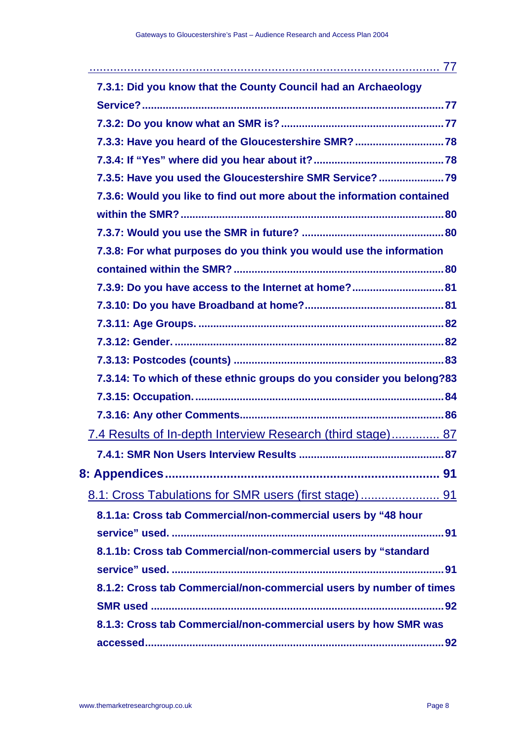| 7.3.1: Did you know that the County Council had an Archaeology         |
|------------------------------------------------------------------------|
|                                                                        |
|                                                                        |
| 7.3.3: Have you heard of the Gloucestershire SMR?  78                  |
|                                                                        |
| 7.3.5: Have you used the Gloucestershire SMR Service?  79              |
| 7.3.6: Would you like to find out more about the information contained |
|                                                                        |
|                                                                        |
| 7.3.8: For what purposes do you think you would use the information    |
|                                                                        |
| 7.3.9: Do you have access to the Internet at home? 81                  |
|                                                                        |
|                                                                        |
|                                                                        |
|                                                                        |
| 7.3.14: To which of these ethnic groups do you consider you belong?83  |
|                                                                        |
|                                                                        |
| 7.4 Results of In-depth Interview Research (third stage) 87            |
|                                                                        |
|                                                                        |
|                                                                        |
| 8.1.1a: Cross tab Commercial/non-commercial users by "48 hour          |
|                                                                        |
| 8.1.1b: Cross tab Commercial/non-commercial users by "standard         |
|                                                                        |
| 8.1.2: Cross tab Commercial/non-commercial users by number of times    |
|                                                                        |
| 8.1.3: Cross tab Commercial/non-commercial users by how SMR was        |
|                                                                        |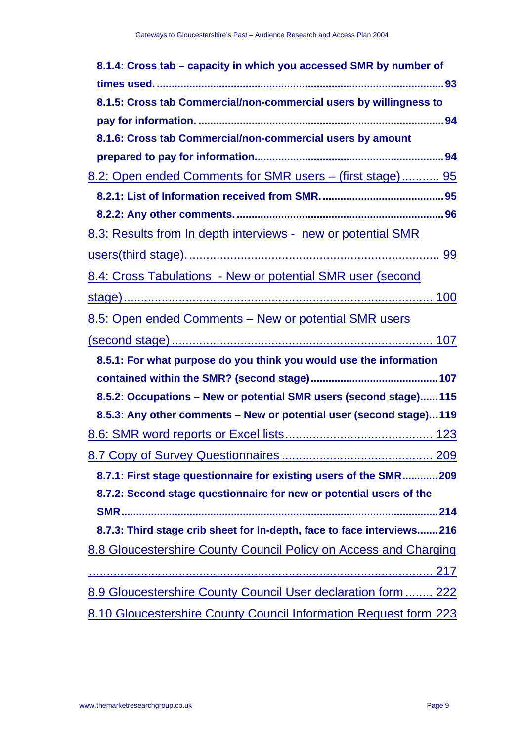| 8.1.4: Cross tab - capacity in which you accessed SMR by number of      |
|-------------------------------------------------------------------------|
|                                                                         |
| 8.1.5: Cross tab Commercial/non-commercial users by willingness to      |
|                                                                         |
| 8.1.6: Cross tab Commercial/non-commercial users by amount              |
|                                                                         |
| 8.2: Open ended Comments for SMR users – (first stage) 95               |
|                                                                         |
|                                                                         |
| 8.3: Results from In depth interviews - new or potential SMR            |
|                                                                         |
| 8.4: Cross Tabulations - New or potential SMR user (second              |
|                                                                         |
| 8.5: Open ended Comments - New or potential SMR users                   |
|                                                                         |
| 8.5.1: For what purpose do you think you would use the information      |
|                                                                         |
| 8.5.2: Occupations - New or potential SMR users (second stage) 115      |
| 8.5.3: Any other comments - New or potential user (second stage)119     |
|                                                                         |
|                                                                         |
| 8.7.1: First stage questionnaire for existing users of the SMR 209      |
| 8.7.2: Second stage questionnaire for new or potential users of the     |
|                                                                         |
| 8.7.3: Third stage crib sheet for In-depth, face to face interviews 216 |
| 8.8 Gloucestershire County Council Policy on Access and Charging        |
|                                                                         |
|                                                                         |
| 8.9 Gloucestershire County Council User declaration form  222           |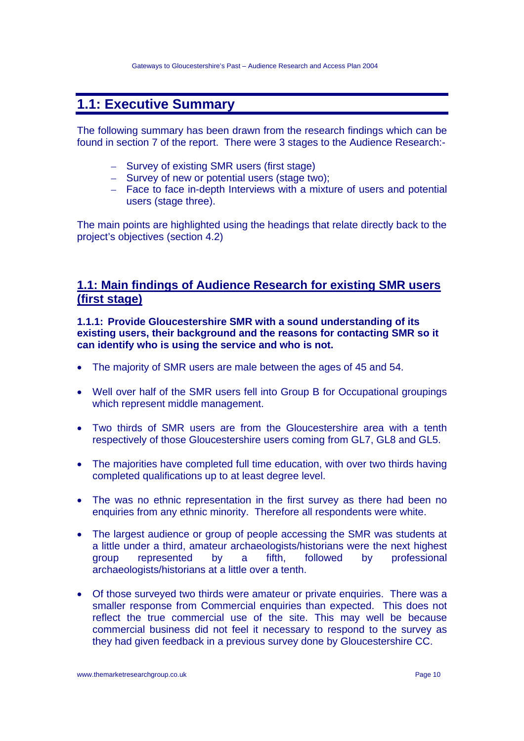# **1.1: Executive Summary**

The following summary has been drawn from the research findings which can be found in section 7 of the report. There were 3 stages to the Audience Research:-

- Survey of existing SMR users (first stage)
- Survey of new or potential users (stage two);
- Face to face in-depth Interviews with a mixture of users and potential users (stage three).

The main points are highlighted using the headings that relate directly back to the project's objectives (section 4.2)

### **1.1: Main findings of Audience Research for existing SMR users (first stage)**

**1.1.1: Provide Gloucestershire SMR with a sound understanding of its existing users, their background and the reasons for contacting SMR so it can identify who is using the service and who is not.** 

- The majority of SMR users are male between the ages of 45 and 54.
- Well over half of the SMR users fell into Group B for Occupational groupings which represent middle management.
- Two thirds of SMR users are from the Gloucestershire area with a tenth respectively of those Gloucestershire users coming from GL7, GL8 and GL5.
- The majorities have completed full time education, with over two thirds having completed qualifications up to at least degree level.
- The was no ethnic representation in the first survey as there had been no enquiries from any ethnic minority. Therefore all respondents were white.
- The largest audience or group of people accessing the SMR was students at a little under a third, amateur archaeologists/historians were the next highest group represented by a fifth, followed by professional archaeologists/historians at a little over a tenth.
- Of those surveyed two thirds were amateur or private enquiries. There was a smaller response from Commercial enquiries than expected. This does not reflect the true commercial use of the site. This may well be because commercial business did not feel it necessary to respond to the survey as they had given feedback in a previous survey done by Gloucestershire CC.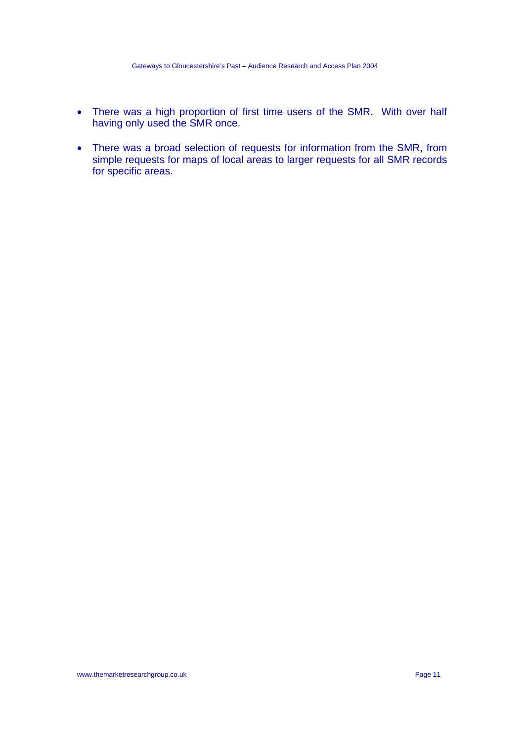- There was a high proportion of first time users of the SMR. With over half having only used the SMR once.
- There was a broad selection of requests for information from the SMR, from simple requests for maps of local areas to larger requests for all SMR records for specific areas.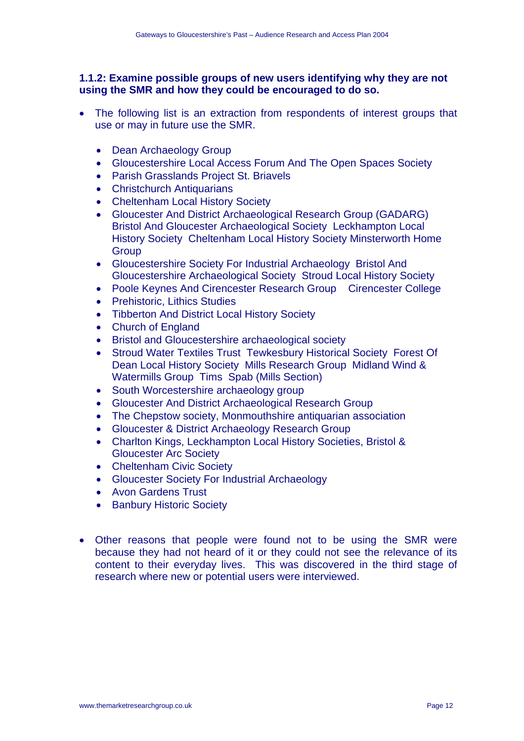#### **1.1.2: Examine possible groups of new users identifying why they are not using the SMR and how they could be encouraged to do so.**

- The following list is an extraction from respondents of interest groups that use or may in future use the SMR.
	- Dean Archaeology Group
	- Gloucestershire Local Access Forum And The Open Spaces Society
	- Parish Grasslands Project St. Briavels
	- Christchurch Antiquarians
	- Cheltenham Local History Society
	- Gloucester And District Archaeological Research Group (GADARG) Bristol And Gloucester Archaeological Society Leckhampton Local History Society Cheltenham Local History Society Minsterworth Home **Group**
	- Gloucestershire Society For Industrial Archaeology Bristol And Gloucestershire Archaeological Society Stroud Local History Society
	- Poole Keynes And Cirencester Research Group Cirencester College
	- Prehistoric, Lithics Studies
	- Tibberton And District Local History Society
	- Church of England
	- Bristol and Gloucestershire archaeological society
	- Stroud Water Textiles Trust Tewkesbury Historical Society Forest Of Dean Local History Society Mills Research Group Midland Wind & Watermills Group Tims Spab (Mills Section)
	- South Worcestershire archaeology group
	- Gloucester And District Archaeological Research Group
	- The Chepstow society, Monmouthshire antiquarian association
	- Gloucester & District Archaeology Research Group
	- Charlton Kings, Leckhampton Local History Societies, Bristol & Gloucester Arc Society
	- Cheltenham Civic Society
	- Gloucester Society For Industrial Archaeology
	- Avon Gardens Trust
	- Banbury Historic Society
- Other reasons that people were found not to be using the SMR were because they had not heard of it or they could not see the relevance of its content to their everyday lives. This was discovered in the third stage of research where new or potential users were interviewed.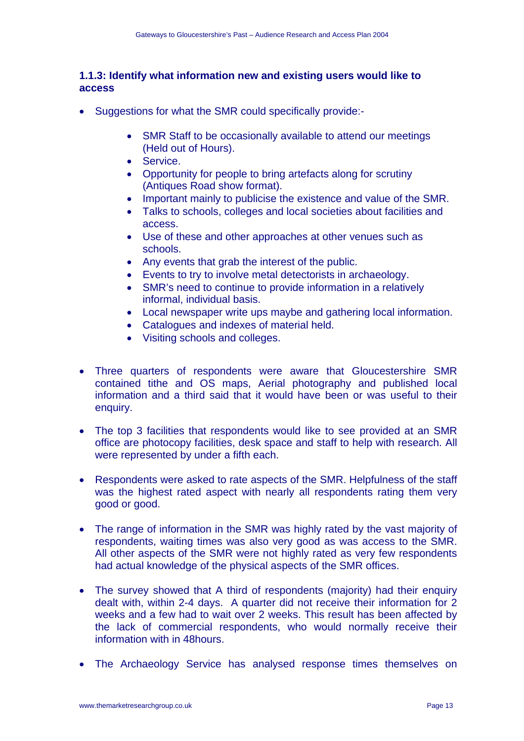#### **1.1.3: Identify what information new and existing users would like to access**

- Suggestions for what the SMR could specifically provide:-
	- SMR Staff to be occasionally available to attend our meetings (Held out of Hours).
	- Service.
	- Opportunity for people to bring artefacts along for scrutiny (Antiques Road show format).
	- Important mainly to publicise the existence and value of the SMR.
	- Talks to schools, colleges and local societies about facilities and access.
	- Use of these and other approaches at other venues such as schools.
	- Any events that grab the interest of the public.
	- Events to try to involve metal detectorists in archaeology.
	- SMR's need to continue to provide information in a relatively informal, individual basis.
	- Local newspaper write ups maybe and gathering local information.
	- Catalogues and indexes of material held.
	- Visiting schools and colleges.
- Three quarters of respondents were aware that Gloucestershire SMR contained tithe and OS maps, Aerial photography and published local information and a third said that it would have been or was useful to their enquiry.
- The top 3 facilities that respondents would like to see provided at an SMR office are photocopy facilities, desk space and staff to help with research. All were represented by under a fifth each.
- Respondents were asked to rate aspects of the SMR. Helpfulness of the staff was the highest rated aspect with nearly all respondents rating them very good or good.
- The range of information in the SMR was highly rated by the vast majority of respondents, waiting times was also very good as was access to the SMR. All other aspects of the SMR were not highly rated as very few respondents had actual knowledge of the physical aspects of the SMR offices.
- The survey showed that A third of respondents (majority) had their enquiry dealt with, within 2-4 days. A quarter did not receive their information for 2 weeks and a few had to wait over 2 weeks. This result has been affected by the lack of commercial respondents, who would normally receive their information with in 48hours.
- The Archaeology Service has analysed response times themselves on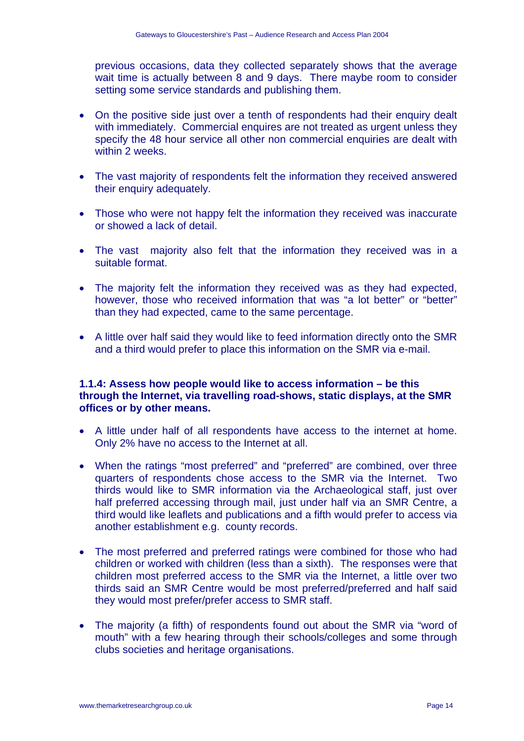previous occasions, data they collected separately shows that the average wait time is actually between 8 and 9 days. There maybe room to consider setting some service standards and publishing them.

- On the positive side just over a tenth of respondents had their enquiry dealt with immediately. Commercial enquires are not treated as urgent unless they specify the 48 hour service all other non commercial enquiries are dealt with within 2 weeks.
- The vast majority of respondents felt the information they received answered their enquiry adequately.
- Those who were not happy felt the information they received was inaccurate or showed a lack of detail.
- The vast majority also felt that the information they received was in a suitable format.
- The majority felt the information they received was as they had expected, however, those who received information that was "a lot better" or "better" than they had expected, came to the same percentage.
- A little over half said they would like to feed information directly onto the SMR and a third would prefer to place this information on the SMR via e-mail.

#### **1.1.4: Assess how people would like to access information – be this through the Internet, via travelling road-shows, static displays, at the SMR offices or by other means.**

- A little under half of all respondents have access to the internet at home. Only 2% have no access to the Internet at all.
- When the ratings "most preferred" and "preferred" are combined, over three quarters of respondents chose access to the SMR via the Internet. Two thirds would like to SMR information via the Archaeological staff, just over half preferred accessing through mail, just under half via an SMR Centre, a third would like leaflets and publications and a fifth would prefer to access via another establishment e.g. county records.
- The most preferred and preferred ratings were combined for those who had children or worked with children (less than a sixth). The responses were that children most preferred access to the SMR via the Internet, a little over two thirds said an SMR Centre would be most preferred/preferred and half said they would most prefer/prefer access to SMR staff.
- The majority (a fifth) of respondents found out about the SMR via "word of mouth" with a few hearing through their schools/colleges and some through clubs societies and heritage organisations.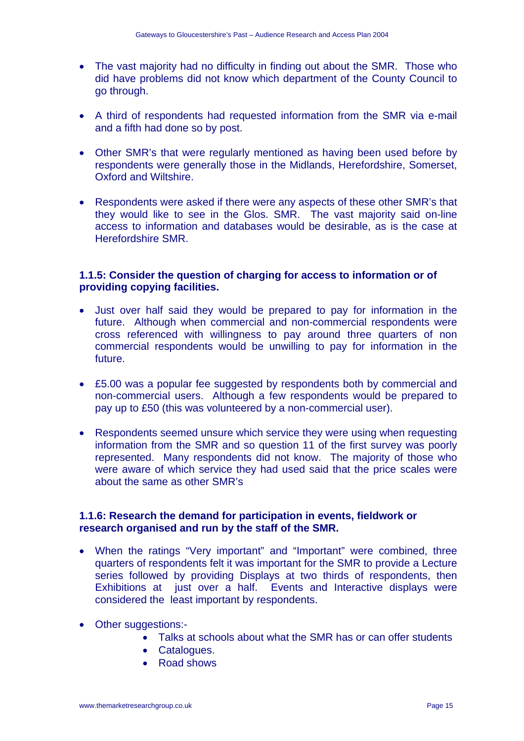- The vast majority had no difficulty in finding out about the SMR. Those who did have problems did not know which department of the County Council to go through.
- A third of respondents had requested information from the SMR via e-mail and a fifth had done so by post.
- Other SMR's that were regularly mentioned as having been used before by respondents were generally those in the Midlands, Herefordshire, Somerset, Oxford and Wiltshire.
- Respondents were asked if there were any aspects of these other SMR's that they would like to see in the Glos. SMR. The vast majority said on-line access to information and databases would be desirable, as is the case at Herefordshire SMR.

#### **1.1.5: Consider the question of charging for access to information or of providing copying facilities.**

- Just over half said they would be prepared to pay for information in the future. Although when commercial and non-commercial respondents were cross referenced with willingness to pay around three quarters of non commercial respondents would be unwilling to pay for information in the future.
- £5.00 was a popular fee suggested by respondents both by commercial and non-commercial users. Although a few respondents would be prepared to pay up to £50 (this was volunteered by a non-commercial user).
- Respondents seemed unsure which service they were using when requesting information from the SMR and so question 11 of the first survey was poorly represented. Many respondents did not know. The majority of those who were aware of which service they had used said that the price scales were about the same as other SMR's

#### **1.1.6: Research the demand for participation in events, fieldwork or research organised and run by the staff of the SMR.**

- When the ratings "Very important" and "Important" were combined, three quarters of respondents felt it was important for the SMR to provide a Lecture series followed by providing Displays at two thirds of respondents, then Exhibitions at just over a half. Events and Interactive displays were considered the least important by respondents.
- Other suggestions:-
	- Talks at schools about what the SMR has or can offer students
	- Catalogues.
	- Road shows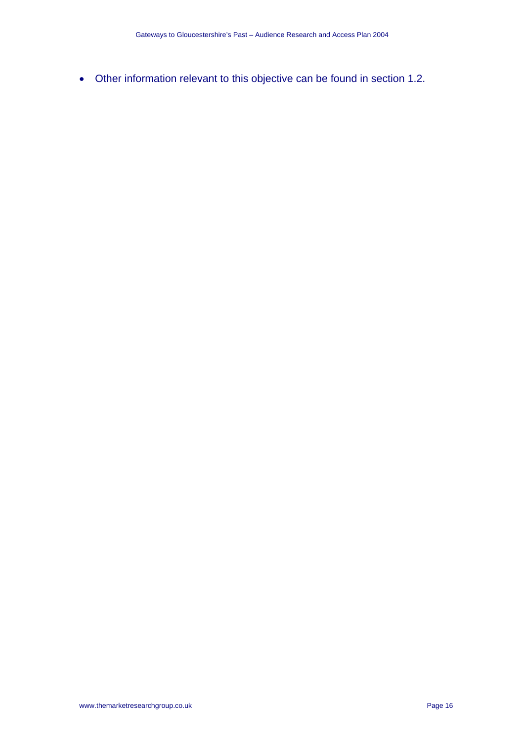• Other information relevant to this objective can be found in section 1.2.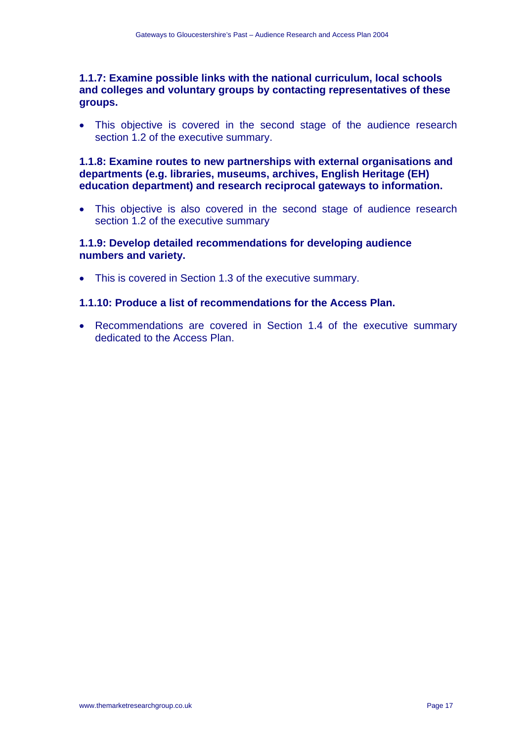#### **1.1.7: Examine possible links with the national curriculum, local schools and colleges and voluntary groups by contacting representatives of these groups.**

• This objective is covered in the second stage of the audience research section 1.2 of the executive summary.

#### **1.1.8: Examine routes to new partnerships with external organisations and departments (e.g. libraries, museums, archives, English Heritage (EH) education department) and research reciprocal gateways to information.**

• This objective is also covered in the second stage of audience research section 1.2 of the executive summary

#### **1.1.9: Develop detailed recommendations for developing audience numbers and variety.**

• This is covered in Section 1.3 of the executive summary.

#### **1.1.10: Produce a list of recommendations for the Access Plan.**

• Recommendations are covered in Section 1.4 of the executive summary dedicated to the Access Plan.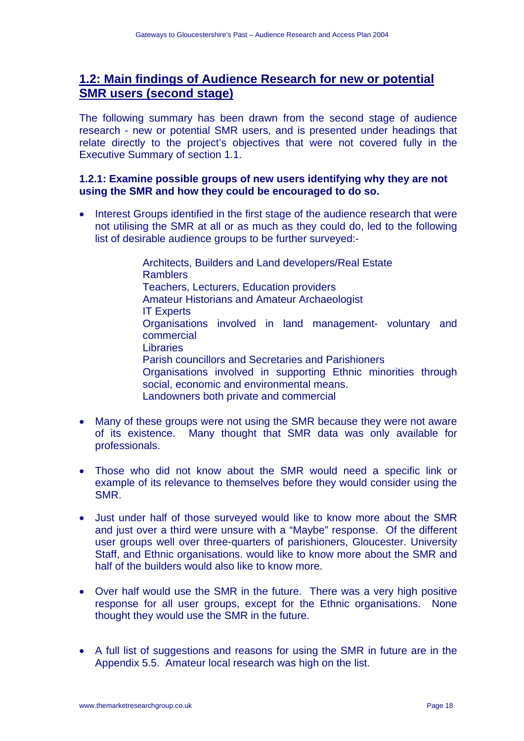## **1.2: Main findings of Audience Research for new or potential SMR users (second stage)**

The following summary has been drawn from the second stage of audience research - new or potential SMR users, and is presented under headings that relate directly to the project's objectives that were not covered fully in the Executive Summary of section 1.1.

#### **1.2.1: Examine possible groups of new users identifying why they are not using the SMR and how they could be encouraged to do so.**

• Interest Groups identified in the first stage of the audience research that were not utilising the SMR at all or as much as they could do, led to the following list of desirable audience groups to be further surveyed:-

> Architects, Builders and Land developers/Real Estate Ramblers Teachers, Lecturers, Education providers Amateur Historians and Amateur Archaeologist IT Experts Organisations involved in land management- voluntary and commercial **Libraries**  Parish councillors and Secretaries and Parishioners Organisations involved in supporting Ethnic minorities through social, economic and environmental means. Landowners both private and commercial

- Many of these groups were not using the SMR because they were not aware of its existence. Many thought that SMR data was only available for professionals.
- Those who did not know about the SMR would need a specific link or example of its relevance to themselves before they would consider using the SMR.
- Just under half of those surveyed would like to know more about the SMR and just over a third were unsure with a "Maybe" response. Of the different user groups well over three-quarters of parishioners, Gloucester. University Staff, and Ethnic organisations. would like to know more about the SMR and half of the builders would also like to know more.
- Over half would use the SMR in the future. There was a very high positive response for all user groups, except for the Ethnic organisations. None thought they would use the SMR in the future.
- A full list of suggestions and reasons for using the SMR in future are in the Appendix 5.5. Amateur local research was high on the list.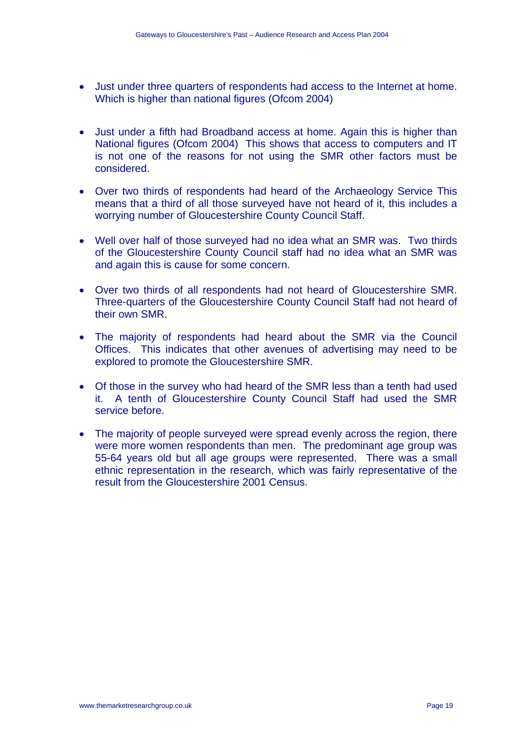- Just under three quarters of respondents had access to the Internet at home. Which is higher than national figures (Ofcom 2004)
- Just under a fifth had Broadband access at home. Again this is higher than National figures (Ofcom 2004) This shows that access to computers and IT is not one of the reasons for not using the SMR other factors must be considered.
- Over two thirds of respondents had heard of the Archaeology Service This means that a third of all those surveyed have not heard of it, this includes a worrying number of Gloucestershire County Council Staff.
- Well over half of those surveyed had no idea what an SMR was. Two thirds of the Gloucestershire County Council staff had no idea what an SMR was and again this is cause for some concern.
- Over two thirds of all respondents had not heard of Gloucestershire SMR. Three-quarters of the Gloucestershire County Council Staff had not heard of their own SMR.
- The majority of respondents had heard about the SMR via the Council Offices. This indicates that other avenues of advertising may need to be explored to promote the Gloucestershire SMR.
- Of those in the survey who had heard of the SMR less than a tenth had used it. A tenth of Gloucestershire County Council Staff had used the SMR service before.
- The majority of people surveyed were spread evenly across the region, there were more women respondents than men. The predominant age group was 55-64 years old but all age groups were represented. There was a small ethnic representation in the research, which was fairly representative of the result from the Gloucestershire 2001 Census.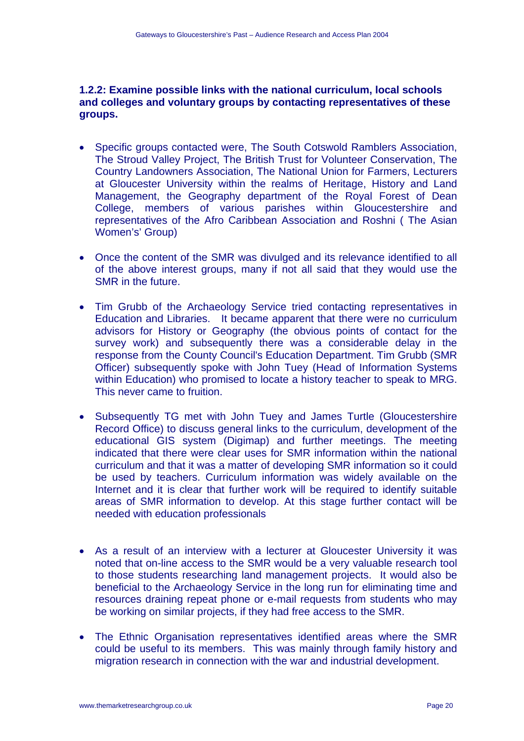#### **1.2.2: Examine possible links with the national curriculum, local schools and colleges and voluntary groups by contacting representatives of these groups.**

- Specific groups contacted were, The South Cotswold Ramblers Association, The Stroud Valley Project, The British Trust for Volunteer Conservation, The Country Landowners Association, The National Union for Farmers, Lecturers at Gloucester University within the realms of Heritage, History and Land Management, the Geography department of the Royal Forest of Dean College, members of various parishes within Gloucestershire and representatives of the Afro Caribbean Association and Roshni ( The Asian Women's' Group)
- Once the content of the SMR was divulged and its relevance identified to all of the above interest groups, many if not all said that they would use the SMR in the future.
- Tim Grubb of the Archaeology Service tried contacting representatives in Education and Libraries. It became apparent that there were no curriculum advisors for History or Geography (the obvious points of contact for the survey work) and subsequently there was a considerable delay in the response from the County Council's Education Department. Tim Grubb (SMR Officer) subsequently spoke with John Tuey (Head of Information Systems within Education) who promised to locate a history teacher to speak to MRG. This never came to fruition.
- Subsequently TG met with John Tuey and James Turtle (Gloucestershire Record Office) to discuss general links to the curriculum, development of the educational GIS system (Digimap) and further meetings. The meeting indicated that there were clear uses for SMR information within the national curriculum and that it was a matter of developing SMR information so it could be used by teachers. Curriculum information was widely available on the Internet and it is clear that further work will be required to identify suitable areas of SMR information to develop. At this stage further contact will be needed with education professionals
- As a result of an interview with a lecturer at Gloucester University it was noted that on-line access to the SMR would be a very valuable research tool to those students researching land management projects. It would also be beneficial to the Archaeology Service in the long run for eliminating time and resources draining repeat phone or e-mail requests from students who may be working on similar projects, if they had free access to the SMR.
- The Ethnic Organisation representatives identified areas where the SMR could be useful to its members. This was mainly through family history and migration research in connection with the war and industrial development.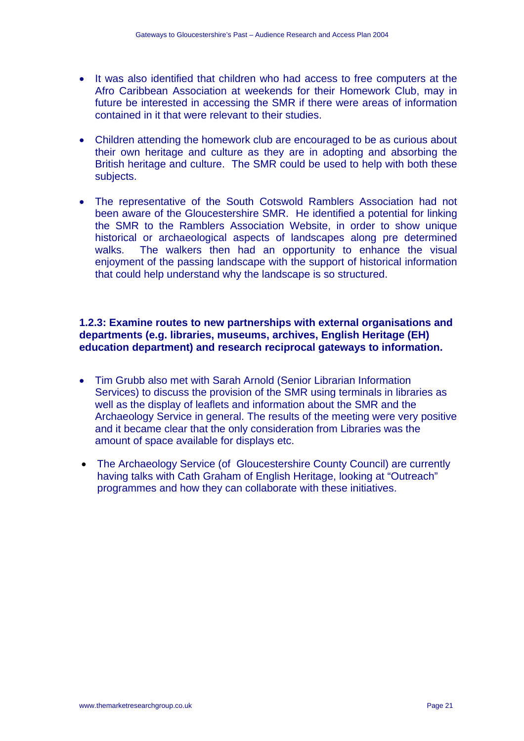- It was also identified that children who had access to free computers at the Afro Caribbean Association at weekends for their Homework Club, may in future be interested in accessing the SMR if there were areas of information contained in it that were relevant to their studies.
- Children attending the homework club are encouraged to be as curious about their own heritage and culture as they are in adopting and absorbing the British heritage and culture. The SMR could be used to help with both these subjects.
- The representative of the South Cotswold Ramblers Association had not been aware of the Gloucestershire SMR. He identified a potential for linking the SMR to the Ramblers Association Website, in order to show unique historical or archaeological aspects of landscapes along pre determined walks. The walkers then had an opportunity to enhance the visual enjoyment of the passing landscape with the support of historical information that could help understand why the landscape is so structured.

#### **1.2.3: Examine routes to new partnerships with external organisations and departments (e.g. libraries, museums, archives, English Heritage (EH) education department) and research reciprocal gateways to information.**

- Tim Grubb also met with Sarah Arnold (Senior Librarian Information Services) to discuss the provision of the SMR using terminals in libraries as well as the display of leaflets and information about the SMR and the Archaeology Service in general. The results of the meeting were very positive and it became clear that the only consideration from Libraries was the amount of space available for displays etc.
- The Archaeology Service (of Gloucestershire County Council) are currently having talks with Cath Graham of English Heritage, looking at "Outreach" programmes and how they can collaborate with these initiatives.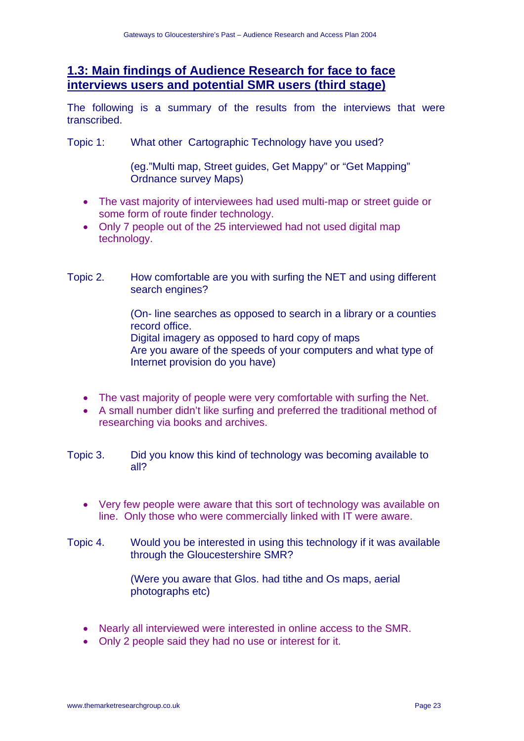### **1.3: Main findings of Audience Research for face to face interviews users and potential SMR users (third stage)**

The following is a summary of the results from the interviews that were transcribed.

Topic 1: What other Cartographic Technology have you used?

(eg."Multi map, Street guides, Get Mappy" or "Get Mapping" Ordnance survey Maps)

- The vast majority of interviewees had used multi-map or street guide or some form of route finder technology.
- Only 7 people out of the 25 interviewed had not used digital map technology.
- Topic 2. How comfortable are you with surfing the NET and using different search engines?

(On- line searches as opposed to search in a library or a counties record office. Digital imagery as opposed to hard copy of maps

Are you aware of the speeds of your computers and what type of Internet provision do you have)

- The vast majority of people were very comfortable with surfing the Net.
- A small number didn't like surfing and preferred the traditional method of researching via books and archives.

Topic 3. Did you know this kind of technology was becoming available to all?

- Very few people were aware that this sort of technology was available on line. Only those who were commercially linked with IT were aware.
- Topic 4. Would you be interested in using this technology if it was available through the Gloucestershire SMR?

(Were you aware that Glos. had tithe and Os maps, aerial photographs etc)

- Nearly all interviewed were interested in online access to the SMR.
- Only 2 people said they had no use or interest for it.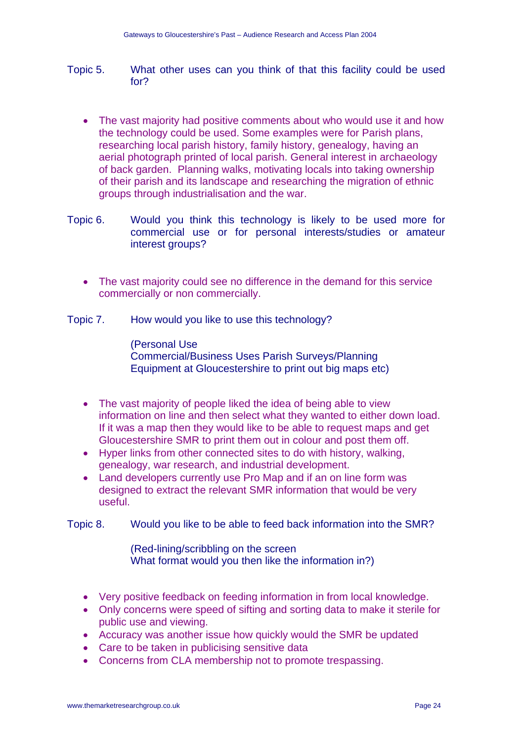- Topic 5. What other uses can you think of that this facility could be used for?
	- The vast majority had positive comments about who would use it and how the technology could be used. Some examples were for Parish plans, researching local parish history, family history, genealogy, having an aerial photograph printed of local parish. General interest in archaeology of back garden. Planning walks, motivating locals into taking ownership of their parish and its landscape and researching the migration of ethnic groups through industrialisation and the war.
- Topic 6. Would you think this technology is likely to be used more for commercial use or for personal interests/studies or amateur interest groups?
	- The vast majority could see no difference in the demand for this service commercially or non commercially.

Topic 7. How would you like to use this technology?

(Personal Use Commercial/Business Uses Parish Surveys/Planning Equipment at Gloucestershire to print out big maps etc)

- The vast majority of people liked the idea of being able to view information on line and then select what they wanted to either down load. If it was a map then they would like to be able to request maps and get Gloucestershire SMR to print them out in colour and post them off.
- Hyper links from other connected sites to do with history, walking, genealogy, war research, and industrial development.
- Land developers currently use Pro Map and if an on line form was designed to extract the relevant SMR information that would be very useful.

Topic 8. Would you like to be able to feed back information into the SMR?

(Red-lining/scribbling on the screen What format would you then like the information in?)

- Very positive feedback on feeding information in from local knowledge.
- Only concerns were speed of sifting and sorting data to make it sterile for public use and viewing.
- Accuracy was another issue how quickly would the SMR be updated
- Care to be taken in publicising sensitive data
- Concerns from CLA membership not to promote trespassing.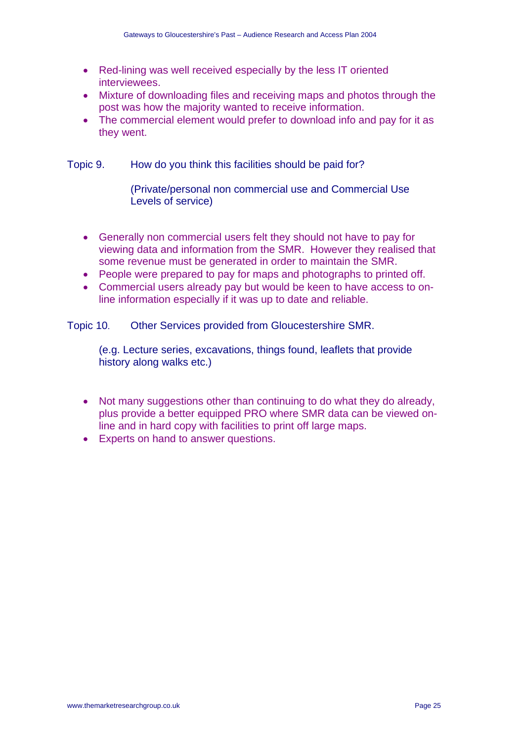- Red-lining was well received especially by the less IT oriented interviewees.
- Mixture of downloading files and receiving maps and photos through the post was how the majority wanted to receive information.
- The commercial element would prefer to download info and pay for it as they went.

Topic 9. How do you think this facilities should be paid for?

(Private/personal non commercial use and Commercial Use Levels of service)

- Generally non commercial users felt they should not have to pay for viewing data and information from the SMR. However they realised that some revenue must be generated in order to maintain the SMR.
- People were prepared to pay for maps and photographs to printed off.
- Commercial users already pay but would be keen to have access to online information especially if it was up to date and reliable.

Topic 10. Other Services provided from Gloucestershire SMR.

(e.g. Lecture series, excavations, things found, leaflets that provide history along walks etc.)

- Not many suggestions other than continuing to do what they do already, plus provide a better equipped PRO where SMR data can be viewed online and in hard copy with facilities to print off large maps.
- Experts on hand to answer questions.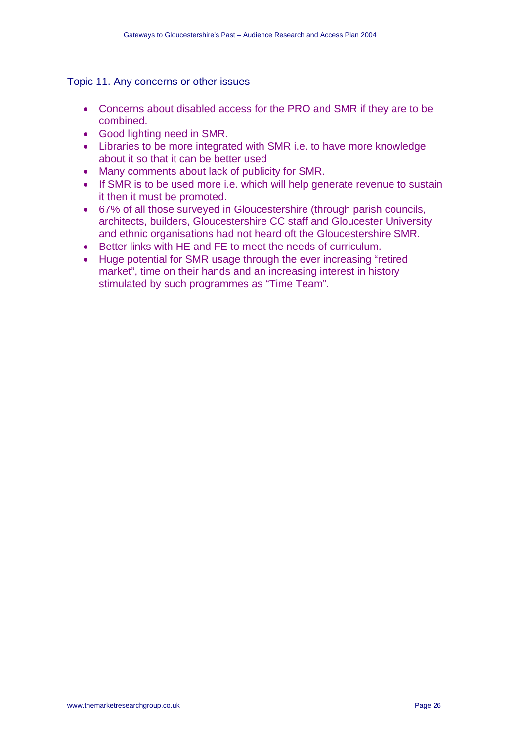#### Topic 11. Any concerns or other issues

- Concerns about disabled access for the PRO and SMR if they are to be combined.
- Good lighting need in SMR.
- Libraries to be more integrated with SMR i.e. to have more knowledge about it so that it can be better used
- Many comments about lack of publicity for SMR.
- If SMR is to be used more i.e. which will help generate revenue to sustain it then it must be promoted.
- 67% of all those surveyed in Gloucestershire (through parish councils, architects, builders, Gloucestershire CC staff and Gloucester University and ethnic organisations had not heard oft the Gloucestershire SMR.
- Better links with HE and FE to meet the needs of curriculum.
- Huge potential for SMR usage through the ever increasing "retired market", time on their hands and an increasing interest in history stimulated by such programmes as "Time Team".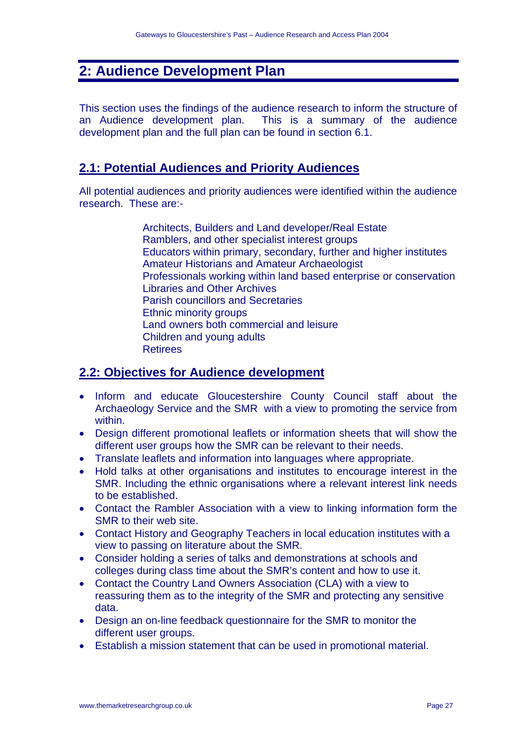# **2: Audience Development Plan**

This section uses the findings of the audience research to inform the structure of an Audience development plan. This is a summary of the audience development plan and the full plan can be found in section 6.1.

### **2.1: Potential Audiences and Priority Audiences**

All potential audiences and priority audiences were identified within the audience research. These are:-

> Architects, Builders and Land developer/Real Estate Ramblers, and other specialist interest groups Educators within primary, secondary, further and higher institutes Amateur Historians and Amateur Archaeologist Professionals working within land based enterprise or conservation Libraries and Other Archives Parish councillors and Secretaries Ethnic minority groups Land owners both commercial and leisure Children and young adults Retirees

# **2.2: Objectives for Audience development**

- Inform and educate Gloucestershire County Council staff about the Archaeology Service and the SMR with a view to promoting the service from within.
- Design different promotional leaflets or information sheets that will show the different user groups how the SMR can be relevant to their needs.
- Translate leaflets and information into languages where appropriate.
- Hold talks at other organisations and institutes to encourage interest in the SMR. Including the ethnic organisations where a relevant interest link needs to be established.
- Contact the Rambler Association with a view to linking information form the SMR to their web site.
- Contact History and Geography Teachers in local education institutes with a view to passing on literature about the SMR.
- Consider holding a series of talks and demonstrations at schools and colleges during class time about the SMR's content and how to use it.
- Contact the Country Land Owners Association (CLA) with a view to reassuring them as to the integrity of the SMR and protecting any sensitive data.
- Design an on-line feedback questionnaire for the SMR to monitor the different user groups.
- Establish a mission statement that can be used in promotional material.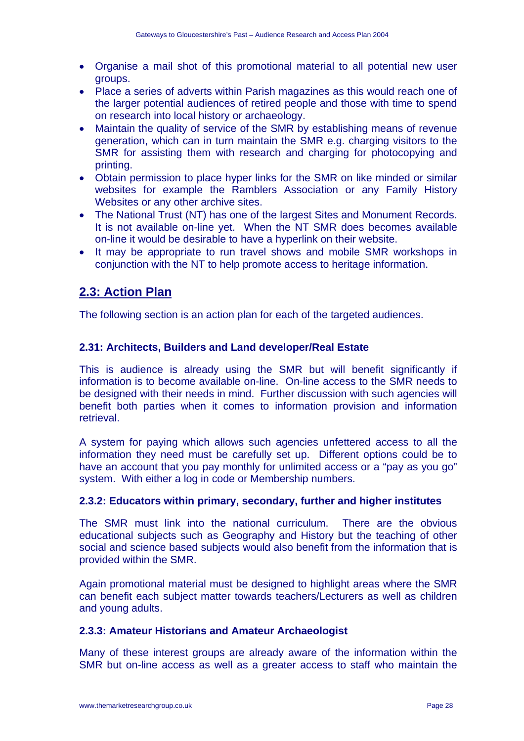- Organise a mail shot of this promotional material to all potential new user groups.
- Place a series of adverts within Parish magazines as this would reach one of the larger potential audiences of retired people and those with time to spend on research into local history or archaeology.
- Maintain the quality of service of the SMR by establishing means of revenue generation, which can in turn maintain the SMR e.g. charging visitors to the SMR for assisting them with research and charging for photocopying and printing.
- Obtain permission to place hyper links for the SMR on like minded or similar websites for example the Ramblers Association or any Family History Websites or any other archive sites.
- The National Trust (NT) has one of the largest Sites and Monument Records. It is not available on-line yet. When the NT SMR does becomes available on-line it would be desirable to have a hyperlink on their website.
- It may be appropriate to run travel shows and mobile SMR workshops in conjunction with the NT to help promote access to heritage information.

## **2.3: Action Plan**

The following section is an action plan for each of the targeted audiences.

#### **2.31: Architects, Builders and Land developer/Real Estate**

This is audience is already using the SMR but will benefit significantly if information is to become available on-line. On-line access to the SMR needs to be designed with their needs in mind. Further discussion with such agencies will benefit both parties when it comes to information provision and information retrieval.

A system for paying which allows such agencies unfettered access to all the information they need must be carefully set up. Different options could be to have an account that you pay monthly for unlimited access or a "pay as you go" system. With either a log in code or Membership numbers.

#### **2.3.2: Educators within primary, secondary, further and higher institutes**

The SMR must link into the national curriculum. There are the obvious educational subjects such as Geography and History but the teaching of other social and science based subjects would also benefit from the information that is provided within the SMR.

Again promotional material must be designed to highlight areas where the SMR can benefit each subject matter towards teachers/Lecturers as well as children and young adults.

#### **2.3.3: Amateur Historians and Amateur Archaeologist**

Many of these interest groups are already aware of the information within the SMR but on-line access as well as a greater access to staff who maintain the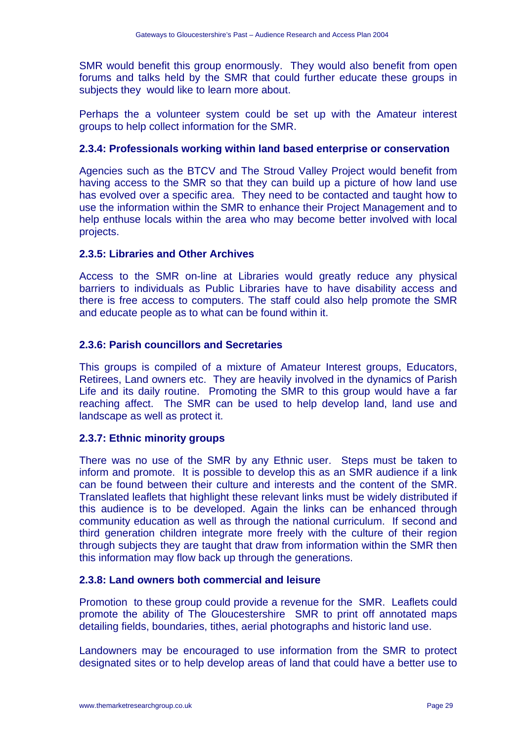SMR would benefit this group enormously. They would also benefit from open forums and talks held by the SMR that could further educate these groups in subjects they would like to learn more about.

Perhaps the a volunteer system could be set up with the Amateur interest groups to help collect information for the SMR.

#### **2.3.4: Professionals working within land based enterprise or conservation**

Agencies such as the BTCV and The Stroud Valley Project would benefit from having access to the SMR so that they can build up a picture of how land use has evolved over a specific area. They need to be contacted and taught how to use the information within the SMR to enhance their Project Management and to help enthuse locals within the area who may become better involved with local projects.

#### **2.3.5: Libraries and Other Archives**

Access to the SMR on-line at Libraries would greatly reduce any physical barriers to individuals as Public Libraries have to have disability access and there is free access to computers. The staff could also help promote the SMR and educate people as to what can be found within it.

#### **2.3.6: Parish councillors and Secretaries**

This groups is compiled of a mixture of Amateur Interest groups, Educators, Retirees, Land owners etc. They are heavily involved in the dynamics of Parish Life and its daily routine. Promoting the SMR to this group would have a far reaching affect. The SMR can be used to help develop land, land use and landscape as well as protect it.

#### **2.3.7: Ethnic minority groups**

There was no use of the SMR by any Ethnic user. Steps must be taken to inform and promote. It is possible to develop this as an SMR audience if a link can be found between their culture and interests and the content of the SMR. Translated leaflets that highlight these relevant links must be widely distributed if this audience is to be developed. Again the links can be enhanced through community education as well as through the national curriculum. If second and third generation children integrate more freely with the culture of their region through subjects they are taught that draw from information within the SMR then this information may flow back up through the generations.

#### **2.3.8: Land owners both commercial and leisure**

Promotion to these group could provide a revenue for the SMR. Leaflets could promote the ability of The Gloucestershire SMR to print off annotated maps detailing fields, boundaries, tithes, aerial photographs and historic land use.

Landowners may be encouraged to use information from the SMR to protect designated sites or to help develop areas of land that could have a better use to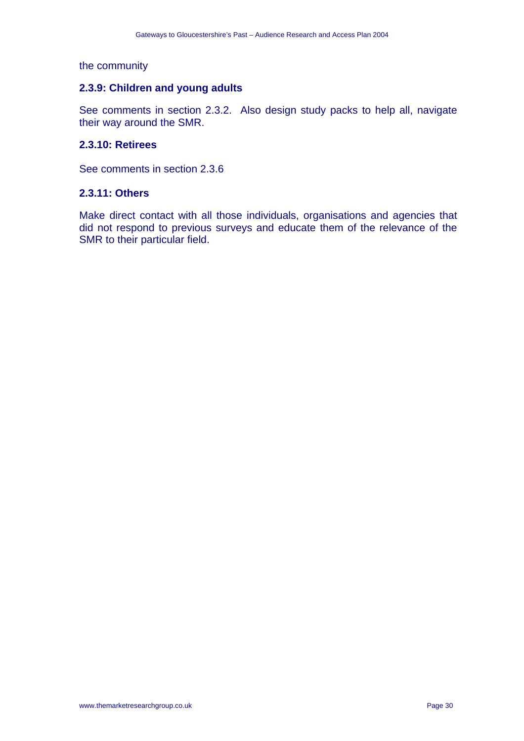#### the community

#### **2.3.9: Children and young adults**

See comments in section 2.3.2. Also design study packs to help all, navigate their way around the SMR.

#### **2.3.10: Retirees**

See comments in section 2.3.6

#### **2.3.11: Others**

Make direct contact with all those individuals, organisations and agencies that did not respond to previous surveys and educate them of the relevance of the SMR to their particular field.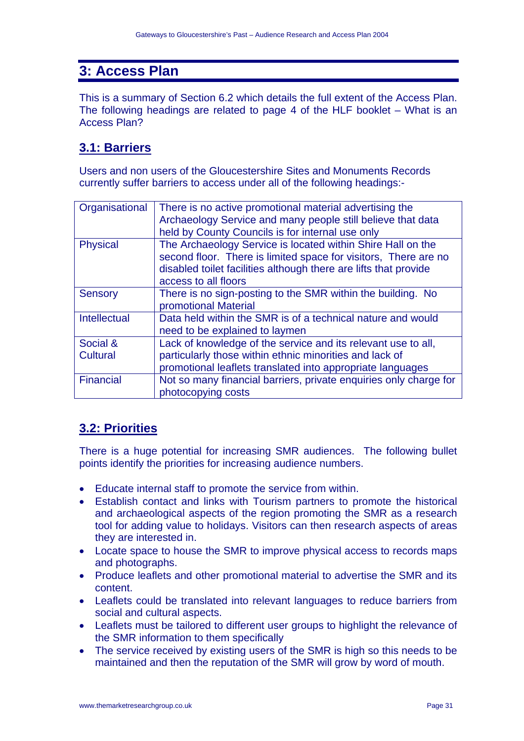# **3: Access Plan**

This is a summary of Section 6.2 which details the full extent of the Access Plan. The following headings are related to page 4 of the HLF booklet – What is an Access Plan?

## **3.1: Barriers**

Users and non users of the Gloucestershire Sites and Monuments Records currently suffer barriers to access under all of the following headings:-

| There is no active promotional material advertising the<br>Organisational<br>Archaeology Service and many people still believe that data<br>held by County Councils is for internal use only<br>The Archaeology Service is located within Shire Hall on the<br><b>Physical</b><br>second floor. There is limited space for visitors, There are no<br>disabled toilet facilities although there are lifts that provide<br>access to all floors<br>There is no sign-posting to the SMR within the building. No<br><b>Sensory</b><br>promotional Material<br>Data held within the SMR is of a technical nature and would<br><b>Intellectual</b><br>need to be explained to laymen |
|--------------------------------------------------------------------------------------------------------------------------------------------------------------------------------------------------------------------------------------------------------------------------------------------------------------------------------------------------------------------------------------------------------------------------------------------------------------------------------------------------------------------------------------------------------------------------------------------------------------------------------------------------------------------------------|
|                                                                                                                                                                                                                                                                                                                                                                                                                                                                                                                                                                                                                                                                                |
|                                                                                                                                                                                                                                                                                                                                                                                                                                                                                                                                                                                                                                                                                |
|                                                                                                                                                                                                                                                                                                                                                                                                                                                                                                                                                                                                                                                                                |
|                                                                                                                                                                                                                                                                                                                                                                                                                                                                                                                                                                                                                                                                                |
|                                                                                                                                                                                                                                                                                                                                                                                                                                                                                                                                                                                                                                                                                |
|                                                                                                                                                                                                                                                                                                                                                                                                                                                                                                                                                                                                                                                                                |
|                                                                                                                                                                                                                                                                                                                                                                                                                                                                                                                                                                                                                                                                                |
|                                                                                                                                                                                                                                                                                                                                                                                                                                                                                                                                                                                                                                                                                |
|                                                                                                                                                                                                                                                                                                                                                                                                                                                                                                                                                                                                                                                                                |
|                                                                                                                                                                                                                                                                                                                                                                                                                                                                                                                                                                                                                                                                                |
|                                                                                                                                                                                                                                                                                                                                                                                                                                                                                                                                                                                                                                                                                |
| Social &<br>Lack of knowledge of the service and its relevant use to all,                                                                                                                                                                                                                                                                                                                                                                                                                                                                                                                                                                                                      |
| particularly those within ethnic minorities and lack of<br><b>Cultural</b>                                                                                                                                                                                                                                                                                                                                                                                                                                                                                                                                                                                                     |
| promotional leaflets translated into appropriate languages                                                                                                                                                                                                                                                                                                                                                                                                                                                                                                                                                                                                                     |
| Financial<br>Not so many financial barriers, private enquiries only charge for                                                                                                                                                                                                                                                                                                                                                                                                                                                                                                                                                                                                 |
| photocopying costs                                                                                                                                                                                                                                                                                                                                                                                                                                                                                                                                                                                                                                                             |

## **3.2: Priorities**

There is a huge potential for increasing SMR audiences. The following bullet points identify the priorities for increasing audience numbers.

- Educate internal staff to promote the service from within.
- Establish contact and links with Tourism partners to promote the historical and archaeological aspects of the region promoting the SMR as a research tool for adding value to holidays. Visitors can then research aspects of areas they are interested in.
- Locate space to house the SMR to improve physical access to records maps and photographs.
- Produce leaflets and other promotional material to advertise the SMR and its content.
- Leaflets could be translated into relevant languages to reduce barriers from social and cultural aspects.
- Leaflets must be tailored to different user groups to highlight the relevance of the SMR information to them specifically
- The service received by existing users of the SMR is high so this needs to be maintained and then the reputation of the SMR will grow by word of mouth.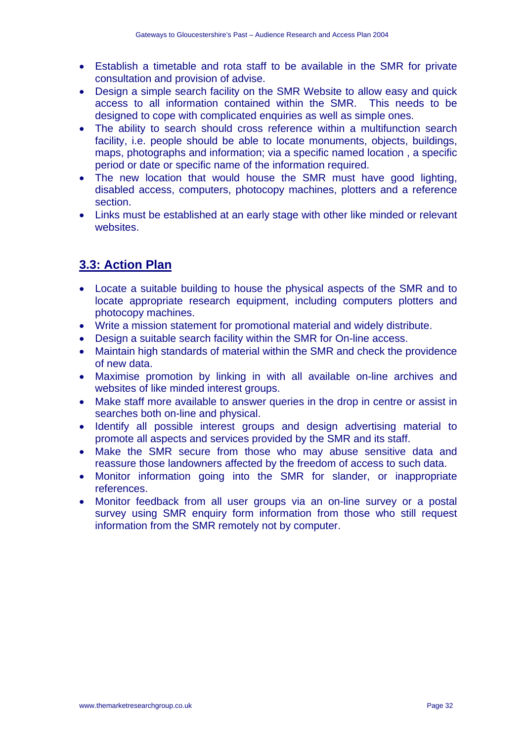- Establish a timetable and rota staff to be available in the SMR for private consultation and provision of advise.
- Design a simple search facility on the SMR Website to allow easy and quick access to all information contained within the SMR. This needs to be designed to cope with complicated enquiries as well as simple ones.
- The ability to search should cross reference within a multifunction search facility, i.e. people should be able to locate monuments, objects, buildings, maps, photographs and information; via a specific named location , a specific period or date or specific name of the information required.
- The new location that would house the SMR must have good lighting, disabled access, computers, photocopy machines, plotters and a reference section.
- Links must be established at an early stage with other like minded or relevant websites.

# **3.3: Action Plan**

- Locate a suitable building to house the physical aspects of the SMR and to locate appropriate research equipment, including computers plotters and photocopy machines.
- Write a mission statement for promotional material and widely distribute.
- Design a suitable search facility within the SMR for On-line access.
- Maintain high standards of material within the SMR and check the providence of new data.
- Maximise promotion by linking in with all available on-line archives and websites of like minded interest groups.
- Make staff more available to answer queries in the drop in centre or assist in searches both on-line and physical.
- Identify all possible interest groups and design advertising material to promote all aspects and services provided by the SMR and its staff.
- Make the SMR secure from those who may abuse sensitive data and reassure those landowners affected by the freedom of access to such data.
- Monitor information going into the SMR for slander, or inappropriate references.
- Monitor feedback from all user groups via an on-line survey or a postal survey using SMR enquiry form information from those who still request information from the SMR remotely not by computer.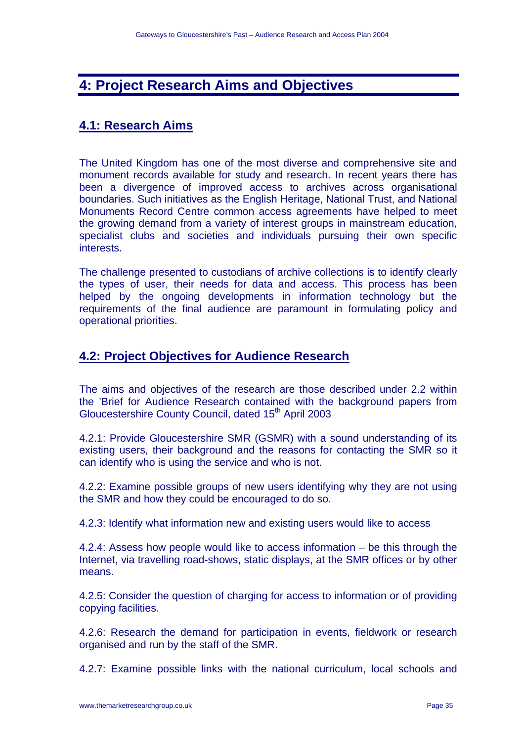# **4: Project Research Aims and Objectives**

## **4.1: Research Aims**

The United Kingdom has one of the most diverse and comprehensive site and monument records available for study and research. In recent years there has been a divergence of improved access to archives across organisational boundaries. Such initiatives as the English Heritage, National Trust, and National Monuments Record Centre common access agreements have helped to meet the growing demand from a variety of interest groups in mainstream education, specialist clubs and societies and individuals pursuing their own specific interests.

The challenge presented to custodians of archive collections is to identify clearly the types of user, their needs for data and access. This process has been helped by the ongoing developments in information technology but the requirements of the final audience are paramount in formulating policy and operational priorities.

### **4.2: Project Objectives for Audience Research**

The aims and objectives of the research are those described under 2.2 within the 'Brief for Audience Research contained with the background papers from Gloucestershire County Council, dated 15<sup>th</sup> April 2003

4.2.1: Provide Gloucestershire SMR (GSMR) with a sound understanding of its existing users, their background and the reasons for contacting the SMR so it can identify who is using the service and who is not.

4.2.2: Examine possible groups of new users identifying why they are not using the SMR and how they could be encouraged to do so.

4.2.3: Identify what information new and existing users would like to access

4.2.4: Assess how people would like to access information – be this through the Internet, via travelling road-shows, static displays, at the SMR offices or by other means.

4.2.5: Consider the question of charging for access to information or of providing copying facilities.

4.2.6: Research the demand for participation in events, fieldwork or research organised and run by the staff of the SMR.

4.2.7: Examine possible links with the national curriculum, local schools and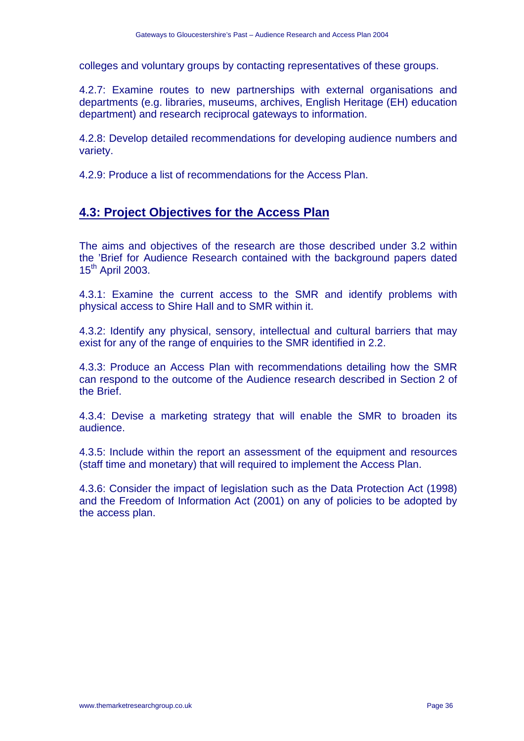colleges and voluntary groups by contacting representatives of these groups.

4.2.7: Examine routes to new partnerships with external organisations and departments (e.g. libraries, museums, archives, English Heritage (EH) education department) and research reciprocal gateways to information.

4.2.8: Develop detailed recommendations for developing audience numbers and variety.

4.2.9: Produce a list of recommendations for the Access Plan.

## **4.3: Project Objectives for the Access Plan**

The aims and objectives of the research are those described under 3.2 within the 'Brief for Audience Research contained with the background papers dated 15<sup>th</sup> April 2003.

4.3.1: Examine the current access to the SMR and identify problems with physical access to Shire Hall and to SMR within it.

4.3.2: Identify any physical, sensory, intellectual and cultural barriers that may exist for any of the range of enquiries to the SMR identified in 2.2.

4.3.3: Produce an Access Plan with recommendations detailing how the SMR can respond to the outcome of the Audience research described in Section 2 of the Brief.

4.3.4: Devise a marketing strategy that will enable the SMR to broaden its audience.

4.3.5: Include within the report an assessment of the equipment and resources (staff time and monetary) that will required to implement the Access Plan.

4.3.6: Consider the impact of legislation such as the Data Protection Act (1998) and the Freedom of Information Act (2001) on any of policies to be adopted by the access plan.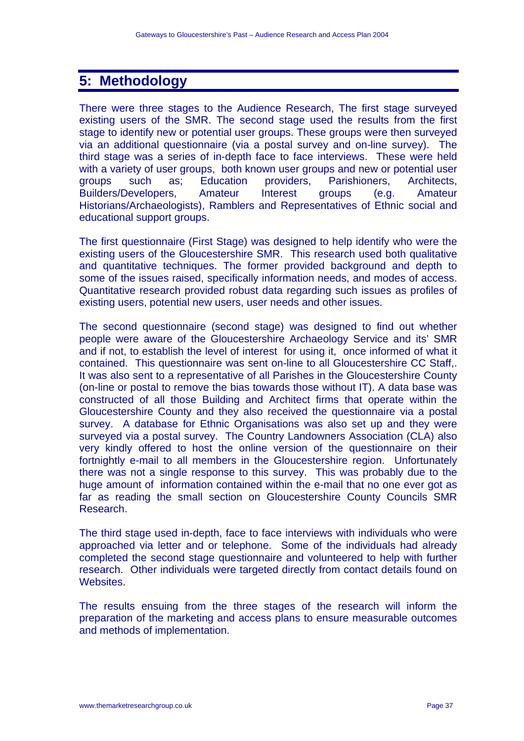# **5: Methodology**

There were three stages to the Audience Research, The first stage surveyed existing users of the SMR. The second stage used the results from the first stage to identify new or potential user groups. These groups were then surveyed via an additional questionnaire (via a postal survey and on-line survey). The third stage was a series of in-depth face to face interviews. These were held with a variety of user groups, both known user groups and new or potential user groups such as; Education providers, Parishioners, Architects, Builders/Developers, Amateur Interest groups (e.g. Amateur Historians/Archaeologists), Ramblers and Representatives of Ethnic social and educational support groups.

The first questionnaire (First Stage) was designed to help identify who were the existing users of the Gloucestershire SMR. This research used both qualitative and quantitative techniques. The former provided background and depth to some of the issues raised, specifically information needs, and modes of access. Quantitative research provided robust data regarding such issues as profiles of existing users, potential new users, user needs and other issues.

The second questionnaire (second stage) was designed to find out whether people were aware of the Gloucestershire Archaeology Service and its' SMR and if not, to establish the level of interest for using it, once informed of what it contained. This questionnaire was sent on-line to all Gloucestershire CC Staff,. It was also sent to a representative of all Parishes in the Gloucestershire County (on-line or postal to remove the bias towards those without IT). A data base was constructed of all those Building and Architect firms that operate within the Gloucestershire County and they also received the questionnaire via a postal survey. A database for Ethnic Organisations was also set up and they were surveyed via a postal survey. The Country Landowners Association (CLA) also very kindly offered to host the online version of the questionnaire on their fortnightly e-mail to all members in the Gloucestershire region. Unfortunately there was not a single response to this survey. This was probably due to the huge amount of information contained within the e-mail that no one ever got as far as reading the small section on Gloucestershire County Councils SMR Research.

The third stage used in-depth, face to face interviews with individuals who were approached via letter and or telephone. Some of the individuals had already completed the second stage questionnaire and volunteered to help with further research. Other individuals were targeted directly from contact details found on Websites.

The results ensuing from the three stages of the research will inform the preparation of the marketing and access plans to ensure measurable outcomes and methods of implementation.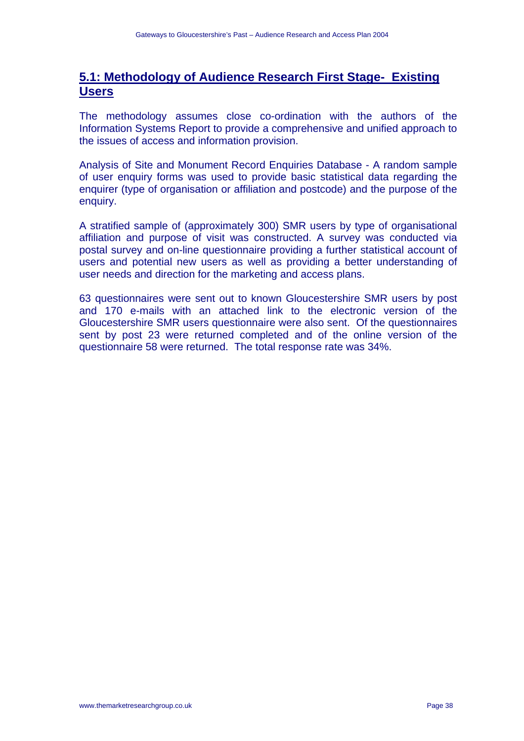# **5.1: Methodology of Audience Research First Stage- Existing Users**

The methodology assumes close co-ordination with the authors of the Information Systems Report to provide a comprehensive and unified approach to the issues of access and information provision.

Analysis of Site and Monument Record Enquiries Database - A random sample of user enquiry forms was used to provide basic statistical data regarding the enquirer (type of organisation or affiliation and postcode) and the purpose of the enquiry.

A stratified sample of (approximately 300) SMR users by type of organisational affiliation and purpose of visit was constructed. A survey was conducted via postal survey and on-line questionnaire providing a further statistical account of users and potential new users as well as providing a better understanding of user needs and direction for the marketing and access plans.

63 questionnaires were sent out to known Gloucestershire SMR users by post and 170 e-mails with an attached link to the electronic version of the Gloucestershire SMR users questionnaire were also sent. Of the questionnaires sent by post 23 were returned completed and of the online version of the questionnaire 58 were returned. The total response rate was 34%.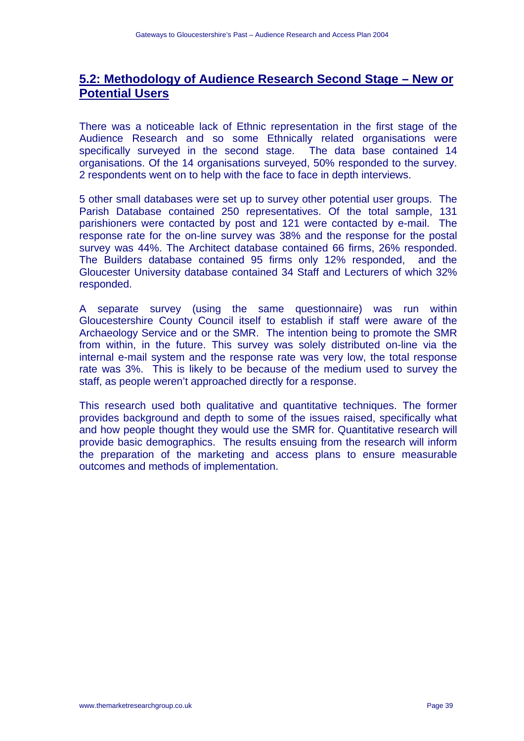# **5.2: Methodology of Audience Research Second Stage – New or Potential Users**

There was a noticeable lack of Ethnic representation in the first stage of the Audience Research and so some Ethnically related organisations were specifically surveyed in the second stage. The data base contained 14 organisations. Of the 14 organisations surveyed, 50% responded to the survey. 2 respondents went on to help with the face to face in depth interviews.

5 other small databases were set up to survey other potential user groups. The Parish Database contained 250 representatives. Of the total sample, 131 parishioners were contacted by post and 121 were contacted by e-mail. The response rate for the on-line survey was 38% and the response for the postal survey was 44%. The Architect database contained 66 firms, 26% responded. The Builders database contained 95 firms only 12% responded, and the Gloucester University database contained 34 Staff and Lecturers of which 32% responded.

A separate survey (using the same questionnaire) was run within Gloucestershire County Council itself to establish if staff were aware of the Archaeology Service and or the SMR. The intention being to promote the SMR from within, in the future. This survey was solely distributed on-line via the internal e-mail system and the response rate was very low, the total response rate was 3%. This is likely to be because of the medium used to survey the staff, as people weren't approached directly for a response.

This research used both qualitative and quantitative techniques. The former provides background and depth to some of the issues raised, specifically what and how people thought they would use the SMR for. Quantitative research will provide basic demographics. The results ensuing from the research will inform the preparation of the marketing and access plans to ensure measurable outcomes and methods of implementation.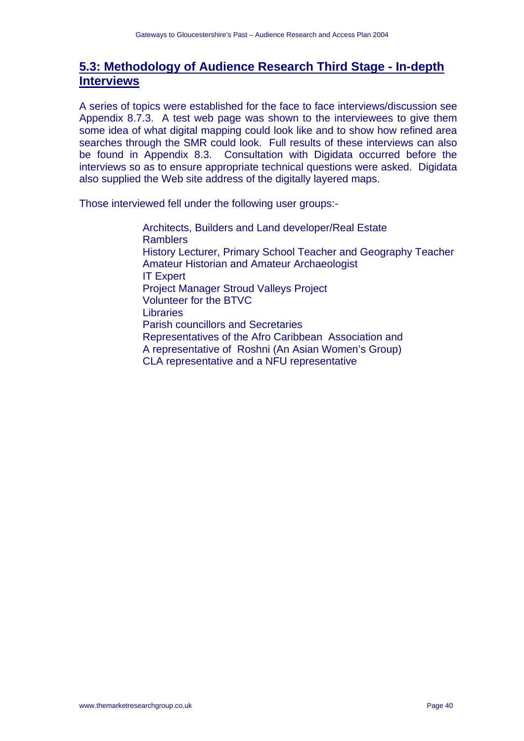# **5.3: Methodology of Audience Research Third Stage - In-depth Interviews**

A series of topics were established for the face to face interviews/discussion see Appendix 8.7.3. A test web page was shown to the interviewees to give them some idea of what digital mapping could look like and to show how refined area searches through the SMR could look. Full results of these interviews can also be found in Appendix 8.3. Consultation with Digidata occurred before the interviews so as to ensure appropriate technical questions were asked. Digidata also supplied the Web site address of the digitally layered maps.

Those interviewed fell under the following user groups:-

 Architects, Builders and Land developer/Real Estate **Ramblers**  History Lecturer, Primary School Teacher and Geography Teacher Amateur Historian and Amateur Archaeologist IT Expert Project Manager Stroud Valleys Project Volunteer for the BTVC Libraries Parish councillors and Secretaries Representatives of the Afro Caribbean Association and A representative of Roshni (An Asian Women's Group) CLA representative and a NFU representative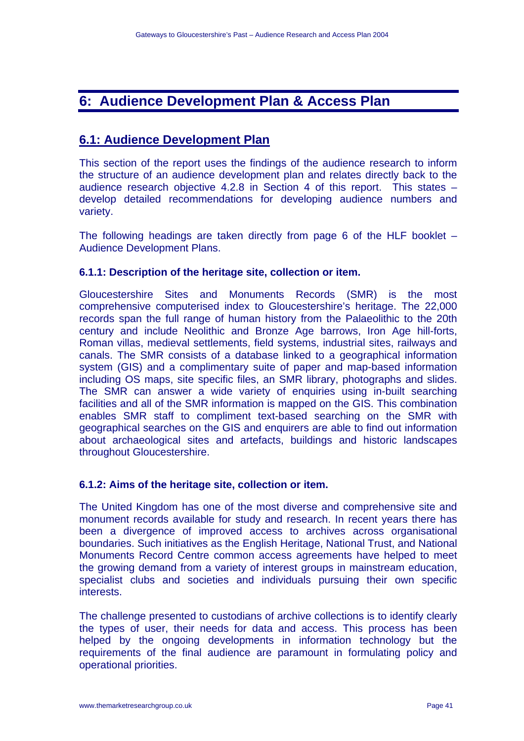# **6: Audience Development Plan & Access Plan**

# **6.1: Audience Development Plan**

This section of the report uses the findings of the audience research to inform the structure of an audience development plan and relates directly back to the audience research objective 4.2.8 in Section 4 of this report. This states – develop detailed recommendations for developing audience numbers and variety.

The following headings are taken directly from page 6 of the HLF booklet – Audience Development Plans.

# **6.1.1: Description of the heritage site, collection or item.**

Gloucestershire Sites and Monuments Records (SMR) is the most comprehensive computerised index to Gloucestershire's heritage. The 22,000 records span the full range of human history from the Palaeolithic to the 20th century and include Neolithic and Bronze Age barrows, Iron Age hill-forts, Roman villas, medieval settlements, field systems, industrial sites, railways and canals. The SMR consists of a database linked to a geographical information system (GIS) and a complimentary suite of paper and map-based information including OS maps, site specific files, an SMR library, photographs and slides. The SMR can answer a wide variety of enquiries using in-built searching facilities and all of the SMR information is mapped on the GIS. This combination enables SMR staff to compliment text-based searching on the SMR with geographical searches on the GIS and enquirers are able to find out information about archaeological sites and artefacts, buildings and historic landscapes throughout Gloucestershire.

# **6.1.2: Aims of the heritage site, collection or item.**

The United Kingdom has one of the most diverse and comprehensive site and monument records available for study and research. In recent years there has been a divergence of improved access to archives across organisational boundaries. Such initiatives as the English Heritage, National Trust, and National Monuments Record Centre common access agreements have helped to meet the growing demand from a variety of interest groups in mainstream education, specialist clubs and societies and individuals pursuing their own specific interests.

The challenge presented to custodians of archive collections is to identify clearly the types of user, their needs for data and access. This process has been helped by the ongoing developments in information technology but the requirements of the final audience are paramount in formulating policy and operational priorities.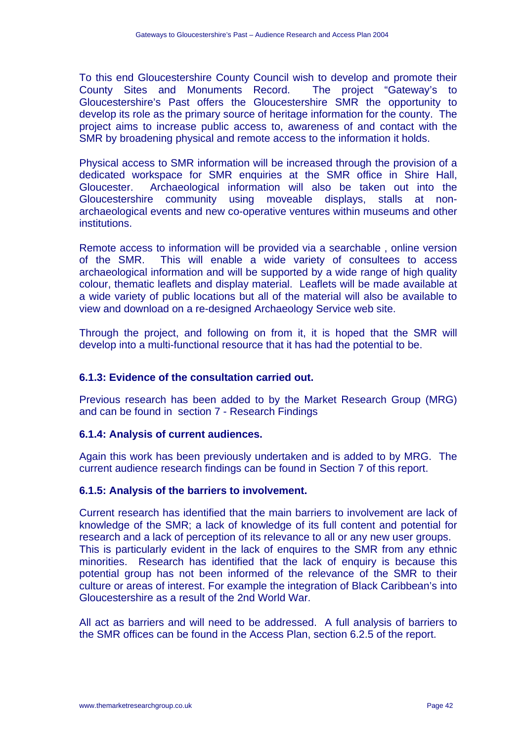To this end Gloucestershire County Council wish to develop and promote their County Sites and Monuments Record. The project "Gateway's to Gloucestershire's Past offers the Gloucestershire SMR the opportunity to develop its role as the primary source of heritage information for the county. The project aims to increase public access to, awareness of and contact with the SMR by broadening physical and remote access to the information it holds.

Physical access to SMR information will be increased through the provision of a dedicated workspace for SMR enquiries at the SMR office in Shire Hall, Gloucester. Archaeological information will also be taken out into the Gloucestershire community using moveable displays, stalls at nonarchaeological events and new co-operative ventures within museums and other institutions.

Remote access to information will be provided via a searchable , online version of the SMR. This will enable a wide variety of consultees to access archaeological information and will be supported by a wide range of high quality colour, thematic leaflets and display material. Leaflets will be made available at a wide variety of public locations but all of the material will also be available to view and download on a re-designed Archaeology Service web site.

Through the project, and following on from it, it is hoped that the SMR will develop into a multi-functional resource that it has had the potential to be.

# **6.1.3: Evidence of the consultation carried out.**

Previous research has been added to by the Market Research Group (MRG) and can be found in section 7 - Research Findings

#### **6.1.4: Analysis of current audiences.**

Again this work has been previously undertaken and is added to by MRG. The current audience research findings can be found in Section 7 of this report.

#### **6.1.5: Analysis of the barriers to involvement.**

Current research has identified that the main barriers to involvement are lack of knowledge of the SMR; a lack of knowledge of its full content and potential for research and a lack of perception of its relevance to all or any new user groups. This is particularly evident in the lack of enquires to the SMR from any ethnic minorities. Research has identified that the lack of enquiry is because this potential group has not been informed of the relevance of the SMR to their culture or areas of interest. For example the integration of Black Caribbean's into Gloucestershire as a result of the 2nd World War.

All act as barriers and will need to be addressed. A full analysis of barriers to the SMR offices can be found in the Access Plan, section 6.2.5 of the report.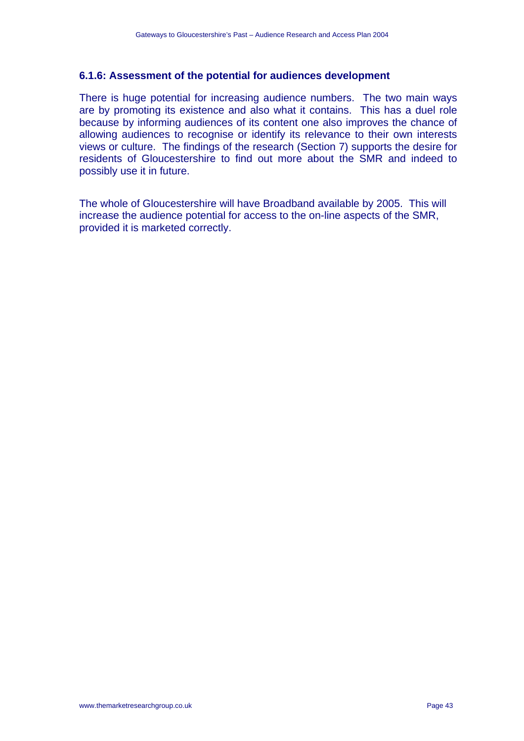### **6.1.6: Assessment of the potential for audiences development**

There is huge potential for increasing audience numbers. The two main ways are by promoting its existence and also what it contains. This has a duel role because by informing audiences of its content one also improves the chance of allowing audiences to recognise or identify its relevance to their own interests views or culture. The findings of the research (Section 7) supports the desire for residents of Gloucestershire to find out more about the SMR and indeed to possibly use it in future.

The whole of Gloucestershire will have Broadband available by 2005. This will increase the audience potential for access to the on-line aspects of the SMR, provided it is marketed correctly.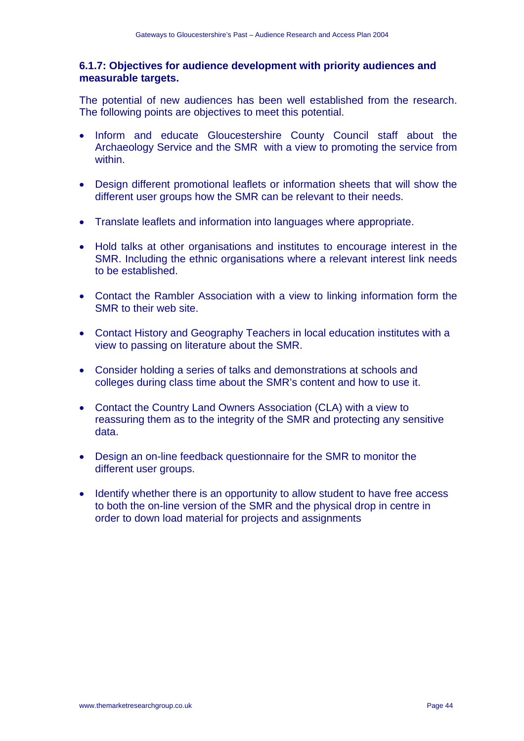# **6.1.7: Objectives for audience development with priority audiences and measurable targets.**

The potential of new audiences has been well established from the research. The following points are objectives to meet this potential.

- Inform and educate Gloucestershire County Council staff about the Archaeology Service and the SMR with a view to promoting the service from within.
- Design different promotional leaflets or information sheets that will show the different user groups how the SMR can be relevant to their needs.
- Translate leaflets and information into languages where appropriate.
- Hold talks at other organisations and institutes to encourage interest in the SMR. Including the ethnic organisations where a relevant interest link needs to be established.
- Contact the Rambler Association with a view to linking information form the SMR to their web site.
- Contact History and Geography Teachers in local education institutes with a view to passing on literature about the SMR.
- Consider holding a series of talks and demonstrations at schools and colleges during class time about the SMR's content and how to use it.
- Contact the Country Land Owners Association (CLA) with a view to reassuring them as to the integrity of the SMR and protecting any sensitive data.
- Design an on-line feedback questionnaire for the SMR to monitor the different user groups.
- Identify whether there is an opportunity to allow student to have free access to both the on-line version of the SMR and the physical drop in centre in order to down load material for projects and assignments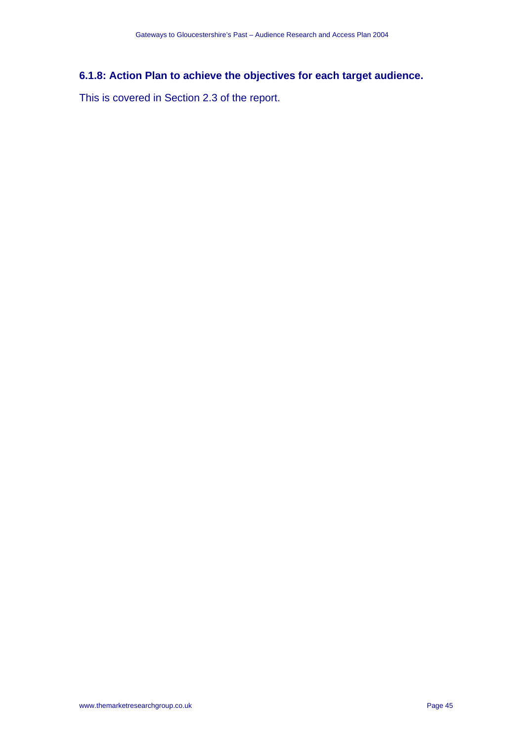# **6.1.8: Action Plan to achieve the objectives for each target audience.**

This is covered in Section 2.3 of the report.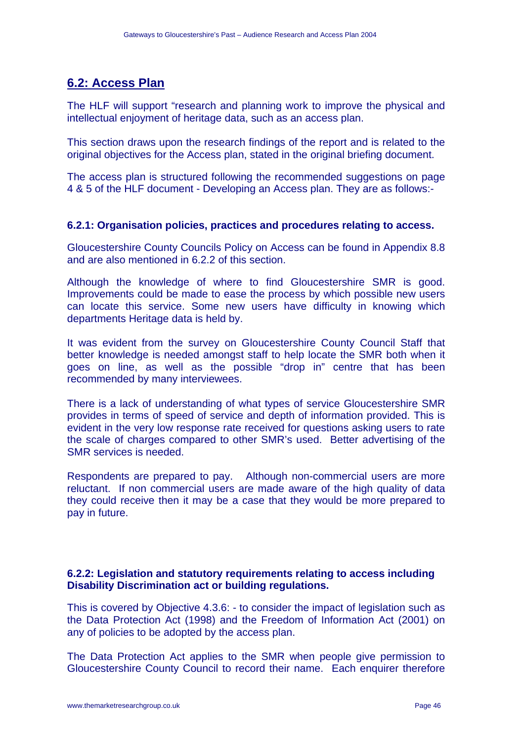# **6.2: Access Plan**

The HLF will support "research and planning work to improve the physical and intellectual enjoyment of heritage data, such as an access plan.

This section draws upon the research findings of the report and is related to the original objectives for the Access plan, stated in the original briefing document.

The access plan is structured following the recommended suggestions on page 4 & 5 of the HLF document - Developing an Access plan. They are as follows:-

# **6.2.1: Organisation policies, practices and procedures relating to access.**

Gloucestershire County Councils Policy on Access can be found in Appendix 8.8 and are also mentioned in 6.2.2 of this section.

Although the knowledge of where to find Gloucestershire SMR is good. Improvements could be made to ease the process by which possible new users can locate this service. Some new users have difficulty in knowing which departments Heritage data is held by.

It was evident from the survey on Gloucestershire County Council Staff that better knowledge is needed amongst staff to help locate the SMR both when it goes on line, as well as the possible "drop in" centre that has been recommended by many interviewees.

There is a lack of understanding of what types of service Gloucestershire SMR provides in terms of speed of service and depth of information provided. This is evident in the very low response rate received for questions asking users to rate the scale of charges compared to other SMR's used. Better advertising of the SMR services is needed.

Respondents are prepared to pay. Although non-commercial users are more reluctant. If non commercial users are made aware of the high quality of data they could receive then it may be a case that they would be more prepared to pay in future.

# **6.2.2: Legislation and statutory requirements relating to access including Disability Discrimination act or building regulations.**

This is covered by Objective 4.3.6: - to consider the impact of legislation such as the Data Protection Act (1998) and the Freedom of Information Act (2001) on any of policies to be adopted by the access plan.

The Data Protection Act applies to the SMR when people give permission to Gloucestershire County Council to record their name. Each enquirer therefore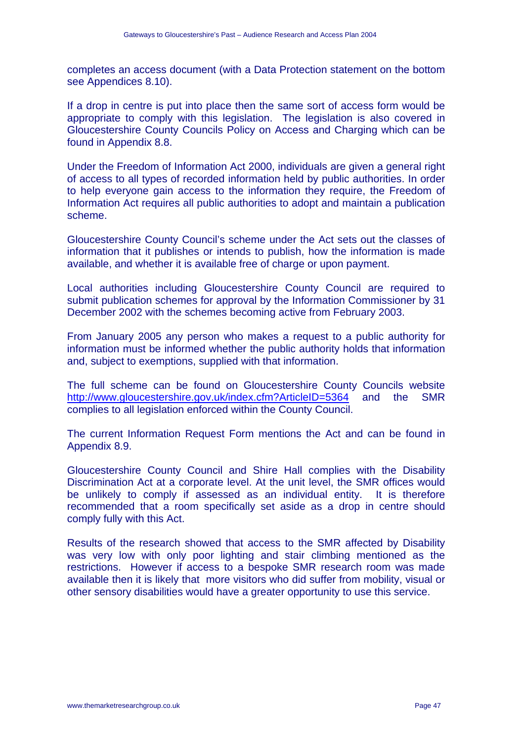completes an access document (with a Data Protection statement on the bottom see Appendices 8.10).

If a drop in centre is put into place then the same sort of access form would be appropriate to comply with this legislation. The legislation is also covered in Gloucestershire County Councils Policy on Access and Charging which can be found in Appendix 8.8.

Under the Freedom of Information Act 2000, individuals are given a general right of access to all types of recorded information held by public authorities. In order to help everyone gain access to the information they require, the Freedom of Information Act requires all public authorities to adopt and maintain a publication scheme.

Gloucestershire County Council's scheme under the Act sets out the classes of information that it publishes or intends to publish, how the information is made available, and whether it is available free of charge or upon payment.

Local authorities including Gloucestershire County Council are required to submit publication schemes for approval by the Information Commissioner by 31 December 2002 with the schemes becoming active from February 2003.

From January 2005 any person who makes a request to a public authority for information must be informed whether the public authority holds that information and, subject to exemptions, supplied with that information.

The full scheme can be found on Gloucestershire County Councils website http://www.gloucestershire.gov.uk/index.cfm?ArticleID=5364 and the SMR complies to all legislation enforced within the County Council.

The current Information Request Form mentions the Act and can be found in Appendix 8.9.

Gloucestershire County Council and Shire Hall complies with the Disability Discrimination Act at a corporate level. At the unit level, the SMR offices would be unlikely to comply if assessed as an individual entity. It is therefore recommended that a room specifically set aside as a drop in centre should comply fully with this Act.

Results of the research showed that access to the SMR affected by Disability was very low with only poor lighting and stair climbing mentioned as the restrictions. However if access to a bespoke SMR research room was made available then it is likely that more visitors who did suffer from mobility, visual or other sensory disabilities would have a greater opportunity to use this service.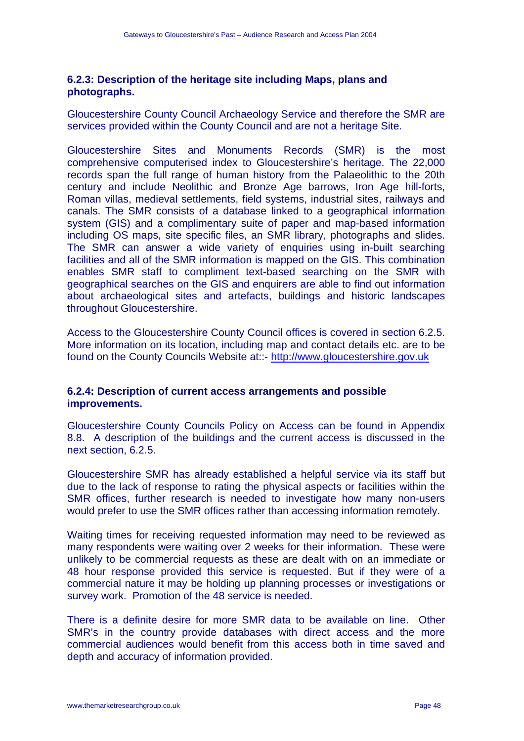# **6.2.3: Description of the heritage site including Maps, plans and photographs.**

Gloucestershire County Council Archaeology Service and therefore the SMR are services provided within the County Council and are not a heritage Site.

Gloucestershire Sites and Monuments Records (SMR) is the most comprehensive computerised index to Gloucestershire's heritage. The 22,000 records span the full range of human history from the Palaeolithic to the 20th century and include Neolithic and Bronze Age barrows, Iron Age hill-forts, Roman villas, medieval settlements, field systems, industrial sites, railways and canals. The SMR consists of a database linked to a geographical information system (GIS) and a complimentary suite of paper and map-based information including OS maps, site specific files, an SMR library, photographs and slides. The SMR can answer a wide variety of enquiries using in-built searching facilities and all of the SMR information is mapped on the GIS. This combination enables SMR staff to compliment text-based searching on the SMR with geographical searches on the GIS and enquirers are able to find out information about archaeological sites and artefacts, buildings and historic landscapes throughout Gloucestershire.

Access to the Gloucestershire County Council offices is covered in section 6.2.5. More information on its location, including map and contact details etc. are to be found on the County Councils Website at::- http://www.gloucestershire.gov.uk

# **6.2.4: Description of current access arrangements and possible improvements.**

Gloucestershire County Councils Policy on Access can be found in Appendix 8.8. A description of the buildings and the current access is discussed in the next section, 6.2.5.

Gloucestershire SMR has already established a helpful service via its staff but due to the lack of response to rating the physical aspects or facilities within the SMR offices, further research is needed to investigate how many non-users would prefer to use the SMR offices rather than accessing information remotely.

Waiting times for receiving requested information may need to be reviewed as many respondents were waiting over 2 weeks for their information. These were unlikely to be commercial requests as these are dealt with on an immediate or 48 hour response provided this service is requested. But if they were of a commercial nature it may be holding up planning processes or investigations or survey work. Promotion of the 48 service is needed.

There is a definite desire for more SMR data to be available on line. Other SMR's in the country provide databases with direct access and the more commercial audiences would benefit from this access both in time saved and depth and accuracy of information provided.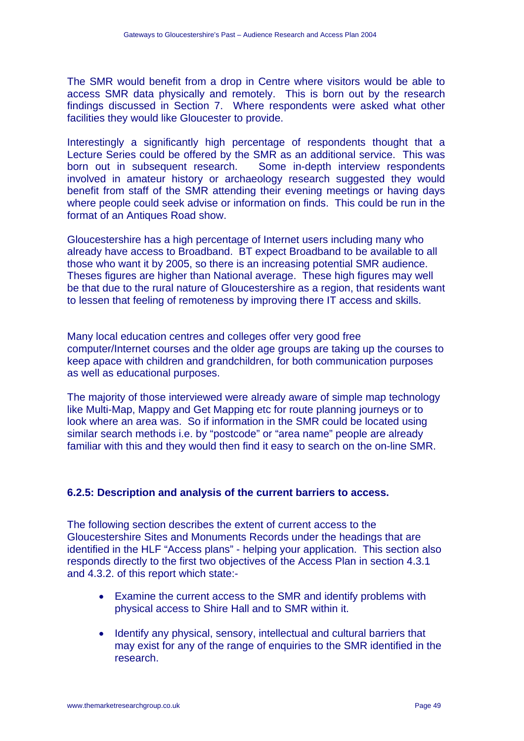The SMR would benefit from a drop in Centre where visitors would be able to access SMR data physically and remotely. This is born out by the research findings discussed in Section 7. Where respondents were asked what other facilities they would like Gloucester to provide.

Interestingly a significantly high percentage of respondents thought that a Lecture Series could be offered by the SMR as an additional service. This was born out in subsequent research. Some in-depth interview respondents involved in amateur history or archaeology research suggested they would benefit from staff of the SMR attending their evening meetings or having days where people could seek advise or information on finds. This could be run in the format of an Antiques Road show.

Gloucestershire has a high percentage of Internet users including many who already have access to Broadband. BT expect Broadband to be available to all those who want it by 2005, so there is an increasing potential SMR audience. Theses figures are higher than National average. These high figures may well be that due to the rural nature of Gloucestershire as a region, that residents want to lessen that feeling of remoteness by improving there IT access and skills.

Many local education centres and colleges offer very good free computer/Internet courses and the older age groups are taking up the courses to keep apace with children and grandchildren, for both communication purposes as well as educational purposes.

The majority of those interviewed were already aware of simple map technology like Multi-Map, Mappy and Get Mapping etc for route planning journeys or to look where an area was. So if information in the SMR could be located using similar search methods i.e. by "postcode" or "area name" people are already familiar with this and they would then find it easy to search on the on-line SMR.

# **6.2.5: Description and analysis of the current barriers to access.**

The following section describes the extent of current access to the Gloucestershire Sites and Monuments Records under the headings that are identified in the HLF "Access plans" - helping your application. This section also responds directly to the first two objectives of the Access Plan in section 4.3.1 and 4.3.2. of this report which state:-

- Examine the current access to the SMR and identify problems with physical access to Shire Hall and to SMR within it.
- Identify any physical, sensory, intellectual and cultural barriers that may exist for any of the range of enquiries to the SMR identified in the research.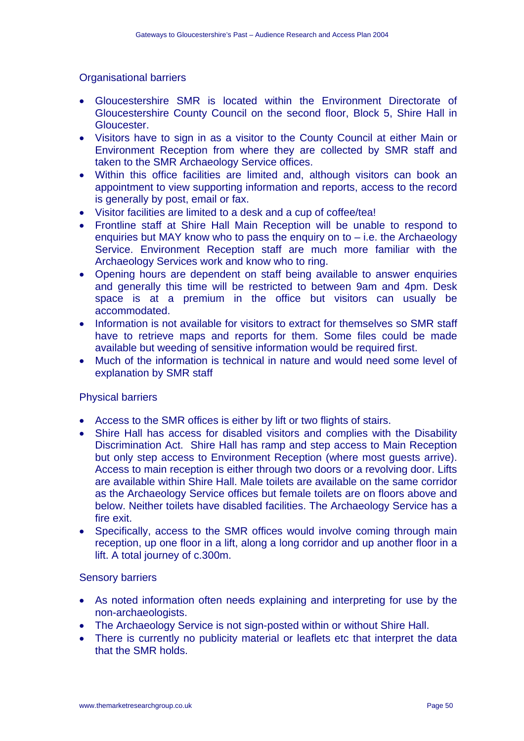### Organisational barriers

- Gloucestershire SMR is located within the Environment Directorate of Gloucestershire County Council on the second floor, Block 5, Shire Hall in Gloucester.
- Visitors have to sign in as a visitor to the County Council at either Main or Environment Reception from where they are collected by SMR staff and taken to the SMR Archaeology Service offices.
- Within this office facilities are limited and, although visitors can book an appointment to view supporting information and reports, access to the record is generally by post, email or fax.
- Visitor facilities are limited to a desk and a cup of coffee/tea!
- Frontline staff at Shire Hall Main Reception will be unable to respond to enquiries but MAY know who to pass the enquiry on to – i.e. the Archaeology Service. Environment Reception staff are much more familiar with the Archaeology Services work and know who to ring.
- Opening hours are dependent on staff being available to answer enquiries and generally this time will be restricted to between 9am and 4pm. Desk space is at a premium in the office but visitors can usually be accommodated.
- Information is not available for visitors to extract for themselves so SMR staff have to retrieve maps and reports for them. Some files could be made available but weeding of sensitive information would be required first.
- Much of the information is technical in nature and would need some level of explanation by SMR staff

#### Physical barriers

- Access to the SMR offices is either by lift or two flights of stairs.
- Shire Hall has access for disabled visitors and complies with the Disability Discrimination Act. Shire Hall has ramp and step access to Main Reception but only step access to Environment Reception (where most guests arrive). Access to main reception is either through two doors or a revolving door. Lifts are available within Shire Hall. Male toilets are available on the same corridor as the Archaeology Service offices but female toilets are on floors above and below. Neither toilets have disabled facilities. The Archaeology Service has a fire exit.
- Specifically, access to the SMR offices would involve coming through main reception, up one floor in a lift, along a long corridor and up another floor in a lift. A total journey of c.300m.

#### Sensory barriers

- As noted information often needs explaining and interpreting for use by the non-archaeologists.
- The Archaeology Service is not sign-posted within or without Shire Hall.
- There is currently no publicity material or leaflets etc that interpret the data that the SMR holds.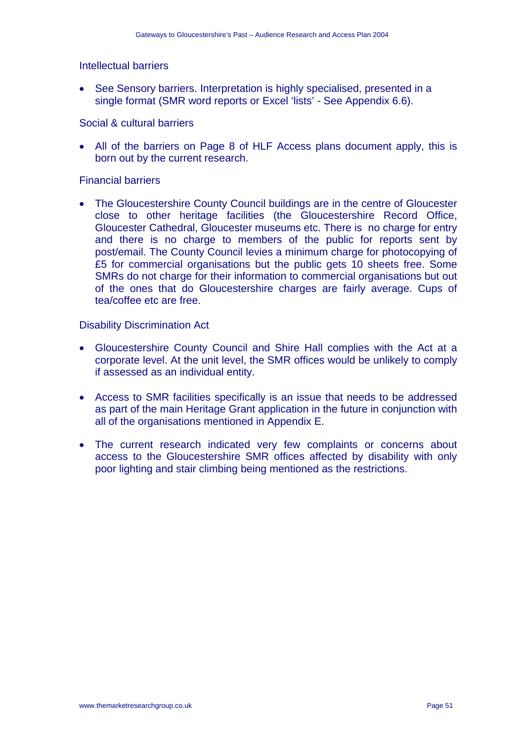#### Intellectual barriers

• See Sensory barriers. Interpretation is highly specialised, presented in a single format (SMR word reports or Excel 'lists' - See Appendix 6.6).

# Social & cultural barriers

• All of the barriers on Page 8 of HLF Access plans document apply, this is born out by the current research.

#### Financial barriers

• The Gloucestershire County Council buildings are in the centre of Gloucester close to other heritage facilities (the Gloucestershire Record Office, Gloucester Cathedral, Gloucester museums etc. There is no charge for entry and there is no charge to members of the public for reports sent by post/email. The County Council levies a minimum charge for photocopying of £5 for commercial organisations but the public gets 10 sheets free. Some SMRs do not charge for their information to commercial organisations but out of the ones that do Gloucestershire charges are fairly average. Cups of tea/coffee etc are free.

### Disability Discrimination Act

- Gloucestershire County Council and Shire Hall complies with the Act at a corporate level. At the unit level, the SMR offices would be unlikely to comply if assessed as an individual entity.
- Access to SMR facilities specifically is an issue that needs to be addressed as part of the main Heritage Grant application in the future in conjunction with all of the organisations mentioned in Appendix E.
- The current research indicated very few complaints or concerns about access to the Gloucestershire SMR offices affected by disability with only poor lighting and stair climbing being mentioned as the restrictions.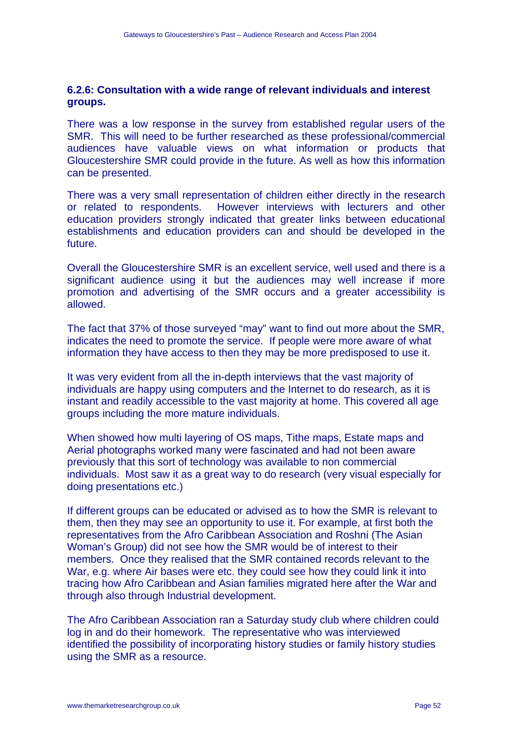### **6.2.6: Consultation with a wide range of relevant individuals and interest groups.**

There was a low response in the survey from established regular users of the SMR. This will need to be further researched as these professional/commercial audiences have valuable views on what information or products that Gloucestershire SMR could provide in the future. As well as how this information can be presented.

There was a very small representation of children either directly in the research or related to respondents. However interviews with lecturers and other education providers strongly indicated that greater links between educational establishments and education providers can and should be developed in the future.

Overall the Gloucestershire SMR is an excellent service, well used and there is a significant audience using it but the audiences may well increase if more promotion and advertising of the SMR occurs and a greater accessibility is allowed.

The fact that 37% of those surveyed "may" want to find out more about the SMR, indicates the need to promote the service. If people were more aware of what information they have access to then they may be more predisposed to use it.

It was very evident from all the in-depth interviews that the vast majority of individuals are happy using computers and the Internet to do research, as it is instant and readily accessible to the vast majority at home. This covered all age groups including the more mature individuals.

When showed how multi layering of OS maps, Tithe maps, Estate maps and Aerial photographs worked many were fascinated and had not been aware previously that this sort of technology was available to non commercial individuals. Most saw it as a great way to do research (very visual especially for doing presentations etc.)

If different groups can be educated or advised as to how the SMR is relevant to them, then they may see an opportunity to use it. For example, at first both the representatives from the Afro Caribbean Association and Roshni (The Asian Woman's Group) did not see how the SMR would be of interest to their members. Once they realised that the SMR contained records relevant to the War, e.g. where Air bases were etc. they could see how they could link it into tracing how Afro Caribbean and Asian families migrated here after the War and through also through Industrial development.

The Afro Caribbean Association ran a Saturday study club where children could log in and do their homework. The representative who was interviewed identified the possibility of incorporating history studies or family history studies using the SMR as a resource.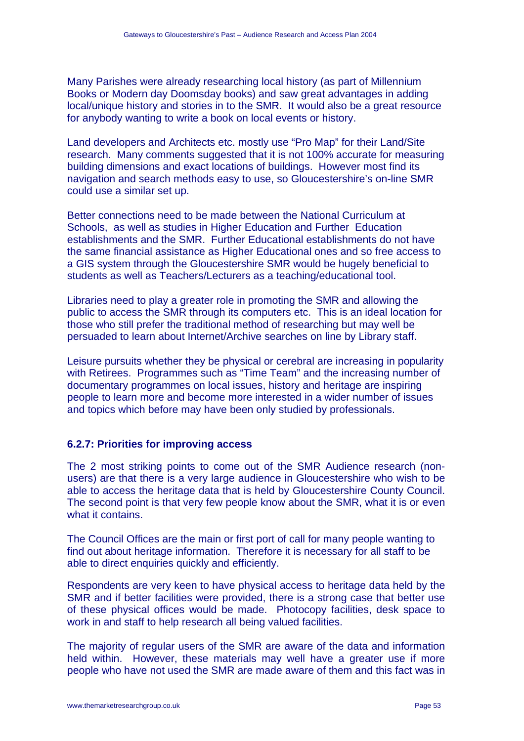Many Parishes were already researching local history (as part of Millennium Books or Modern day Doomsday books) and saw great advantages in adding local/unique history and stories in to the SMR. It would also be a great resource for anybody wanting to write a book on local events or history.

Land developers and Architects etc. mostly use "Pro Map" for their Land/Site research. Many comments suggested that it is not 100% accurate for measuring building dimensions and exact locations of buildings. However most find its navigation and search methods easy to use, so Gloucestershire's on-line SMR could use a similar set up.

Better connections need to be made between the National Curriculum at Schools, as well as studies in Higher Education and Further Education establishments and the SMR. Further Educational establishments do not have the same financial assistance as Higher Educational ones and so free access to a GIS system through the Gloucestershire SMR would be hugely beneficial to students as well as Teachers/Lecturers as a teaching/educational tool.

Libraries need to play a greater role in promoting the SMR and allowing the public to access the SMR through its computers etc. This is an ideal location for those who still prefer the traditional method of researching but may well be persuaded to learn about Internet/Archive searches on line by Library staff.

Leisure pursuits whether they be physical or cerebral are increasing in popularity with Retirees. Programmes such as "Time Team" and the increasing number of documentary programmes on local issues, history and heritage are inspiring people to learn more and become more interested in a wider number of issues and topics which before may have been only studied by professionals.

# **6.2.7: Priorities for improving access**

The 2 most striking points to come out of the SMR Audience research (nonusers) are that there is a very large audience in Gloucestershire who wish to be able to access the heritage data that is held by Gloucestershire County Council. The second point is that very few people know about the SMR, what it is or even what it contains.

The Council Offices are the main or first port of call for many people wanting to find out about heritage information. Therefore it is necessary for all staff to be able to direct enquiries quickly and efficiently.

Respondents are very keen to have physical access to heritage data held by the SMR and if better facilities were provided, there is a strong case that better use of these physical offices would be made. Photocopy facilities, desk space to work in and staff to help research all being valued facilities.

The majority of regular users of the SMR are aware of the data and information held within. However, these materials may well have a greater use if more people who have not used the SMR are made aware of them and this fact was in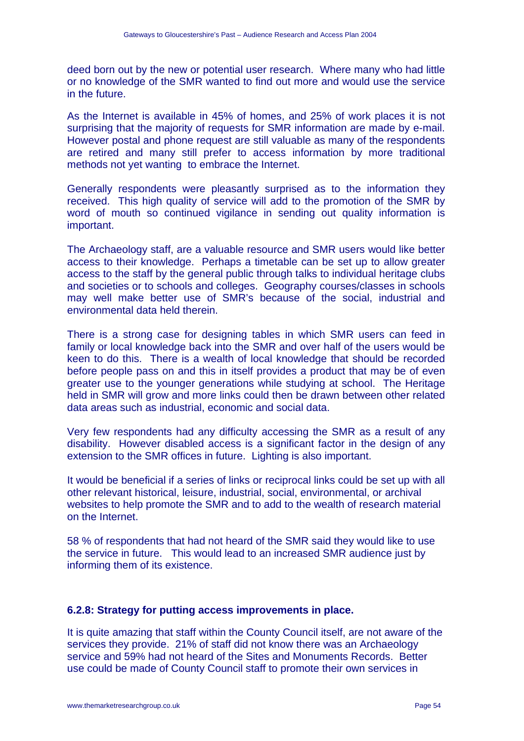deed born out by the new or potential user research. Where many who had little or no knowledge of the SMR wanted to find out more and would use the service in the future.

As the Internet is available in 45% of homes, and 25% of work places it is not surprising that the majority of requests for SMR information are made by e-mail. However postal and phone request are still valuable as many of the respondents are retired and many still prefer to access information by more traditional methods not yet wanting to embrace the Internet.

Generally respondents were pleasantly surprised as to the information they received. This high quality of service will add to the promotion of the SMR by word of mouth so continued vigilance in sending out quality information is important.

The Archaeology staff, are a valuable resource and SMR users would like better access to their knowledge. Perhaps a timetable can be set up to allow greater access to the staff by the general public through talks to individual heritage clubs and societies or to schools and colleges. Geography courses/classes in schools may well make better use of SMR's because of the social, industrial and environmental data held therein.

There is a strong case for designing tables in which SMR users can feed in family or local knowledge back into the SMR and over half of the users would be keen to do this. There is a wealth of local knowledge that should be recorded before people pass on and this in itself provides a product that may be of even greater use to the younger generations while studying at school. The Heritage held in SMR will grow and more links could then be drawn between other related data areas such as industrial, economic and social data.

Very few respondents had any difficulty accessing the SMR as a result of any disability. However disabled access is a significant factor in the design of any extension to the SMR offices in future. Lighting is also important.

It would be beneficial if a series of links or reciprocal links could be set up with all other relevant historical, leisure, industrial, social, environmental, or archival websites to help promote the SMR and to add to the wealth of research material on the Internet.

58 % of respondents that had not heard of the SMR said they would like to use the service in future. This would lead to an increased SMR audience just by informing them of its existence.

# **6.2.8: Strategy for putting access improvements in place.**

It is quite amazing that staff within the County Council itself, are not aware of the services they provide. 21% of staff did not know there was an Archaeology service and 59% had not heard of the Sites and Monuments Records. Better use could be made of County Council staff to promote their own services in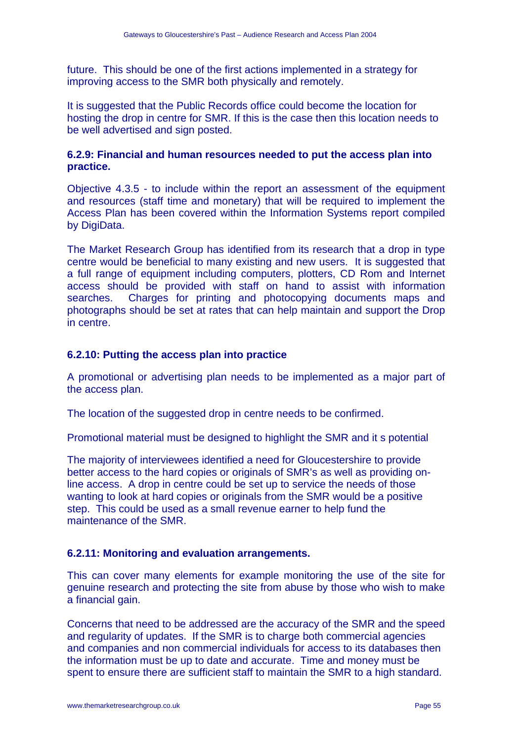future. This should be one of the first actions implemented in a strategy for improving access to the SMR both physically and remotely.

It is suggested that the Public Records office could become the location for hosting the drop in centre for SMR. If this is the case then this location needs to be well advertised and sign posted.

# **6.2.9: Financial and human resources needed to put the access plan into practice.**

Objective 4.3.5 - to include within the report an assessment of the equipment and resources (staff time and monetary) that will be required to implement the Access Plan has been covered within the Information Systems report compiled by DigiData.

The Market Research Group has identified from its research that a drop in type centre would be beneficial to many existing and new users. It is suggested that a full range of equipment including computers, plotters, CD Rom and Internet access should be provided with staff on hand to assist with information searches. Charges for printing and photocopying documents maps and photographs should be set at rates that can help maintain and support the Drop in centre.

### **6.2.10: Putting the access plan into practice**

A promotional or advertising plan needs to be implemented as a major part of the access plan.

The location of the suggested drop in centre needs to be confirmed.

Promotional material must be designed to highlight the SMR and it s potential

The majority of interviewees identified a need for Gloucestershire to provide better access to the hard copies or originals of SMR's as well as providing online access. A drop in centre could be set up to service the needs of those wanting to look at hard copies or originals from the SMR would be a positive step. This could be used as a small revenue earner to help fund the maintenance of the SMR.

#### **6.2.11: Monitoring and evaluation arrangements.**

This can cover many elements for example monitoring the use of the site for genuine research and protecting the site from abuse by those who wish to make a financial gain.

Concerns that need to be addressed are the accuracy of the SMR and the speed and regularity of updates. If the SMR is to charge both commercial agencies and companies and non commercial individuals for access to its databases then the information must be up to date and accurate. Time and money must be spent to ensure there are sufficient staff to maintain the SMR to a high standard.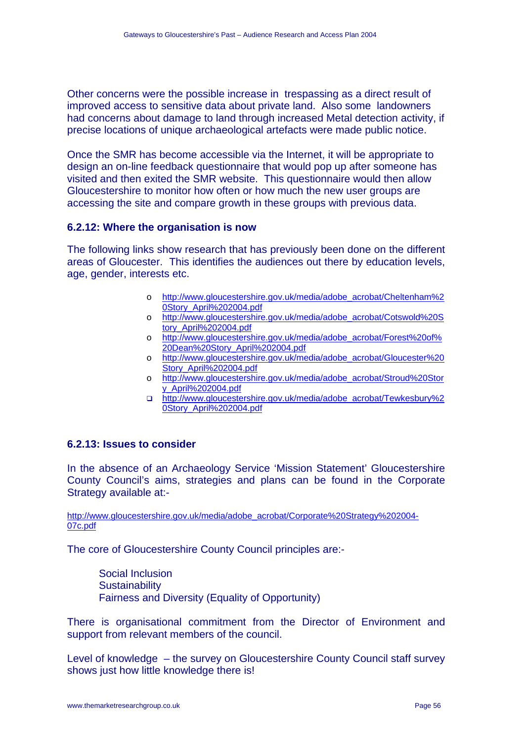Other concerns were the possible increase in trespassing as a direct result of improved access to sensitive data about private land. Also some landowners had concerns about damage to land through increased Metal detection activity, if precise locations of unique archaeological artefacts were made public notice.

Once the SMR has become accessible via the Internet, it will be appropriate to design an on-line feedback questionnaire that would pop up after someone has visited and then exited the SMR website. This questionnaire would then allow Gloucestershire to monitor how often or how much the new user groups are accessing the site and compare growth in these groups with previous data.

# **6.2.12: Where the organisation is now**

The following links show research that has previously been done on the different areas of Gloucester. This identifies the audiences out there by education levels, age, gender, interests etc.

- o http://www.gloucestershire.gov.uk/media/adobe\_acrobat/Cheltenham%2 0Story\_April%202004.pdf
- o http://www.gloucestershire.gov.uk/media/adobe\_acrobat/Cotswold%20S tory\_April%202004.pdf
- o http://www.gloucestershire.gov.uk/media/adobe\_acrobat/Forest%20of% 20Dean%20Story\_April%202004.pdf
- o http://www.gloucestershire.gov.uk/media/adobe\_acrobat/Gloucester%20 Story\_April%202004.pdf
- o http://www.gloucestershire.gov.uk/media/adobe\_acrobat/Stroud%20Stor y\_April%202004.pdf
- http://www.gloucestershire.gov.uk/media/adobe\_acrobat/Tewkesbury%2 0Story\_April%202004.pdf

# **6.2.13: Issues to consider**

In the absence of an Archaeology Service 'Mission Statement' Gloucestershire County Council's aims, strategies and plans can be found in the Corporate Strategy available at:-

http://www.gloucestershire.gov.uk/media/adobe\_acrobat/Corporate%20Strategy%202004- 07c.pdf

The core of Gloucestershire County Council principles are:-

Social Inclusion **Sustainability** Fairness and Diversity (Equality of Opportunity)

There is organisational commitment from the Director of Environment and support from relevant members of the council.

Level of knowledge – the survey on Gloucestershire County Council staff survey shows just how little knowledge there is!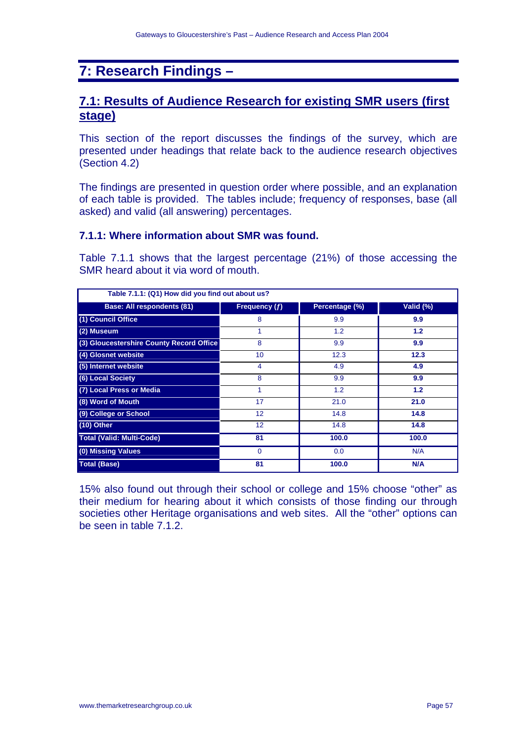# **7: Research Findings –**

# **7.1: Results of Audience Research for existing SMR users (first stage)**

This section of the report discusses the findings of the survey, which are presented under headings that relate back to the audience research objectives (Section 4.2)

The findings are presented in question order where possible, and an explanation of each table is provided. The tables include; frequency of responses, base (all asked) and valid (all answering) percentages.

#### **7.1.1: Where information about SMR was found.**

Table 7.1.1 shows that the largest percentage (21%) of those accessing the SMR heard about it via word of mouth.

| Table 7.1.1: (Q1) How did you find out about us? |                 |                |            |
|--------------------------------------------------|-----------------|----------------|------------|
| <b>Base: All respondents (81)</b>                | Frequency (f)   | Percentage (%) | Valid (%)  |
| (1) Council Office                               | 8               | 9.9            | 9.9        |
| (2) Museum                                       | 1               | 1.2            | 1.2        |
| (3) Gloucestershire County Record Office         | 8               | 9.9            | 9.9        |
| (4) Glosnet website                              | 10 <sup>1</sup> | 12.3           | 12.3       |
| (5) Internet website                             | 4               | 4.9            | 4.9        |
| (6) Local Society                                | 8               | 9.9            | 9.9        |
| (7) Local Press or Media                         | 1               | 1.2            | $1.2$      |
| (8) Word of Mouth                                | 17              | 21.0           | 21.0       |
| (9) College or School                            | 12              | 14.8           | 14.8       |
| $(10)$ Other                                     | 12              | 14.8           | 14.8       |
| <b>Total (Valid: Multi-Code)</b>                 | 81              | 100.0          | 100.0      |
| (0) Missing Values                               | $\Omega$        | 0.0            | N/A        |
| <b>Total (Base)</b>                              | 81              | 100.0          | <b>N/A</b> |

15% also found out through their school or college and 15% choose "other" as their medium for hearing about it which consists of those finding our through societies other Heritage organisations and web sites. All the "other" options can be seen in table 7.1.2.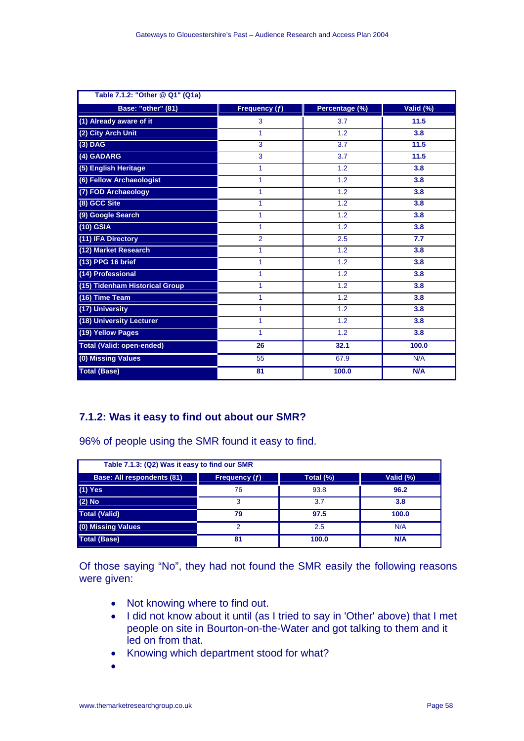| Table 7.1.2: "Other @ Q1" (Q1a)  |                |                |           |
|----------------------------------|----------------|----------------|-----------|
| Base: "other" (81)               | Frequency (f)  | Percentage (%) | Valid (%) |
| (1) Already aware of it          | 3              | 3.7            | 11.5      |
| (2) City Arch Unit               | 1              | 1.2            | 3.8       |
| $(3)$ DAG                        | 3              | 3.7            | 11.5      |
| (4) GADARG                       | 3              | 3.7            | 11.5      |
| (5) English Heritage             | 1              | 1.2            | 3.8       |
| (6) Fellow Archaeologist         | 1              | 1.2            | 3.8       |
| (7) FOD Archaeology              | 1              | 1.2            | 3.8       |
| (8) GCC Site                     | 1              | 1.2            | 3.8       |
| (9) Google Search                | 1              | 1.2            | 3.8       |
| $(10)$ GSIA                      | 1              | 1.2            | 3.8       |
| (11) IFA Directory               | $\overline{2}$ | 2.5            | 7.7       |
| (12) Market Research             | 1              | 1.2            | 3.8       |
| (13) PPG 16 brief                | $\mathbf{1}$   | 1.2            | 3.8       |
| (14) Professional                | 1              | 1.2            | 3.8       |
| (15) Tidenham Historical Group   | 1              | 1.2            | 3.8       |
| (16) Time Team                   | 1              | 1.2            | 3.8       |
| (17) University                  | 1              | 1.2            | 3.8       |
| (18) University Lecturer         | 1              | 1.2            | 3.8       |
| (19) Yellow Pages                | 1              | 1.2            | 3.8       |
| <b>Total (Valid: open-ended)</b> | 26             | 32.1           | 100.0     |
| (0) Missing Values               | 55             | 67.9           | N/A       |
| <b>Total (Base)</b>              | 81             | 100.0          | N/A       |

# **7.1.2: Was it easy to find out about our SMR?**

96% of people using the SMR found it easy to find.

| Table 7.1.3: (Q2) Was it easy to find our SMR |                      |           |           |  |
|-----------------------------------------------|----------------------|-----------|-----------|--|
| <b>Base: All respondents (81)</b>             | <b>Frequency (f)</b> | Total (%) | Valid (%) |  |
| $(1)$ Yes                                     | 76                   | 93.8      | 96.2      |  |
| $(2)$ No                                      | 3                    | 3.7       | 3.8       |  |
| <b>Total (Valid)</b>                          | 79                   | 97.5      | 100.0     |  |
| (0) Missing Values                            | າ                    | 2.5       | N/A       |  |
| <b>Total (Base)</b>                           | 81                   | 100.0     | N/A       |  |

Of those saying "No", they had not found the SMR easily the following reasons were given:

- Not knowing where to find out.
- I did not know about it until (as I tried to say in 'Other' above) that I met people on site in Bourton-on-the-Water and got talking to them and it led on from that.
- Knowing which department stood for what?
- •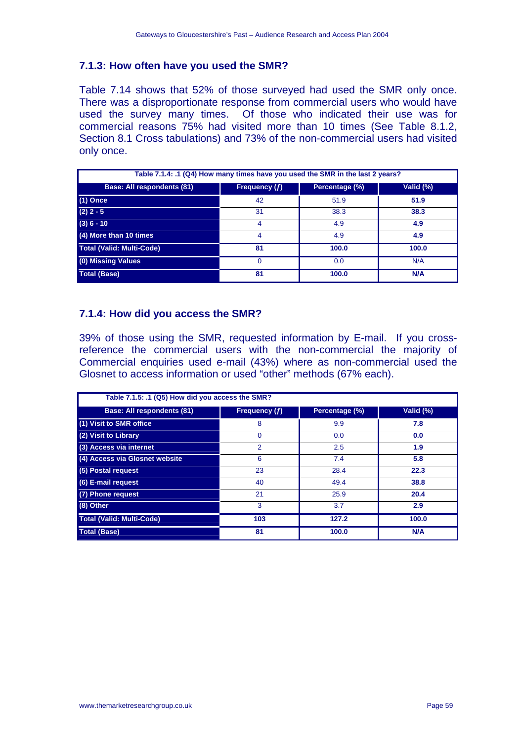# **7.1.3: How often have you used the SMR?**

Table 7.14 shows that 52% of those surveyed had used the SMR only once. There was a disproportionate response from commercial users who would have used the survey many times. Of those who indicated their use was for commercial reasons 75% had visited more than 10 times (See Table 8.1.2, Section 8.1 Cross tabulations) and 73% of the non-commercial users had visited only once.

| Table 7.1.4: .1 (Q4) How many times have you used the SMR in the last 2 years? |               |                |            |
|--------------------------------------------------------------------------------|---------------|----------------|------------|
| <b>Base: All respondents (81)</b>                                              | Frequency (f) | Percentage (%) | Valid (%)  |
| $(1)$ Once                                                                     | 42            | 51.9           | 51.9       |
| $(2)$ 2 - 5                                                                    | 31            | 38.3           | 38.3       |
| $(3) 6 - 10$                                                                   | 4             | 4.9            | 4.9        |
| (4) More than 10 times                                                         | 4             | 4.9            | 4.9        |
| <b>Total (Valid: Multi-Code)</b>                                               | 81            | 100.0          | 100.0      |
| (0) Missing Values                                                             | $\Omega$      | 0.0            | N/A        |
| <b>Total (Base)</b>                                                            | 81            | 100.0          | <b>N/A</b> |

### **7.1.4: How did you access the SMR?**

39% of those using the SMR, requested information by E-mail. If you crossreference the commercial users with the non-commercial the majority of Commercial enquiries used e-mail (43%) where as non-commercial used the Glosnet to access information or used "other" methods (67% each).

| Table 7.1.5: .1 (Q5) How did you access the SMR? |                |                |           |
|--------------------------------------------------|----------------|----------------|-----------|
| <b>Base: All respondents (81)</b>                | Frequency (f)  | Percentage (%) | Valid (%) |
| (1) Visit to SMR office                          | 8              | 9.9            | 7.8       |
| (2) Visit to Library                             | $\Omega$       | 0.0            | 0.0       |
| (3) Access via internet                          | $\overline{2}$ | 2.5            | 1.9       |
| (4) Access via Glosnet website                   | 6              | 7.4            | 5.8       |
| (5) Postal request                               | 23             | 28.4           | 22.3      |
| (6) E-mail request                               | 40             | 49.4           | 38.8      |
| (7) Phone request                                | 21             | 25.9           | 20.4      |
| (8) Other                                        | 3              | 3.7            | 2.9       |
| <b>Total (Valid: Multi-Code)</b>                 | 103            | 127.2          | 100.0     |
| <b>Total (Base)</b>                              | 81             | 100.0          | N/A       |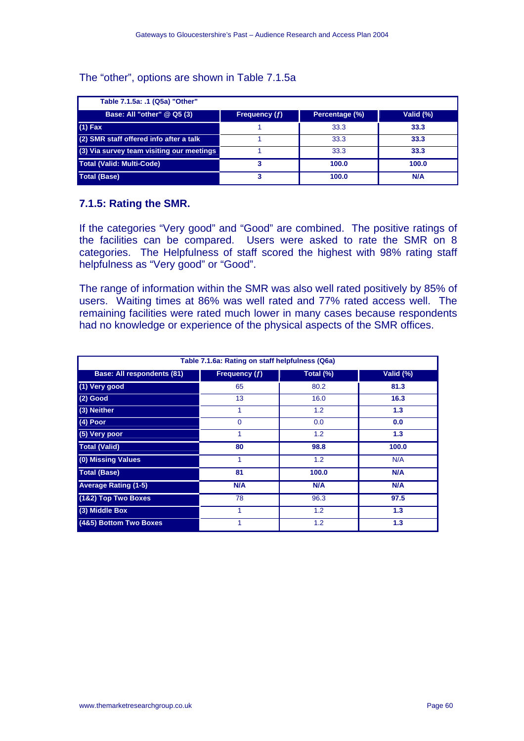#### The "other", options are shown in Table 7.1.5a

| Table 7.1.5a: .1 (Q5a) "Other"            |               |                |              |
|-------------------------------------------|---------------|----------------|--------------|
| Base: All "other" @ Q5 (3)                | Frequency (f) | Percentage (%) | Valid $(\%)$ |
| $(1)$ Fax                                 |               | 33.3           | 33.3         |
| (2) SMR staff offered info after a talk   |               | 33.3           | 33.3         |
| (3) Via survey team visiting our meetings |               | 33.3           | 33.3         |
| <b>Total (Valid: Multi-Code)</b>          |               | 100.0          | 100.0        |
| <b>Total (Base)</b>                       |               | 100.0          | N/A          |

### **7.1.5: Rating the SMR.**

If the categories "Very good" and "Good" are combined. The positive ratings of the facilities can be compared. Users were asked to rate the SMR on 8 categories. The Helpfulness of staff scored the highest with 98% rating staff helpfulness as "Very good" or "Good".

The range of information within the SMR was also well rated positively by 85% of users. Waiting times at 86% was well rated and 77% rated access well. The remaining facilities were rated much lower in many cases because respondents had no knowledge or experience of the physical aspects of the SMR offices.

| Table 7.1.6a: Rating on staff helpfulness (Q6a) |                 |           |           |  |
|-------------------------------------------------|-----------------|-----------|-----------|--|
| <b>Base: All respondents (81)</b>               | Frequency $(f)$ | Total (%) | Valid (%) |  |
| (1) Very good                                   | 65              | 80.2      | 81.3      |  |
| $(2)$ Good                                      | 13              | 16.0      | 16.3      |  |
| (3) Neither                                     | 1               | 1.2       | 1.3       |  |
| $(4)$ Poor                                      | $\Omega$        | 0.0       | 0.0       |  |
| (5) Very poor                                   | 1               | 1.2       | 1.3       |  |
| <b>Total (Valid)</b>                            | 80              | 98.8      | 100.0     |  |
| (0) Missing Values                              | 1               | 1.2       | N/A       |  |
| <b>Total (Base)</b>                             | 81              | 100.0     | N/A       |  |
| <b>Average Rating (1-5)</b>                     | N/A             | N/A       | N/A       |  |
| (1&2) Top Two Boxes                             | 78              | 96.3      | 97.5      |  |
| (3) Middle Box                                  | 1               | 1.2       | 1.3       |  |
| (4&5) Bottom Two Boxes                          | 1               | 1.2       | 1.3       |  |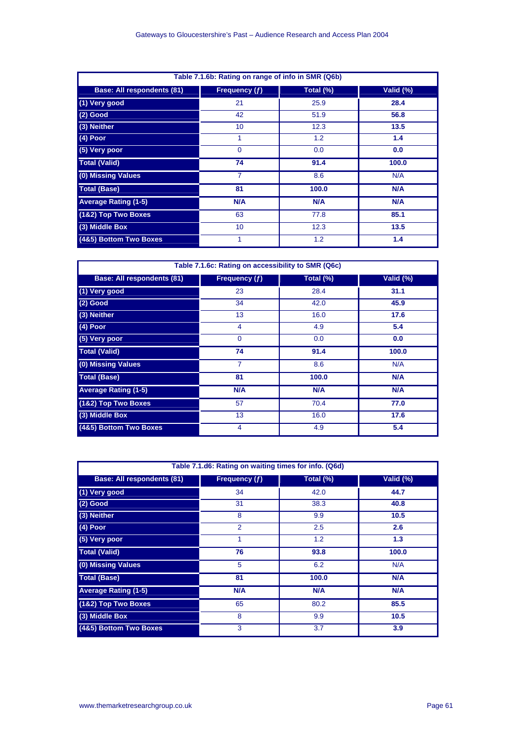| Table 7.1.6b: Rating on range of info in SMR (Q6b) |                 |           |           |  |
|----------------------------------------------------|-----------------|-----------|-----------|--|
| <b>Base: All respondents (81)</b>                  | Frequency $(f)$ | Total (%) | Valid (%) |  |
| (1) Very good                                      | 21              | 25.9      | 28.4      |  |
| $(2)$ Good                                         | 42              | 51.9      | 56.8      |  |
| (3) Neither                                        | 10              | 12.3      | 13.5      |  |
| (4) Poor                                           | 1               | 1.2       | 1.4       |  |
| (5) Very poor                                      | 0               | 0.0       | 0.0       |  |
| <b>Total (Valid)</b>                               | 74              | 91.4      | 100.0     |  |
| (0) Missing Values                                 | 7               | 8.6       | N/A       |  |
| <b>Total (Base)</b>                                | 81              | 100.0     | N/A       |  |
| <b>Average Rating (1-5)</b>                        | N/A             | N/A       | N/A       |  |
| (1&2) Top Two Boxes                                | 63              | 77.8      | 85.1      |  |
| (3) Middle Box                                     | 10              | 12.3      | 13.5      |  |
| (4&5) Bottom Two Boxes                             | 1               | 1.2       | 1.4       |  |

| Table 7.1.6c: Rating on accessibility to SMR (Q6c) |                 |           |            |  |
|----------------------------------------------------|-----------------|-----------|------------|--|
| <b>Base: All respondents (81)</b>                  | Frequency $(f)$ | Total (%) | Valid (%)  |  |
| (1) Very good                                      | 23              | 28.4      | 31.1       |  |
| $(2)$ Good                                         | 34              | 42.0      | 45.9       |  |
| (3) Neither                                        | 13              | 16.0      | 17.6       |  |
| $(4)$ Poor                                         | $\overline{4}$  | 4.9       | 5.4        |  |
| (5) Very poor                                      | $\Omega$        | 0.0       | 0.0        |  |
| <b>Total (Valid)</b>                               | 74              | 91.4      | 100.0      |  |
| (0) Missing Values                                 | $\overline{7}$  | 8.6       | N/A        |  |
| <b>Total (Base)</b>                                | 81              | 100.0     | <b>N/A</b> |  |
| <b>Average Rating (1-5)</b>                        | N/A             | N/A       | N/A        |  |
| (1&2) Top Two Boxes                                | 57              | 70.4      | 77.0       |  |
| (3) Middle Box                                     | 13              | 16.0      | 17.6       |  |
| (4&5) Bottom Two Boxes                             | 4               | 4.9       | 5.4        |  |

| Table 7.1.d6: Rating on waiting times for info. (Q6d) |                |           |            |  |
|-------------------------------------------------------|----------------|-----------|------------|--|
| <b>Base: All respondents (81)</b>                     | Frequency (f)  | Total (%) | Valid (%)  |  |
| (1) Very good                                         | 34             | 42.0      | 44.7       |  |
| $(2)$ Good                                            | 31             | 38.3      | 40.8       |  |
| (3) Neither                                           | 8              | 9.9       | 10.5       |  |
| $(4)$ Poor                                            | $\overline{2}$ | 2.5       | 2.6        |  |
| (5) Very poor                                         | 1              | 1.2       | 1.3        |  |
| <b>Total (Valid)</b>                                  | 76             | 93.8      | 100.0      |  |
| (0) Missing Values                                    | 5              | 6.2       | N/A        |  |
| <b>Total (Base)</b>                                   | 81             | 100.0     | N/A        |  |
| <b>Average Rating (1-5)</b>                           | <b>N/A</b>     | N/A       | <b>N/A</b> |  |
| (1&2) Top Two Boxes                                   | 65             | 80.2      | 85.5       |  |
| (3) Middle Box                                        | 8              | 9.9       | 10.5       |  |
| (4&5) Bottom Two Boxes                                | 3              | 3.7       | 3.9        |  |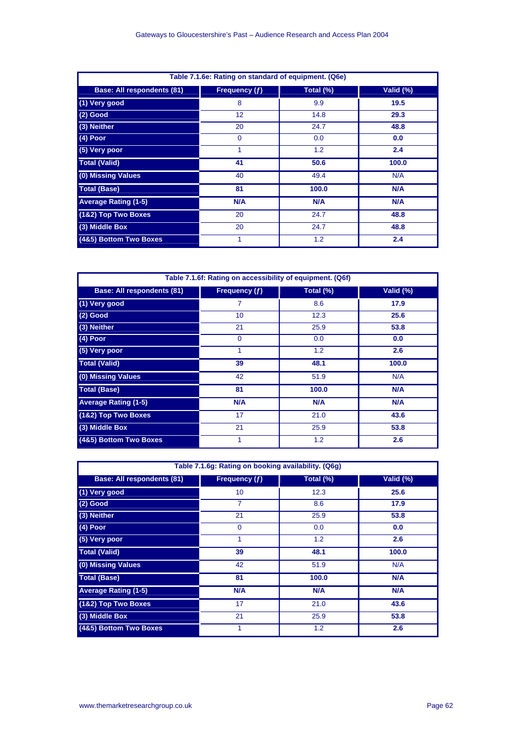| Table 7.1.6e: Rating on standard of equipment. (Q6e) |                 |           |           |  |
|------------------------------------------------------|-----------------|-----------|-----------|--|
| <b>Base: All respondents (81)</b>                    | Frequency $(f)$ | Total (%) | Valid (%) |  |
| (1) Very good                                        | 8               | 9.9       | 19.5      |  |
| $(2)$ Good                                           | 12              | 14.8      | 29.3      |  |
| (3) Neither                                          | 20              | 24.7      | 48.8      |  |
| $(4)$ Poor                                           | $\mathbf 0$     | 0.0       | 0.0       |  |
| (5) Very poor                                        |                 | 1.2       | 2.4       |  |
| <b>Total (Valid)</b>                                 | 41              | 50.6      | 100.0     |  |
| (0) Missing Values                                   | 40              | 49.4      | N/A       |  |
| <b>Total (Base)</b>                                  | 81              | 100.0     | N/A       |  |
| <b>Average Rating (1-5)</b>                          | <b>N/A</b>      | N/A       | N/A       |  |
| (1&2) Top Two Boxes                                  | 20              | 24.7      | 48.8      |  |
| (3) Middle Box                                       | 20              | 24.7      | 48.8      |  |
| (4&5) Bottom Two Boxes                               | 1               | 1.2       | 2.4       |  |

| Table 7.1.6f: Rating on accessibility of equipment. (Q6f) |                 |           |            |  |
|-----------------------------------------------------------|-----------------|-----------|------------|--|
| <b>Base: All respondents (81)</b>                         | Frequency $(f)$ | Total (%) | Valid (%)  |  |
| (1) Very good                                             | 7               | 8.6       | 17.9       |  |
| $(2)$ Good                                                | 10              | 12.3      | 25.6       |  |
| (3) Neither                                               | 21              | 25.9      | 53.8       |  |
| $(4)$ Poor                                                | $\Omega$        | 0.0       | 0.0        |  |
| (5) Very poor                                             | 1               | 1.2       | 2.6        |  |
| <b>Total (Valid)</b>                                      | 39              | 48.1      | 100.0      |  |
| (0) Missing Values                                        | 42              | 51.9      | N/A        |  |
| <b>Total (Base)</b>                                       | 81              | 100.0     | <b>N/A</b> |  |
| <b>Average Rating (1-5)</b>                               | N/A             | N/A       | N/A        |  |
| (1&2) Top Two Boxes                                       | 17              | 21.0      | 43.6       |  |
| (3) Middle Box                                            | 21              | 25.9      | 53.8       |  |
| (4&5) Bottom Two Boxes                                    | 1               | 1.2       | 2.6        |  |

| Table 7.1.6g: Rating on booking availability. (Q6g) |                 |           |           |  |
|-----------------------------------------------------|-----------------|-----------|-----------|--|
| <b>Base: All respondents (81)</b>                   | Frequency $(f)$ | Total (%) | Valid (%) |  |
| (1) Very good                                       | 10              | 12.3      | 25.6      |  |
| $(2)$ Good                                          | 7               | 8.6       | 17.9      |  |
| (3) Neither                                         | 21              | 25.9      | 53.8      |  |
| $(4)$ Poor                                          | $\Omega$        | 0.0       | 0.0       |  |
| (5) Very poor                                       | 1               | 1.2       | 2.6       |  |
| <b>Total (Valid)</b>                                | 39              | 48.1      | 100.0     |  |
| (0) Missing Values                                  | 42              | 51.9      | N/A       |  |
| <b>Total (Base)</b>                                 | 81              | 100.0     | N/A       |  |
| <b>Average Rating (1-5)</b>                         | N/A             | N/A       | N/A       |  |
| (1&2) Top Two Boxes                                 | 17              | 21.0      | 43.6      |  |
| (3) Middle Box                                      | 21              | 25.9      | 53.8      |  |
| (4&5) Bottom Two Boxes                              | 1               | 1.2       | 2.6       |  |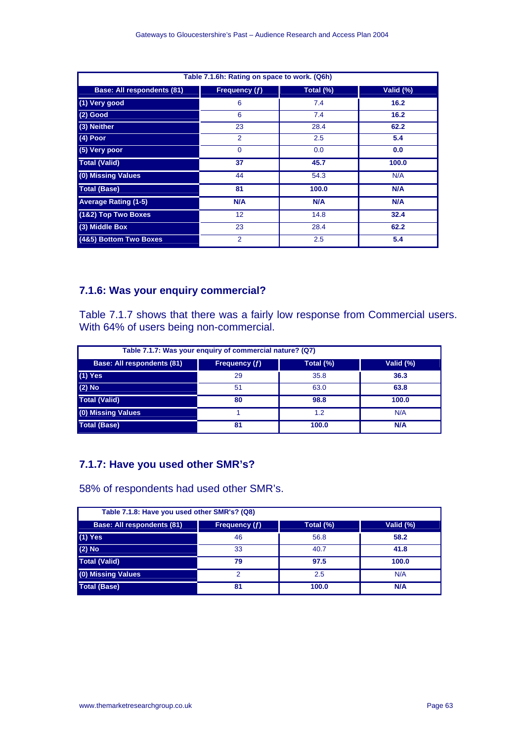| Table 7.1.6h: Rating on space to work. (Q6h) |                |           |           |  |
|----------------------------------------------|----------------|-----------|-----------|--|
| <b>Base: All respondents (81)</b>            | Frequency (f)  | Total (%) | Valid (%) |  |
| (1) Very good                                | 6              | 7.4       | 16.2      |  |
| $(2)$ Good                                   | 6              | 7.4       | 16.2      |  |
| (3) Neither                                  | 23             | 28.4      | 62.2      |  |
| (4) Poor                                     | $\overline{2}$ | 2.5       | 5.4       |  |
| (5) Very poor                                | $\Omega$       | 0.0       | 0.0       |  |
| <b>Total (Valid)</b>                         | 37             | 45.7      | 100.0     |  |
| (0) Missing Values                           | 44             | 54.3      | N/A       |  |
| <b>Total (Base)</b>                          | 81             | 100.0     | N/A       |  |
| <b>Average Rating (1-5)</b>                  | N/A            | N/A       | N/A       |  |
| (1&2) Top Two Boxes                          | 12             | 14.8      | 32.4      |  |
| (3) Middle Box                               | 23             | 28.4      | 62.2      |  |
| (4&5) Bottom Two Boxes                       | 2              | 2.5       | 5.4       |  |

# **7.1.6: Was your enquiry commercial?**

Table 7.1.7 shows that there was a fairly low response from Commercial users. With 64% of users being non-commercial.

| Table 7.1.7: Was your enquiry of commercial nature? (Q7) |               |           |           |  |
|----------------------------------------------------------|---------------|-----------|-----------|--|
| <b>Base: All respondents (81)</b>                        | Frequency (f) | Total (%) | Valid (%) |  |
| $(1)$ Yes                                                | 29            | 35.8      | 36.3      |  |
| $(2)$ No                                                 | 51            | 63.0      | 63.8      |  |
| <b>Total (Valid)</b>                                     | 80            | 98.8      | 100.0     |  |
| (0) Missing Values                                       |               | 1.2       | N/A       |  |
| <b>Total (Base)</b>                                      | 81            | 100.0     | N/A       |  |

# **7.1.7: Have you used other SMR's?**

58% of respondents had used other SMR's.

| Table 7.1.8: Have you used other SMR's? (Q8) |               |           |            |  |
|----------------------------------------------|---------------|-----------|------------|--|
| <b>Base: All respondents (81)</b>            | Frequency (f) | Total (%) | Valid (%)  |  |
| $(1)$ Yes                                    | 46            | 56.8      | 58.2       |  |
| $(2)$ No                                     | 33            | 40.7      | 41.8       |  |
| <b>Total (Valid)</b>                         | 79            | 97.5      | 100.0      |  |
| (0) Missing Values                           | 2             | 2.5       | N/A        |  |
| <b>Total (Base)</b>                          | 81            | 100.0     | <b>N/A</b> |  |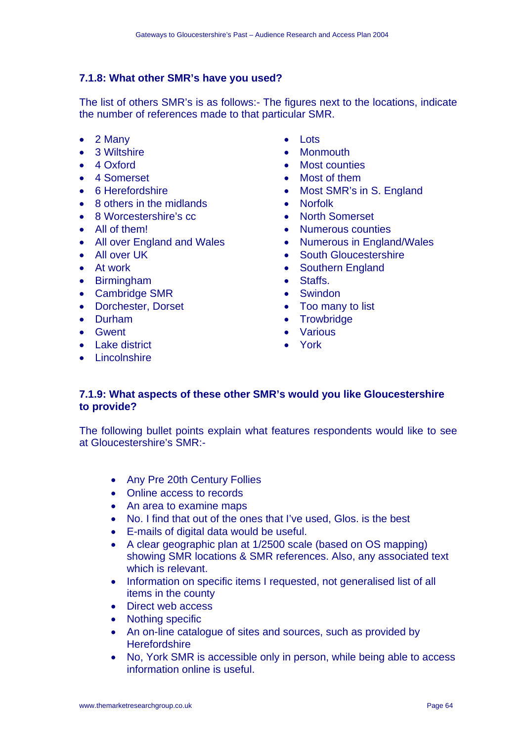# **7.1.8: What other SMR's have you used?**

The list of others SMR's is as follows:- The figures next to the locations, indicate the number of references made to that particular SMR.

- 2 Many
- 3 Wiltshire
- 4 Oxford
- 4 Somerset
- 6 Herefordshire
- 8 others in the midlands
- 8 Worcestershire's cc
- All of them!
- All over England and Wales
- All over UK
- At work
- Birmingham
- Cambridge SMR
- Dorchester, Dorset
- Durham
- Gwent
- Lake district
- Lincolnshire
- Lots
- Monmouth
- Most counties
- Most of them
- Most SMR's in S. England
- Norfolk
- North Somerset
- Numerous counties
- Numerous in England/Wales
- South Gloucestershire
- Southern England
- Staffs.
- Swindon
- Too many to list
- Trowbridge
- Various
- York

# **7.1.9: What aspects of these other SMR's would you like Gloucestershire to provide?**

The following bullet points explain what features respondents would like to see at Gloucestershire's SMR:-

- Any Pre 20th Century Follies
- Online access to records
- An area to examine maps
- No. I find that out of the ones that I've used, Glos. is the best
- E-mails of digital data would be useful.
- A clear geographic plan at 1/2500 scale (based on OS mapping) showing SMR locations & SMR references. Also, any associated text which is relevant.
- Information on specific items I requested, not generalised list of all items in the county
- Direct web access
- Nothing specific
- An on-line catalogue of sites and sources, such as provided by **Herefordshire**
- No, York SMR is accessible only in person, while being able to access information online is useful.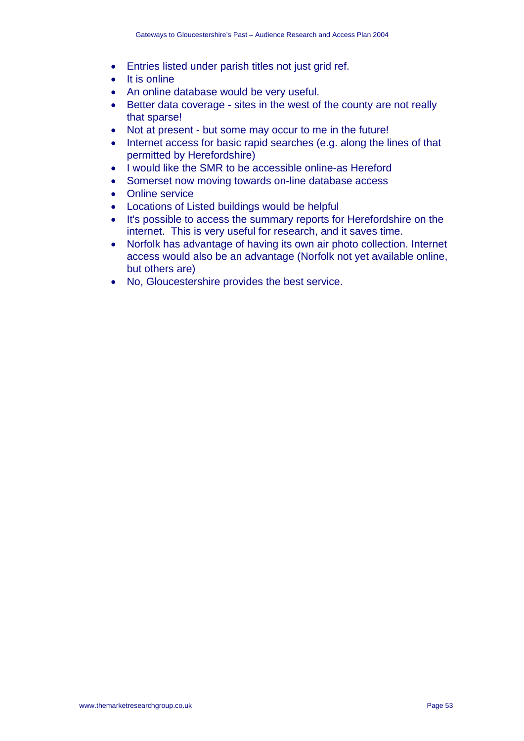- Entries listed under parish titles not just grid ref.
- It is online
- An online database would be very useful.
- Better data coverage sites in the west of the county are not really that sparse!
- Not at present but some may occur to me in the future!
- Internet access for basic rapid searches (e.g. along the lines of that permitted by Herefordshire)
- I would like the SMR to be accessible online-as Hereford
- Somerset now moving towards on-line database access
- Online service
- Locations of Listed buildings would be helpful
- It's possible to access the summary reports for Herefordshire on the internet. This is very useful for research, and it saves time.
- Norfolk has advantage of having its own air photo collection. Internet access would also be an advantage (Norfolk not yet available online, but others are)
- No, Gloucestershire provides the best service.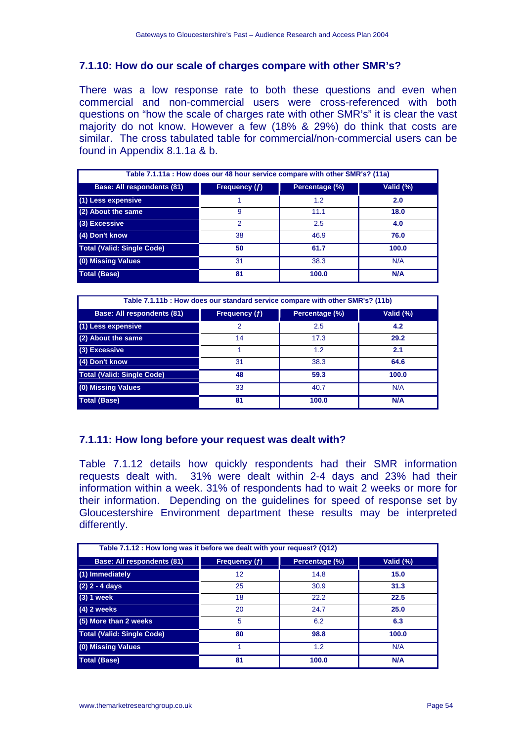# **7.1.10: How do our scale of charges compare with other SMR's?**

There was a low response rate to both these questions and even when commercial and non-commercial users were cross-referenced with both questions on "how the scale of charges rate with other SMR's" it is clear the vast majority do not know. However a few (18% & 29%) do think that costs are similar. The cross tabulated table for commercial/non-commercial users can be found in Appendix 8.1.1a & b.

| Table 7.1.11a : How does our 48 hour service compare with other SMR's? (11a) |               |                |            |
|------------------------------------------------------------------------------|---------------|----------------|------------|
| <b>Base: All respondents (81)</b>                                            | Frequency (f) | Percentage (%) | Valid (%)  |
| (1) Less expensive                                                           |               | 1.2            | 2.0        |
| (2) About the same                                                           | 9             | 11.1           | 18.0       |
| (3) Excessive                                                                | 2             | 2.5            | 4.0        |
| (4) Don't know                                                               | 38            | 46.9           | 76.0       |
| <b>Total (Valid: Single Code)</b>                                            | 50            | 61.7           | 100.0      |
| (0) Missing Values                                                           | 31            | 38.3           | N/A        |
| <b>Total (Base)</b>                                                          | 81            | 100.0          | <b>N/A</b> |

| Table 7.1.11b: How does our standard service compare with other SMR's? (11b) |               |                |           |
|------------------------------------------------------------------------------|---------------|----------------|-----------|
| <b>Base: All respondents (81)</b>                                            | Frequency (f) | Percentage (%) | Valid (%) |
| (1) Less expensive                                                           | 2             | 2.5            | 4.2       |
| (2) About the same                                                           | 14            | 17.3           | 29.2      |
| (3) Excessive                                                                |               | 1.2            | 2.1       |
| (4) Don't know                                                               | 31            | 38.3           | 64.6      |
| <b>Total (Valid: Single Code)</b>                                            | 48            | 59.3           | 100.0     |
| (0) Missing Values                                                           | 33            | 40.7           | N/A       |
| <b>Total (Base)</b>                                                          | 81            | 100.0          | N/A       |

# **7.1.11: How long before your request was dealt with?**

Table 7.1.12 details how quickly respondents had their SMR information requests dealt with. 31% were dealt within 2-4 days and 23% had their information within a week. 31% of respondents had to wait 2 weeks or more for their information. Depending on the guidelines for speed of response set by Gloucestershire Environment department these results may be interpreted differently.

| Table 7.1.12 : How long was it before we dealt with your request? (Q12) |               |                |            |
|-------------------------------------------------------------------------|---------------|----------------|------------|
| <b>Base: All respondents (81)</b>                                       | Frequency (f) | Percentage (%) | Valid (%)  |
| (1) Immediately                                                         | 12            | 14.8           | 15.0       |
| $(2)$ 2 - 4 days                                                        | 25            | 30.9           | 31.3       |
| $(3) 1$ week                                                            | 18            | 22.2           | 22.5       |
| $(4)$ 2 weeks                                                           | 20            | 24.7           | 25.0       |
| (5) More than 2 weeks                                                   | 5             | 6.2            | 6.3        |
| <b>Total (Valid: Single Code)</b>                                       | 80            | 98.8           | 100.0      |
| (0) Missing Values                                                      |               | 1.2            | N/A        |
| <b>Total (Base)</b>                                                     | 81            | 100.0          | <b>N/A</b> |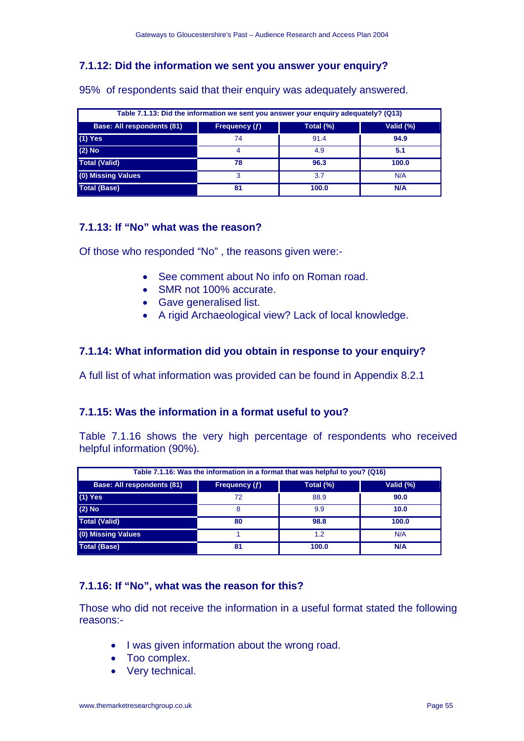# **7.1.12: Did the information we sent you answer your enquiry?**

| Table 7.1.13: Did the information we sent you answer your enquiry adequately? (Q13) |                 |           |           |  |
|-------------------------------------------------------------------------------------|-----------------|-----------|-----------|--|
| <b>Base: All respondents (81)</b>                                                   | Frequency $(f)$ | Total (%) | Valid (%) |  |
| $(1)$ Yes                                                                           | 74              | 91.4      | 94.9      |  |
| $(2)$ No                                                                            |                 | 4.9       | 5.1       |  |
| <b>Total (Valid)</b>                                                                | 78              | 96.3      | 100.0     |  |
| (0) Missing Values                                                                  | 3               | 3.7       | N/A       |  |
| <b>Total (Base)</b>                                                                 | 81              | 100.0     | N/A       |  |

95% of respondents said that their enquiry was adequately answered.

# **7.1.13: If "No" what was the reason?**

Of those who responded "No" , the reasons given were:-

- See comment about No info on Roman road.
- SMR not 100% accurate.
- Gave generalised list.
- A rigid Archaeological view? Lack of local knowledge.

# **7.1.14: What information did you obtain in response to your enquiry?**

A full list of what information was provided can be found in Appendix 8.2.1

# **7.1.15: Was the information in a format useful to you?**

Table 7.1.16 shows the very high percentage of respondents who received helpful information (90%).

| Table 7.1.16: Was the information in a format that was helpful to you? (Q16) |               |           |           |
|------------------------------------------------------------------------------|---------------|-----------|-----------|
| <b>Base: All respondents (81)</b>                                            | Frequency (f) | Total (%) | Valid (%) |
| $(1)$ Yes                                                                    | 72            | 88.9      | 90.0      |
| $(2)$ No                                                                     | 8             | 9.9       | 10.0      |
| <b>Total (Valid)</b>                                                         | 80            | 98.8      | 100.0     |
| (0) Missing Values                                                           |               | 1.2       | N/A       |
| <b>Total (Base)</b>                                                          | 81            | 100.0     | N/A       |

# **7.1.16: If "No", what was the reason for this?**

Those who did not receive the information in a useful format stated the following reasons:-

- I was given information about the wrong road.
- Too complex.
- Very technical.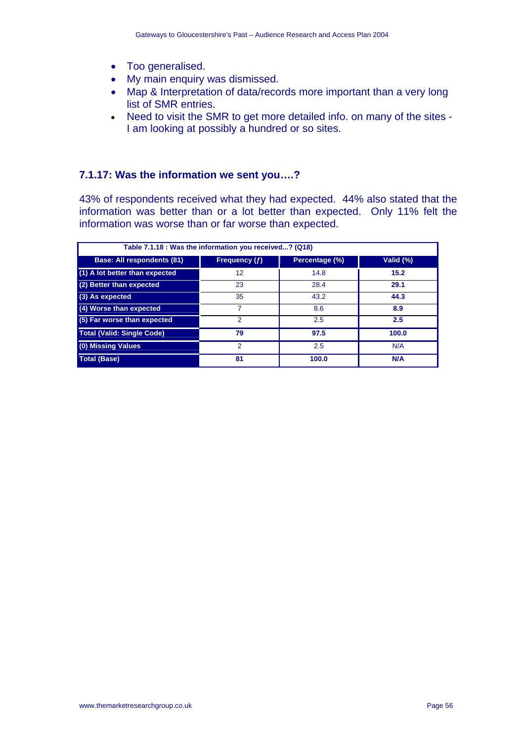- Too generalised.
- My main enquiry was dismissed.
- Map & Interpretation of data/records more important than a very long list of SMR entries.
- Need to visit the SMR to get more detailed info. on many of the sites I am looking at possibly a hundred or so sites.

### **7.1.17: Was the information we sent you….?**

43% of respondents received what they had expected. 44% also stated that the information was better than or a lot better than expected. Only 11% felt the information was worse than or far worse than expected.

| Table 7.1.18 : Was the information you received? (Q18) |                      |                |           |  |
|--------------------------------------------------------|----------------------|----------------|-----------|--|
| <b>Base: All respondents (81)</b>                      | <b>Frequency (f)</b> | Percentage (%) | Valid (%) |  |
| (1) A lot better than expected                         | 12                   | 14.8           | 15.2      |  |
| (2) Better than expected                               | 23                   | 28.4           | 29.1      |  |
| (3) As expected                                        | 35                   | 43.2           | 44.3      |  |
| (4) Worse than expected                                | 7                    | 8.6            | 8.9       |  |
| (5) Far worse than expected                            | 2                    | 2.5            | 2.5       |  |
| <b>Total (Valid: Single Code)</b>                      | 79                   | 97.5           | 100.0     |  |
| (0) Missing Values                                     | $\mathcal{P}$        | 2.5            | N/A       |  |
| <b>Total (Base)</b>                                    | 81                   | 100.0          | N/A       |  |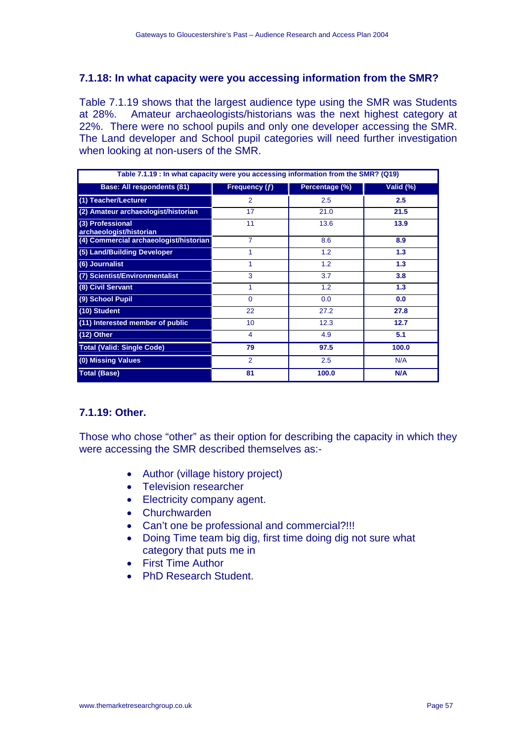### **7.1.18: In what capacity were you accessing information from the SMR?**

Table 7.1.19 shows that the largest audience type using the SMR was Students at 28%. Amateur archaeologists/historians was the next highest category at 22%. There were no school pupils and only one developer accessing the SMR. The Land developer and School pupil categories will need further investigation when looking at non-users of the SMR.

| Table 7.1.19 : In what capacity were you accessing information from the SMR? (Q19) |                 |                |           |
|------------------------------------------------------------------------------------|-----------------|----------------|-----------|
| <b>Base: All respondents (81)</b>                                                  | Frequency (f)   | Percentage (%) | Valid (%) |
| (1) Teacher/Lecturer                                                               | $\mathcal{P}$   | 2.5            | 2.5       |
| (2) Amateur archaeologist/historian                                                | 17              | 21.0           | 21.5      |
| (3) Professional<br>archaeologist/historian                                        | 11              | 13.6           | 13.9      |
| (4) Commercial archaeologist/historian                                             | $\overline{7}$  | 8.6            | 8.9       |
| (5) Land/Building Developer                                                        | 1               | 1.2            | 1.3       |
| (6) Journalist                                                                     |                 | 1.2            | 1.3       |
| (7) Scientist/Environmentalist                                                     | 3               | 3.7            | 3.8       |
| (8) Civil Servant                                                                  | 1               | 1.2            | 1.3       |
| (9) School Pupil                                                                   | $\Omega$        | 0.0            | 0.0       |
| (10) Student                                                                       | 22              | 27.2           | 27.8      |
| (11) Interested member of public                                                   | 10 <sup>1</sup> | 12.3           | 12.7      |
| (12) Other                                                                         | 4               | 4.9            | 5.1       |
| <b>Total (Valid: Single Code)</b>                                                  | 79              | 97.5           | 100.0     |
| (0) Missing Values                                                                 | $\overline{2}$  | 2.5            | N/A       |
| <b>Total (Base)</b>                                                                | 81              | 100.0          | N/A       |

# **7.1.19: Other.**

Those who chose "other" as their option for describing the capacity in which they were accessing the SMR described themselves as:-

- Author (village history project)
- Television researcher
- Electricity company agent.
- Churchwarden
- Can't one be professional and commercial?!!!
- Doing Time team big dig, first time doing dig not sure what category that puts me in
- First Time Author
- PhD Research Student.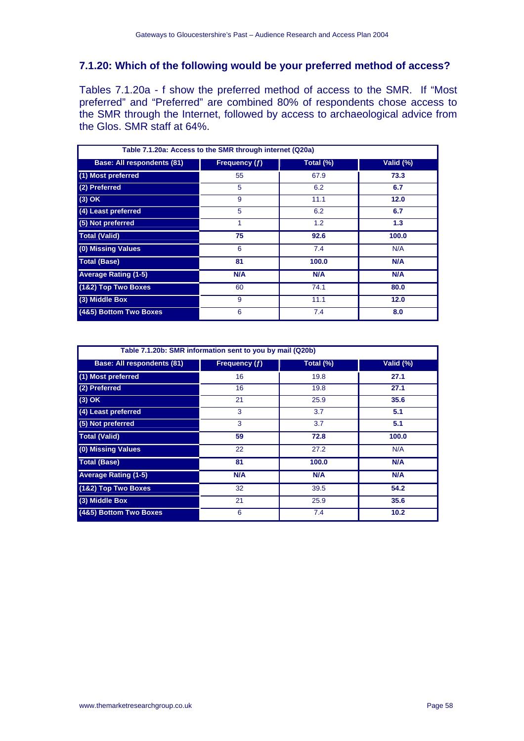# **7.1.20: Which of the following would be your preferred method of access?**

Tables 7.1.20a - f show the preferred method of access to the SMR. If "Most preferred" and "Preferred" are combined 80% of respondents chose access to the SMR through the Internet, followed by access to archaeological advice from the Glos. SMR staff at 64%.

| Table 7.1.20a: Access to the SMR through internet (Q20a) |                 |           |           |  |
|----------------------------------------------------------|-----------------|-----------|-----------|--|
| <b>Base: All respondents (81)</b>                        | Frequency $(f)$ | Total (%) | Valid (%) |  |
| (1) Most preferred                                       | 55              | 67.9      | 73.3      |  |
| (2) Preferred                                            | 5               | 6.2       | 6.7       |  |
| $(3)$ OK                                                 | 9               | 11.1      | 12.0      |  |
| (4) Least preferred                                      | 5               | 6.2       | 6.7       |  |
| (5) Not preferred                                        | 1               | 1.2       | 1.3       |  |
| <b>Total (Valid)</b>                                     | 75              | 92.6      | 100.0     |  |
| (0) Missing Values                                       | 6               | 7.4       | N/A       |  |
| <b>Total (Base)</b>                                      | 81              | 100.0     | N/A       |  |
| <b>Average Rating (1-5)</b>                              | N/A             | N/A       | N/A       |  |
| (1&2) Top Two Boxes                                      | 60              | 74.1      | 80.0      |  |
| (3) Middle Box                                           | 9               | 11.1      | 12.0      |  |
| (4&5) Bottom Two Boxes                                   | 6               | 7.4       | 8.0       |  |

| Table 7.1.20b: SMR information sent to you by mail (Q20b) |               |           |            |
|-----------------------------------------------------------|---------------|-----------|------------|
| <b>Base: All respondents (81)</b>                         | Frequency (f) | Total (%) | Valid (%)  |
| (1) Most preferred                                        | 16            | 19.8      | 27.1       |
| (2) Preferred                                             | 16            | 19.8      | 27.1       |
| $(3)$ OK                                                  | 21            | 25.9      | 35.6       |
| (4) Least preferred                                       | 3             | 3.7       | 5.1        |
| (5) Not preferred                                         | 3             | 3.7       | 5.1        |
| <b>Total (Valid)</b>                                      | 59            | 72.8      | 100.0      |
| (0) Missing Values                                        | 22            | 27.2      | N/A        |
| <b>Total (Base)</b>                                       | 81            | 100.0     | <b>N/A</b> |
| <b>Average Rating (1-5)</b>                               | <b>N/A</b>    | N/A       | N/A        |
| (1&2) Top Two Boxes                                       | 32            | 39.5      | 54.2       |
| (3) Middle Box                                            | 21            | 25.9      | 35.6       |
| (4&5) Bottom Two Boxes                                    | 6             | 7.4       | 10.2       |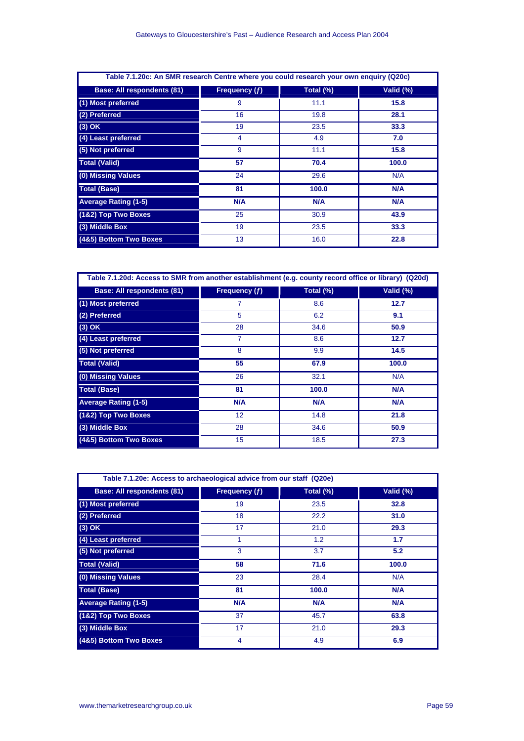| Table 7.1.20c: An SMR research Centre where you could research your own enquiry (Q20c) |               |           |            |
|----------------------------------------------------------------------------------------|---------------|-----------|------------|
| <b>Base: All respondents (81)</b>                                                      | Frequency (f) | Total (%) | Valid (%)  |
| (1) Most preferred                                                                     | 9             | 11.1      | 15.8       |
| (2) Preferred                                                                          | 16            | 19.8      | 28.1       |
| $(3)$ OK                                                                               | 19            | 23.5      | 33.3       |
| (4) Least preferred                                                                    | 4             | 4.9       | 7.0        |
| (5) Not preferred                                                                      | 9             | 11.1      | 15.8       |
| <b>Total (Valid)</b>                                                                   | 57            | 70.4      | 100.0      |
| (0) Missing Values                                                                     | 24            | 29.6      | N/A        |
| <b>Total (Base)</b>                                                                    | 81            | 100.0     | <b>N/A</b> |
| <b>Average Rating (1-5)</b>                                                            | N/A           | N/A       | N/A        |
| (1&2) Top Two Boxes                                                                    | 25            | 30.9      | 43.9       |
| (3) Middle Box                                                                         | 19            | 23.5      | 33.3       |
| (4&5) Bottom Two Boxes                                                                 | 13            | 16.0      | 22.8       |

| Table 7.1.20d: Access to SMR from another establishment (e.g. county record office or library) (Q20d) |               |           |            |
|-------------------------------------------------------------------------------------------------------|---------------|-----------|------------|
| <b>Base: All respondents (81)</b>                                                                     | Frequency (f) | Total (%) | Valid (%)  |
| (1) Most preferred                                                                                    | 7             | 8.6       | 12.7       |
| (2) Preferred                                                                                         | 5             | 6.2       | 9.1        |
| $(3)$ OK                                                                                              | 28            | 34.6      | 50.9       |
| (4) Least preferred                                                                                   | 7             | 8.6       | 12.7       |
| (5) Not preferred                                                                                     | 8             | 9.9       | 14.5       |
| <b>Total (Valid)</b>                                                                                  | 55            | 67.9      | 100.0      |
| (0) Missing Values                                                                                    | 26            | 32.1      | N/A        |
| <b>Total (Base)</b>                                                                                   | 81            | 100.0     | <b>N/A</b> |
| <b>Average Rating (1-5)</b>                                                                           | N/A           | N/A       | N/A        |
| (1&2) Top Two Boxes                                                                                   | 12            | 14.8      | 21.8       |
| (3) Middle Box                                                                                        | 28            | 34.6      | 50.9       |
| (4&5) Bottom Two Boxes                                                                                | 15            | 18.5      | 27.3       |

| Table 7.1.20e: Access to archaeological advice from our staff (Q20e) |               |           |           |
|----------------------------------------------------------------------|---------------|-----------|-----------|
| <b>Base: All respondents (81)</b>                                    | Frequency (f) | Total (%) | Valid (%) |
| (1) Most preferred                                                   | 19            | 23.5      | 32.8      |
| (2) Preferred                                                        | 18            | 22.2      | 31.0      |
| $(3)$ OK                                                             | 17            | 21.0      | 29.3      |
| (4) Least preferred                                                  | 1             | 1.2       | 1.7       |
| (5) Not preferred                                                    | 3             | 3.7       | 5.2       |
| <b>Total (Valid)</b>                                                 | 58            | 71.6      | 100.0     |
| (0) Missing Values                                                   | 23            | 28.4      | N/A       |
| <b>Total (Base)</b>                                                  | 81            | 100.0     | N/A       |
| <b>Average Rating (1-5)</b>                                          | N/A           | N/A       | N/A       |
| (1&2) Top Two Boxes                                                  | 37            | 45.7      | 63.8      |
| (3) Middle Box                                                       | 17            | 21.0      | 29.3      |
| (4&5) Bottom Two Boxes                                               | 4             | 4.9       | 6.9       |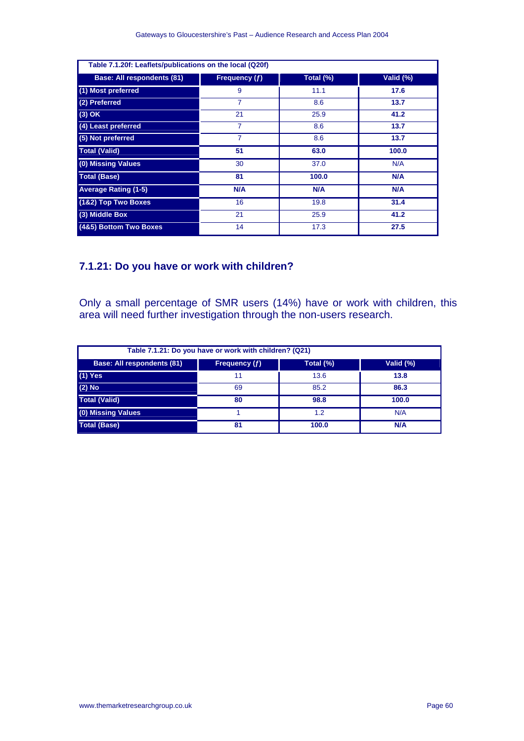| Table 7.1.20f: Leaflets/publications on the local (Q20f) |                |            |            |
|----------------------------------------------------------|----------------|------------|------------|
| <b>Base: All respondents (81)</b>                        | Frequency (f)  | Total (%)  | Valid (%)  |
| (1) Most preferred                                       | 9              | 11.1       | 17.6       |
| (2) Preferred                                            | 7              | 8.6        | 13.7       |
| $(3)$ OK                                                 | 21             | 25.9       | 41.2       |
| (4) Least preferred                                      | $\overline{7}$ | 8.6        | 13.7       |
| (5) Not preferred                                        | 7              | 8.6        | 13.7       |
| <b>Total (Valid)</b>                                     | 51             | 63.0       | 100.0      |
| (0) Missing Values                                       | 30             | 37.0       | N/A        |
| <b>Total (Base)</b>                                      | 81             | 100.0      | N/A        |
| <b>Average Rating (1-5)</b>                              | <b>N/A</b>     | <b>N/A</b> | <b>N/A</b> |
| (1&2) Top Two Boxes                                      | 16             | 19.8       | 31.4       |
| (3) Middle Box                                           | 21             | 25.9       | 41.2       |
| (4&5) Bottom Two Boxes                                   | 14             | 17.3       | 27.5       |

# **7.1.21: Do you have or work with children?**

Only a small percentage of SMR users (14%) have or work with children, this area will need further investigation through the non-users research.

| Table 7.1.21: Do you have or work with children? (Q21) |               |           |            |
|--------------------------------------------------------|---------------|-----------|------------|
| <b>Base: All respondents (81)</b>                      | Frequency (f) | Total (%) | Valid (%)  |
| $(1)$ Yes                                              | 11            | 13.6      | 13.8       |
| $(2)$ No                                               | 69            | 85.2      | 86.3       |
| <b>Total (Valid)</b>                                   | 80            | 98.8      | 100.0      |
| (0) Missing Values                                     |               | 1.2       | N/A        |
| <b>Total (Base)</b>                                    | 81            | 100.0     | <b>N/A</b> |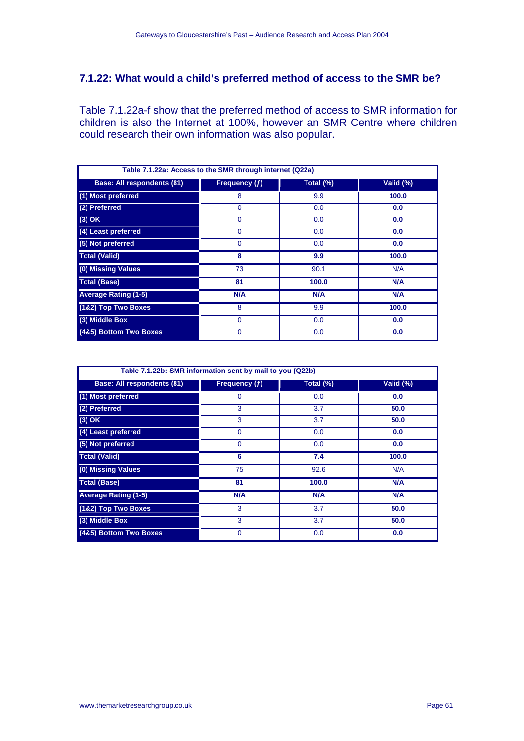## **7.1.22: What would a child's preferred method of access to the SMR be?**

Table 7.1.22a-f show that the preferred method of access to SMR information for children is also the Internet at 100%, however an SMR Centre where children could research their own information was also popular.

| Table 7.1.22a: Access to the SMR through internet (Q22a) |               |           |           |
|----------------------------------------------------------|---------------|-----------|-----------|
| <b>Base: All respondents (81)</b>                        | Frequency (f) | Total (%) | Valid (%) |
| (1) Most preferred                                       | 8             | 9.9       | 100.0     |
| (2) Preferred                                            | $\Omega$      | 0.0       | 0.0       |
| $(3)$ OK                                                 | 0             | 0.0       | 0.0       |
| (4) Least preferred                                      | $\Omega$      | 0.0       | 0.0       |
| (5) Not preferred                                        | $\Omega$      | 0.0       | 0.0       |
| <b>Total (Valid)</b>                                     | 8             | 9.9       | 100.0     |
| (0) Missing Values                                       | 73            | 90.1      | N/A       |
| <b>Total (Base)</b>                                      | 81            | 100.0     | N/A       |
| <b>Average Rating (1-5)</b>                              | N/A           | N/A       | N/A       |
| (1&2) Top Two Boxes                                      | 8             | 9.9       | 100.0     |
| (3) Middle Box                                           | $\Omega$      | 0.0       | 0.0       |
| (4&5) Bottom Two Boxes                                   | 0             | 0.0       | 0.0       |

| Table 7.1.22b: SMR information sent by mail to you (Q22b) |               |           |           |
|-----------------------------------------------------------|---------------|-----------|-----------|
| <b>Base: All respondents (81)</b>                         | Frequency (f) | Total (%) | Valid (%) |
| (1) Most preferred                                        | 0             | 0.0       | 0.0       |
| (2) Preferred                                             | 3             | 3.7       | 50.0      |
| $(3)$ OK                                                  | 3             | 3.7       | 50.0      |
| (4) Least preferred                                       | $\Omega$      | 0.0       | 0.0       |
| (5) Not preferred                                         | $\mathbf 0$   | 0.0       | 0.0       |
| <b>Total (Valid)</b>                                      | 6             | 7.4       | 100.0     |
| (0) Missing Values                                        | 75            | 92.6      | N/A       |
| <b>Total (Base)</b>                                       | 81            | 100.0     | N/A       |
| <b>Average Rating (1-5)</b>                               | N/A           | N/A       | N/A       |
| (1&2) Top Two Boxes                                       | 3             | 3.7       | 50.0      |
| (3) Middle Box                                            | 3             | 3.7       | 50.0      |
| (4&5) Bottom Two Boxes                                    | $\Omega$      | 0.0       | 0.0       |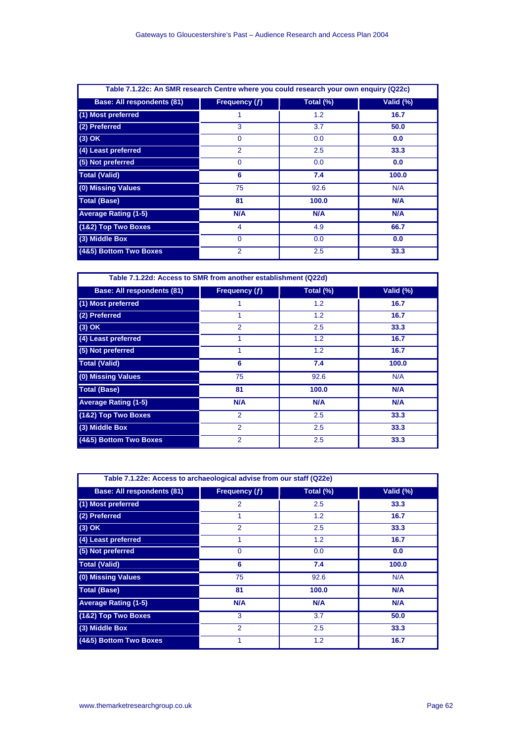| Table 7.1.22c: An SMR research Centre where you could research your own enquiry (Q22c) |                 |           |            |
|----------------------------------------------------------------------------------------|-----------------|-----------|------------|
| <b>Base: All respondents (81)</b>                                                      | Frequency $(f)$ | Total (%) | Valid (%)  |
| (1) Most preferred                                                                     | 1               | 1.2       | 16.7       |
| (2) Preferred                                                                          | 3               | 3.7       | 50.0       |
| $(3)$ OK                                                                               | $\Omega$        | 0.0       | 0.0        |
| (4) Least preferred                                                                    | $\overline{2}$  | 2.5       | 33.3       |
| (5) Not preferred                                                                      | $\Omega$        | 0.0       | 0.0        |
| <b>Total (Valid)</b>                                                                   | 6               | 7.4       | 100.0      |
| (0) Missing Values                                                                     | 75              | 92.6      | N/A        |
| <b>Total (Base)</b>                                                                    | 81              | 100.0     | <b>N/A</b> |
| <b>Average Rating (1-5)</b>                                                            | N/A             | N/A       | N/A        |
| (1&2) Top Two Boxes                                                                    | 4               | 4.9       | 66.7       |
| (3) Middle Box                                                                         | $\Omega$        | 0.0       | 0.0        |
| (4&5) Bottom Two Boxes                                                                 | 2               | 2.5       | 33.3       |

| Table 7.1.22d: Access to SMR from another establishment (Q22d) |                |           |           |  |
|----------------------------------------------------------------|----------------|-----------|-----------|--|
| <b>Base: All respondents (81)</b>                              | Frequency (f)  | Total (%) | Valid (%) |  |
| (1) Most preferred                                             |                | 1.2       | 16.7      |  |
| (2) Preferred                                                  | 1              | 1.2       | 16.7      |  |
| $(3)$ OK                                                       | 2              | 2.5       | 33.3      |  |
| (4) Least preferred                                            | 1              | 1.2       | 16.7      |  |
| (5) Not preferred                                              |                | 1.2       | 16.7      |  |
| <b>Total (Valid)</b>                                           | 6              | 7.4       | 100.0     |  |
| (0) Missing Values                                             | 75             | 92.6      | N/A       |  |
| <b>Total (Base)</b>                                            | 81             | 100.0     | N/A       |  |
| <b>Average Rating (1-5)</b>                                    | N/A            | N/A       | N/A       |  |
| (1&2) Top Two Boxes                                            | $\overline{2}$ | 2.5       | 33.3      |  |
| (3) Middle Box                                                 | $\overline{2}$ | 2.5       | 33.3      |  |
| (4&5) Bottom Two Boxes                                         | $\overline{2}$ | 2.5       | 33.3      |  |

| Table 7.1.22e: Access to archaeological advise from our staff (Q22e) |                |           |           |
|----------------------------------------------------------------------|----------------|-----------|-----------|
| <b>Base: All respondents (81)</b>                                    | Frequency (f)  | Total (%) | Valid (%) |
| (1) Most preferred                                                   | $\overline{2}$ | 2.5       | 33.3      |
| (2) Preferred                                                        | 1              | 1.2       | 16.7      |
| $(3)$ OK                                                             | $\overline{2}$ | 2.5       | 33.3      |
| (4) Least preferred                                                  | 1              | 1.2       | 16.7      |
| (5) Not preferred                                                    | $\Omega$       | 0.0       | 0.0       |
| <b>Total (Valid)</b>                                                 | 6              | 7.4       | 100.0     |
| (0) Missing Values                                                   | 75             | 92.6      | N/A       |
| <b>Total (Base)</b>                                                  | 81             | 100.0     | N/A       |
| <b>Average Rating (1-5)</b>                                          | N/A            | N/A       | N/A       |
| (1&2) Top Two Boxes                                                  | 3              | 3.7       | 50.0      |
| (3) Middle Box                                                       | $\overline{2}$ | 2.5       | 33.3      |
| (4&5) Bottom Two Boxes                                               | 1              | 1.2       | 16.7      |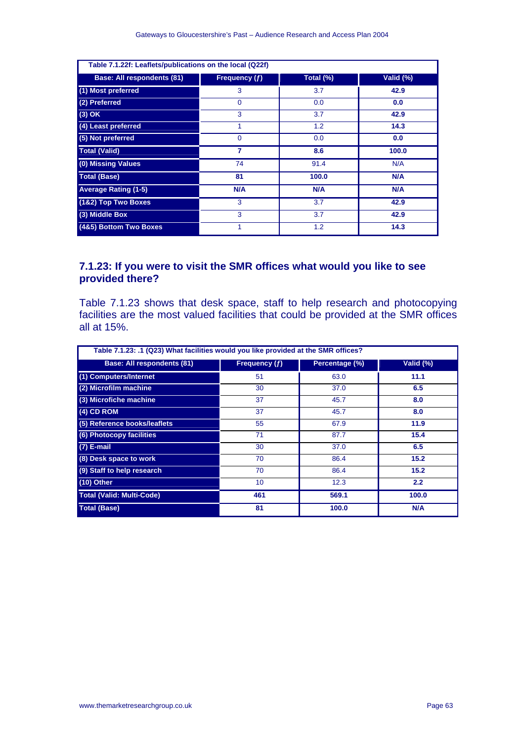| Table 7.1.22f: Leaflets/publications on the local (Q22f) |                         |           |            |  |
|----------------------------------------------------------|-------------------------|-----------|------------|--|
| <b>Base: All respondents (81)</b>                        | Frequency (f)           | Total (%) | Valid (%)  |  |
| (1) Most preferred                                       | 3                       | 3.7       | 42.9       |  |
| (2) Preferred                                            | $\Omega$                | 0.0       | 0.0        |  |
| $(3)$ OK                                                 | 3                       | 3.7       | 42.9       |  |
| (4) Least preferred                                      | 1                       | 1.2       | 14.3       |  |
| (5) Not preferred                                        | $\mathbf{0}$            | 0.0       | 0.0        |  |
| <b>Total (Valid)</b>                                     | $\overline{\mathbf{z}}$ | 8.6       | 100.0      |  |
| (0) Missing Values                                       | 74                      | 91.4      | N/A        |  |
| <b>Total (Base)</b>                                      | 81                      | 100.0     | N/A        |  |
| <b>Average Rating (1-5)</b>                              | N/A                     | N/A       | <b>N/A</b> |  |
| (1&2) Top Two Boxes                                      | 3                       | 3.7       | 42.9       |  |
| (3) Middle Box                                           | 3                       | 3.7       | 42.9       |  |
| (4&5) Bottom Two Boxes                                   | 1                       | 1.2       | 14.3       |  |

## **7.1.23: If you were to visit the SMR offices what would you like to see provided there?**

Table 7.1.23 shows that desk space, staff to help research and photocopying facilities are the most valued facilities that could be provided at the SMR offices all at 15%.

| Table 7.1.23: .1 (Q23) What facilities would you like provided at the SMR offices? |                 |                |           |
|------------------------------------------------------------------------------------|-----------------|----------------|-----------|
| <b>Base: All respondents (81)</b>                                                  | Frequency $(f)$ | Percentage (%) | Valid (%) |
| (1) Computers/Internet                                                             | 51              | 63.0           | 11.1      |
| (2) Microfilm machine                                                              | 30              | 37.0           | 6.5       |
| (3) Microfiche machine                                                             | 37              | 45.7           | 8.0       |
| $(4)$ CD ROM                                                                       | 37              | 45.7           | 8.0       |
| (5) Reference books/leaflets                                                       | 55              | 67.9           | 11.9      |
| (6) Photocopy facilities                                                           | 71              | 87.7           | 15.4      |
| $(7)$ E-mail                                                                       | 30              | 37.0           | 6.5       |
| (8) Desk space to work                                                             | 70              | 86.4           | 15.2      |
| (9) Staff to help research                                                         | 70              | 86.4           | 15.2      |
| $(10)$ Other                                                                       | 10 <sup>°</sup> | 12.3           | 2.2       |
| <b>Total (Valid: Multi-Code)</b>                                                   | 461             | 569.1          | 100.0     |
| <b>Total (Base)</b>                                                                | 81              | 100.0          | N/A       |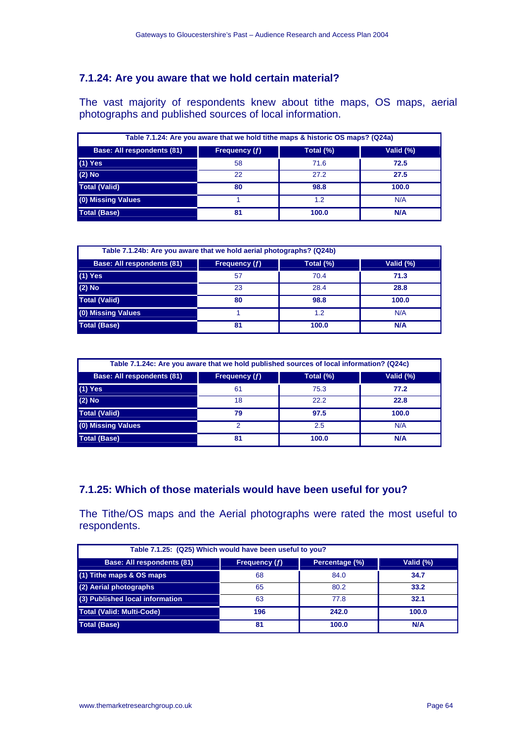# **7.1.24: Are you aware that we hold certain material?**

The vast majority of respondents knew about tithe maps, OS maps, aerial photographs and published sources of local information.

| Table 7.1.24: Are you aware that we hold tithe maps & historic OS maps? (Q24a) |                      |           |           |
|--------------------------------------------------------------------------------|----------------------|-----------|-----------|
| <b>Base: All respondents (81)</b>                                              | <b>Frequency</b> (f) | Total (%) | Valid (%) |
| $(1)$ Yes                                                                      | 58                   | 71.6      | 72.5      |
| $(2)$ No                                                                       | 22                   | 27.2      | 27.5      |
| <b>Total (Valid)</b>                                                           | 80                   | 98.8      | 100.0     |
| (0) Missing Values                                                             |                      | 1.2       | N/A       |
| <b>Total (Base)</b>                                                            | 81                   | 100.0     | N/A       |

| Table 7.1.24b: Are you aware that we hold aerial photographs? (Q24b) |               |           |            |
|----------------------------------------------------------------------|---------------|-----------|------------|
| <b>Base: All respondents (81)</b>                                    | Frequency (f) | Total (%) | Valid (%)  |
| $(1)$ Yes                                                            | 57            | 70.4      | 71.3       |
| $(2)$ No                                                             | 23            | 28.4      | 28.8       |
| <b>Total (Valid)</b>                                                 | 80            | 98.8      | 100.0      |
| (0) Missing Values                                                   |               | 1.2       | N/A        |
| <b>Total (Base)</b>                                                  | 81            | 100.0     | <b>N/A</b> |

| Table 7.1.24c: Are you aware that we hold published sources of local information? (Q24c) |               |           |           |
|------------------------------------------------------------------------------------------|---------------|-----------|-----------|
| <b>Base: All respondents (81)</b>                                                        | Frequency (f) | Total (%) | Valid (%) |
| $(1)$ Yes                                                                                | 61            | 75.3      | 77.2      |
| $(2)$ No                                                                                 | 18            | 22.2      | 22.8      |
| <b>Total (Valid)</b>                                                                     | 79            | 97.5      | 100.0     |
| (0) Missing Values                                                                       |               | 2.5       | N/A       |
| <b>Total (Base)</b>                                                                      | 81            | 100.0     | N/A       |

## **7.1.25: Which of those materials would have been useful for you?**

The Tithe/OS maps and the Aerial photographs were rated the most useful to respondents.

| Table 7.1.25: (Q25) Which would have been useful to you? |               |                |           |
|----------------------------------------------------------|---------------|----------------|-----------|
| <b>Base: All respondents (81)</b>                        | Frequency (f) | Percentage (%) | Valid (%) |
| (1) Tithe maps & OS maps                                 | 68            | 84.0           | 34.7      |
| (2) Aerial photographs                                   | 65            | 80.2           | 33.2      |
| (3) Published local information                          | 63            | 77.8           | 32.1      |
| <b>Total (Valid: Multi-Code)</b>                         | 196           | 242.0          | 100.0     |
| <b>Total (Base)</b>                                      | 81            | 100.0          | N/A       |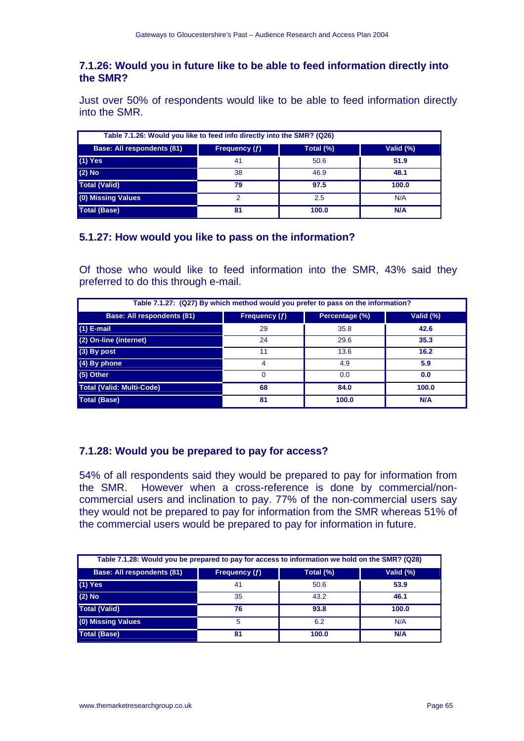#### **7.1.26: Would you in future like to be able to feed information directly into the SMR?**

Just over 50% of respondents would like to be able to feed information directly into the SMR.

| Table 7.1.26: Would you like to feed info directly into the SMR? (Q26) |               |           |           |
|------------------------------------------------------------------------|---------------|-----------|-----------|
| <b>Base: All respondents (81)</b>                                      | Frequency (f) | Total (%) | Valid (%) |
| $(1)$ Yes                                                              | 41            | 50.6      | 51.9      |
| $(2)$ No                                                               | 38            | 46.9      | 48.1      |
| <b>Total (Valid)</b>                                                   | 79            | 97.5      | 100.0     |
| (0) Missing Values                                                     | ົ             | 2.5       | N/A       |
| <b>Total (Base)</b>                                                    | 81            | 100.0     | N/A       |

## **5.1.27: How would you like to pass on the information?**

Of those who would like to feed information into the SMR, 43% said they preferred to do this through e-mail.

| Table 7.1.27: (Q27) By which method would you prefer to pass on the information? |               |                |           |
|----------------------------------------------------------------------------------|---------------|----------------|-----------|
| <b>Base: All respondents (81)</b>                                                | Frequency (f) | Percentage (%) | Valid (%) |
| $(1)$ E-mail                                                                     | 29            | 35.8           | 42.6      |
| (2) On-line (internet)                                                           | 24            | 29.6           | 35.3      |
| (3) By post                                                                      | 11            | 13.6           | 16.2      |
| (4) By phone                                                                     | 4             | 4.9            | 5.9       |
| (5) Other                                                                        | $\Omega$      | 0.0            | 0.0       |
| <b>Total (Valid: Multi-Code)</b>                                                 | 68            | 84.0           | 100.0     |
| <b>Total (Base)</b>                                                              | 81            | 100.0          | N/A       |

## **7.1.28: Would you be prepared to pay for access?**

54% of all respondents said they would be prepared to pay for information from the SMR. However when a cross-reference is done by commercial/noncommercial users and inclination to pay. 77% of the non-commercial users say they would not be prepared to pay for information from the SMR whereas 51% of the commercial users would be prepared to pay for information in future.

| Table 7.1.28: Would you be prepared to pay for access to information we hold on the SMR? (Q28) |               |           |            |
|------------------------------------------------------------------------------------------------|---------------|-----------|------------|
| Base: All respondents (81)                                                                     | Frequency (f) | Total (%) | Valid (%)  |
| $(1)$ Yes                                                                                      | 41            | 50.6      | 53.9       |
| $(2)$ No                                                                                       | 35            | 43.2      | 46.1       |
| <b>Total (Valid)</b>                                                                           | 76            | 93.8      | 100.0      |
| (0) Missing Values                                                                             | 5             | 6.2       | N/A        |
| <b>Total (Base)</b>                                                                            | 81            | 100.0     | <b>N/A</b> |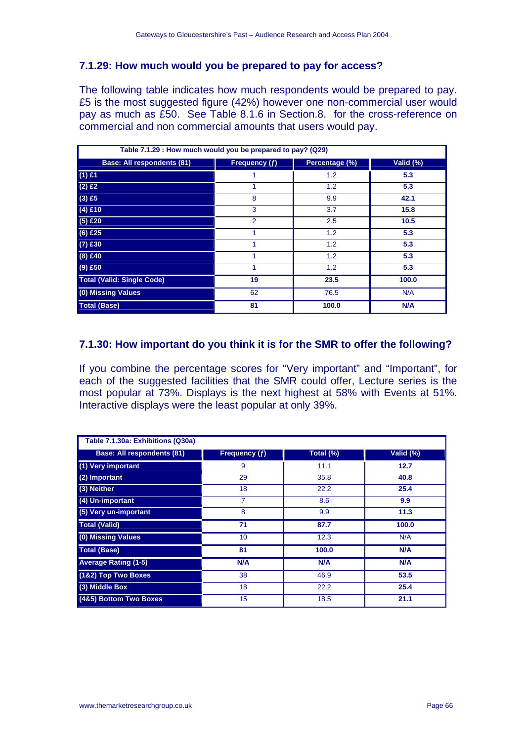## **7.1.29: How much would you be prepared to pay for access?**

The following table indicates how much respondents would be prepared to pay. £5 is the most suggested figure (42%) however one non-commercial user would pay as much as £50. See Table 8.1.6 in Section.8. for the cross-reference on commercial and non commercial amounts that users would pay.

| Table 7.1.29 : How much would you be prepared to pay? (Q29) |                |                |           |
|-------------------------------------------------------------|----------------|----------------|-----------|
| <b>Base: All respondents (81)</b>                           | Frequency (f)  | Percentage (%) | Valid (%) |
| $(1)$ £1                                                    |                | 1.2            | 5.3       |
| $(2)$ £2                                                    |                | 1.2            | 5.3       |
| $(3)$ £5                                                    | 8              | 9.9            | 42.1      |
| $(4)$ £10                                                   | 3              | 3.7            | 15.8      |
| $(5)$ £20                                                   | $\overline{2}$ | 2.5            | 10.5      |
| $(6)$ £25                                                   | 1              | 1.2            | 5.3       |
| $(7)$ £30                                                   | 1              | 1.2            | 5.3       |
| $(8)$ £40                                                   |                | 1.2            | 5.3       |
| $(9)$ £50                                                   |                | 1.2            | 5.3       |
| <b>Total (Valid: Single Code)</b>                           | 19             | 23.5           | 100.0     |
| (0) Missing Values                                          | 62             | 76.5           | N/A       |
| <b>Total (Base)</b>                                         | 81             | 100.0          | N/A       |

## **7.1.30: How important do you think it is for the SMR to offer the following?**

If you combine the percentage scores for "Very important" and "Important", for each of the suggested facilities that the SMR could offer, Lecture series is the most popular at 73%. Displays is the next highest at 58% with Events at 51%. Interactive displays were the least popular at only 39%.

| Table 7.1.30a: Exhibitions (Q30a) |               |           |           |
|-----------------------------------|---------------|-----------|-----------|
| <b>Base: All respondents (81)</b> | Frequency (f) | Total (%) | Valid (%) |
| (1) Very important                | 9             | 11.1      | 12.7      |
| (2) Important                     | 29            | 35.8      | 40.8      |
| (3) Neither                       | 18            | 22.2      | 25.4      |
| (4) Un-important                  | 7             | 8.6       | 9.9       |
| (5) Very un-important             | 8             | 9.9       | 11.3      |
| <b>Total (Valid)</b>              | 71            | 87.7      | 100.0     |
| (0) Missing Values                | 10            | 12.3      | N/A       |
| <b>Total (Base)</b>               | 81            | 100.0     | N/A       |
| <b>Average Rating (1-5)</b>       | <b>N/A</b>    | N/A       | N/A       |
| (1&2) Top Two Boxes               | 38            | 46.9      | 53.5      |
| (3) Middle Box                    | 18            | 22.2      | 25.4      |
| (4&5) Bottom Two Boxes            | 15            | 18.5      | 21.1      |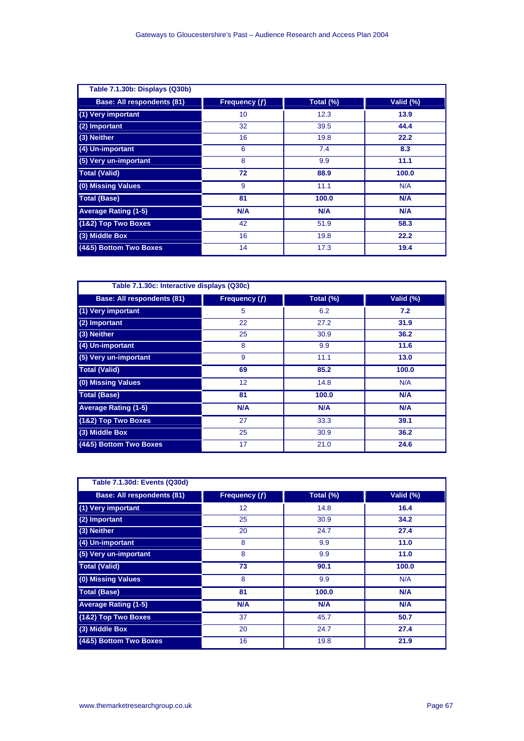| Table 7.1.30b: Displays (Q30b)    |               |           |            |
|-----------------------------------|---------------|-----------|------------|
| <b>Base: All respondents (81)</b> | Frequency (f) | Total (%) | Valid (%)  |
| (1) Very important                | 10            | 12.3      | 13.9       |
| (2) Important                     | 32            | 39.5      | 44.4       |
| (3) Neither                       | 16            | 19.8      | 22.2       |
| (4) Un-important                  | 6             | 7.4       | 8.3        |
| (5) Very un-important             | 8             | 9.9       | 11.1       |
| <b>Total (Valid)</b>              | 72            | 88.9      | 100.0      |
| (0) Missing Values                | 9             | 11.1      | N/A        |
| <b>Total (Base)</b>               | 81            | 100.0     | <b>N/A</b> |
| <b>Average Rating (1-5)</b>       | N/A           | N/A       | N/A        |
| (1&2) Top Two Boxes               | 42            | 51.9      | 58.3       |
| (3) Middle Box                    | 16            | 19.8      | 22.2       |
| (4&5) Bottom Two Boxes            | 14            | 17.3      | 19.4       |

| Table 7.1.30c: Interactive displays (Q30c) |               |           |            |
|--------------------------------------------|---------------|-----------|------------|
| <b>Base: All respondents (81)</b>          | Frequency (f) | Total (%) | Valid (%)  |
| (1) Very important                         | 5             | 6.2       | 7.2        |
| (2) Important                              | 22            | 27.2      | 31.9       |
| (3) Neither                                | 25            | 30.9      | 36.2       |
| (4) Un-important                           | 8             | 9.9       | 11.6       |
| (5) Very un-important                      | 9             | 11.1      | 13.0       |
| <b>Total (Valid)</b>                       | 69            | 85.2      | 100.0      |
| (0) Missing Values                         | 12            | 14.8      | N/A        |
| <b>Total (Base)</b>                        | 81            | 100.0     | <b>N/A</b> |
| <b>Average Rating (1-5)</b>                | <b>N/A</b>    | N/A       | N/A        |
| (1&2) Top Two Boxes                        | 27            | 33.3      | 39.1       |
| (3) Middle Box                             | 25            | 30.9      | 36.2       |
| (4&5) Bottom Two Boxes                     | 17            | 21.0      | 24.6       |

| Table 7.1.30d: Events (Q30d)      |                   |           |           |
|-----------------------------------|-------------------|-----------|-----------|
| <b>Base: All respondents (81)</b> | Frequency (f)     | Total (%) | Valid (%) |
| (1) Very important                | $12 \overline{ }$ | 14.8      | 16.4      |
| (2) Important                     | 25                | 30.9      | 34.2      |
| (3) Neither                       | 20                | 24.7      | 27.4      |
| (4) Un-important                  | 8                 | 9.9       | 11.0      |
| (5) Very un-important             | 8                 | 9.9       | 11.0      |
| <b>Total (Valid)</b>              | 73                | 90.1      | 100.0     |
| (0) Missing Values                | 8                 | 9.9       | N/A       |
| <b>Total (Base)</b>               | 81                | 100.0     | N/A       |
| <b>Average Rating (1-5)</b>       | N/A               | N/A       | N/A       |
| (1&2) Top Two Boxes               | 37                | 45.7      | 50.7      |
| (3) Middle Box                    | 20                | 24.7      | 27.4      |
| (4&5) Bottom Two Boxes            | 16                | 19.8      | 21.9      |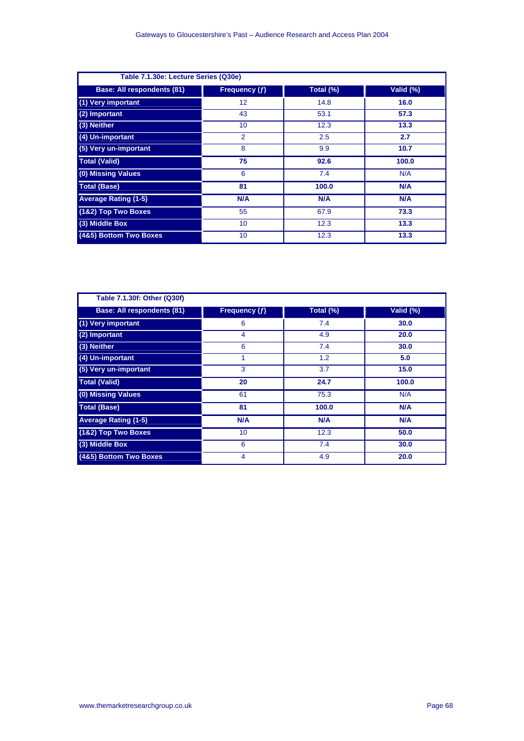| Table 7.1.30e: Lecture Series (Q30e) |                 |           |            |
|--------------------------------------|-----------------|-----------|------------|
| <b>Base: All respondents (81)</b>    | Frequency (f)   | Total (%) | Valid (%)  |
| (1) Very important                   | 12 <sup>2</sup> | 14.8      | 16.0       |
| (2) Important                        | 43              | 53.1      | 57.3       |
| (3) Neither                          | 10 <sup>°</sup> | 12.3      | 13.3       |
| (4) Un-important                     | 2               | 2.5       | 2.7        |
| (5) Very un-important                | 8               | 9.9       | 10.7       |
| <b>Total (Valid)</b>                 | 75              | 92.6      | 100.0      |
| (0) Missing Values                   | 6               | 7.4       | N/A        |
| <b>Total (Base)</b>                  | 81              | 100.0     | <b>N/A</b> |
| <b>Average Rating (1-5)</b>          | N/A             | N/A       | N/A        |
| (1&2) Top Two Boxes                  | 55              | 67.9      | 73.3       |
| (3) Middle Box                       | 10 <sup>1</sup> | 12.3      | 13.3       |
| (4&5) Bottom Two Boxes               | 10              | 12.3      | 13.3       |

| Table 7.1.30f: Other (Q30f)       |                 |           |            |
|-----------------------------------|-----------------|-----------|------------|
| <b>Base: All respondents (81)</b> | Frequency $(f)$ | Total (%) | Valid (%)  |
| (1) Very important                | 6               | 7.4       | 30.0       |
| (2) Important                     | 4               | 4.9       | 20.0       |
| (3) Neither                       | 6               | 7.4       | 30.0       |
| (4) Un-important                  | 1               | 1.2       | 5.0        |
| (5) Very un-important             | 3               | 3.7       | 15.0       |
| <b>Total (Valid)</b>              | 20              | 24.7      | 100.0      |
| (0) Missing Values                | 61              | 75.3      | N/A        |
| <b>Total (Base)</b>               | 81              | 100.0     | <b>N/A</b> |
| <b>Average Rating (1-5)</b>       | N/A             | N/A       | <b>N/A</b> |
| (1&2) Top Two Boxes               | 10              | 12.3      | 50.0       |
| (3) Middle Box                    | 6               | 7.4       | 30.0       |
| (4&5) Bottom Two Boxes            | 4               | 4.9       | 20.0       |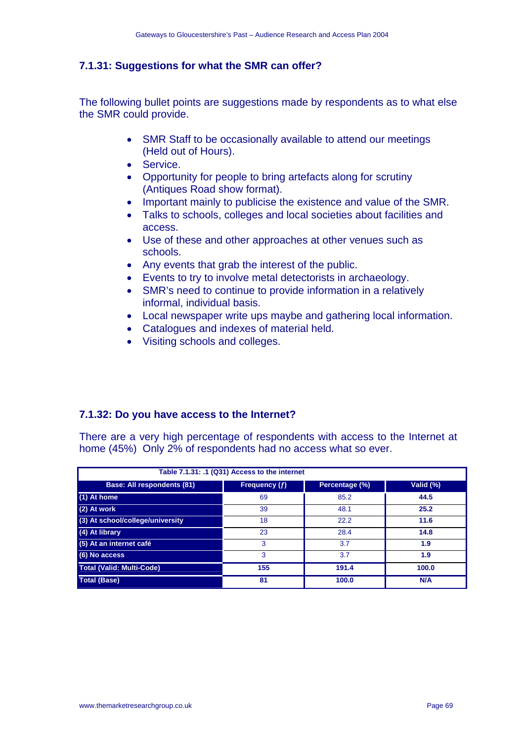## **7.1.31: Suggestions for what the SMR can offer?**

The following bullet points are suggestions made by respondents as to what else the SMR could provide.

- SMR Staff to be occasionally available to attend our meetings (Held out of Hours).
- Service.
- Opportunity for people to bring artefacts along for scrutiny (Antiques Road show format).
- Important mainly to publicise the existence and value of the SMR.
- Talks to schools, colleges and local societies about facilities and access.
- Use of these and other approaches at other venues such as schools.
- Any events that grab the interest of the public.
- Events to try to involve metal detectorists in archaeology.
- SMR's need to continue to provide information in a relatively informal, individual basis.
- Local newspaper write ups maybe and gathering local information.
- Catalogues and indexes of material held.
- Visiting schools and colleges.

## **7.1.32: Do you have access to the Internet?**

There are a very high percentage of respondents with access to the Internet at home (45%) Only 2% of respondents had no access what so ever.

| Table 7.1.31: .1 (Q31) Access to the internet |               |                |            |
|-----------------------------------------------|---------------|----------------|------------|
| <b>Base: All respondents (81)</b>             | Frequency (f) | Percentage (%) | Valid (%)  |
| (1) At home                                   | 69            | 85.2           | 44.5       |
| $(2)$ At work                                 | 39            | 48.1           | 25.2       |
| (3) At school/college/university              | 18            | 22.2           | 11.6       |
| (4) At library                                | 23            | 28.4           | 14.8       |
| (5) At an internet café                       | 3             | 3.7            | 1.9        |
| (6) No access                                 | 3             | 3.7            | 1.9        |
| <b>Total (Valid: Multi-Code)</b>              | 155           | 191.4          | 100.0      |
| <b>Total (Base)</b>                           | 81            | 100.0          | <b>N/A</b> |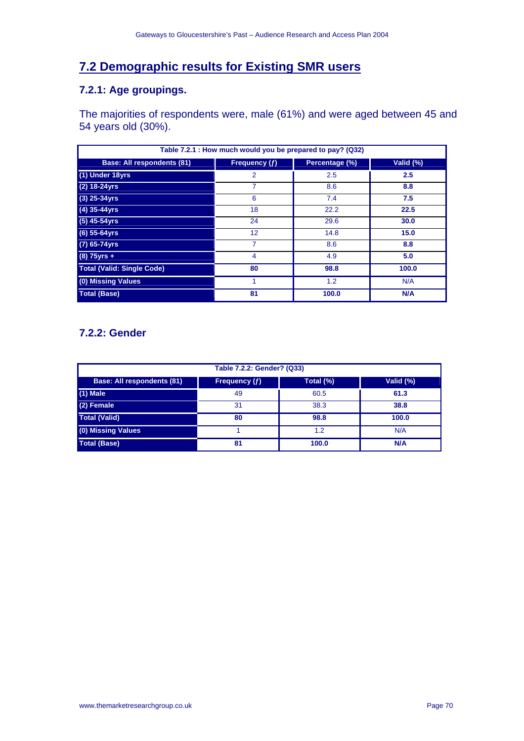# **7.2 Demographic results for Existing SMR users**

## **7.2.1: Age groupings.**

The majorities of respondents were, male (61%) and were aged between 45 and 54 years old (30%).

| Table 7.2.1 : How much would you be prepared to pay? (Q32) |                |                |           |
|------------------------------------------------------------|----------------|----------------|-----------|
| <b>Base: All respondents (81)</b>                          | Frequency (f)  | Percentage (%) | Valid (%) |
| (1) Under 18yrs                                            | $\overline{2}$ | 2.5            | 2.5       |
| $(2)$ 18-24yrs                                             | 7              | 8.6            | 8.8       |
| $(3)$ 25-34yrs                                             | 6              | 7.4            | 7.5       |
| $(4)$ 35-44yrs                                             | 18             | 22.2           | 22.5      |
| $(5)$ 45-54yrs                                             | 24             | 29.6           | 30.0      |
| $(6)$ 55-64yrs                                             | 12             | 14.8           | 15.0      |
| (7) 65-74yrs                                               | 7              | 8.6            | 8.8       |
| $(8) 75$ yrs +                                             | $\overline{4}$ | 4.9            | 5.0       |
| <b>Total (Valid: Single Code)</b>                          | 80             | 98.8           | 100.0     |
| (0) Missing Values                                         |                | 1.2            | N/A       |
| <b>Total (Base)</b>                                        | 81             | 100.0          | N/A       |

# **7.2.2: Gender**

| Table 7.2.2: Gender? (Q33)        |               |           |           |
|-----------------------------------|---------------|-----------|-----------|
| <b>Base: All respondents (81)</b> | Frequency (f) | Total (%) | Valid (%) |
| $(1)$ Male                        | 49            | 60.5      | 61.3      |
| (2) Female                        | 31            | 38.3      | 38.8      |
| <b>Total (Valid)</b>              | 80            | 98.8      | 100.0     |
| (0) Missing Values                |               | 1.2       | N/A       |
| <b>Total (Base)</b>               | 81            | 100.0     | N/A       |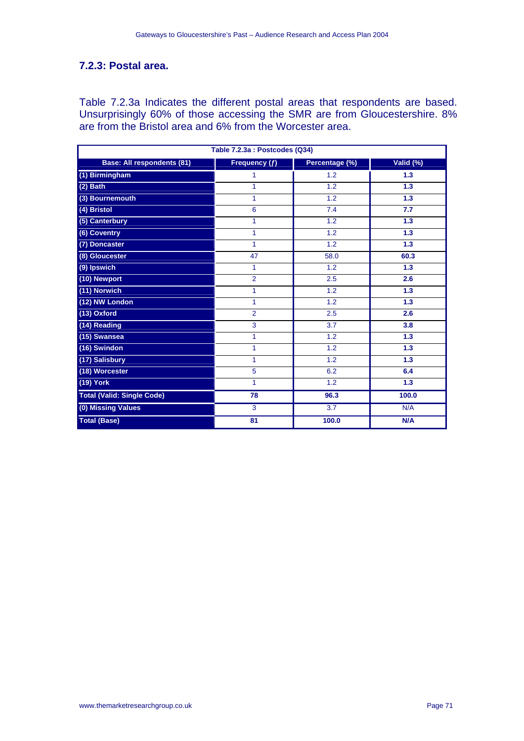## **7.2.3: Postal area.**

Table 7.2.3a Indicates the different postal areas that respondents are based. Unsurprisingly 60% of those accessing the SMR are from Gloucestershire. 8% are from the Bristol area and 6% from the Worcester area.

| Table 7.2.3a : Postcodes (Q34)    |                |                  |                  |  |
|-----------------------------------|----------------|------------------|------------------|--|
| <b>Base: All respondents (81)</b> | Frequency (f)  | Percentage (%)   | Valid (%)        |  |
| (1) Birmingham                    | 1              | 1.2              | 1.3              |  |
| $(2)$ Bath                        | 1              | 1.2              | 1.3              |  |
| (3) Bournemouth                   | 1              | 1.2              | $\overline{1.3}$ |  |
| (4) Bristol                       | 6              | $\overline{7.4}$ | 7.7              |  |
| (5) Canterbury                    | 1              | 1.2              | 1.3              |  |
| (6) Coventry                      | 1              | 1.2              | 1.3              |  |
| (7) Doncaster                     | 1              | 1.2              | 1.3              |  |
| (8) Gloucester                    | 47             | 58.0             | 60.3             |  |
| (9) Ipswich                       | 1              | 1.2              | 1.3              |  |
| (10) Newport                      | $\overline{2}$ | 2.5              | 2.6              |  |
| (11) Norwich                      | 1              | 1.2              | 1.3              |  |
| (12) NW London                    | 1              | 1.2              | 1.3              |  |
| (13) Oxford                       | $\overline{2}$ | 2.5              | 2.6              |  |
| (14) Reading                      | 3              | 3.7              | 3.8              |  |
| (15) Swansea                      | 1              | 1.2              | 1.3              |  |
| $(16)$ Swindon                    | 1              | 1.2              | 1.3              |  |
| (17) Salisbury                    | 1              | 1.2              | 1.3              |  |
| (18) Worcester                    | 5              | 6.2              | 6.4              |  |
| (19) York                         | 1              | 1.2              | 1.3              |  |
| <b>Total (Valid: Single Code)</b> | 78             | 96.3             | 100.0            |  |
| (0) Missing Values                | 3              | $\overline{3.7}$ | N/A              |  |
| <b>Total (Base)</b>               | 81             | 100.0            | N/A              |  |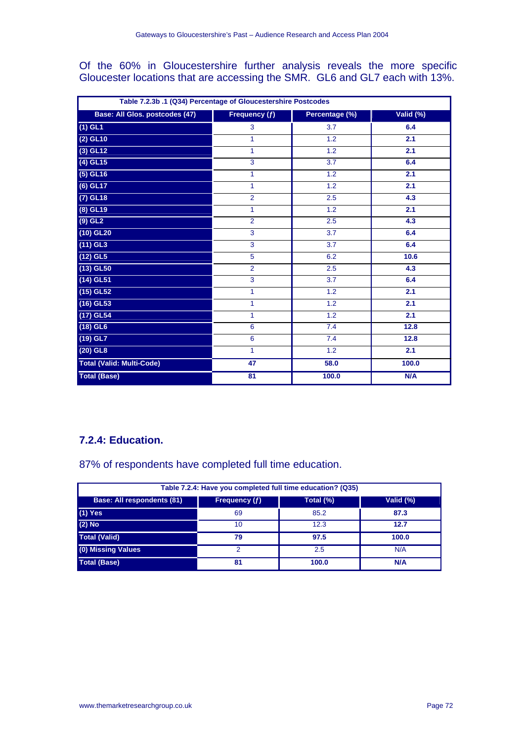Of the 60% in Gloucestershire further analysis reveals the more specific Gloucester locations that are accessing the SMR. GL6 and GL7 each with 13%.

| Table 7.2.3b .1 (Q34) Percentage of Gloucestershire Postcodes |                 |                |           |  |
|---------------------------------------------------------------|-----------------|----------------|-----------|--|
| Base: All Glos. postcodes (47)                                | Frequency $(f)$ | Percentage (%) | Valid (%) |  |
| $(1)$ GL1                                                     | 3               | 3.7            | 6.4       |  |
| $(2)$ GL10                                                    | 1               | 1.2            | 2.1       |  |
| $\overline{(3)$ GL12                                          | 1               | 1.2            | 2.1       |  |
| $(4)$ GL15                                                    | 3               | 3.7            | 6.4       |  |
| $(5)$ GL16                                                    | 1               | 1.2            | 2.1       |  |
| $(6)$ GL17                                                    | 1               | 1.2            | 2.1       |  |
| $(7)$ GL18                                                    | $\overline{2}$  | 2.5            | 4.3       |  |
| $(8)$ GL19                                                    | 1               | 1.2            | 2.1       |  |
| $(9)$ GL <sub>2</sub>                                         | $\overline{2}$  | 2.5            | 4.3       |  |
| $(10)$ GL20                                                   | 3               | 3.7            | 6.4       |  |
| $(11)$ GL3                                                    | $\overline{3}$  | 3.7            | 6.4       |  |
| $(12)$ GL5                                                    | 5               | 6.2            | 10.6      |  |
| $(13)$ GL50                                                   | $\overline{2}$  | 2.5            | 4.3       |  |
| $(14)$ GL51                                                   | $\overline{3}$  | 3.7            | 6.4       |  |
| $(15)$ GL52                                                   | 1               | 1.2            | 2.1       |  |
| $(16)$ GL53                                                   | 1               | 1.2            | 2.1       |  |
| (17) GL54                                                     | 1               | 1.2            | 2.1       |  |
| $(18)$ GL6                                                    | 6               | 7.4            | 12.8      |  |
| $(19)$ GL7                                                    | $6\phantom{a}$  | 7.4            | 12.8      |  |
| $(20)$ GL8                                                    | 1               | 1.2            | 2.1       |  |
| <b>Total (Valid: Multi-Code)</b>                              | $\overline{47}$ | 58.0           | 100.0     |  |
| <b>Total (Base)</b>                                           | 81              | 100.0          | N/A       |  |

# **7.2.4: Education.**

87% of respondents have completed full time education.

| Table 7.2.4: Have you completed full time education? (Q35)                     |    |       |       |  |  |  |  |
|--------------------------------------------------------------------------------|----|-------|-------|--|--|--|--|
| <b>Base: All respondents (81)</b><br>Total (%)<br>Valid (%)<br>Frequency $(f)$ |    |       |       |  |  |  |  |
| $(1)$ Yes                                                                      | 69 | 85.2  | 87.3  |  |  |  |  |
| $(2)$ No                                                                       | 10 | 12.3  | 12.7  |  |  |  |  |
| <b>Total (Valid)</b>                                                           | 79 | 97.5  | 100.0 |  |  |  |  |
| (0) Missing Values                                                             | 2  | 2.5   | N/A   |  |  |  |  |
| <b>Total (Base)</b>                                                            | 81 | 100.0 | N/A   |  |  |  |  |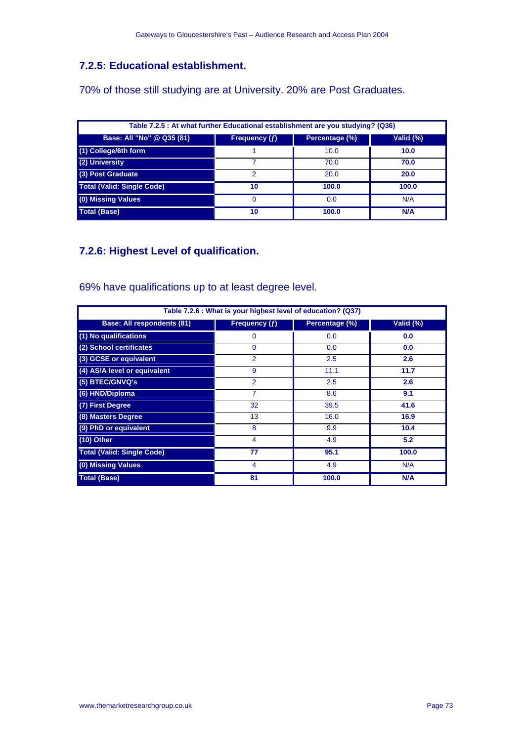# **7.2.5: Educational establishment.**

70% of those still studying are at University. 20% are Post Graduates.

| Table 7.2.5 : At what further Educational establishment are you studying? (Q36) |               |                |           |  |
|---------------------------------------------------------------------------------|---------------|----------------|-----------|--|
| Base: All "No" @ Q35 (81)                                                       | Frequency (f) | Percentage (%) | Valid (%) |  |
| (1) College/6th form                                                            |               | 10.0           | 10.0      |  |
| (2) University                                                                  |               | 70.0           | 70.0      |  |
| (3) Post Graduate                                                               | 2             | 20.0           | 20.0      |  |
| <b>Total (Valid: Single Code)</b>                                               | 10            | 100.0          | 100.0     |  |
| (0) Missing Values                                                              |               | 0.0            | N/A       |  |
| Total (Base)                                                                    | 10            | 100.0          | N/A       |  |

# **7.2.6: Highest Level of qualification.**

69% have qualifications up to at least degree level.

| Table 7.2.6 : What is your highest level of education? (Q37) |                 |                |           |  |
|--------------------------------------------------------------|-----------------|----------------|-----------|--|
| <b>Base: All respondents (81)</b>                            | Frequency $(f)$ | Percentage (%) | Valid (%) |  |
| (1) No qualifications                                        | 0               | 0.0            | 0.0       |  |
| (2) School certificates                                      | $\Omega$        | 0.0            | 0.0       |  |
| (3) GCSE or equivalent                                       | $\overline{2}$  | 2.5            | 2.6       |  |
| (4) AS/A level or equivalent                                 | 9               | 11.1           | 11.7      |  |
| (5) BTEC/GNVQ's                                              | $\overline{2}$  | 2.5            | 2.6       |  |
| (6) HND/Diploma                                              | 7               | 8.6            | 9.1       |  |
| (7) First Degree                                             | 32              | 39.5           | 41.6      |  |
| (8) Masters Degree                                           | 13              | 16.0           | 16.9      |  |
| (9) PhD or equivalent                                        | 8               | 9.9            | 10.4      |  |
| $(10)$ Other                                                 | 4               | 4.9            | 5.2       |  |
| <b>Total (Valid: Single Code)</b>                            | 77              | 95.1           | 100.0     |  |
| (0) Missing Values                                           | 4               | 4.9            | N/A       |  |
| <b>Total (Base)</b>                                          | 81              | 100.0          | N/A       |  |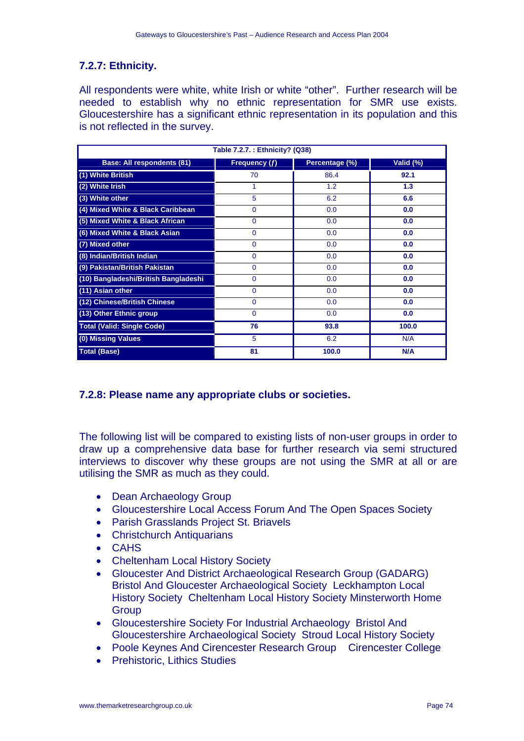## **7.2.7: Ethnicity.**

All respondents were white, white Irish or white "other". Further research will be needed to establish why no ethnic representation for SMR use exists. Gloucestershire has a significant ethnic representation in its population and this is not reflected in the survey.

| Table 7.2.7.: Ethnicity? (Q38)       |                      |                |           |  |
|--------------------------------------|----------------------|----------------|-----------|--|
| <b>Base: All respondents (81)</b>    | <b>Frequency (f)</b> | Percentage (%) | Valid (%) |  |
| (1) White British                    | 70                   | 86.4           | 92.1      |  |
| (2) White Irish                      | 1                    | 1.2            | 1.3       |  |
| (3) White other                      | 5                    | 6.2            | 6.6       |  |
| (4) Mixed White & Black Caribbean    | $\Omega$             | 0.0            | 0.0       |  |
| (5) Mixed White & Black African      | $\Omega$             | 0.0            | 0.0       |  |
| (6) Mixed White & Black Asian        | $\Omega$             | 0.0            | 0.0       |  |
| (7) Mixed other                      | $\Omega$             | 0.0            | 0.0       |  |
| (8) Indian/British Indian            | $\Omega$             | 0.0            | 0.0       |  |
| (9) Pakistan/British Pakistan        | $\Omega$             | 0.0            | 0.0       |  |
| (10) Bangladeshi/British Bangladeshi | $\Omega$             | 0.0            | 0.0       |  |
| (11) Asian other                     | $\Omega$             | 0.0            | 0.0       |  |
| (12) Chinese/British Chinese         | $\Omega$             | 0.0            | 0.0       |  |
| (13) Other Ethnic group              | $\Omega$             | 0.0            | 0.0       |  |
| <b>Total (Valid: Single Code)</b>    | 76                   | 93.8           | 100.0     |  |
| (0) Missing Values                   | 5                    | 6.2            | N/A       |  |
| <b>Total (Base)</b>                  | 81                   | 100.0          | N/A       |  |

## **7.2.8: Please name any appropriate clubs or societies.**

The following list will be compared to existing lists of non-user groups in order to draw up a comprehensive data base for further research via semi structured interviews to discover why these groups are not using the SMR at all or are utilising the SMR as much as they could.

- Dean Archaeology Group
- Gloucestershire Local Access Forum And The Open Spaces Society
- Parish Grasslands Project St. Briavels
- Christchurch Antiquarians
- CAHS
- Cheltenham Local History Society
- Gloucester And District Archaeological Research Group (GADARG) Bristol And Gloucester Archaeological Society Leckhampton Local History Society Cheltenham Local History Society Minsterworth Home **Group**
- Gloucestershire Society For Industrial Archaeology Bristol And Gloucestershire Archaeological Society Stroud Local History Society
- Poole Keynes And Cirencester Research Group Cirencester College
- Prehistoric, Lithics Studies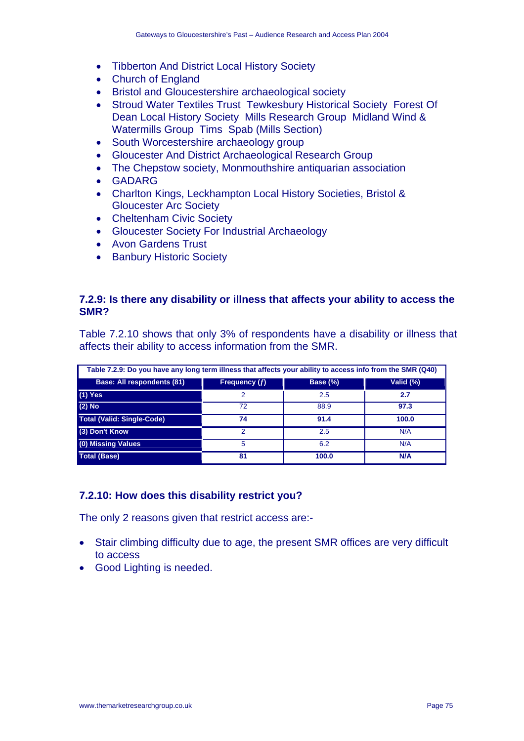- Tibberton And District Local History Society
- Church of England
- Bristol and Gloucestershire archaeological society
- Stroud Water Textiles Trust Tewkesbury Historical Society Forest Of Dean Local History Society Mills Research Group Midland Wind & Watermills Group Tims Spab (Mills Section)
- South Worcestershire archaeology group
- Gloucester And District Archaeological Research Group
- The Chepstow society, Monmouthshire antiquarian association
- GADARG
- Charlton Kings, Leckhampton Local History Societies, Bristol & Gloucester Arc Society
- Cheltenham Civic Society
- Gloucester Society For Industrial Archaeology
- Avon Gardens Trust
- Banbury Historic Society

#### **7.2.9: Is there any disability or illness that affects your ability to access the SMR?**

Table 7.2.10 shows that only 3% of respondents have a disability or illness that affects their ability to access information from the SMR.

| Table 7.2.9: Do you have any long term illness that affects your ability to access info from the SMR (Q40) |               |          |            |  |
|------------------------------------------------------------------------------------------------------------|---------------|----------|------------|--|
| Base: All respondents (81)                                                                                 | Frequency (f) | Base (%) | Valid (%)  |  |
| $(1)$ Yes                                                                                                  | 2             | 2.5      | 2.7        |  |
| $(2)$ No                                                                                                   | 72            | 88.9     | 97.3       |  |
| <b>Total (Valid: Single-Code)</b>                                                                          | 74            | 91.4     | 100.0      |  |
| (3) Don't Know                                                                                             | 2             | 2.5      | N/A        |  |
| (0) Missing Values                                                                                         | 5             | 6.2      | N/A        |  |
| <b>Total (Base)</b>                                                                                        | 81            | 100.0    | <b>N/A</b> |  |

## **7.2.10: How does this disability restrict you?**

The only 2 reasons given that restrict access are:-

- Stair climbing difficulty due to age, the present SMR offices are very difficult to access
- Good Lighting is needed.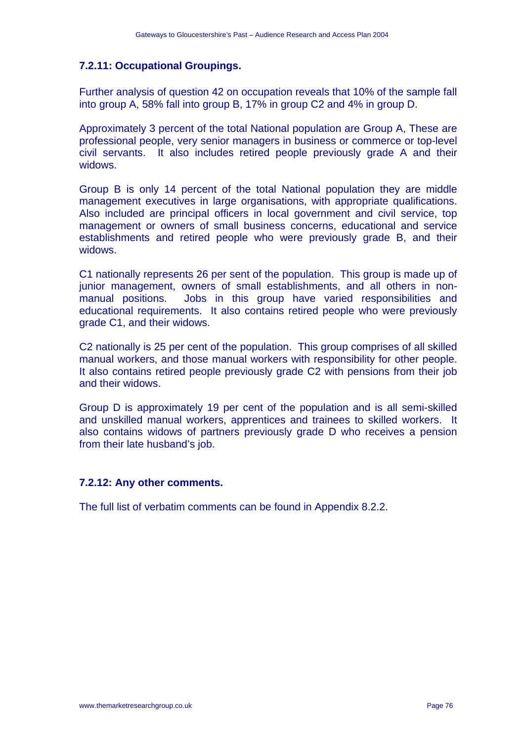## **7.2.11: Occupational Groupings.**

Further analysis of question 42 on occupation reveals that 10% of the sample fall into group A, 58% fall into group B, 17% in group C2 and 4% in group D.

Approximately 3 percent of the total National population are Group A, These are professional people, very senior managers in business or commerce or top-level civil servants. It also includes retired people previously grade A and their widows.

Group B is only 14 percent of the total National population they are middle management executives in large organisations, with appropriate qualifications. Also included are principal officers in local government and civil service, top management or owners of small business concerns, educational and service establishments and retired people who were previously grade B, and their widows.

C1 nationally represents 26 per sent of the population. This group is made up of junior management, owners of small establishments, and all others in nonmanual positions. Jobs in this group have varied responsibilities and educational requirements. It also contains retired people who were previously grade C1, and their widows.

C2 nationally is 25 per cent of the population. This group comprises of all skilled manual workers, and those manual workers with responsibility for other people. It also contains retired people previously grade C2 with pensions from their job and their widows.

Group D is approximately 19 per cent of the population and is all semi-skilled and unskilled manual workers, apprentices and trainees to skilled workers. It also contains widows of partners previously grade D who receives a pension from their late husband's job.

## **7.2.12: Any other comments.**

The full list of verbatim comments can be found in Appendix 8.2.2.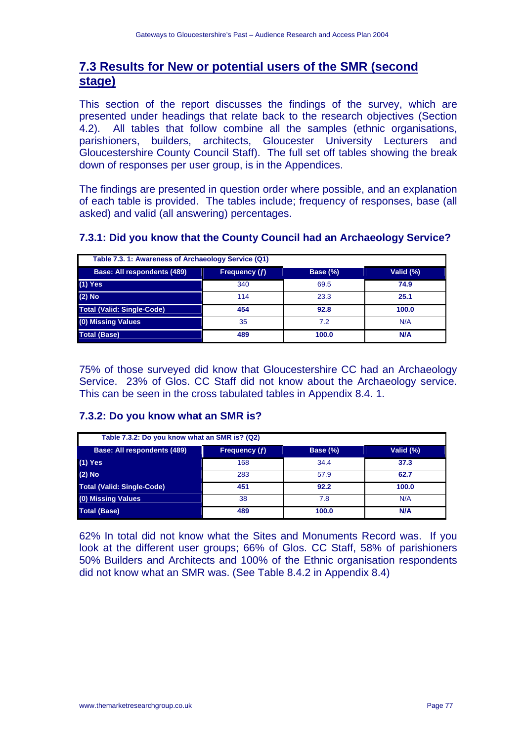# **7.3 Results for New or potential users of the SMR (second stage)**

This section of the report discusses the findings of the survey, which are presented under headings that relate back to the research objectives (Section 4.2). All tables that follow combine all the samples (ethnic organisations, parishioners, builders, architects, Gloucester University Lecturers and Gloucestershire County Council Staff). The full set off tables showing the break down of responses per user group, is in the Appendices.

The findings are presented in question order where possible, and an explanation of each table is provided. The tables include; frequency of responses, base (all asked) and valid (all answering) percentages.

| Table 7.3. 1: Awareness of Archaeology Service (Q1) |               |             |            |
|-----------------------------------------------------|---------------|-------------|------------|
| Base: All respondents (489)                         | Frequency (f) | Base $(\%)$ | Valid (%)  |
| $(1)$ Yes                                           | 340           | 69.5        | 74.9       |
| $(2)$ No                                            | 114           | 23.3        | 25.1       |
| <b>Total (Valid: Single-Code)</b>                   | 454           | 92.8        | 100.0      |
| (0) Missing Values                                  | 35            | 7.2         | N/A        |
| <b>Total (Base)</b>                                 | 489           | 100.0       | <b>N/A</b> |

## **7.3.1: Did you know that the County Council had an Archaeology Service?**

75% of those surveyed did know that Gloucestershire CC had an Archaeology Service. 23% of Glos. CC Staff did not know about the Archaeology service. This can be seen in the cross tabulated tables in Appendix 8.4. 1.

## **7.3.2: Do you know what an SMR is?**

| Table 7.3.2: Do you know what an SMR is? (Q2) |               |                 |            |  |
|-----------------------------------------------|---------------|-----------------|------------|--|
| Base: All respondents (489)                   | Frequency (f) | <b>Base (%)</b> | Valid (%)  |  |
| $(1)$ Yes                                     | 168           | 34.4            | 37.3       |  |
| $(2)$ No                                      | 283           | 57.9            | 62.7       |  |
| <b>Total (Valid: Single-Code)</b>             | 451           | 92.2            | 100.0      |  |
| (0) Missing Values                            | 38            | 7.8             | N/A        |  |
| <b>Total (Base)</b>                           | 489           | 100.0           | <b>N/A</b> |  |

62% In total did not know what the Sites and Monuments Record was. If you look at the different user groups; 66% of Glos. CC Staff, 58% of parishioners 50% Builders and Architects and 100% of the Ethnic organisation respondents did not know what an SMR was. (See Table 8.4.2 in Appendix 8.4)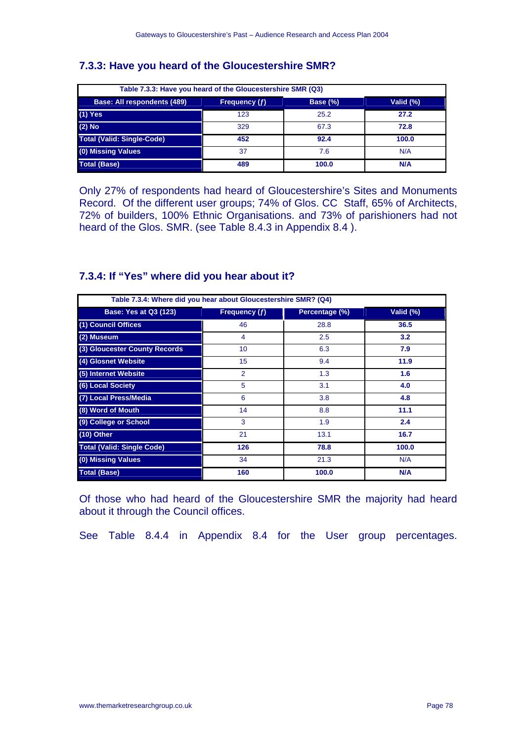## **7.3.3: Have you heard of the Gloucestershire SMR?**

| Table 7.3.3: Have you heard of the Gloucestershire SMR (Q3)           |     |       |            |  |  |
|-----------------------------------------------------------------------|-----|-------|------------|--|--|
| Valid (%)<br>Base: All respondents (489)<br>Base (%)<br>Frequency (f) |     |       |            |  |  |
| $(1)$ Yes                                                             | 123 | 25.2  | 27.2       |  |  |
| $(2)$ No                                                              | 329 | 67.3  | 72.8       |  |  |
| <b>Total (Valid: Single-Code)</b>                                     | 452 | 92.4  | 100.0      |  |  |
| (0) Missing Values                                                    | 37  | 7.6   | N/A        |  |  |
| <b>Total (Base)</b>                                                   | 489 | 100.0 | <b>N/A</b> |  |  |

Only 27% of respondents had heard of Gloucestershire's Sites and Monuments Record. Of the different user groups; 74% of Glos. CC Staff, 65% of Architects, 72% of builders, 100% Ethnic Organisations. and 73% of parishioners had not heard of the Glos. SMR. (see Table 8.4.3 in Appendix 8.4 ).

## **7.3.4: If "Yes" where did you hear about it?**

| Table 7.3.4: Where did you hear about Gloucestershire SMR? (Q4) |                |                |           |  |
|-----------------------------------------------------------------|----------------|----------------|-----------|--|
| <b>Base: Yes at Q3 (123)</b>                                    | Frequency (f)  | Percentage (%) | Valid (%) |  |
| (1) Council Offices                                             | 46             | 28.8           | 36.5      |  |
| (2) Museum                                                      | 4              | 2.5            | 3.2       |  |
| (3) Gloucester County Records                                   | 10             | 6.3            | 7.9       |  |
| (4) Glosnet Website                                             | 15             | 9.4            | 11.9      |  |
| (5) Internet Website                                            | $\overline{2}$ | 1.3            | 1.6       |  |
| (6) Local Society                                               | 5              | 3.1            | 4.0       |  |
| (7) Local Press/Media                                           | 6              | 3.8            | 4.8       |  |
| (8) Word of Mouth                                               | 14             | 8.8            | 11.1      |  |
| (9) College or School                                           | 3              | 1.9            | 2.4       |  |
| (10) Other                                                      | 21             | 13.1           | 16.7      |  |
| <b>Total (Valid: Single Code)</b>                               | 126            | 78.8           | 100.0     |  |
| (0) Missing Values                                              | 34             | 21.3           | N/A       |  |
| <b>Total (Base)</b>                                             | 160            | 100.0          | N/A       |  |

Of those who had heard of the Gloucestershire SMR the majority had heard about it through the Council offices.

See Table 8.4.4 in Appendix 8.4 for the User group percentages.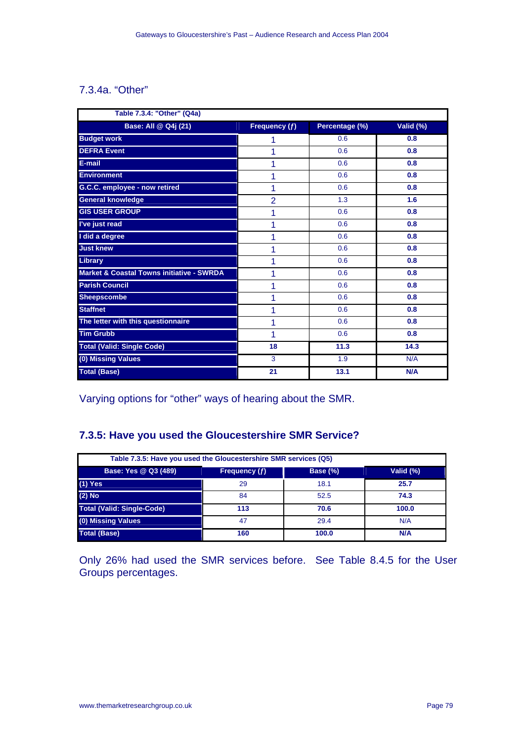## 7.3.4a. "Other"

| Table 7.3.4: "Other" (Q4a)                           |                 |                |           |  |
|------------------------------------------------------|-----------------|----------------|-----------|--|
| Base: All @ Q4j (21)                                 | Frequency $(f)$ | Percentage (%) | Valid (%) |  |
| <b>Budget work</b>                                   | 1               | 0.6            | 0.8       |  |
| <b>DEFRA Event</b>                                   | 1               | 0.6            | 0.8       |  |
| E-mail                                               | 1               | 0.6            | 0.8       |  |
| <b>Environment</b>                                   | 1               | 0.6            | 0.8       |  |
| G.C.C. employee - now retired                        | 1               | 0.6            | 0.8       |  |
| <b>General knowledge</b>                             | $\overline{2}$  | 1.3            | 1.6       |  |
| <b>GIS USER GROUP</b>                                | 1               | 0.6            | 0.8       |  |
| I've just read                                       | 1               | 0.6            | 0.8       |  |
| I did a degree                                       | 1               | 0.6            | 0.8       |  |
| <b>Just knew</b>                                     | 1               | 0.6            | 0.8       |  |
| <b>Library</b>                                       | 1               | 0.6            | 0.8       |  |
| <b>Market &amp; Coastal Towns initiative - SWRDA</b> | 1               | 0.6            | 0.8       |  |
| <b>Parish Council</b>                                | 1               | 0.6            | 0.8       |  |
| <b>Sheepscombe</b>                                   | 1               | 0.6            | 0.8       |  |
| <b>Staffnet</b>                                      | 1               | 0.6            | 0.8       |  |
| The letter with this questionnaire                   | 1               | 0.6            | 0.8       |  |
| <b>Tim Grubb</b>                                     | 1               | 0.6            | 0.8       |  |
| <b>Total (Valid: Single Code)</b>                    | 18              | 11.3           | 14.3      |  |
| (0) Missing Values                                   | 3               | 1.9            | N/A       |  |
| <b>Total (Base)</b>                                  | 21              | 13.1           | N/A       |  |

Varying options for "other" ways of hearing about the SMR.

# **7.3.5: Have you used the Gloucestershire SMR Service?**

| Table 7.3.5: Have you used the Gloucestershire SMR services (Q5)  |     |       |       |  |  |  |  |  |  |
|-------------------------------------------------------------------|-----|-------|-------|--|--|--|--|--|--|
| Base: Yes @ Q3 (489)<br>Valid (%)<br>Frequency (f)<br>Base $(\%)$ |     |       |       |  |  |  |  |  |  |
| $(1)$ Yes                                                         | 29  | 18.1  | 25.7  |  |  |  |  |  |  |
| $(2)$ No                                                          | 84  | 52.5  | 74.3  |  |  |  |  |  |  |
| <b>Total (Valid: Single-Code)</b>                                 | 113 | 70.6  | 100.0 |  |  |  |  |  |  |
| (0) Missing Values                                                | 47  | 29.4  | N/A   |  |  |  |  |  |  |
| <b>Total (Base)</b>                                               | 160 | 100.0 | N/A   |  |  |  |  |  |  |

Only 26% had used the SMR services before. See Table 8.4.5 for the User Groups percentages.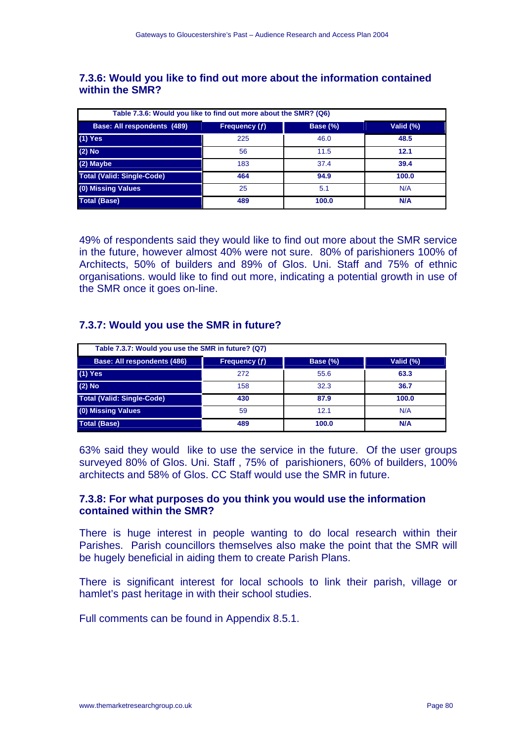#### **7.3.6: Would you like to find out more about the information contained within the SMR?**

| Table 7.3.6: Would you like to find out more about the SMR? (Q6) |               |                 |            |  |  |  |  |  |
|------------------------------------------------------------------|---------------|-----------------|------------|--|--|--|--|--|
| Base: All respondents (489)                                      | Frequency (f) | <b>Base (%)</b> | Valid (%)  |  |  |  |  |  |
| $(1)$ Yes                                                        | 225           | 46.0            | 48.5       |  |  |  |  |  |
| $(2)$ No                                                         | 56            | 11.5            | 12.1       |  |  |  |  |  |
| (2) Maybe                                                        | 183           | 37.4            | 39.4       |  |  |  |  |  |
| <b>Total (Valid: Single-Code)</b>                                | 464           | 94.9            | 100.0      |  |  |  |  |  |
| (0) Missing Values                                               | 25            | 5.1             | N/A        |  |  |  |  |  |
| <b>Total (Base)</b>                                              | 489           | 100.0           | <b>N/A</b> |  |  |  |  |  |

49% of respondents said they would like to find out more about the SMR service in the future, however almost 40% were not sure. 80% of parishioners 100% of Architects, 50% of builders and 89% of Glos. Uni. Staff and 75% of ethnic organisations. would like to find out more, indicating a potential growth in use of the SMR once it goes on-line.

#### **7.3.7: Would you use the SMR in future?**

| Table 7.3.7: Would you use the SMR in future? (Q7)                    |     |       |            |  |  |  |  |  |  |
|-----------------------------------------------------------------------|-----|-------|------------|--|--|--|--|--|--|
| Base: All respondents (486)<br>Base (%)<br>Frequency (f)<br>Valid (%) |     |       |            |  |  |  |  |  |  |
| $(1)$ Yes                                                             | 272 | 55.6  | 63.3       |  |  |  |  |  |  |
| $(2)$ No                                                              | 158 | 32.3  | 36.7       |  |  |  |  |  |  |
| <b>Total (Valid: Single-Code)</b>                                     | 430 | 87.9  | 100.0      |  |  |  |  |  |  |
| (0) Missing Values                                                    | 59  | 12.1  | N/A        |  |  |  |  |  |  |
| <b>Total (Base)</b>                                                   | 489 | 100.0 | <b>N/A</b> |  |  |  |  |  |  |

63% said they would like to use the service in the future. Of the user groups surveyed 80% of Glos. Uni. Staff , 75% of parishioners, 60% of builders, 100% architects and 58% of Glos. CC Staff would use the SMR in future.

#### **7.3.8: For what purposes do you think you would use the information contained within the SMR?**

There is huge interest in people wanting to do local research within their Parishes. Parish councillors themselves also make the point that the SMR will be hugely beneficial in aiding them to create Parish Plans.

There is significant interest for local schools to link their parish, village or hamlet's past heritage in with their school studies.

Full comments can be found in Appendix 8.5.1.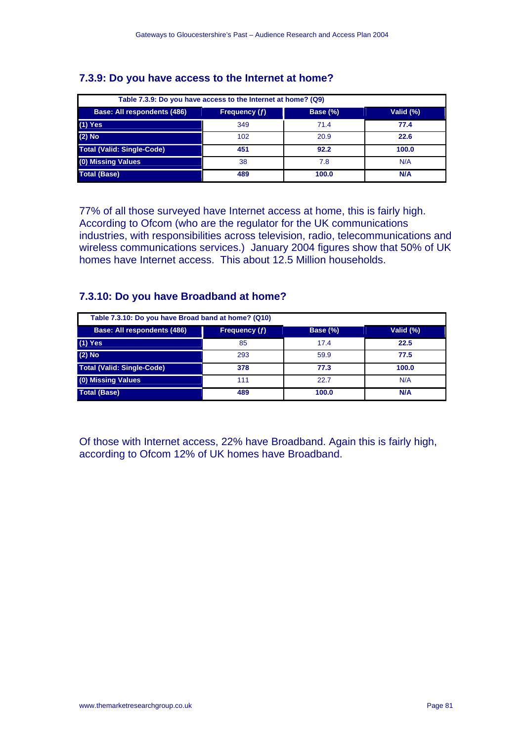## **7.3.9: Do you have access to the Internet at home?**

| Table 7.3.9: Do you have access to the Internet at home? (Q9)                |     |       |       |  |  |  |  |  |  |
|------------------------------------------------------------------------------|-----|-------|-------|--|--|--|--|--|--|
| <b>Base: All respondents (486)</b><br>Base (%)<br>Valid (%)<br>Frequency (f) |     |       |       |  |  |  |  |  |  |
| $(1)$ Yes                                                                    | 349 | 71.4  | 77.4  |  |  |  |  |  |  |
| $(2)$ No                                                                     | 102 | 20.9  | 22.6  |  |  |  |  |  |  |
| <b>Total (Valid: Single-Code)</b>                                            | 451 | 92.2  | 100.0 |  |  |  |  |  |  |
| (0) Missing Values                                                           | 38  | 7.8   | N/A   |  |  |  |  |  |  |
| <b>Total (Base)</b>                                                          | 489 | 100.0 | N/A   |  |  |  |  |  |  |

77% of all those surveyed have Internet access at home, this is fairly high. According to Ofcom (who are the regulator for the UK communications industries, with responsibilities across television, radio, telecommunications and wireless communications services.) January 2004 figures show that 50% of UK homes have Internet access. This about 12.5 Million households.

## **7.3.10: Do you have Broadband at home?**

| Table 7.3.10: Do you have Broad band at home? (Q10) |               |                 |           |  |  |  |  |  |  |
|-----------------------------------------------------|---------------|-----------------|-----------|--|--|--|--|--|--|
| Base: All respondents (486)                         | Frequency (f) | <b>Base (%)</b> | Valid (%) |  |  |  |  |  |  |
| $(1)$ Yes                                           | 85            | 17.4            | 22.5      |  |  |  |  |  |  |
| $(2)$ No                                            | 293           | 59.9            | 77.5      |  |  |  |  |  |  |
| <b>Total (Valid: Single-Code)</b>                   | 378           | 77.3            | 100.0     |  |  |  |  |  |  |
| (0) Missing Values                                  | 111           | 22.7            | N/A       |  |  |  |  |  |  |
| <b>Total (Base)</b>                                 | 489           | 100.0           | N/A       |  |  |  |  |  |  |

Of those with Internet access, 22% have Broadband. Again this is fairly high, according to Ofcom 12% of UK homes have Broadband.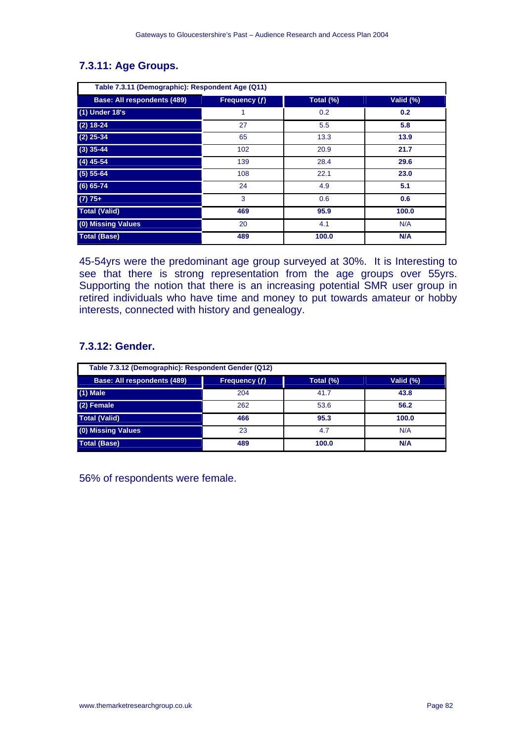|                                    |               | Table 7.3.11 (Demographic): Respondent Age (Q11) |           |  |  |  |  |  |  |  |  |
|------------------------------------|---------------|--------------------------------------------------|-----------|--|--|--|--|--|--|--|--|
| <b>Base: All respondents (489)</b> | Frequency (f) | Total (%)                                        | Valid (%) |  |  |  |  |  |  |  |  |
| (1) Under 18's                     | 1             | 0.2                                              | 0.2       |  |  |  |  |  |  |  |  |
| $(2) 18 - 24$                      | 27            | 5.5                                              | 5.8       |  |  |  |  |  |  |  |  |
| $(2)$ 25-34                        | 65            | 13.3                                             | 13.9      |  |  |  |  |  |  |  |  |
| $(3)$ 35-44                        | 102           | 20.9                                             | 21.7      |  |  |  |  |  |  |  |  |
| $(4)$ 45-54                        | 139           | 28.4                                             | 29.6      |  |  |  |  |  |  |  |  |
| $(5) 55 - 64$                      | 108           | 22.1                                             | 23.0      |  |  |  |  |  |  |  |  |
| $(6) 65 - 74$                      | 24            | 4.9                                              | 5.1       |  |  |  |  |  |  |  |  |
| $(7) 75+$                          | 3             | 0.6                                              | 0.6       |  |  |  |  |  |  |  |  |
| <b>Total (Valid)</b>               | 469           | 95.9                                             | 100.0     |  |  |  |  |  |  |  |  |
| (0) Missing Values                 | 20            | 4.1                                              | N/A       |  |  |  |  |  |  |  |  |
| <b>Total (Base)</b>                | 489           | 100.0                                            | N/A       |  |  |  |  |  |  |  |  |

# **7.3.11: Age Groups.**

45-54yrs were the predominant age group surveyed at 30%. It is Interesting to see that there is strong representation from the age groups over 55yrs. Supporting the notion that there is an increasing potential SMR user group in retired individuals who have time and money to put towards amateur or hobby interests, connected with history and genealogy.

## **7.3.12: Gender.**

| Table 7.3.12 (Demographic): Respondent Gender (Q12) |               |           |       |  |  |  |  |  |
|-----------------------------------------------------|---------------|-----------|-------|--|--|--|--|--|
| <b>Base: All respondents (489)</b>                  | Frequency (f) | Total (%) |       |  |  |  |  |  |
| $(1)$ Male                                          | 204           | 41.7      | 43.8  |  |  |  |  |  |
| (2) Female                                          | 262           | 53.6      | 56.2  |  |  |  |  |  |
| <b>Total (Valid)</b>                                | 466           | 95.3      | 100.0 |  |  |  |  |  |
| (0) Missing Values                                  | 23            | 4.7       | N/A   |  |  |  |  |  |
| <b>Total (Base)</b>                                 | 489           | 100.0     | N/A   |  |  |  |  |  |

56% of respondents were female.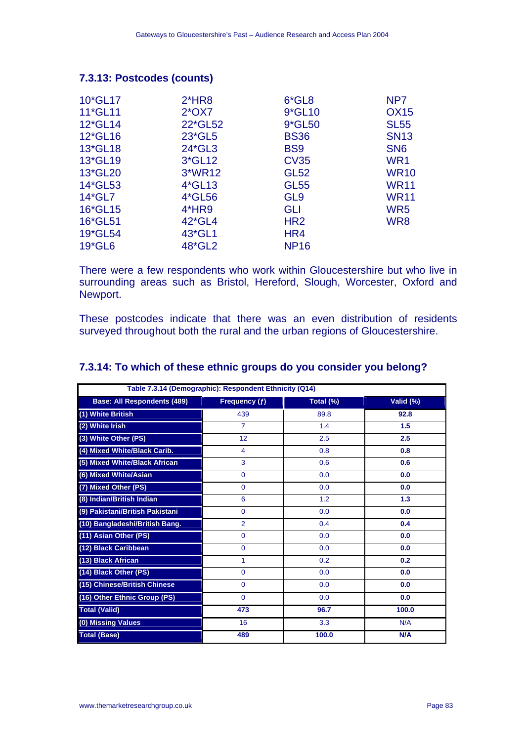## **7.3.13: Postcodes (counts)**

| 10*GL17 | $2*HR8$  | $6*GL8$         | NP <sub>7</sub> |
|---------|----------|-----------------|-----------------|
| 11*GL11 | $2*OX7$  | 9*GL10          | <b>OX15</b>     |
| 12*GL14 | 22*GL52  | 9*GL50          | <b>SL55</b>     |
| 12*GL16 | 23*GL5   | <b>BS36</b>     | <b>SN13</b>     |
| 13*GL18 | 24*GL3   | BS <sub>9</sub> | SN <sub>6</sub> |
| 13*GL19 | 3*GL12   | <b>CV35</b>     | WR1             |
| 13*GL20 | 3*WR12   | <b>GL52</b>     | <b>WR10</b>     |
| 14*GL53 | $4*GL13$ | <b>GL55</b>     | <b>WR11</b>     |
| 14*GL7  | 4*GL56   | GL <sub>9</sub> | <b>WR11</b>     |
| 16*GL15 | 4*HR9    | GLI             | WR <sub>5</sub> |
| 16*GL51 | 42*GL4   | HR <sub>2</sub> | WR8             |
| 19*GL54 | 43*GL1   | HR4             |                 |
| 19*GL6  | 48*GL2   | <b>NP16</b>     |                 |

There were a few respondents who work within Gloucestershire but who live in surrounding areas such as Bristol, Hereford, Slough, Worcester, Oxford and Newport.

These postcodes indicate that there was an even distribution of residents surveyed throughout both the rural and the urban regions of Gloucestershire.

| Table 7.3.14 (Demographic): Respondent Ethnicity (Q14) |                |           |           |  |  |  |  |  |
|--------------------------------------------------------|----------------|-----------|-----------|--|--|--|--|--|
| <b>Base: All Respondents (489)</b>                     | Frequency (f)  | Total (%) | Valid (%) |  |  |  |  |  |
| (1) White British                                      | 439            | 89.8      | 92.8      |  |  |  |  |  |
| (2) White Irish                                        | $\overline{7}$ | 1.4       | 1.5       |  |  |  |  |  |
| (3) White Other (PS)                                   | 12             | 2.5       | 2.5       |  |  |  |  |  |
| (4) Mixed White/Black Carib.                           | $\overline{4}$ | 0.8       | 0.8       |  |  |  |  |  |
| (5) Mixed White/Black African                          | 3              | 0.6       | 0.6       |  |  |  |  |  |
| (6) Mixed White/Asian                                  | $\mathbf{0}$   | 0.0       | 0.0       |  |  |  |  |  |
| (7) Mixed Other (PS)                                   | $\mathbf{0}$   | 0.0       | 0.0       |  |  |  |  |  |
| (8) Indian/British Indian                              | 6              | 1.2       | 1.3       |  |  |  |  |  |
| (9) Pakistani/British Pakistani                        | $\mathbf{0}$   | 0.0       | 0.0       |  |  |  |  |  |
| (10) Bangladeshi/British Bang.                         | $\overline{2}$ | 0.4       | 0.4       |  |  |  |  |  |
| (11) Asian Other (PS)                                  | $\mathbf{0}$   | 0.0       | 0.0       |  |  |  |  |  |
| (12) Black Caribbean                                   | $\mathbf{0}$   | 0.0       | 0.0       |  |  |  |  |  |
| (13) Black African                                     | 1              | 0.2       | 0.2       |  |  |  |  |  |
| (14) Black Other (PS)                                  | $\mathbf{0}$   | 0.0       | 0.0       |  |  |  |  |  |
| (15) Chinese/British Chinese                           | $\mathbf{0}$   | 0.0       | 0.0       |  |  |  |  |  |
| (16) Other Ethnic Group (PS)                           | $\mathbf{0}$   | 0.0       | 0.0       |  |  |  |  |  |
| <b>Total (Valid)</b>                                   | 473            | 96.7      | 100.0     |  |  |  |  |  |
| (0) Missing Values                                     | 16             | 3.3       | N/A       |  |  |  |  |  |
| <b>Total (Base)</b>                                    | 489            | 100.0     | N/A       |  |  |  |  |  |

#### **7.3.14: To which of these ethnic groups do you consider you belong?**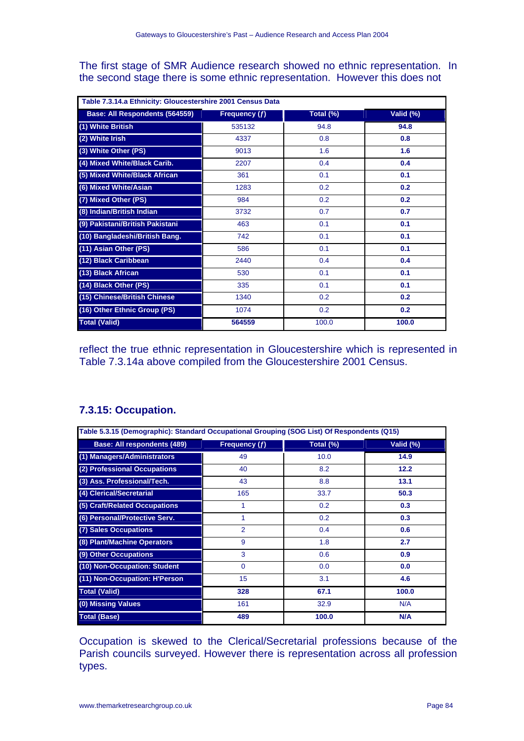The first stage of SMR Audience research showed no ethnic representation. In the second stage there is some ethnic representation. However this does not

| Table 7.3.14.a Ethnicity: Gloucestershire 2001 Census Data |               |           |           |  |  |  |  |  |
|------------------------------------------------------------|---------------|-----------|-----------|--|--|--|--|--|
| Base: All Respondents (564559)                             | Frequency (f) | Total (%) | Valid (%) |  |  |  |  |  |
| (1) White British                                          | 535132        | 94.8      | 94.8      |  |  |  |  |  |
| (2) White Irish                                            | 4337          | 0.8       | 0.8       |  |  |  |  |  |
| (3) White Other (PS)                                       | 9013          | 1.6       | 1.6       |  |  |  |  |  |
| (4) Mixed White/Black Carib.                               | 2207          | 0.4       | 0.4       |  |  |  |  |  |
| (5) Mixed White/Black African                              | 361           | 0.1       | 0.1       |  |  |  |  |  |
| (6) Mixed White/Asian                                      | 1283          | 0.2       | 0.2       |  |  |  |  |  |
| (7) Mixed Other (PS)                                       | 984           | 0.2       | 0.2       |  |  |  |  |  |
| (8) Indian/British Indian                                  | 3732          | 0.7       | 0.7       |  |  |  |  |  |
| (9) Pakistani/British Pakistani                            | 463           | 0.1       | 0.1       |  |  |  |  |  |
| (10) Bangladeshi/British Bang.                             | 742           | 0.1       | 0.1       |  |  |  |  |  |
| (11) Asian Other (PS)                                      | 586           | 0.1       | 0.1       |  |  |  |  |  |
| (12) Black Caribbean                                       | 2440          | 0.4       | 0.4       |  |  |  |  |  |
| (13) Black African                                         | 530           | 0.1       | 0.1       |  |  |  |  |  |
| (14) Black Other (PS)                                      | 335           | 0.1       | 0.1       |  |  |  |  |  |
| (15) Chinese/British Chinese                               | 1340          | 0.2       | 0.2       |  |  |  |  |  |
| (16) Other Ethnic Group (PS)                               | 1074          | 0.2       | 0.2       |  |  |  |  |  |
| <b>Total (Valid)</b>                                       | 564559        | 100.0     | 100.0     |  |  |  |  |  |

reflect the true ethnic representation in Gloucestershire which is represented in Table 7.3.14a above compiled from the Gloucestershire 2001 Census.

| Table 5.3.15 (Demographic): Standard Occupational Grouping (SOG List) Of Respondents (Q15) |                |           |           |
|--------------------------------------------------------------------------------------------|----------------|-----------|-----------|
| Base: All respondents (489)                                                                | Frequency (f)  | Total (%) | Valid (%) |
| (1) Managers/Administrators                                                                | 49             | 10.0      | 14.9      |
| (2) Professional Occupations                                                               | 40             | 8.2       | 12.2      |
| (3) Ass. Professional/Tech.                                                                | 43             | 8.8       | 13.1      |
| (4) Clerical/Secretarial                                                                   | 165            | 33.7      | 50.3      |
| (5) Craft/Related Occupations                                                              | 1              | 0.2       | 0.3       |
| (6) Personal/Protective Serv.                                                              | 1              | 0.2       | 0.3       |
| (7) Sales Occupations                                                                      | $\overline{2}$ | 0.4       | 0.6       |
| (8) Plant/Machine Operators                                                                | 9              | 1.8       | 2.7       |
| (9) Other Occupations                                                                      | 3              | 0.6       | 0.9       |
| (10) Non-Occupation: Student                                                               | $\Omega$       | 0.0       | 0.0       |
| (11) Non-Occupation: H'Person                                                              | 15             | 3.1       | 4.6       |
| <b>Total (Valid)</b>                                                                       | 328            | 67.1      | 100.0     |
| (0) Missing Values                                                                         | 161            | 32.9      | N/A       |
| <b>Total (Base)</b>                                                                        | 489            | 100.0     | N/A       |

## **7.3.15: Occupation.**

Occupation is skewed to the Clerical/Secretarial professions because of the Parish councils surveyed. However there is representation across all profession types.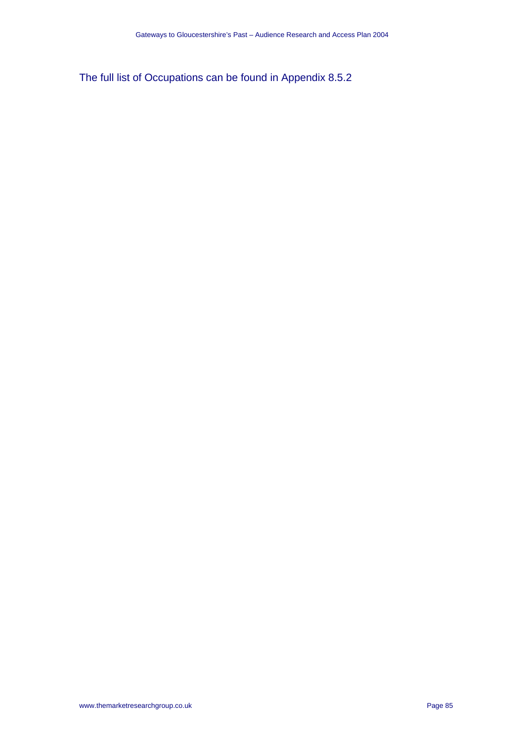The full list of Occupations can be found in Appendix 8.5.2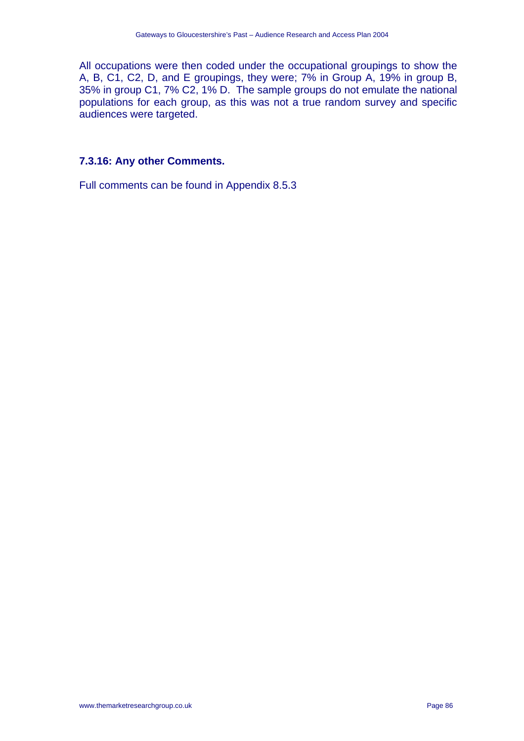All occupations were then coded under the occupational groupings to show the A, B, C1, C2, D, and E groupings, they were; 7% in Group A, 19% in group B, 35% in group C1, 7% C2, 1% D. The sample groups do not emulate the national populations for each group, as this was not a true random survey and specific audiences were targeted.

#### **7.3.16: Any other Comments.**

Full comments can be found in Appendix 8.5.3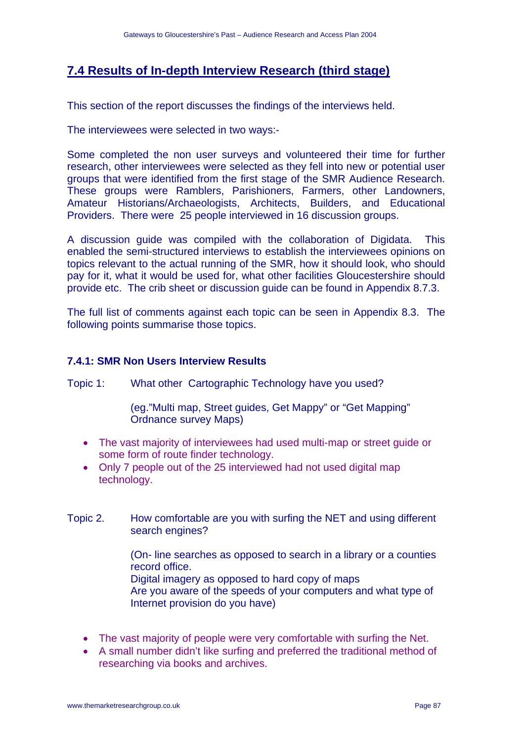# **7.4 Results of In-depth Interview Research (third stage)**

This section of the report discusses the findings of the interviews held.

The interviewees were selected in two ways:-

Some completed the non user surveys and volunteered their time for further research, other interviewees were selected as they fell into new or potential user groups that were identified from the first stage of the SMR Audience Research. These groups were Ramblers, Parishioners, Farmers, other Landowners, Amateur Historians/Archaeologists, Architects, Builders, and Educational Providers. There were 25 people interviewed in 16 discussion groups.

A discussion guide was compiled with the collaboration of Digidata. This enabled the semi-structured interviews to establish the interviewees opinions on topics relevant to the actual running of the SMR, how it should look, who should pay for it, what it would be used for, what other facilities Gloucestershire should provide etc. The crib sheet or discussion guide can be found in Appendix 8.7.3.

The full list of comments against each topic can be seen in Appendix 8.3. The following points summarise those topics.

#### **7.4.1: SMR Non Users Interview Results**

Topic 1: What other Cartographic Technology have you used?

(eg."Multi map, Street guides, Get Mappy" or "Get Mapping" Ordnance survey Maps)

- The vast majority of interviewees had used multi-map or street guide or some form of route finder technology.
- Only 7 people out of the 25 interviewed had not used digital map technology.
- Topic 2. How comfortable are you with surfing the NET and using different search engines?

(On- line searches as opposed to search in a library or a counties record office.

Digital imagery as opposed to hard copy of maps

Are you aware of the speeds of your computers and what type of Internet provision do you have)

- The vast majority of people were very comfortable with surfing the Net.
- A small number didn't like surfing and preferred the traditional method of researching via books and archives.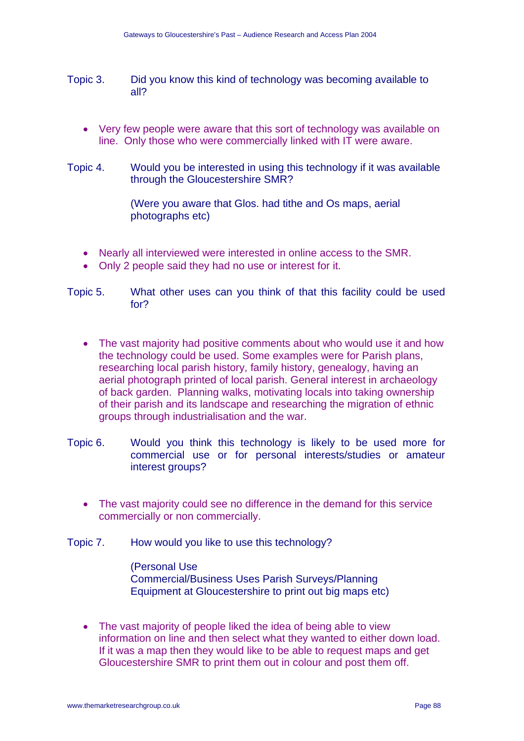- Topic 3. Did you know this kind of technology was becoming available to all?
	- Very few people were aware that this sort of technology was available on line. Only those who were commercially linked with IT were aware.
- Topic 4. Would you be interested in using this technology if it was available through the Gloucestershire SMR?

(Were you aware that Glos. had tithe and Os maps, aerial photographs etc)

- Nearly all interviewed were interested in online access to the SMR.
- Only 2 people said they had no use or interest for it.
- Topic 5. What other uses can you think of that this facility could be used for?
	- The vast majority had positive comments about who would use it and how the technology could be used. Some examples were for Parish plans, researching local parish history, family history, genealogy, having an aerial photograph printed of local parish. General interest in archaeology of back garden. Planning walks, motivating locals into taking ownership of their parish and its landscape and researching the migration of ethnic groups through industrialisation and the war.
- Topic 6. Would you think this technology is likely to be used more for commercial use or for personal interests/studies or amateur interest groups?
	- The vast majority could see no difference in the demand for this service commercially or non commercially.
- Topic 7. How would you like to use this technology?

(Personal Use Commercial/Business Uses Parish Surveys/Planning Equipment at Gloucestershire to print out big maps etc)

• The vast majority of people liked the idea of being able to view information on line and then select what they wanted to either down load. If it was a map then they would like to be able to request maps and get Gloucestershire SMR to print them out in colour and post them off.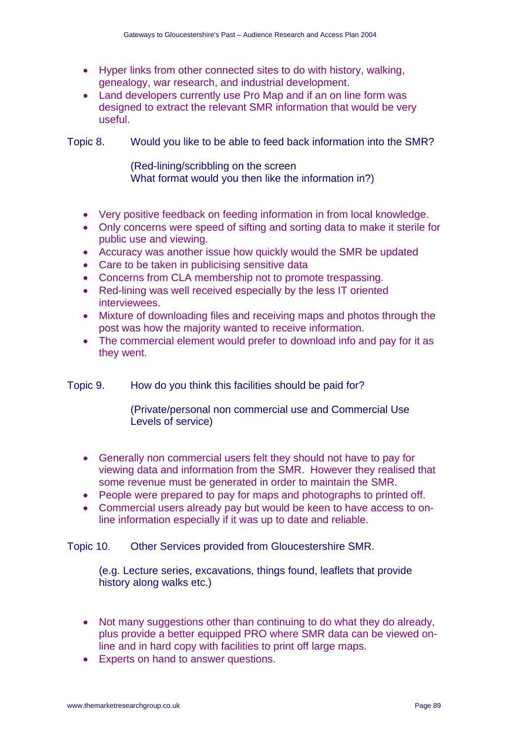- Hyper links from other connected sites to do with history, walking, genealogy, war research, and industrial development.
- Land developers currently use Pro Map and if an on line form was designed to extract the relevant SMR information that would be very useful.

Topic 8. Would you like to be able to feed back information into the SMR?

(Red-lining/scribbling on the screen What format would you then like the information in?)

- Very positive feedback on feeding information in from local knowledge.
- Only concerns were speed of sifting and sorting data to make it sterile for public use and viewing.
- Accuracy was another issue how quickly would the SMR be updated
- Care to be taken in publicising sensitive data
- Concerns from CLA membership not to promote trespassing.
- Red-lining was well received especially by the less IT oriented interviewees.
- Mixture of downloading files and receiving maps and photos through the post was how the majority wanted to receive information.
- The commercial element would prefer to download info and pay for it as they went.

Topic 9. How do you think this facilities should be paid for?

(Private/personal non commercial use and Commercial Use Levels of service)

- Generally non commercial users felt they should not have to pay for viewing data and information from the SMR. However they realised that some revenue must be generated in order to maintain the SMR.
- People were prepared to pay for maps and photographs to printed off.
- Commercial users already pay but would be keen to have access to online information especially if it was up to date and reliable.

Topic 10. Other Services provided from Gloucestershire SMR.

(e.g. Lecture series, excavations, things found, leaflets that provide history along walks etc.)

- Not many suggestions other than continuing to do what they do already. plus provide a better equipped PRO where SMR data can be viewed online and in hard copy with facilities to print off large maps.
- Experts on hand to answer questions.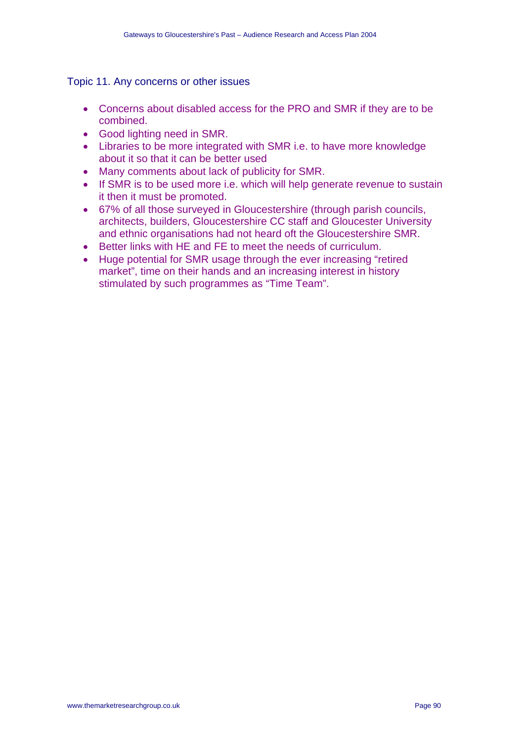#### Topic 11. Any concerns or other issues

- Concerns about disabled access for the PRO and SMR if they are to be combined.
- Good lighting need in SMR.
- Libraries to be more integrated with SMR i.e. to have more knowledge about it so that it can be better used
- Many comments about lack of publicity for SMR.
- If SMR is to be used more i.e. which will help generate revenue to sustain it then it must be promoted.
- 67% of all those surveyed in Gloucestershire (through parish councils, architects, builders, Gloucestershire CC staff and Gloucester University and ethnic organisations had not heard oft the Gloucestershire SMR.
- Better links with HE and FE to meet the needs of curriculum.
- Huge potential for SMR usage through the ever increasing "retired market", time on their hands and an increasing interest in history stimulated by such programmes as "Time Team".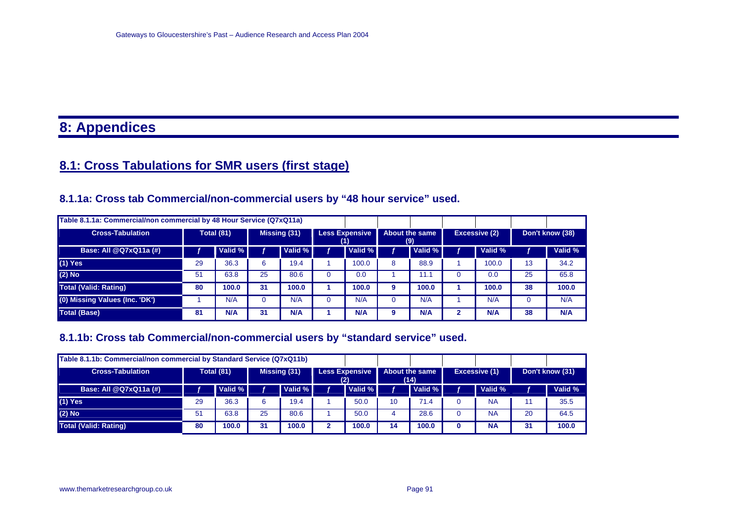# **8: Appendices**

# **8.1: Cross Tabulations for SMR users (first stage)**

# **8.1.1a: Cross tab Commercial/non-commercial users by "48 hour service" used.**

| Table 8.1.1a: Commercial/non commercial by 48 Hour Service (Q7xQ11a) |    |                   |    |              |  |                              |   |                       |               |    |                 |
|----------------------------------------------------------------------|----|-------------------|----|--------------|--|------------------------------|---|-----------------------|---------------|----|-----------------|
| <b>Cross-Tabulation</b>                                              |    | <b>Total (81)</b> |    | Missing (31) |  | <b>Less Expensive</b><br>(1) |   | About the same<br>(9) | Excessive (2) |    | Don't know (38) |
| Base: All @Q7xQ11a (#)                                               |    | Valid %           |    | Valid % I    |  | Valid %                      |   | Valid %               | Valid %       |    | Valid %         |
| $(1)$ Yes                                                            | 29 | 36.3              | 6  | 19.4         |  | 100.0                        | 8 | 88.9                  | 100.0         | 13 | 34.2            |
| $(2)$ No                                                             | 51 | 63.8              | 25 | 80.6         |  | 0.0                          |   | 11.1                  | 0.0           | 25 | 65.8            |
| <b>Total (Valid: Rating)</b>                                         | 80 | 100.0             | 31 | 100.0        |  | 100.0                        | 9 | 100.0                 | 100.0         | 38 | 100.0           |
| (0) Missing Values (Inc. 'DK')                                       |    | N/A               |    | N/A          |  | N/A                          |   | N/A                   | N/A           |    | N/A             |
| <b>Total (Base)</b>                                                  | 81 | <b>N/A</b>        | 31 | N/A          |  | N/A                          | 9 | <b>N/A</b>            | <b>N/A</b>    | 38 | N/A             |

## **8.1.1b: Cross tab Commercial/non-commercial users by "standard service" used.**

| Table 8.1.1b: Commercial/non commercial by Standard Service (Q7xQ11b) |                   |         |              |         |                              |         |                        |         |               |                 |         |  |
|-----------------------------------------------------------------------|-------------------|---------|--------------|---------|------------------------------|---------|------------------------|---------|---------------|-----------------|---------|--|
| <b>Cross-Tabulation</b>                                               | <b>Total (81)</b> |         | Missing (31) |         | <b>Less Expensive</b><br>(2) |         | About the same<br>(14) |         | Excessive (1) | Don't know (31) |         |  |
| Base: All @Q7xQ11a (#)                                                |                   | Valid % |              | Valid % |                              | Valid % |                        | Valid % | Valid %       |                 | Valid % |  |
| $(1)$ Yes                                                             | 29                | 36.3    |              | 19.4    |                              | 50.0    | 10                     | 71.4    | <b>NA</b>     |                 | 35.5    |  |
| $(2)$ No                                                              | 51                | 63.8    | 25           | 80.6    |                              | 50.0    | 4                      | 28.6    | <b>NA</b>     | 20              | 64.5    |  |
| Total (Valid: Rating)                                                 | 80                | 100.0   | 31           | 100.0   | າ                            | 100.0   | 14                     | 100.0   | <b>NA</b>     | 31              | 100.0   |  |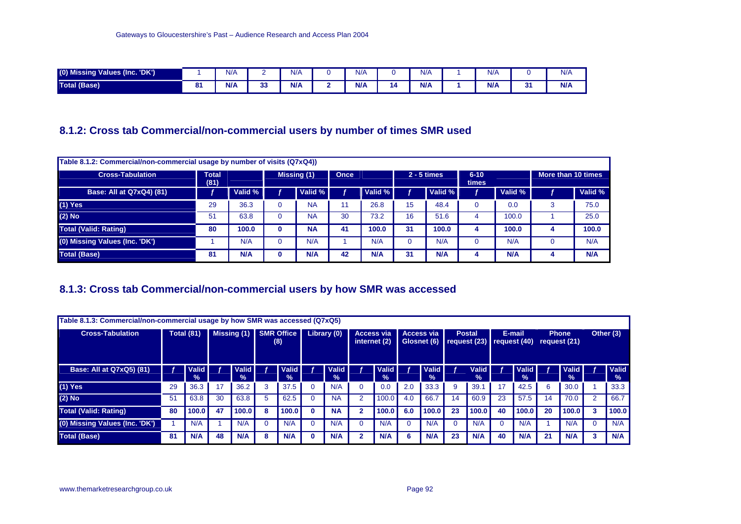| $(0)$ Mis<br>Values (Inc. 'DK')<br><b>Missing</b> |          | N/f |             | $N$ / | N/f |    | N/f        | N/A |        | N/f |
|---------------------------------------------------|----------|-----|-------------|-------|-----|----|------------|-----|--------|-----|
| Total (Base)                                      | o.<br>o. | N/L | $\sim$<br>ິ | N/A   | N/A | 14 | <b>N/A</b> | N/f | <br>v. | N/A |

## **8.1.2: Cross tab Commercial/non-commercial users by number of times SMR used**

| Table 8.1.2: Commercial/non-commercial usage by number of visits (Q7xQ4)) |                      |         |             |    |             |    |               |                   |         |                    |            |  |
|---------------------------------------------------------------------------|----------------------|---------|-------------|----|-------------|----|---------------|-------------------|---------|--------------------|------------|--|
| <b>Cross-Tabulation</b>                                                   | <b>Total</b><br>(81) |         | Missing (1) |    | <b>Once</b> |    | $2 - 5$ times | $6 - 10$<br>times |         | More than 10 times |            |  |
| Base: All at Q7xQ4) (81)                                                  |                      | Valid % | Valid %     |    | Valid %     |    | Valid %       |                   | Valid % |                    | Valid %    |  |
| $(1)$ Yes                                                                 | 29                   | 36.3    | <b>NA</b>   |    | 26.8        | 15 | 48.4          |                   | 0.0     |                    | 75.0       |  |
| $(2)$ No                                                                  | 51                   | 63.8    | <b>NA</b>   | 30 | 73.2        | 16 | 51.6          | 4                 | 100.0   |                    | 25.0       |  |
| <b>Total (Valid: Rating)</b>                                              | 80                   | 100.0   | <b>NA</b>   | 41 | 100.0       | 31 | 100.0         | 4                 | 100.0   | 4                  | 100.0      |  |
| (0) Missing Values (Inc. 'DK')                                            |                      | N/A     | N/A         |    | N/A         |    | N/A           |                   | N/A     |                    | N/A        |  |
| <b>Total (Base)</b>                                                       | -81                  | N/A     | N/A         | 42 | <b>N/A</b>  | 31 | N/A           | 4                 | N/A     |                    | <b>N/A</b> |  |

## **8.1.3: Cross tab Commercial/non-commercial users by how SMR was accessed**

| Table 8.1.3: Commercial/non-commercial usage by how SMR was accessed (Q7xQ5) |                   |                      |               |                               |                          |               |             |                        |                                   |                               |                                  |                               |                                                |                               |        |                               |                              |                           |           |                        |
|------------------------------------------------------------------------------|-------------------|----------------------|---------------|-------------------------------|--------------------------|---------------|-------------|------------------------|-----------------------------------|-------------------------------|----------------------------------|-------------------------------|------------------------------------------------|-------------------------------|--------|-------------------------------|------------------------------|---------------------------|-----------|------------------------|
| <b>Cross-Tabulation</b>                                                      | <b>Total (81)</b> |                      | Missing $(1)$ |                               | <b>SMR Office</b><br>(8) |               | Library (0) |                        | <b>Access via</b><br>internet (2) |                               | <b>Access via</b><br>Glosnet (6) |                               | <b>Postal</b><br>request $(23)$ request $(40)$ |                               | E-mail |                               | <b>Phone</b><br>request (21) |                           | Other (3) |                        |
| <b>Base: All at Q7xQ5) (81)</b>                                              |                   | <b>Valid</b><br>$\%$ |               | <b>Valid</b><br>$\frac{9}{6}$ |                          | Valid<br>$\%$ |             | Valid<br>$\frac{0}{0}$ |                                   | <b>Valid</b><br>$\frac{1}{2}$ |                                  | <b>Valid</b><br>$\frac{9}{6}$ |                                                | <b>Valid</b><br>$\frac{9}{6}$ |        | <b>Valid</b><br>$\frac{9}{6}$ |                              | Valid  <br>$\frac{9}{20}$ |           | Valid<br>$\frac{9}{6}$ |
| $(1)$ Yes                                                                    | 29                | 36.3                 | 17            | 36.2                          | 3                        | 37.5          |             | N/A                    |                                   | 0.0                           | 2.0                              | 33.3                          | 9                                              | 39.1                          | 17     | 42.5                          | 6                            | 30.0                      |           | 33.3                   |
| $(2)$ No                                                                     | 51                | 63.8                 | 30            | 63.8                          | 5                        | 62.5          |             | <b>NA</b>              |                                   | 100.0                         | 4.0                              | 66.7                          | 14                                             | 60.9                          | 23     | 57.5                          | 14                           | 70.0                      | 2         | 66.7                   |
| <b>Total (Valid: Rating)</b>                                                 | 80                | 100.0                | 47            | 100.0                         | 8                        | 100.0         | o           | <b>NA</b>              |                                   | 100.0                         | 6.0                              | 100.0                         | 23                                             | 100.0                         | 40     | 100.0                         | 20                           | 100.0                     |           | 100.0                  |
| (0) Missing Values (Inc. 'DK')                                               |                   | N/A                  |               | N/A                           |                          | N/A           |             | N/A                    |                                   | N/A                           |                                  | N/A                           |                                                | N/A                           |        | N/A                           |                              | N/A                       |           | N/A                    |
| <b>Total (Base)</b>                                                          | 81                | N/A                  | 48            | N/A                           | ឧ                        | <b>N/A</b>    |             | <b>N/A</b>             |                                   | <b>N/A</b>                    |                                  | N/A                           | 23                                             | N/A                           | 40     | N/A                           | 21                           | N/A                       |           | N/A                    |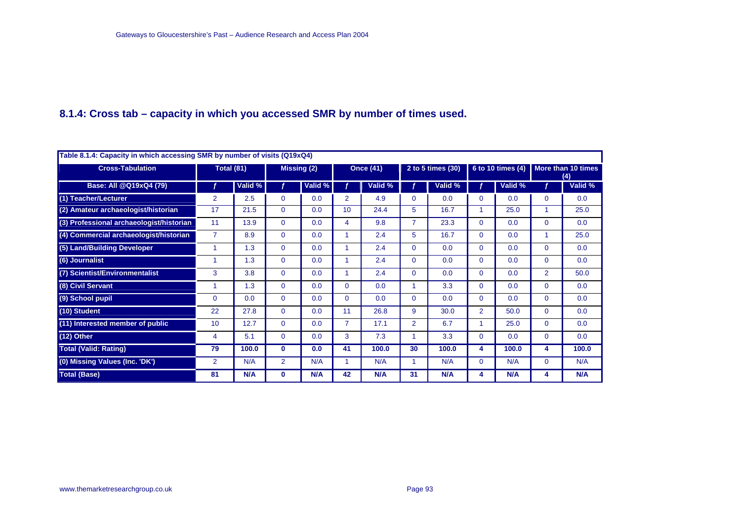## **8.1.4: Cross tab – capacity in which you accessed SMR by number of times used.**

|                                          | Table 8.1.4: Capacity in which accessing SMR by number of visits (Q19xQ4) |                   |                |             |                |                  |                |                   |                |                   |                |                           |  |  |  |
|------------------------------------------|---------------------------------------------------------------------------|-------------------|----------------|-------------|----------------|------------------|----------------|-------------------|----------------|-------------------|----------------|---------------------------|--|--|--|
| <b>Cross-Tabulation</b>                  |                                                                           | <b>Total (81)</b> |                | Missing (2) |                | <b>Once (41)</b> |                | 2 to 5 times (30) |                | 6 to 10 times (4) |                | More than 10 times<br>(4) |  |  |  |
| Base: All @Q19xQ4 (79)                   |                                                                           | Valid %           |                | Valid %     |                | Valid %          |                | Valid %           |                | Valid %           |                | Valid %                   |  |  |  |
| (1) Teacher/Lecturer                     | 2                                                                         | 2.5               | 0              | 0.0         | $\overline{2}$ | 4.9              | 0              | 0.0               | $\Omega$       | 0.0               | $\Omega$       | 0.0                       |  |  |  |
| (2) Amateur archaeologist/historian      | 17                                                                        | 21.5              | 0              | 0.0         | 10             | 24.4             | 5.             | 16.7              |                | 25.0              | 1              | 25.0                      |  |  |  |
| (3) Professional archaeologist/historian | 11                                                                        | 13.9              | 0              | 0.0         | 4              | 9.8              | $\overline{7}$ | 23.3              | $\Omega$       | 0.0               | $\Omega$       | 0.0                       |  |  |  |
| (4) Commercial archaeologist/historian   | $\overline{7}$                                                            | 8.9               | 0              | 0.0         |                | 2.4              | 5              | 16.7              | $\Omega$       | 0.0               | 1              | 25.0                      |  |  |  |
| (5) Land/Building Developer              |                                                                           | 1.3               | $\Omega$       | 0.0         |                | 2.4              | $\Omega$       | 0.0               | $\Omega$       | 0.0               | $\Omega$       | 0.0                       |  |  |  |
| (6) Journalist                           |                                                                           | 1.3               | 0              | 0.0         |                | 2.4              | $\Omega$       | 0.0               | $\Omega$       | 0.0               | $\Omega$       | 0.0                       |  |  |  |
| (7) Scientist/Environmentalist           | 3                                                                         | 3.8               | $\Omega$       | 0.0         |                | 2.4              | $\Omega$       | 0.0               | $\Omega$       | 0.0               | $\overline{2}$ | 50.0                      |  |  |  |
| (8) Civil Servant                        |                                                                           | 1.3               | 0              | 0.0         | $\Omega$       | 0.0              |                | 3.3               | $\Omega$       | 0.0               | $\Omega$       | 0.0                       |  |  |  |
| (9) School pupil                         | $\mathbf 0$                                                               | 0.0               | 0              | 0.0         | $\Omega$       | 0.0              | $\Omega$       | 0.0               | $\Omega$       | 0.0               | $\Omega$       | 0.0                       |  |  |  |
| (10) Student                             | 22                                                                        | 27.8              | $\Omega$       | 0.0         | 11             | 26.8             | 9              | 30.0              | $\overline{2}$ | 50.0              | $\Omega$       | 0.0                       |  |  |  |
| (11) Interested member of public         | 10                                                                        | 12.7              | 0              | 0.0         | $\overline{7}$ | 17.1             | $\overline{2}$ | 6.7               |                | 25.0              | $\Omega$       | 0.0                       |  |  |  |
| $(12)$ Other                             | 4                                                                         | 5.1               | 0              | 0.0         | 3              | 7.3              |                | 3.3               | $\Omega$       | 0.0               | $\Omega$       | 0.0                       |  |  |  |
| <b>Total (Valid: Rating)</b>             | 79                                                                        | 100.0             | $\bf{0}$       | 0.0         | 41             | 100.0            | 30             | 100.0             | 4              | 100.0             | 4              | 100.0                     |  |  |  |
| (0) Missing Values (Inc. 'DK')           | $\overline{2}$                                                            | N/A               | $\overline{2}$ | N/A         |                | N/A              |                | N/A               | $\mathbf{0}$   | N/A               | $\Omega$       | N/A                       |  |  |  |
| <b>Total (Base)</b>                      | 81                                                                        | N/A               | 0              | N/A         | 42             | N/A              | 31             | N/A               | 4              | N/A               | 4              | N/A                       |  |  |  |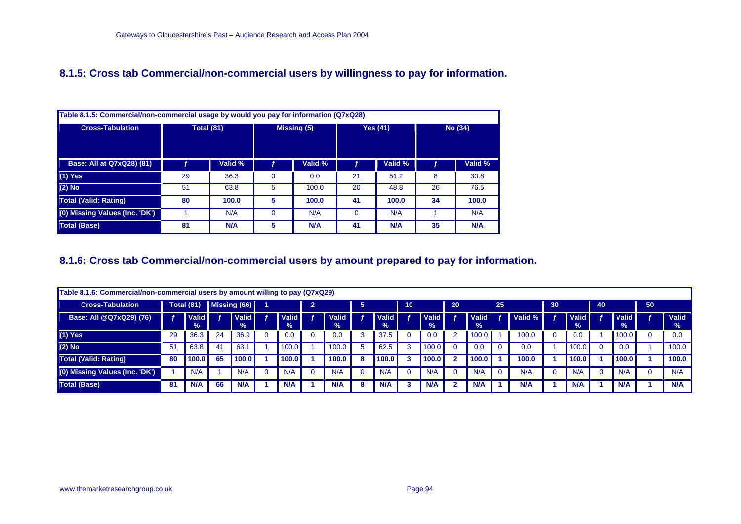## **8.1.5: Cross tab Commercial/non-commercial users by willingness to pay for information.**

|                                | Table 8.1.5: Commercial/non-commercial usage by would you pay for information (Q7xQ28) |                   |             |             |          |                 |         |            |  |  |  |  |  |  |  |
|--------------------------------|----------------------------------------------------------------------------------------|-------------------|-------------|-------------|----------|-----------------|---------|------------|--|--|--|--|--|--|--|
| <b>Cross-Tabulation</b>        |                                                                                        | <b>Total (81)</b> |             | Missing (5) |          | <b>Yes (41)</b> | No (34) |            |  |  |  |  |  |  |  |
| Base: All at Q7xQ28) (81)      |                                                                                        | Valid %           |             | Valid %     |          | Valid %         |         | Valid %    |  |  |  |  |  |  |  |
| $(1)$ Yes                      | 29                                                                                     | 36.3              | $\mathbf 0$ | 0.0         | 21       | 51.2            | 8       | 30.8       |  |  |  |  |  |  |  |
| $(2)$ No                       | 51                                                                                     | 63.8              | 5           | 100.0       | 20       | 48.8            | 26      | 76.5       |  |  |  |  |  |  |  |
| <b>Total (Valid: Rating)</b>   | 80                                                                                     | 100.0             | 5           | 100.0       | 41       | 100.0           | 34      | 100.0      |  |  |  |  |  |  |  |
| (0) Missing Values (Inc. 'DK') |                                                                                        | N/A               | $\Omega$    | N/A         | $\Omega$ | N/A             |         | N/A        |  |  |  |  |  |  |  |
| <b>Total (Base)</b>            | 81                                                                                     | N/A               | 5           | <b>N/A</b>  | 41       | N/A             | 35      | <b>N/A</b> |  |  |  |  |  |  |  |

## **8.1.6: Cross tab Commercial/non-commercial users by amount prepared to pay for information.**

|                                | Table 8.1.6: Commercial/non-commercial users by amount willing to pay (Q7xQ29) |                        |                |                      |  |                        |                |                      |    |                               |    |                        |    |               |    |         |    |                      |    |                               |    |                               |
|--------------------------------|--------------------------------------------------------------------------------|------------------------|----------------|----------------------|--|------------------------|----------------|----------------------|----|-------------------------------|----|------------------------|----|---------------|----|---------|----|----------------------|----|-------------------------------|----|-------------------------------|
| <b>Cross-Tabulation</b>        |                                                                                | <b>Total (81)</b>      |                | Missing (66)         |  |                        | $\overline{2}$ |                      | 5  |                               | 10 |                        | 20 |               | 25 |         | 30 |                      | 40 |                               | 50 |                               |
| Base: All @Q7xQ29) (76)        |                                                                                | Valid<br>$\frac{9}{6}$ |                | <b>Valid</b><br>$\%$ |  | Valid<br>$\frac{9}{6}$ |                | <b>Valid</b><br>$\%$ |    | <b>Valid</b><br>$\frac{9}{6}$ |    | /alid<br>$\frac{9}{6}$ |    | Valid<br>$\%$ |    | Valid % |    | <b>Valid</b><br>$\%$ |    | <b>Valid</b><br>$\frac{9}{6}$ |    | <b>Valid</b><br>$\frac{9}{6}$ |
| $(1)$ Yes                      | 29                                                                             | 36.3                   | 24             | 36.9                 |  | 0.0                    |                | 0.0                  | ۰J | 37.5                          |    | 0.0                    |    | 100.0         |    | 100.0   |    | 0.0                  |    | 100.0                         |    | 0.0                           |
| $(2)$ No                       | 51                                                                             | 63.8                   | 4 <sup>1</sup> | 63.                  |  | 100.0                  |                | 100.0                |    | 62.5                          |    | 100.0                  |    | 0.0           |    | 0.0     |    | 100.0                |    | 0.0                           |    | 100.0                         |
| <b>Total (Valid: Rating)</b>   | 80                                                                             | 100.0                  | 65             | 100.0                |  | 100.0                  |                | 100.0                |    | 100.0                         |    | 100.0                  |    | 100.0         |    | 100.0   |    | 100.0                |    | 100.0                         |    | 100.0                         |
| (0) Missing Values (Inc. 'DK') |                                                                                | N/A                    |                | N/A                  |  | N/A                    |                | N/A                  |    | N/A                           |    | N/A                    |    | N/A           |    | N/A     |    | N/A                  |    | N/A                           |    | N/A                           |
| <b>Total (Base)</b>            | -81                                                                            | N/A                    | 66             | N/A                  |  | N/A                    |                | N/A                  | 8  | N/A                           |    | N/A                    |    | N/A           |    | N/A     |    | N/A                  |    | N/A                           |    | N/A                           |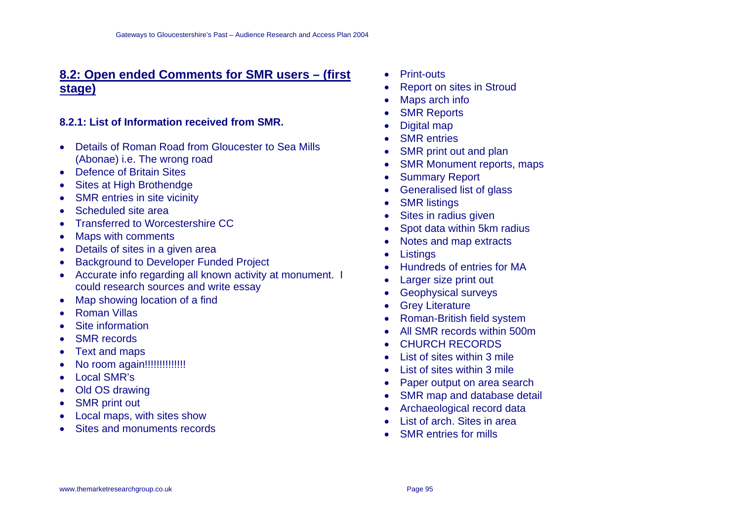# **8.2: Open ended Comments for SMR users – (first stage)**

## **8.2.1: List of Information received from SMR.**

- Details of Roman Road from Gloucester to Sea Mills (Abonae) i.e. The wrong road
- Defence of Britain Sites
- Sites at High Brothendge
- SMR entries in site vicinity
- Scheduled site area
- Transferred to Worcestershire CC
- Maps with comments
- Details of sites in a given area
- Background to Developer Funded Project
- Accurate info regarding all known activity at monument. I could research sources and write essay
- Map showing location of a find
- Roman Villas
- Site information
- **SMR** records
- Text and maps
- No room again!!!!!!!!!!!!!!
- Local SMR's
- Old OS drawing
- **SMR** print out
- Local maps, with sites show
- Sites and monuments records
- Print-outs
- Report on sites in Stroud
- Maps arch info
- **SMR Reports**
- Digital map
- SMR entries
- SMR print out and plan
- SMR Monument reports, maps
- Summary Report
- Generalised list of glass
- SMR listings
- Sites in radius given
- Spot data within 5km radius
- Notes and map extracts
- Listings
- Hundreds of entries for MA
- Larger size print out
- Geophysical surveys
- Grey Literature
- Roman-British field system
- All SMR records within 500m
- CHURCH RECORDS
- List of sites within 3 mile
- List of sites within 3 mile
- Paper output on area search
- SMR map and database detail
- Archaeological record data
- List of arch. Sites in area
- **SMR** entries for mills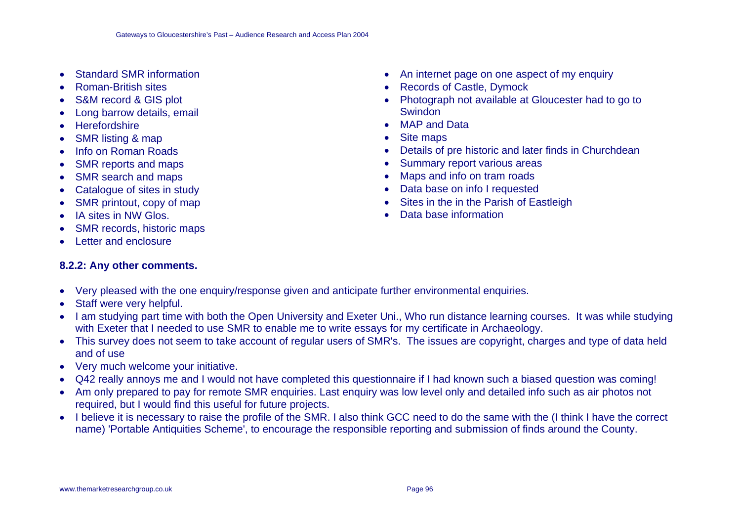- Standard SMR information
- Roman-British sites
- S&M record & GIS plot
- Long barrow details, email
- **Herefordshire**
- SMR listing & map
- Info on Roman Roads
- SMR reports and maps
- SMR search and maps
- Catalogue of sites in study
- SMR printout, copy of map
- IA sites in NW Glos.
- SMR records, historic maps
- Letter and enclosure

# **8.2.2: Any other comments.**

- An internet page on one aspect of my enquiry
- Records of Castle, Dymock
- Photograph not available at Gloucester had to go to Swindon
- MAP and Data
- Site maps
- Details of pre historic and later finds in Churchdean
- Summary report various areas
- Maps and info on tram roads
- Data base on info I requested
- Sites in the in the Parish of Eastleigh
- Data base information

- Very pleased with the one enquiry/response given and anticipate further environmental enquiries.
- Staff were very helpful.
- I am studying part time with both the Open University and Exeter Uni., Who run distance learning courses. It was while studying with Exeter that I needed to use SMR to enable me to write essays for my certificate in Archaeology.
- This survey does not seem to take account of regular users of SMR's. The issues are copyright, charges and type of data held and of use
- Very much welcome your initiative.
- Q42 really annoys me and I would not have completed this questionnaire if I had known such a biased question was coming!
- Am only prepared to pay for remote SMR enquiries. Last enquiry was low level only and detailed info such as air photos not required, but I would find this useful for future projects.
- I believe it is necessary to raise the profile of the SMR. I also think GCC need to do the same with the (I think I have the correct name) 'Portable Antiquities Scheme', to encourage the responsible reporting and submission of finds around the County.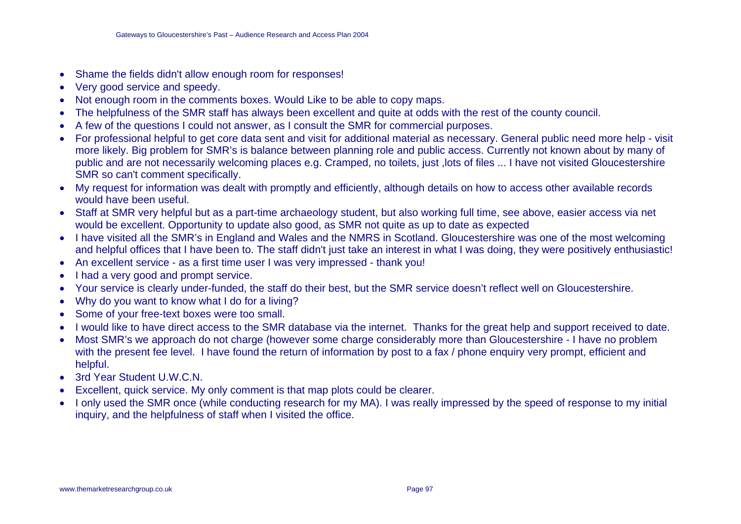- Shame the fields didn't allow enough room for responses!
- Very good service and speedy.
- Not enough room in the comments boxes. Would Like to be able to copy maps.
- The helpfulness of the SMR staff has always been excellent and quite at odds with the rest of the county council.
- A few of the questions I could not answer, as I consult the SMR for commercial purposes.
- For professional helpful to get core data sent and visit for additional material as necessary. General public need more help visit more likely. Big problem for SMR's is balance between planning role and public access. Currently not known about by many of public and are not necessarily welcoming places e.g. Cramped, no toilets, just ,lots of files ... I have not visited Gloucestershire SMR so can't comment specifically.
- My request for information was dealt with promptly and efficiently, although details on how to access other available records would have been useful.
- Staff at SMR very helpful but as a part-time archaeology student, but also working full time, see above, easier access via net would be excellent. Opportunity to update also good, as SMR not quite as up to date as expected
- I have visited all the SMR's in England and Wales and the NMRS in Scotland. Gloucestershire was one of the most welcoming and helpful offices that I have been to. The staff didn't just take an interest in what I was doing, they were positively enthusiastic!
- An excellent service as a first time user I was very impressed thank you!
- I had a very good and prompt service.
- Your service is clearly under-funded, the staff do their best, but the SMR service doesn't reflect well on Gloucestershire.
- Why do you want to know what I do for a living?
- Some of your free-text boxes were too small.
- I would like to have direct access to the SMR database via the internet. Thanks for the great help and support received to date.
- Most SMR's we approach do not charge (however some charge considerably more than Gloucestershire I have no problem with the present fee level. I have found the return of information by post to a fax / phone enquiry very prompt, efficient and helpful.
- 3rd Year Student U.W.C.N.
- Excellent, quick service. My only comment is that map plots could be clearer.
- I only used the SMR once (while conducting research for my MA). I was really impressed by the speed of response to my initial inquiry, and the helpfulness of staff when I visited the office.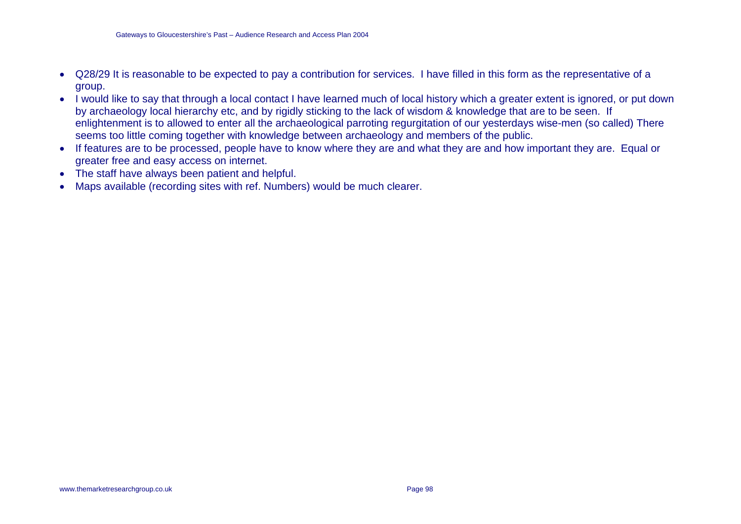- Q28/29 It is reasonable to be expected to pay a contribution for services. I have filled in this form as the representative of a group.
- I would like to say that through a local contact I have learned much of local history which a greater extent is ignored, or put down by archaeology local hierarchy etc, and by rigidly sticking to the lack of wisdom & knowledge that are to be seen. If enlightenment is to allowed to enter all the archaeological parroting regurgitation of our yesterdays wise-men (so called) There seems too little coming together with knowledge between archaeology and members of the public.
- If features are to be processed, people have to know where they are and what they are and how important they are. Equal or greater free and easy access on internet.
- The staff have always been patient and helpful.
- Maps available (recording sites with ref. Numbers) would be much clearer.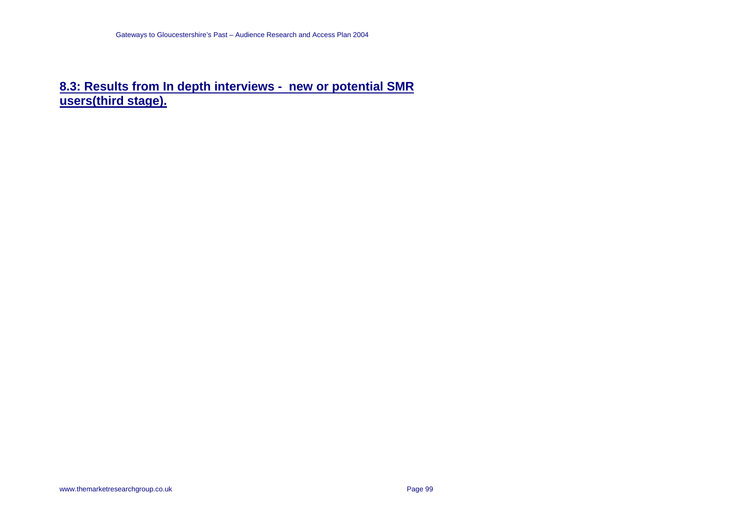# **8.3: Results from In depth interviews - new or potential SMR users(third stage).**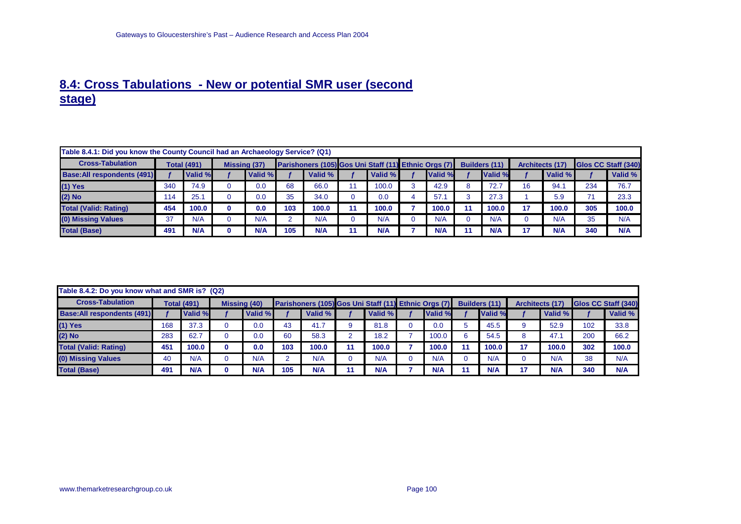## **8.4: Cross Tabulations - New or potential SMR user (second stage)**

| Table 8.4.1: Did you know the County Council had an Archaeology Service? (Q1) |     |                    |                     |            |     |                                                      |            |         |    |                      |                        |         |     |                             |
|-------------------------------------------------------------------------------|-----|--------------------|---------------------|------------|-----|------------------------------------------------------|------------|---------|----|----------------------|------------------------|---------|-----|-----------------------------|
| <b>Cross-Tabulation</b>                                                       |     | <b>Total (491)</b> | <b>Missing (37)</b> |            |     | Parishoners (105) Gos Uni Staff (11) Ethnic Orgs (7) |            |         |    | <b>Builders (11)</b> | <b>Architects (17)</b> |         |     | <b>IGIOS CC Staff (340)</b> |
| <b>Base: All respondents (491)</b>                                            |     | Valid %            |                     | Valid %    |     | Valid %                                              | Valid %    | Valid % |    | Valid %              |                        | Valid % |     | Valid %                     |
| $(1)$ Yes                                                                     | 340 | 74.9               |                     | 0.0        | 68  | 66.0                                                 | 100.0      | 42.9    |    | 72.7                 | 16                     | 94.1    | 234 | 76.7                        |
| $(2)$ No                                                                      | 114 | 25.1               |                     | 0.0        | 35  | 34.0                                                 | 0.0        | 57.     |    | 27.3                 |                        | 5.9     | 71  | 23.3                        |
| <b>Total (Valid: Rating)</b>                                                  | 454 | 100.0              |                     | 0.0        | 103 | 100.0                                                | 100.0      | 100.0   | 11 | 100.0                | 47                     | 100.0   | 305 | 100.0                       |
| (0) Missing Values                                                            | 37  | N/A                |                     | N/A        |     | N/A                                                  | N/A        | N/A     |    | N/A                  |                        | N/A     | 35  | N/A                         |
| <b>Total (Base)</b>                                                           | 491 | <b>N/A</b>         |                     | <b>N/A</b> | 105 | <b>N/A</b>                                           | <b>N/A</b> | N/A     |    | <b>N/A</b>           |                        | N/A     | 340 | N/A                         |

| Table 8.4.2: Do you know what and SMR is? (Q2) |     |                    |                     |         |     |                                                      |         |            |                      |                        |         |     |                            |
|------------------------------------------------|-----|--------------------|---------------------|---------|-----|------------------------------------------------------|---------|------------|----------------------|------------------------|---------|-----|----------------------------|
| <b>Cross-Tabulation</b>                        |     | <b>Total (491)</b> | <b>Missing (40)</b> |         |     | Parishoners (105) Gos Uni Staff (11) Ethnic Orgs (7) |         |            | <b>Builders (11)</b> | <b>Architects (17)</b> |         |     | <b>Glos CC Staff (340)</b> |
| <b>Base: All respondents (491)</b>             |     | Valid %            |                     | Valid % |     | Valid %                                              | Valid % | Valid %    | Valid %              |                        | Valid % |     | Valid %                    |
| $(1)$ Yes                                      | 168 | 37.3               |                     | 0.0     | 43  | 41.7                                                 | 81.8    | 0.0        | 45.5                 |                        | 52.9    | 102 | 33.8                       |
| $(2)$ No                                       | 283 | 62.7               |                     | 0.0     | 60  | 58.3                                                 | 18.2    | 100.0      | 54.5                 | 8                      | 47.1    | 200 | 66.2                       |
| <b>Total (Valid: Rating)</b>                   | 451 | 100.0              |                     | 0.0     | 103 | 100.0                                                | 100.0   | 100.0      | 100.0                | 47                     | 100.0   | 302 | 100.0                      |
| (0) Missing Values                             | 40  | N/A                |                     | N/A     |     | N/A                                                  | N/A     | N/A        | N/A                  |                        | N/A     | 38  | N/A                        |
| <b>Total (Base)</b>                            | 491 | N/A                | 0                   | N/A     | 105 | N/A                                                  | N/A     | <b>N/A</b> | <b>N/A</b>           |                        | N/A     | 340 | N/A                        |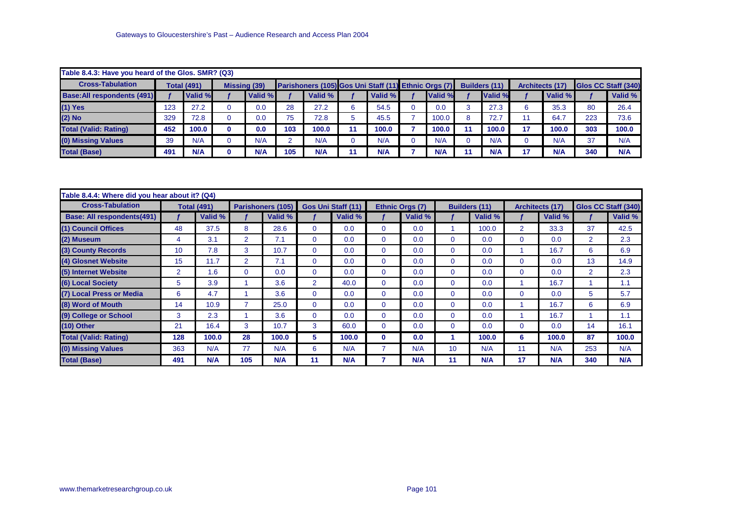| Table 8.4.3: Have you heard of the Glos. SMR? (Q3) |     |                    |                     |     |                                                      |            |         |    |                      |     |                        |     |                            |
|----------------------------------------------------|-----|--------------------|---------------------|-----|------------------------------------------------------|------------|---------|----|----------------------|-----|------------------------|-----|----------------------------|
| <b>Cross-Tabulation</b>                            |     | <b>Total (491)</b> | <b>Missing (39)</b> |     | Parishoners (105) Gos Uni Staff (11) Ethnic Orgs (7) |            |         |    | <b>Builders (11)</b> |     | <b>Architects (17)</b> |     | <b>Glos CC Staff (340)</b> |
| <b>Base: All respondents (491)</b>                 |     | Valid %            | Valid %             |     | Valid %                                              | Valid %    | Valid % |    | Valid %              |     | Valid %                |     | Valid %                    |
| $(1)$ Yes                                          | 123 | 27.2               | 0.0                 | 28  | 27.2                                                 | 54.5       | 0.0     |    | 27.3                 |     | 35.3                   | 80  | 26.4                       |
| (2) No                                             | 329 | 72.8               | 0.0                 | 75  | 72.8                                                 | 45.5       | 100.0   |    | 72.7                 |     | 64.7                   | 223 | 73.6                       |
| <b>Total (Valid: Rating)</b>                       | 452 | 100.0              | 0.0                 | 103 | 100.0                                                | 100.0      | 100.0   | 11 | 100.0                | -17 | 100.0                  | 303 | 100.0                      |
| (0) Missing Values                                 | 39  | N/A                | N/A                 |     | N/A                                                  | N/A        | N/A     |    | N/A                  |     | N/A                    | 37  | N/A                        |
| <b>Total (Base)</b>                                | 491 | N/A                | N/A                 | 105 | <b>N/A</b>                                           | <b>N/A</b> | N/A     | 11 | N/A                  | 17  | N/A                    | 340 | N/A                        |

| Table 8.4.4: Where did you hear about it? (Q4) |     |                    |                |                          |                |                    |             |                 |              |                      |          |                 |                |                     |
|------------------------------------------------|-----|--------------------|----------------|--------------------------|----------------|--------------------|-------------|-----------------|--------------|----------------------|----------|-----------------|----------------|---------------------|
| <b>Cross-Tabulation</b>                        |     | <b>Total (491)</b> |                | <b>Parishoners (105)</b> |                | Gos Uni Staff (11) |             | Ethnic Orgs (7) |              | <b>Builders (11)</b> |          | Architects (17) |                | Glos CC Staff (340) |
| Base: All respondents(491)                     |     | Valid %            |                | Valid %                  |                | Valid %            |             | Valid %         |              | Valid %              |          | <b>Valid %</b>  |                | Valid %             |
| (1) Council Offices                            | 48  | 37.5               | 8              | 28.6                     | $\mathbf{0}$   | 0.0                | $\Omega$    | 0.0             |              | 100.0                | 2        | 33.3            | 37             | 42.5                |
| (2) Museum                                     | 4   | 3.1                | $\overline{2}$ | 7.1                      | $\Omega$       | 0.0                | 0           | 0.0             | $\mathbf{0}$ | 0.0                  | 0        | 0.0             | $\overline{2}$ | 2.3                 |
| (3) County Records                             | 10  | 7.8                | 3              | 10.7                     | $\mathbf{0}$   | 0.0                | $\Omega$    | 0.0             | $\mathbf{0}$ | 0.0                  |          | 16.7            | 6              | 6.9                 |
| (4) Glosnet Website                            | 15  | 11.7               | $\overline{2}$ | 7.1                      | $\Omega$       | 0.0                | $\Omega$    | 0.0             | $\mathbf{0}$ | 0.0                  | $\Omega$ | 0.0             | 13             | 14.9                |
| (5) Internet Website                           | 2   | 1.6                | 0              | 0.0                      | $\mathbf{0}$   | 0.0                | $\Omega$    | 0.0             | $\mathbf{0}$ | 0.0                  | 0        | 0.0             | $\overline{2}$ | 2.3                 |
| (6) Local Society                              | 5   | 3.9                |                | 3.6                      | 2 <sup>1</sup> | 40.0               | $\mathbf 0$ | 0.0             | $\mathbf{0}$ | 0.0                  |          | 16.7            |                | 1.1                 |
| (7) Local Press or Media                       | 6   | 4.7                |                | 3.6                      | $\Omega$       | 0.0                | $\Omega$    | 0.0             | $\mathbf{0}$ | 0.0                  | $\Omega$ | 0.0             | 5.             | 5.7                 |
| (8) Word of Mouth                              | 14  | 10.9               |                | 25.0                     | $\Omega$       | 0.0                | $\Omega$    | 0.0             | $\mathbf{0}$ | 0.0                  |          | 16.7            | 6              | 6.9                 |
| (9) College or School                          | 3   | 2.3                |                | 3.6                      | $\mathbf{0}$   | 0.0                | $\mathbf 0$ | 0.0             | $\mathbf{0}$ | 0.0                  |          | 16.7            |                | 1.1                 |
| $(10)$ Other                                   | 21  | 16.4               | 3              | 10.7                     | 3              | 60.0               | $\Omega$    | 0.0             | $\mathbf{0}$ | 0.0                  | 0        | 0.0             | 14             | 16.1                |
| <b>Total (Valid: Rating)</b>                   | 128 | 100.0              | 28             | 100.0                    | 5              | 100.0              | 0           | 0.0             |              | 100.0                | 6        | 100.0           | 87             | 100.0               |
| (0) Missing Values                             | 363 | N/A                | 77             | N/A                      | 6              | N/A                | 7           | N/A             | 10           | N/A                  | 11       | N/A             | 253            | N/A                 |
| <b>Total (Base)</b>                            | 491 | N/A                | 105            | N/A                      | 11             | N/A                |             | N/A             | 11           | N/A                  | 17       | N/A             | 340            | N/A                 |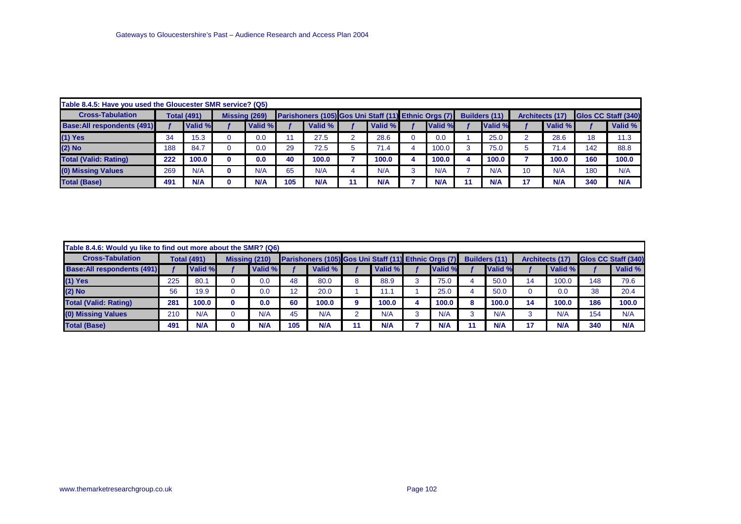| Table 8.4.5: Have you used the Gloucester SMR service? (Q5) |     |                    |                      |     |                                                      |         |            |    |               |        |                        |     |                     |
|-------------------------------------------------------------|-----|--------------------|----------------------|-----|------------------------------------------------------|---------|------------|----|---------------|--------|------------------------|-----|---------------------|
| <b>Cross-Tabulation</b>                                     |     | <b>Total (491)</b> | <b>Missing (269)</b> |     | Parishoners (105) Gos Uni Staff (11) Ethnic Orgs (7) |         |            |    | Builders (11) |        | <b>Architects (17)</b> |     | Glos CC Staff (340) |
| <b>Base:All respondents (491)</b>                           |     | Valid %            | Valid %              |     | Valid %                                              | Valid % | Valid %    |    | Valid %       |        | Valid %                |     | Valid %             |
| $(1)$ Yes                                                   | 34  | 15.3               | 0.0                  |     | 27.5                                                 | 28.6    | 0.0        |    | 25.0          | $\sim$ | 28.6                   | 18  | 11.3                |
| (2) No                                                      | 188 | 84.7               | 0.0                  | 29  | 72.5                                                 | 71.4    | 100.0      |    | 75.0          |        | 71.4                   | 142 | 88.8                |
| <b>Total (Valid: Rating)</b>                                | 222 | 100.0              | 0.0                  | 40  | 100.0                                                | 100.0   | 100.0      |    | 100.0         |        | 100.0                  | 160 | 100.0               |
| (0) Missing Values                                          | 269 | N/A                | N/A                  | 65  | N/A                                                  | N/A     | N/A        |    | N/A           | 10     | N/A                    | 180 | N/A                 |
| <b>Total (Base)</b>                                         | 491 | N/A                | N/A                  | 105 | N/A                                                  | N/A     | <b>N/A</b> | 11 | N/A           | 17     | N/A                    | 340 | N/A                 |

| Table 8.4.6: Would yu like to find out more about the SMR? (Q6) |     |                    |               |            |     |                                                      |            |            |               |                        |         |     |                            |
|-----------------------------------------------------------------|-----|--------------------|---------------|------------|-----|------------------------------------------------------|------------|------------|---------------|------------------------|---------|-----|----------------------------|
| <b>Cross-Tabulation</b>                                         |     | <b>Total (491)</b> | Missing (210) |            |     | Parishoners (105) Gos Uni Staff (11) Ethnic Orgs (7) |            |            | Builders (11) | <b>Architects (17)</b> |         |     | <b>Glos CC Staff (340)</b> |
| <b>Base: All respondents (491)</b>                              |     | Valid %            |               | Valid %    |     | Valid %                                              | Valid %    | Valid %    | Valid %       |                        | Valid % |     | Valid %                    |
| $(1)$ Yes                                                       | 225 | 80.7               |               | 0.0        | 48  | 80.0                                                 | 88.9       | 75.0       | 50.0          | 14                     | 100.0   | 148 | 79.6                       |
| $(2)$ No                                                        | 56  | 19.9               |               | 0.0        |     | 20.0                                                 | 11.1       | 25.0       | 50.0          |                        | 0.0     | 38  | 20.4                       |
| <b>Total (Valid: Rating)</b>                                    | 281 | 100.0              |               | 0.0        | 60  | 100.0                                                | 100.0      | 100.0      | 100.0         | 14                     | 100.0   | 186 | 100.0                      |
| (0) Missing Values                                              | 210 | N/A                |               | N/A        | 45  | N/A                                                  | N/A        | N/A        | N/A           |                        | N/A     | 154 | N/A                        |
| <b>Total (Base)</b>                                             | 491 | N/A                |               | <b>N/A</b> | 105 | <b>N/A</b>                                           | <b>N/A</b> | <b>N/A</b> | N/A           | 17                     | N/A     | 340 | N/A                        |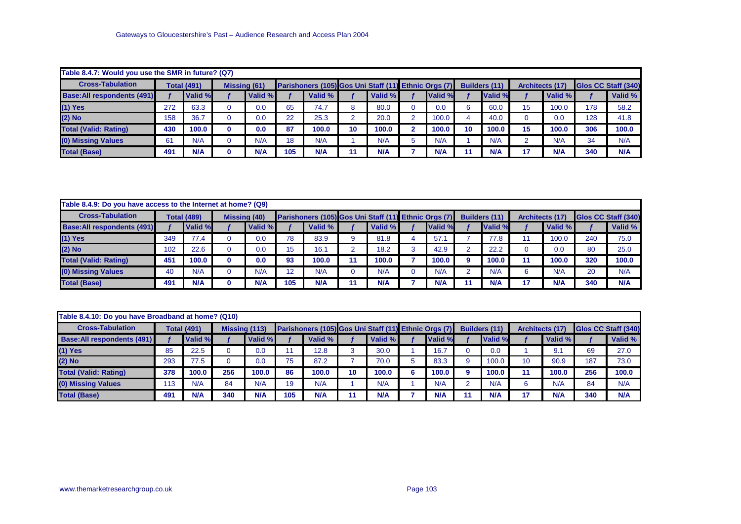| Table 8.4.7: Would you use the SMR in future? (Q7) |     |                    |                     |     |                                                      |                 |            |         |    |                      |    |                        |     |                            |
|----------------------------------------------------|-----|--------------------|---------------------|-----|------------------------------------------------------|-----------------|------------|---------|----|----------------------|----|------------------------|-----|----------------------------|
| <b>Cross-Tabulation</b>                            |     | <b>Total (491)</b> | <b>Missing (61)</b> |     | Parishoners (105) Gos Uni Staff (11) Ethnic Orgs (7) |                 |            |         |    | <b>Builders (11)</b> |    | <b>Architects (17)</b> |     | <b>Glos CC Staff (340)</b> |
| <b>Base: All respondents (491)</b>                 |     | Valid %            | Valid %             |     | Valid %                                              |                 | Valid %    | Valid % |    | Valid %              |    | Valid %                |     | Valid %                    |
| $(1)$ Yes                                          | 272 | 63.3               | 0.0                 | 65  | 74.7                                                 |                 | 80.0       | 0.0     | 6  | 60.0                 | 15 | 100.0                  | 178 | 58.2                       |
| (2) No                                             | 158 | 36.7               | 0.0                 | 22  | 25.3                                                 |                 | 20.0       | 100.0   |    | 40.0                 |    | 0.0                    | 128 | 41.8                       |
| <b>Total (Valid: Rating)</b>                       | 430 | 100.0              | 0.0                 | 87  | 100.0                                                | 10 <sup>°</sup> | 100.0      | 100.0   | 10 | 100.0                | 15 | 100.0                  | 306 | 100.0                      |
| (0) Missing Values                                 | 61  | N/A                | N/A                 | 18  | N/A                                                  |                 | N/A        | N/A     |    | N/A                  | ົ  | N/A                    | 34  | N/A                        |
| <b>Total (Base)</b>                                | 491 | N/A                | N/A                 | 105 | N/A                                                  |                 | <b>N/A</b> | N/A     |    | N/A                  | 17 | N/A                    | 340 | N/A                        |

| Table 8.4.9: Do you have access to the Internet at home? (Q9) |     |                    |                     |         |     |                                                      |         |         |              |                      |                        |         |     |                     |
|---------------------------------------------------------------|-----|--------------------|---------------------|---------|-----|------------------------------------------------------|---------|---------|--------------|----------------------|------------------------|---------|-----|---------------------|
| <b>Cross-Tabulation</b>                                       |     | <b>Total (489)</b> | <b>Missing (40)</b> |         |     | Parishoners (105) Gos Uni Staff (11) Ethnic Orgs (7) |         |         |              | <b>Builders (11)</b> | <b>Architects (17)</b> |         |     | Glos CC Staff (340) |
| <b>Base: All respondents (491)</b>                            |     | Valid %            |                     | Valid % |     | Valid %                                              | Valid % | Valid % |              | Valid %              |                        | Valid % |     | Valid %             |
| $(1)$ Yes                                                     | 349 | 77.4               |                     | 0.0     | 78  | 83.9                                                 | 81.8    | 57.1    |              | 77.8                 |                        | 100.0   | 240 | 75.0                |
| $(2)$ No                                                      | 102 | 22.6               |                     | 0.0     |     | 16.1                                                 | 18.2    | 42.9    |              | 22.2                 |                        | 0.0     | 80  | 25.0                |
| <b>Total (Valid: Rating)</b>                                  | 451 | 100.0              |                     | 0.0     | 93  | 100.0                                                | 100.0   | 100.0   | $\mathbf{a}$ | 100.0                | 11                     | 100.0   | 320 | 100.0               |
| (0) Missing Values                                            | 40  | N/A                |                     | N/A     | 12  | N/A                                                  | N/A     | N/A     |              | N/A                  | 6                      | N/A     | 20  | N/A                 |
| <b>Total (Base)</b>                                           | 491 | N/A                |                     | N/A     | 105 | <b>N/A</b>                                           | N/A     | N/A     |              | N/A                  | 47                     | N/A     | 340 | N/A                 |

| Table 8.4.10: Do you have Broadband at home? (Q10) |     |                    |                      |         |     |                                                      |    |         |            |    |                      |    |                        |     |                            |
|----------------------------------------------------|-----|--------------------|----------------------|---------|-----|------------------------------------------------------|----|---------|------------|----|----------------------|----|------------------------|-----|----------------------------|
| <b>Cross-Tabulation</b>                            |     | <b>Total (491)</b> | <b>Missing (113)</b> |         |     | Parishoners (105) Gos Uni Staff (11) Ethnic Orgs (7) |    |         |            |    | <b>Builders (11)</b> |    | <b>Architects (17)</b> |     | <b>Glos CC Staff (340)</b> |
| <b>Base:All respondents (491)</b>                  |     | Valid %            |                      | Valid % |     | Valid %                                              |    | Valid % | Valid %    |    | Valid %              |    | Valid %                |     | Valid %                    |
| $(1)$ Yes                                          | 85  | 22.5               |                      | 0.0     |     | 12.8                                                 |    | 30.0    | 16.7       |    | 0.0                  |    | 9.1                    | 69  | 27.0                       |
| (2) No                                             | 293 | 77.5               |                      | 0.0     | 75  | 87.2                                                 |    | 70.0    | 83.3       |    | 100.0                | 10 | 90.9                   | 187 | 73.0                       |
| <b>Total (Valid: Rating)</b>                       | 378 | 100.0              | 256                  | 100.0   | 86  | 100.0                                                | 10 | 100.0   | 100.0      |    | 100.0                |    | 100.0                  | 256 | 100.0                      |
| (0) Missing Values                                 | 113 | N/A                | 84                   | N/A     | 19  | N/A                                                  |    | N/A     | N/A        |    | N/A                  | 6  | N/A                    | 84  | N/A                        |
| <b>Total (Base)</b>                                | 491 | N/A                | 340                  | N/A     | 105 | N/A                                                  |    | N/A     | <b>N/A</b> | 11 | N/A                  | 47 | N/A                    | 340 | N/A                        |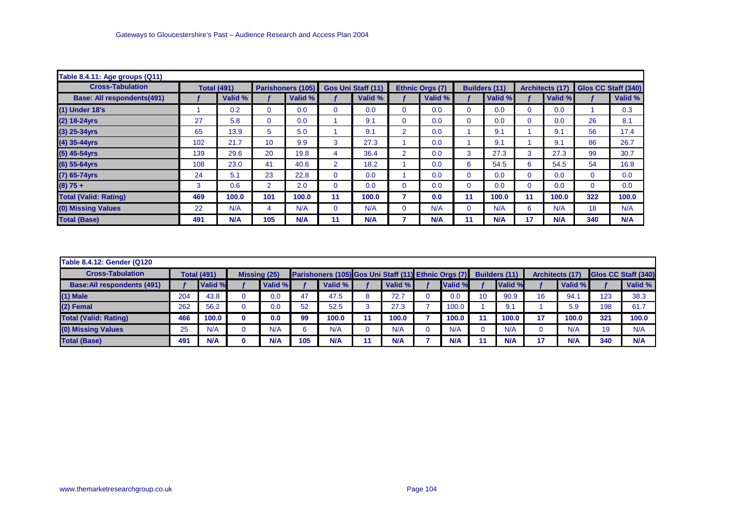| Table 8.4.11: Age groups (Q11)    |     |                    |                |                   |                |                           |                |                 |             |                      |    |                        |                     |         |
|-----------------------------------|-----|--------------------|----------------|-------------------|----------------|---------------------------|----------------|-----------------|-------------|----------------------|----|------------------------|---------------------|---------|
| <b>Cross-Tabulation</b>           |     | <b>Total (491)</b> |                | Parishoners (105) |                | <b>Gos Uni Staff (11)</b> |                | Ethnic Orgs (7) |             | <b>Builders (11)</b> |    | <b>Architects (17)</b> | Glos CC Staff (340) |         |
| <b>Base: All respondents(491)</b> |     | Valid %            |                | Valid %           |                | Valid %                   |                | Valid %         |             | Valid %              |    | Valid %                |                     | Valid % |
| (1) Under 18's                    |     | 0.2                | $\Omega$       | 0.0               | 0              | 0.0                       | $\mathbf 0$    | 0.0             | $\mathbf 0$ | 0.0                  | 0  | 0.0                    |                     | 0.3     |
| (2) 18-24yrs                      | 27  | 5.8                | $\Omega$       | 0.0               |                | 9.1                       | $\mathbf 0$    | 0.0             | $\mathbf 0$ | 0.0                  | 0  | 0.0                    | 26                  | 8.1     |
| $(3)$ 25-34yrs                    | 65  | 13.9               | 5              | 5.0               |                | 9.1                       | $\overline{2}$ | 0.0             |             | 9.1                  |    | 9.1                    | 56                  | 17.4    |
| $(4)$ 35-44yrs                    | 102 | 21.7               | 10             | 9.9               | 3              | 27.3                      |                | 0.0             |             | 9.1                  |    | 9.1                    | 86                  | 26.7    |
| (5) 45-54yrs                      | 139 | 29.6               | 20             | 19.8              | 4              | 36.4                      | $\overline{2}$ | 0.0             | 3           | 27.3                 | 3  | 27.3                   | 99                  | 30.7    |
| $(6)$ 55-64yrs                    | 108 | 23.0               | 41             | 40.6              | $\overline{2}$ | 18.2                      |                | 0.0             | 6           | 54.5                 | 6  | 54.5                   | 54                  | 16.8    |
| $(7)$ 65-74yrs                    | 24  | 5.1                | 23             | 22.8              | 0              | 0.0                       |                | 0.0             | $\mathbf 0$ | 0.0                  | 0  | 0.0                    | $\overline{0}$      | 0.0     |
| $(8) 75 +$                        | 3   | 0.6                | $\overline{2}$ | 2.0               | 0              | 0.0                       | $\mathbf 0$    | 0.0             | $\mathbf 0$ | 0.0                  | 0  | 0.0                    | $\Omega$            | 0.0     |
| <b>Total (Valid: Rating)</b>      | 469 | 100.0              | 101            | 100.0             | 11             | 100.0                     |                | 0.0             | 11          | 100.0                | 11 | 100.0                  | 322                 | 100.0   |
| (0) Missing Values                | 22  | N/A                | 4              | N/A               | 0              | N/A                       | $\mathbf 0$    | N/A             | $\mathbf 0$ | N/A                  | 6  | N/A                    | 18                  | N/A     |
| <b>Total (Base)</b>               | 491 | N/A                | 105            | N/A               | 11             | N/A                       |                | N/A             | 11          | N/A                  | 17 | N/A                    | 340                 | N/A     |

| Table 8.4.12: Gender (Q120)        |     |                    |                     |     |                                                      |         |         |    |               |    |                        |     |                     |
|------------------------------------|-----|--------------------|---------------------|-----|------------------------------------------------------|---------|---------|----|---------------|----|------------------------|-----|---------------------|
| <b>Cross-Tabulation</b>            |     | <b>Total (491)</b> | <b>Missing (25)</b> |     | Parishoners (105) Gos Uni Staff (11) Ethnic Orgs (7) |         |         |    | Builders (11) |    | <b>Architects (17)</b> |     | Glos CC Staff (340) |
| <b>Base: All respondents (491)</b> |     | Valid %            | Valid %             |     | Valid %                                              | Valid % | Valid % |    | Valid %       |    | Valid %                |     | Valid %             |
| $(1)$ Male                         | 204 | 43.8               | 0.0                 | 47  | 47.5                                                 | 72.7    | 0.0     | 10 | 90.9          | 16 | 94.                    | 123 | 38.3                |
| (2) Femal                          | 262 | 56.2               | 0.0                 | 52  | 52.5                                                 | 27.3    | 100.0   |    | 9.1           |    | 5.9                    | 198 | 61.7                |
| <b>Total (Valid: Rating)</b>       | 466 | 100.0              | 0.0                 | 99  | 100.0                                                | 100.0   | 100.0   |    | 100.0         | 17 | 100.0                  | 321 | 100.0               |
| (0) Missing Values                 | 25  | N/A                | N/A                 |     | N/A                                                  | N/A     | N/A     |    | N/A           |    | N/A                    | 19  | N/A                 |
| <b>Total (Base)</b>                | 491 | N/A                | N/A                 | 105 | N/A                                                  | N/A     | N/A     |    | N/A           | 17 | <b>N/A</b>             | 340 | N/A                 |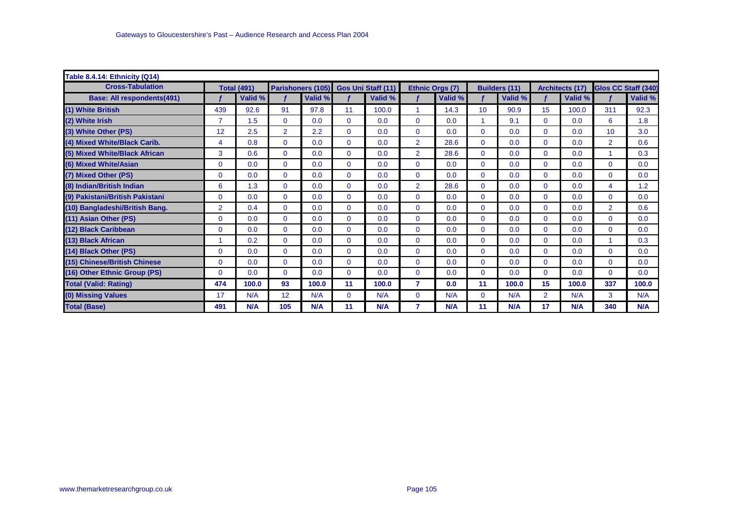| Table 8.4.14: Ethnicity (Q14)     |                |                    |                |         |                |                                      |                |                 |                 |                      |                |                 |                     |         |
|-----------------------------------|----------------|--------------------|----------------|---------|----------------|--------------------------------------|----------------|-----------------|-----------------|----------------------|----------------|-----------------|---------------------|---------|
| <b>Cross-Tabulation</b>           |                | <b>Total (491)</b> |                |         |                | Parishoners (105) Gos Uni Staff (11) |                | Ethnic Orgs (7) |                 | <b>Builders (11)</b> |                | Architects (17) | Glos CC Staff (340) |         |
| <b>Base: All respondents(491)</b> |                | Valid %            |                | Valid % |                | Valid %                              |                | Valid %         |                 | Valid %              |                | Valid %         |                     | Valid % |
| (1) White British                 | 439            | 92.6               | 91             | 97.8    | 11             | 100.0                                | 1              | 14.3            | 10 <sup>1</sup> | 90.9                 | 15             | 100.0           | 311                 | 92.3    |
| (2) White Irish                   | $\overline{7}$ | 1.5                | $\mathbf{0}$   | 0.0     | $\mathbf{0}$   | 0.0                                  | 0              | 0.0             |                 | 9.1                  | $\Omega$       | 0.0             | 6                   | 1.8     |
| (3) White Other (PS)              | 12             | 2.5                | $\overline{2}$ | 2.2     | $\Omega$       | 0.0                                  | 0              | 0.0             | $\Omega$        | 0.0                  | $\mathbf{0}$   | 0.0             | 10                  | 3.0     |
| (4) Mixed White/Black Carib.      | 4              | 0.8                | $\mathbf{0}$   | 0.0     | $\mathbf{0}$   | 0.0                                  | $\overline{2}$ | 28.6            | $\mathbf{0}$    | 0.0                  | $\mathbf{0}$   | 0.0             | $\overline{2}$      | 0.6     |
| (5) Mixed White/Black African     | 3              | 0.6                | $\Omega$       | 0.0     | $\Omega$       | 0.0                                  | $\overline{2}$ | 28.6            | $\Omega$        | 0.0                  | $\Omega$       | 0.0             |                     | 0.3     |
| (6) Mixed White/Asian             | $\Omega$       | 0.0                | $\mathbf{0}$   | 0.0     | $\Omega$       | 0.0                                  | 0              | 0.0             | $\Omega$        | 0.0                  | $\mathbf{0}$   | 0.0             | $\Omega$            | 0.0     |
| (7) Mixed Other (PS)              | 0              | 0.0                | $\mathbf{0}$   | 0.0     | $\mathbf{0}$   | 0.0                                  | 0              | 0.0             | $\mathbf{0}$    | 0.0                  | $\mathbf{0}$   | 0.0             | $\mathbf{0}$        | 0.0     |
| (8) Indian/British Indian         | 6              | 1.3                | $\Omega$       | 0.0     | $\Omega$       | 0.0                                  | $\overline{2}$ | 28.6            | $\Omega$        | 0.0                  | $\Omega$       | 0.0             | 4                   | 1.2     |
| (9) Pakistani/British Pakistani   | $\Omega$       | 0.0                | $\mathbf 0$    | 0.0     | $\mathbf{0}$   | 0.0                                  | 0              | 0.0             | $\mathbf{0}$    | 0.0                  | $\mathbf{0}$   | 0.0             | $\Omega$            | 0.0     |
| (10) Bangladeshi/British Bang.    | $\overline{2}$ | 0.4                | $\mathbf{0}$   | 0.0     | $\overline{0}$ | 0.0                                  | $\overline{0}$ | 0.0             | $\mathbf{0}$    | 0.0                  | $\mathbf{0}$   | 0.0             | $\overline{2}$      | 0.6     |
| (11) Asian Other (PS)             | $\Omega$       | 0.0                | $\Omega$       | 0.0     | $\Omega$       | 0.0                                  | $\Omega$       | 0.0             | $\mathbf{0}$    | 0.0                  | 0              | 0.0             | $\Omega$            | 0.0     |
| (12) Black Caribbean              | $\mathbf 0$    | 0.0                | $\mathbf{0}$   | 0.0     | $\mathbf{0}$   | 0.0                                  | 0              | 0.0             | $\mathbf{0}$    | 0.0                  | $\mathbf{0}$   | 0.0             | $\Omega$            | 0.0     |
| (13) Black African                |                | 0.2                | $\Omega$       | 0.0     | $\Omega$       | 0.0                                  | $\Omega$       | 0.0             | $\Omega$        | 0.0                  | $\Omega$       | 0.0             |                     | 0.3     |
| (14) Black Other (PS)             | $\Omega$       | 0.0                | $\Omega$       | 0.0     | $\Omega$       | 0.0                                  | $\Omega$       | 0.0             | $\mathbf{0}$    | 0.0                  | 0              | 0.0             | $\Omega$            | 0.0     |
| (15) Chinese/British Chinese      | $\Omega$       | 0.0                | $\mathbf 0$    | 0.0     | $\mathbf{0}$   | 0.0                                  | 0              | 0.0             | $\mathbf{0}$    | 0.0                  | $\mathbf 0$    | 0.0             | $\Omega$            | 0.0     |
| (16) Other Ethnic Group (PS)      | $\mathbf 0$    | 0.0                | $\mathbf{0}$   | 0.0     | $\overline{0}$ | 0.0                                  | $\mathbf{0}$   | 0.0             | $\mathbf{0}$    | 0.0                  | $\mathbf{0}$   | 0.0             | $\mathbf{0}$        | 0.0     |
| <b>Total (Valid: Rating)</b>      | 474            | 100.0              | 93             | 100.0   | 11             | 100.0                                | 7              | 0.0             | 11              | 100.0                | 15             | 100.0           | 337                 | 100.0   |
| (0) Missing Values                | 17             | N/A                | 12             | N/A     | $\mathbf{0}$   | N/A                                  | 0              | N/A             | $\mathbf 0$     | N/A                  | $\overline{2}$ | N/A             | 3                   | N/A     |
| <b>Total (Base)</b>               | 491            | N/A                | 105            | N/A     | 11             | N/A                                  | 7              | N/A             | 11              | N/A                  | 17             | N/A             | 340                 | N/A     |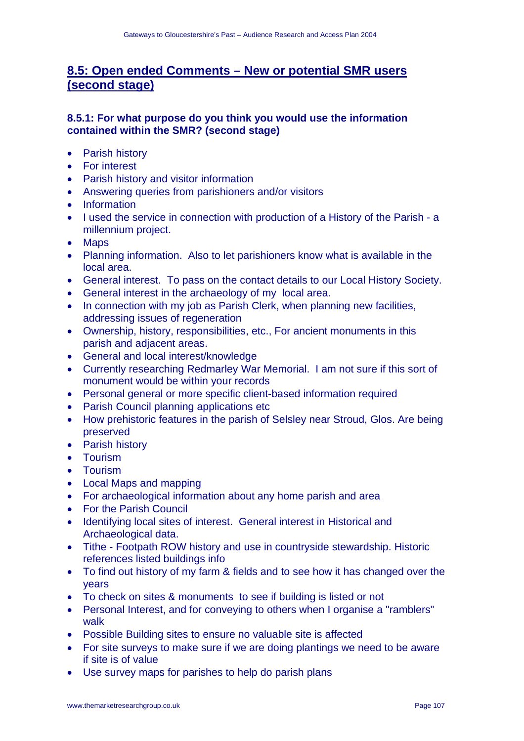# **8.5: Open ended Comments – New or potential SMR users (second stage)**

## **8.5.1: For what purpose do you think you would use the information contained within the SMR? (second stage)**

- Parish history
- For interest
- Parish history and visitor information
- Answering queries from parishioners and/or visitors
- Information
- I used the service in connection with production of a History of the Parish a millennium project.
- Maps
- Planning information. Also to let parishioners know what is available in the local area.
- General interest. To pass on the contact details to our Local History Society.
- General interest in the archaeology of my local area.
- In connection with my job as Parish Clerk, when planning new facilities, addressing issues of regeneration
- Ownership, history, responsibilities, etc., For ancient monuments in this parish and adjacent areas.
- General and local interest/knowledge
- Currently researching Redmarley War Memorial. I am not sure if this sort of monument would be within your records
- Personal general or more specific client-based information required
- Parish Council planning applications etc
- How prehistoric features in the parish of Selsley near Stroud, Glos. Are being preserved
- Parish history
- Tourism
- Tourism
- Local Maps and mapping
- For archaeological information about any home parish and area
- For the Parish Council
- Identifying local sites of interest. General interest in Historical and Archaeological data.
- Tithe Footpath ROW history and use in countryside stewardship. Historic references listed buildings info
- To find out history of my farm & fields and to see how it has changed over the years
- To check on sites & monuments to see if building is listed or not
- Personal Interest, and for conveying to others when I organise a "ramblers" walk
- Possible Building sites to ensure no valuable site is affected
- For site surveys to make sure if we are doing plantings we need to be aware if site is of value
- Use survey maps for parishes to help do parish plans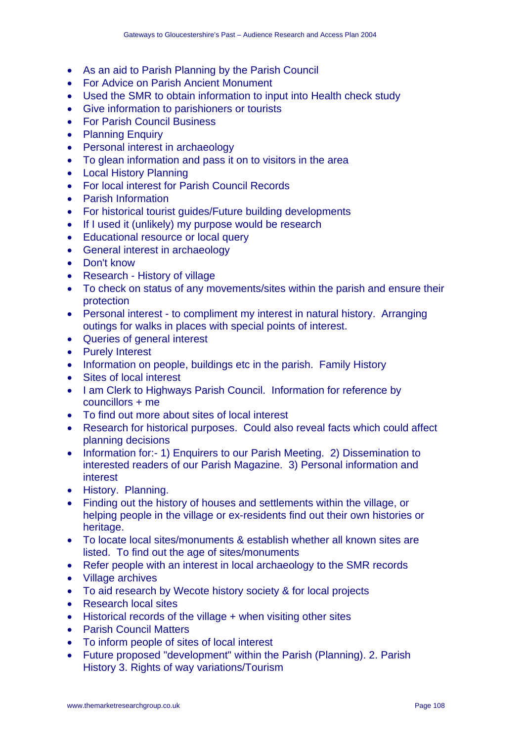- As an aid to Parish Planning by the Parish Council
- For Advice on Parish Ancient Monument
- Used the SMR to obtain information to input into Health check study
- Give information to parishioners or tourists
- For Parish Council Business
- Planning Enquiry
- Personal interest in archaeology
- To glean information and pass it on to visitors in the area
- Local History Planning
- For local interest for Parish Council Records
- Parish Information
- For historical tourist quides/Future building developments
- If I used it (unlikely) my purpose would be research
- Educational resource or local query
- General interest in archaeology
- Don't know
- Research History of village
- To check on status of any movements/sites within the parish and ensure their protection
- Personal interest to compliment my interest in natural history. Arranging outings for walks in places with special points of interest.
- Queries of general interest
- Purely Interest
- Information on people, buildings etc in the parish. Family History
- Sites of local interest
- I am Clerk to Highways Parish Council. Information for reference by councillors + me
- To find out more about sites of local interest
- Research for historical purposes. Could also reveal facts which could affect planning decisions
- Information for:- 1) Enquirers to our Parish Meeting. 2) Dissemination to interested readers of our Parish Magazine. 3) Personal information and interest
- History. Planning.
- Finding out the history of houses and settlements within the village, or helping people in the village or ex-residents find out their own histories or heritage.
- To locate local sites/monuments & establish whether all known sites are listed. To find out the age of sites/monuments
- Refer people with an interest in local archaeology to the SMR records
- Village archives
- To aid research by Wecote history society & for local projects
- Research local sites
- Historical records of the village + when visiting other sites
- Parish Council Matters
- To inform people of sites of local interest
- Future proposed "development" within the Parish (Planning). 2. Parish History 3. Rights of way variations/Tourism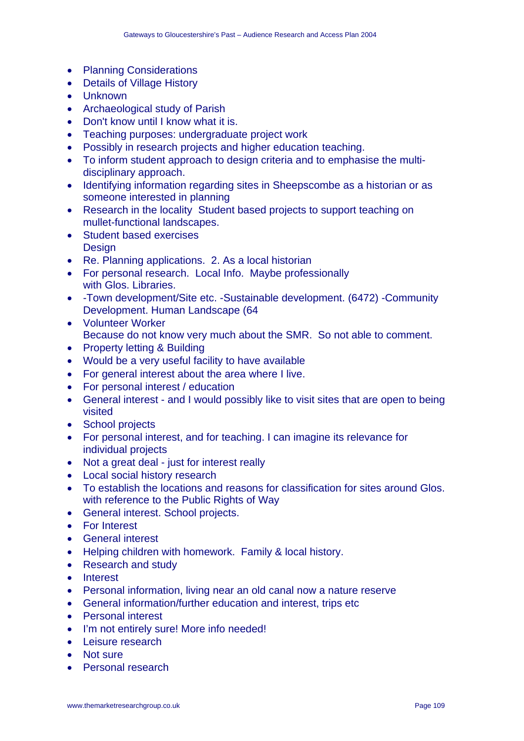- Planning Considerations
- Details of Village History
- Unknown
- Archaeological study of Parish
- Don't know until I know what it is.
- Teaching purposes: undergraduate project work
- Possibly in research projects and higher education teaching.
- To inform student approach to design criteria and to emphasise the multidisciplinary approach.
- Identifying information regarding sites in Sheepscombe as a historian or as someone interested in planning
- Research in the locality Student based projects to support teaching on mullet-functional landscapes.
- Student based exercises **Design**
- Re. Planning applications. 2. As a local historian
- For personal research. Local Info. Maybe professionally with Glos. Libraries.
- -Town development/Site etc. -Sustainable development. (6472) -Community Development. Human Landscape (64
- Volunteer Worker Because do not know very much about the SMR. So not able to comment.
- Property letting & Building
- Would be a very useful facility to have available
- For general interest about the area where I live.
- For personal interest / education
- General interest and I would possibly like to visit sites that are open to being visited
- School projects
- For personal interest, and for teaching. I can imagine its relevance for individual projects
- Not a great deal just for interest really
- Local social history research
- To establish the locations and reasons for classification for sites around Glos. with reference to the Public Rights of Way
- General interest. School projects.
- For Interest
- General interest
- Helping children with homework. Family & local history.
- Research and study
- Interest
- Personal information, living near an old canal now a nature reserve
- General information/further education and interest, trips etc
- Personal interest
- I'm not entirely sure! More info needed!
- Leisure research
- Not sure
- Personal research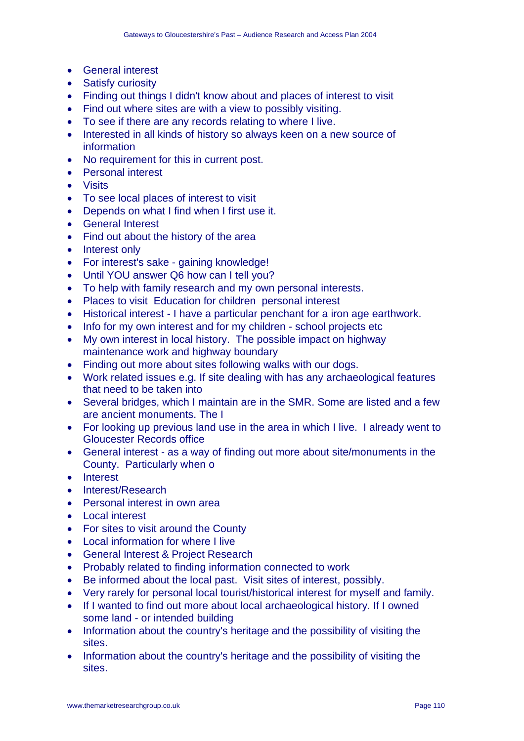- General interest
- Satisfy curiosity
- Finding out things I didn't know about and places of interest to visit
- Find out where sites are with a view to possibly visiting.
- To see if there are any records relating to where I live.
- Interested in all kinds of history so always keen on a new source of information
- No requirement for this in current post.
- Personal interest
- Visits
- To see local places of interest to visit
- Depends on what I find when I first use it.
- General Interest
- Find out about the history of the area
- Interest only
- For interest's sake gaining knowledge!
- Until YOU answer Q6 how can I tell you?
- To help with family research and my own personal interests.
- Places to visit Education for children personal interest
- Historical interest I have a particular penchant for a iron age earthwork.
- Info for my own interest and for my children school projects etc
- My own interest in local history. The possible impact on highway maintenance work and highway boundary
- Finding out more about sites following walks with our dogs.
- Work related issues e.g. If site dealing with has any archaeological features that need to be taken into
- Several bridges, which I maintain are in the SMR. Some are listed and a few are ancient monuments. The I
- For looking up previous land use in the area in which I live. I already went to Gloucester Records office
- General interest as a way of finding out more about site/monuments in the County. Particularly when o
- Interest
- Interest/Research
- Personal interest in own area
- Local interest
- For sites to visit around the County
- Local information for where I live
- General Interest & Project Research
- Probably related to finding information connected to work
- Be informed about the local past. Visit sites of interest, possibly.
- Very rarely for personal local tourist/historical interest for myself and family.
- If I wanted to find out more about local archaeological history. If I owned some land - or intended building
- Information about the country's heritage and the possibility of visiting the sites.
- Information about the country's heritage and the possibility of visiting the sites.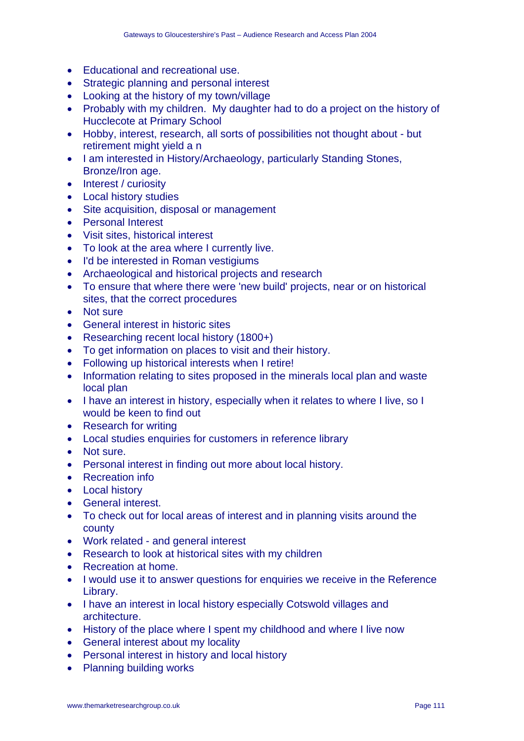- Educational and recreational use.
- Strategic planning and personal interest
- Looking at the history of my town/village
- Probably with my children. My daughter had to do a project on the history of Hucclecote at Primary School
- Hobby, interest, research, all sorts of possibilities not thought about but retirement might yield a n
- I am interested in History/Archaeology, particularly Standing Stones, Bronze/Iron age.
- Interest / curiosity
- Local history studies
- Site acquisition, disposal or management
- Personal Interest
- Visit sites, historical interest
- To look at the area where I currently live.
- I'd be interested in Roman vestigiums
- Archaeological and historical projects and research
- To ensure that where there were 'new build' projects, near or on historical sites, that the correct procedures
- Not sure
- General interest in historic sites
- Researching recent local history (1800+)
- To get information on places to visit and their history.
- Following up historical interests when I retire!
- Information relating to sites proposed in the minerals local plan and waste local plan
- I have an interest in history, especially when it relates to where I live, so I would be keen to find out
- Research for writing
- Local studies enquiries for customers in reference library
- Not sure.
- Personal interest in finding out more about local history.
- Recreation info
- Local history
- General interest.
- To check out for local areas of interest and in planning visits around the county
- Work related and general interest
- Research to look at historical sites with my children
- Recreation at home.
- I would use it to answer questions for enquiries we receive in the Reference Library.
- I have an interest in local history especially Cotswold villages and architecture.
- History of the place where I spent my childhood and where I live now
- General interest about my locality
- Personal interest in history and local history
- Planning building works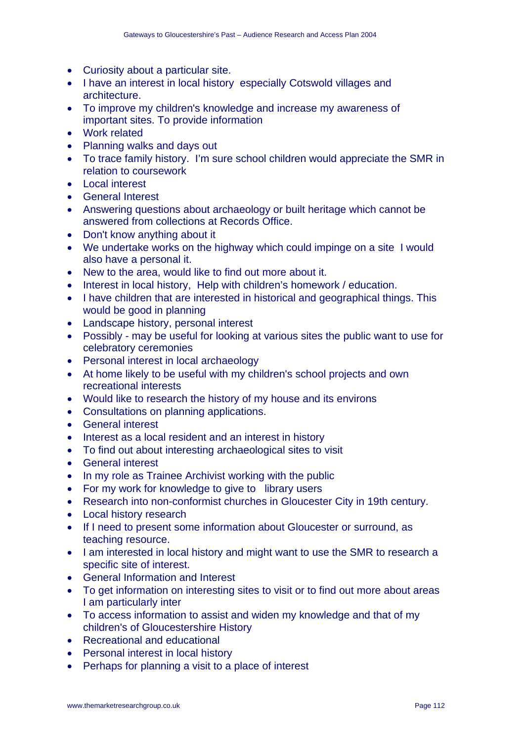- Curiosity about a particular site.
- I have an interest in local history especially Cotswold villages and architecture.
- To improve my children's knowledge and increase my awareness of important sites. To provide information
- Work related
- Planning walks and days out
- To trace family history. I'm sure school children would appreciate the SMR in relation to coursework
- Local interest
- General Interest
- Answering questions about archaeology or built heritage which cannot be answered from collections at Records Office.
- Don't know anything about it
- We undertake works on the highway which could impinge on a site I would also have a personal it.
- New to the area, would like to find out more about it.
- Interest in local history, Help with children's homework / education.
- I have children that are interested in historical and geographical things. This would be good in planning
- Landscape history, personal interest
- Possibly may be useful for looking at various sites the public want to use for celebratory ceremonies
- Personal interest in local archaeology
- At home likely to be useful with my children's school projects and own recreational interests
- Would like to research the history of my house and its environs
- Consultations on planning applications.
- General interest
- Interest as a local resident and an interest in history
- To find out about interesting archaeological sites to visit
- General interest
- In my role as Trainee Archivist working with the public
- For my work for knowledge to give to library users
- Research into non-conformist churches in Gloucester City in 19th century.
- Local history research
- If I need to present some information about Gloucester or surround, as teaching resource.
- I am interested in local history and might want to use the SMR to research a specific site of interest.
- General Information and Interest
- To get information on interesting sites to visit or to find out more about areas I am particularly inter
- To access information to assist and widen my knowledge and that of my children's of Gloucestershire History
- Recreational and educational
- Personal interest in local history
- Perhaps for planning a visit to a place of interest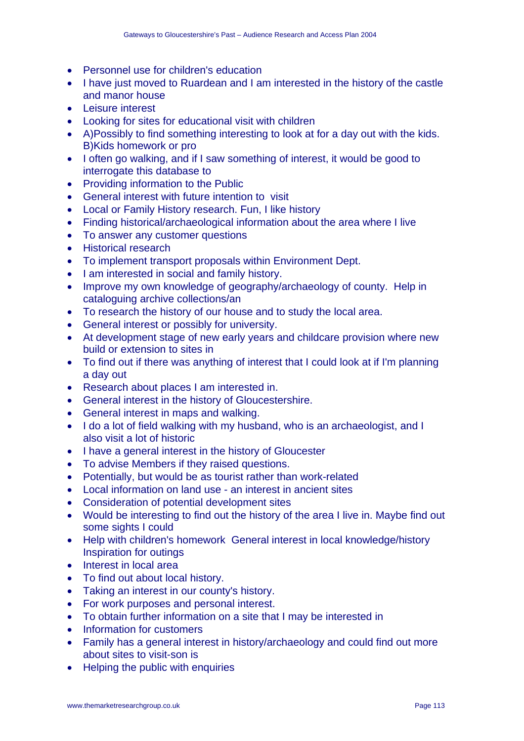- Personnel use for children's education
- I have just moved to Ruardean and I am interested in the history of the castle and manor house
- Leisure interest
- Looking for sites for educational visit with children
- A)Possibly to find something interesting to look at for a day out with the kids. B)Kids homework or pro
- I often go walking, and if I saw something of interest, it would be good to interrogate this database to
- Providing information to the Public
- General interest with future intention to visit
- Local or Family History research. Fun, I like history
- Finding historical/archaeological information about the area where I live
- To answer any customer questions
- Historical research
- To implement transport proposals within Environment Dept.
- I am interested in social and family history.
- Improve my own knowledge of geography/archaeology of county. Help in cataloguing archive collections/an
- To research the history of our house and to study the local area.
- General interest or possibly for university.
- At development stage of new early years and childcare provision where new build or extension to sites in
- To find out if there was anything of interest that I could look at if I'm planning a day out
- Research about places I am interested in.
- General interest in the history of Gloucestershire.
- General interest in maps and walking.
- I do a lot of field walking with my husband, who is an archaeologist, and I also visit a lot of historic
- I have a general interest in the history of Gloucester
- To advise Members if they raised questions.
- Potentially, but would be as tourist rather than work-related
- Local information on land use an interest in ancient sites
- Consideration of potential development sites
- Would be interesting to find out the history of the area I live in. Maybe find out some sights I could
- Help with children's homework General interest in local knowledge/history Inspiration for outings
- Interest in local area
- To find out about local history.
- Taking an interest in our county's history.
- For work purposes and personal interest.
- To obtain further information on a site that I may be interested in
- Information for customers
- Family has a general interest in history/archaeology and could find out more about sites to visit-son is
- Helping the public with enquiries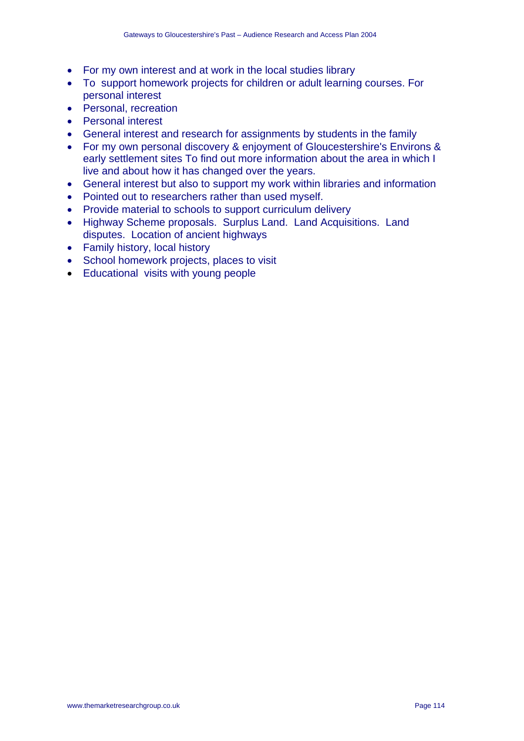- For my own interest and at work in the local studies library
- To support homework projects for children or adult learning courses. For personal interest
- Personal, recreation
- Personal interest
- General interest and research for assignments by students in the family
- For my own personal discovery & enjoyment of Gloucestershire's Environs & early settlement sites To find out more information about the area in which I live and about how it has changed over the years.
- General interest but also to support my work within libraries and information
- Pointed out to researchers rather than used myself.
- Provide material to schools to support curriculum delivery
- Highway Scheme proposals. Surplus Land. Land Acquisitions. Land disputes. Location of ancient highways
- Family history, local history
- School homework projects, places to visit
- Educational visits with young people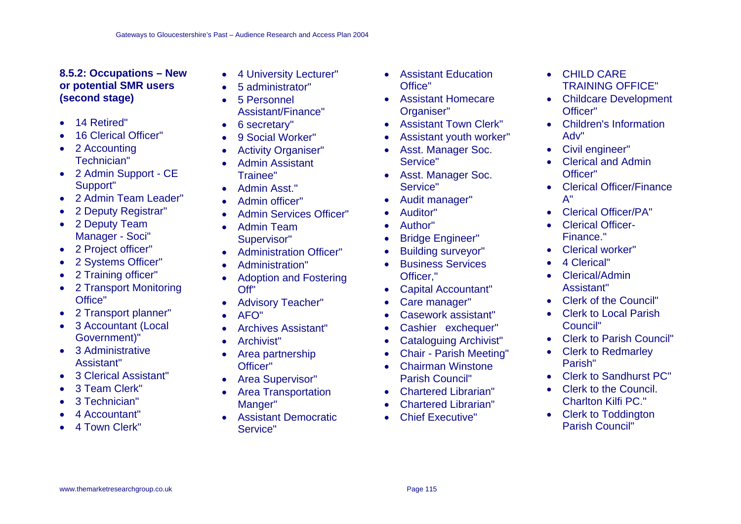## **8.5.2: Occupations – New or potential SMR users (second stage)**

- 14 Retired"
- 16 Clerical Officer"
- 2 Accounting Technician"
- 2 Admin Support CE Support"
- 2 Admin Team Leader"
- 2 Deputy Registrar"
- 2 Deputy Team Manager - Soci"
- 2 Project officer"
- 2 Systems Officer"
- 2 Training officer"
- 2 Transport Monitoring Office"
- 2 Transport planner"
- 3 Accountant (Local Government)"
- 3 Administrative Assistant"
- 3 Clerical Assistant"
- 3 Team Clerk"
- 3 Technician"
- 4 Accountant"
- 4 Town Clerk"
- 4 University Lecturer"
- 5 administrator"
- 5 Personnel Assistant/Finance"
- 6 secretary"
- 9 Social Worker"
- Activity Organiser"
- Admin Assistant Trainee"
- Admin Asst."
- Admin officer"
- Admin Services Officer"
- Admin Team Supervisor"
- Administration Officer"
- Administration"
- Adoption and Fostering Off"
- Advisory Teacher"
- AFO"
- Archives Assistant"
- Archivist"
- Area partnership Officer"
- Area Supervisor"
- Area Transportation Manger"
- Assistant Democratic Service"
- Assistant Education Office"
- Assistant Homecare Organiser"
- Assistant Town Clerk"
- Assistant youth worker"
- Asst. Manager Soc. Service"
- Asst. Manager Soc. Service"
- Audit manager"
- Auditor"
- Author"
- **Bridge Engineer"**
- Building surveyor"
- Business Services Officer,"
- Capital Accountant"
- Care manager"
- Casework assistant"
- Cashier exchequer"
- Cataloguing Archivist"
- Chair Parish Meeting"
- Chairman Winstone Parish Council"
- Chartered Librarian"
- Chartered Librarian"
- Chief Executive"
- CHILD CARE TRAINING OFFICE"
- Childcare Development Officer"
- Children's Information Adv"
- Civil engineer"
- Clerical and Admin Officer"
- Clerical Officer/Finance A"
- Clerical Officer/PA"
- Clerical Officer-Finance."
- Clerical worker"
- 4 Clerical"
- Clerical/Admin Assistant"
- Clerk of the Council"
- **Clerk to Local Parish** Council"
- Clerk to Parish Council"
- Clerk to Redmarley Parish"
- Clerk to Sandhurst PC"
- Clerk to the Council. Charlton Kilfi PC."
- Clerk to Toddington Parish Council"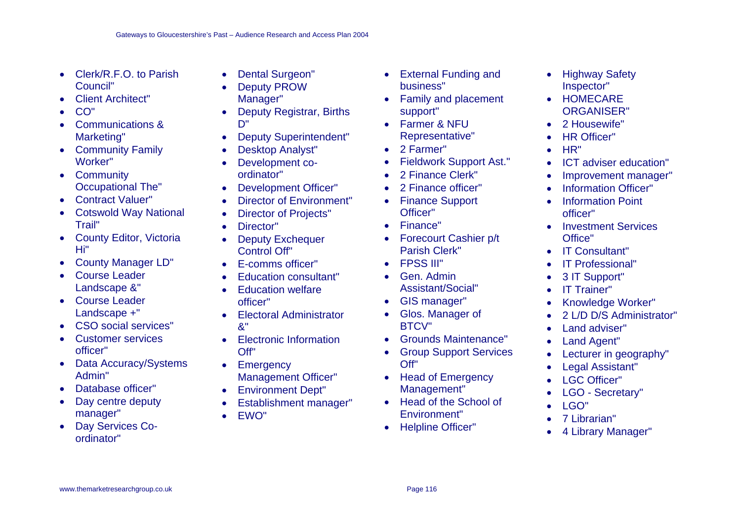- Clerk/R.F.O. to Parish Council"
- Client Architect"
- CO"
- Communications & Marketing"
- Community Family Worker"
- Community Occupational The"
- Contract Valuer"
- Cotswold Way National Trail"
- County Editor, Victoria Hi"
- County Manager LD"
- Course Leader Landscape &"
- Course Leader Landscape +"
- CSO social services"
- Customer services officer"
- Data Accuracy/Systems Admin"
- Database officer"
- Day centre deputy manager"
- Day Services Coordinator"
- Dental Surgeon"
- Deputy PROW Manager"
- Deputy Registrar, Births D"
- Deputy Superintendent"
- Desktop Analyst"
- Development coordinator"
- Development Officer"
- Director of Environment"
- Director of Projects"
- Director"
- Deputy Exchequer Control Off"
- E-comms officer"
- Education consultant"
- Education welfare officer"
- Electoral Administrator &"
- Electronic Information Off"
- Emergency Management Officer"
- Environment Dept"
- Establishment manager"
- EWO"
- External Funding and business"
- Family and placement support"
- Farmer & NFU Representative"
- 2 Farmer"
- Fieldwork Support Ast."
- 2 Finance Clerk"
- 2 Finance officer"
- Finance Support Officer"
- Finance"
- Forecourt Cashier p/t Parish Clerk"
- FPSS III"
- Gen. Admin Assistant/Social"
- GIS manager"
- Glos. Manager of BTCV"
- Grounds Maintenance"
- Group Support Services Off"
- Head of Emergency Management"
- Head of the School of Environment"
- Helpline Officer"
- Highway Safety Inspector"
- HOMECARE ORGANISER"
- 2 Housewife"
- **HR Officer"**
- HR"
- ICT adviser education"
- Improvement manager"
- **Information Officer"**
- Information Point officer"
- Investment Services Office"
- IT Consultant"
- IT Professional"
- 3 IT Support"
- IT Trainer"
- Knowledge Worker"
- 2 L/D D/S Administrator"
- Land adviser"
- Land Agent"
- Lecturer in geography"
- Legal Assistant"
- LGC Officer"
- LGO Secretary"
- LGO"
- 7 Librarian"
- 4 Library Manager"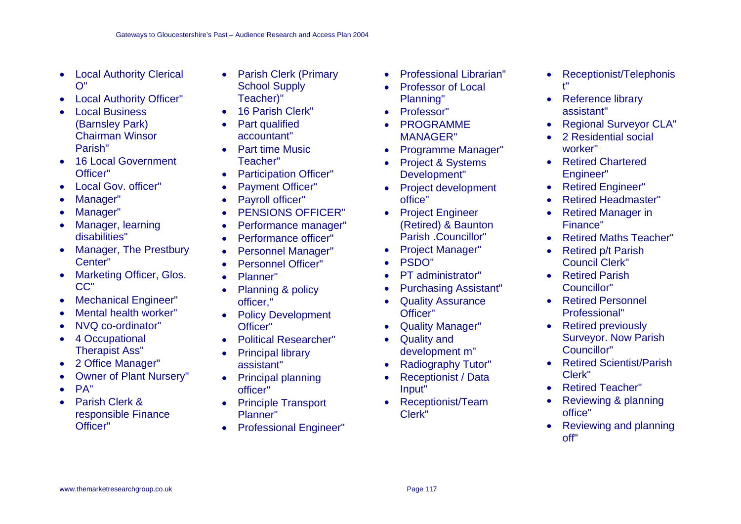- Local Authority Clerical O"
- Local Authority Officer"
- Local Business (Barnsley Park) Chairman Winsor Parish"
- 16 Local Government Officer"
- Local Gov. officer"
- Manager"
- Manager"
- Manager, learning disabilities"
- Manager, The Prestbury Center"
- Marketing Officer, Glos. CC"
- Mechanical Engineer"
- Mental health worker"
- NVQ co-ordinator"
- 4 Occupational Therapist Ass"
- 2 Office Manager"
- Owner of Plant Nursery"
- PA"
- Parish Clerk & responsible Finance Officer"
- Parish Clerk (Primary School Supply Teacher)"
- 16 Parish Clerk"
- Part qualified accountant"
- Part time Music Teacher"
- Participation Officer"
- Payment Officer"
- Payroll officer"
- PENSIONS OFFICER"
- Performance manager"
- Performance officer"
- Personnel Manager"
- Personnel Officer"
- Planner"
- Planning & policy officer,"
- Policy Development Officer"
- Political Researcher"
- Principal library assistant"
- Principal planning officer"
- Principle Transport Planner"
- Professional Engineer"
- Professional Librarian"
- Professor of Local Planning"
- Professor"
- PROGRAMME MANAGER"
- Programme Manager"
- Project & Systems Development"
- Project development office"
- Project Engineer (Retired) & Baunton Parish .Councillor"
- Project Manager"
- PSDO"
- PT administrator"
- Purchasing Assistant"
- **Quality Assurance** Officer"
- Quality Manager"
- Quality and development m"
- Radiography Tutor"
- Receptionist / Data Input"
- Receptionist/Team Clerk"
- Receptionist/Telephonis t"
- Reference library assistant"
- Regional Surveyor CLA"
- 2 Residential social worker"
- Retired Chartered Engineer"
- **Retired Engineer"**
- Retired Headmaster"
- **Retired Manager in** Finance"
- Retired Maths Teacher"
- Retired p/t Parish Council Clerk"
- Retired Parish Councillor"
- Retired Personnel Professional"
- Retired previously Surveyor. Now Parish Councillor"
- Retired Scientist/Parish Clerk"
- Retired Teacher"
- Reviewing & planning office"
- Reviewing and planning off"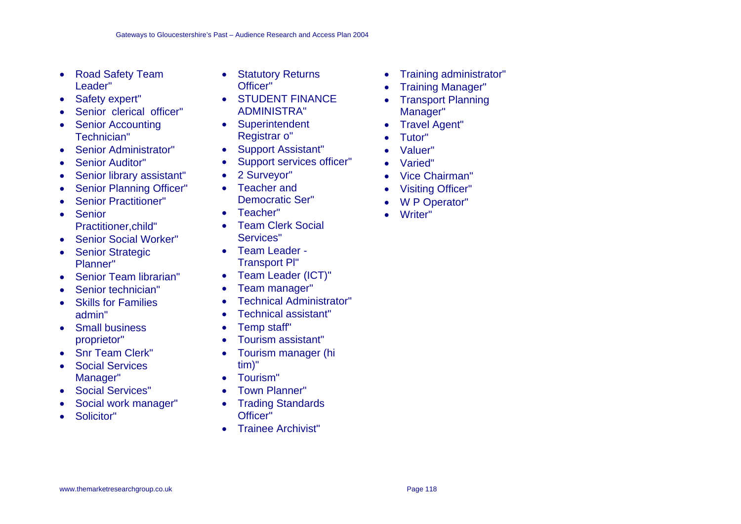- Road Safety Team Leader"
- Safety expert"
- Senior clerical officer"
- Senior Accounting Technician"
- Senior Administrator"
- Senior Auditor"
- Senior library assistant"
- Senior Planning Officer"
- Senior Practitioner"
- Senior Practitioner,child"
- Senior Social Worker"
- Senior Strategic Planner"
- Senior Team librarian"
- Senior technician"
- Skills for Families admin"
- Small business proprietor"
- Snr Team Clerk"
- Social Services Manager"
- Social Services"
- Social work manager"
- Solicitor"
- Statutory Returns Officer"
- STUDENT FINANCE ADMINISTRA"
- Superintendent Registrar o"
- Support Assistant"
- Support services officer"
- 2 Surveyor"
- Teacher and Democratic Ser"
- Teacher"
- Team Clerk Social Services"
- Team Leader Transport Pl"
- Team Leader (ICT)"
- Team manager"
- Technical Administrator"
- Technical assistant"
- Temp staff"
- Tourism assistant"
- Tourism manager (hi tim)"
- Tourism"
- Town Planner"
- Trading Standards Officer"
- Trainee Archivist"
- Training administrator"
- Training Manager"
- Transport Planning Manager"
- Travel Agent"
- Tutor"
- Valuer"
- Varied"
- Vice Chairman"
- Visiting Officer"
- W P Operator"
- Writer"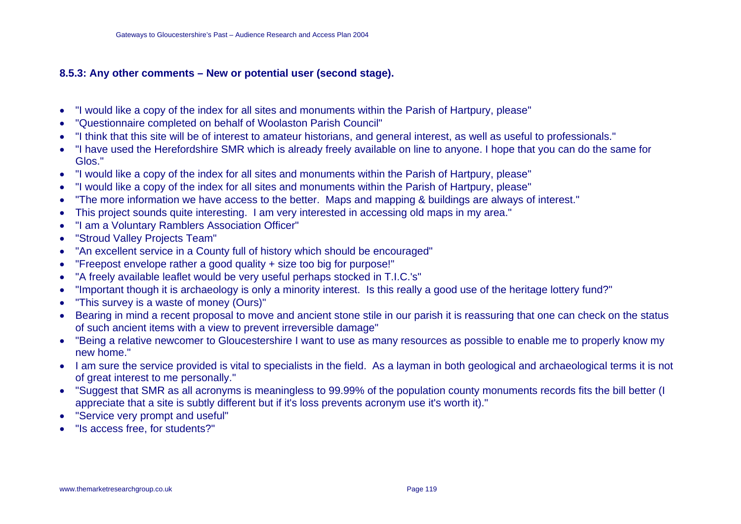### **8.5.3: Any other comments – New or potential user (second stage).**

- •"I would like a copy of the index for all sites and monuments within the Parish of Hartpury, please"
- •"Questionnaire completed on behalf of Woolaston Parish Council"
- •"I think that this site will be of interest to amateur historians, and general interest, as well as useful to professionals."
- • "I have used the Herefordshire SMR which is already freely available on line to anyone. I hope that you can do the same for Glos."
- •"I would like a copy of the index for all sites and monuments within the Parish of Hartpury, please"
- •"I would like a copy of the index for all sites and monuments within the Parish of Hartpury, please"
- •"The more information we have access to the better. Maps and mapping & buildings are always of interest."
- This project sounds quite interesting. I am very interested in accessing old maps in my area."
- •"I am a Voluntary Ramblers Association Officer"
- •"Stroud Valley Projects Team"
- •"An excellent service in a County full of history which should be encouraged"
- •"Freepost envelope rather a good quality + size too big for purpose!"
- •"A freely available leaflet would be very useful perhaps stocked in T.I.C.'s"
- •"Important though it is archaeology is only a minority interest. Is this really a good use of the heritage lottery fund?"
- •"This survey is a waste of money (Ours)"
- Bearing in mind a recent proposal to move and ancient stone stile in our parish it is reassuring that one can check on the status of such ancient items with a view to prevent irreversible damage"
- "Being a relative newcomer to Gloucestershire I want to use as many resources as possible to enable me to properly know my new home."
- I am sure the service provided is vital to specialists in the field. As a layman in both geological and archaeological terms it is not of great interest to me personally."
- "Suggest that SMR as all acronyms is meaningless to 99.99% of the population county monuments records fits the bill better (I appreciate that a site is subtly different but if it's loss prevents acronym use it's worth it)."
- "Service very prompt and useful"
- •"Is access free, for students?"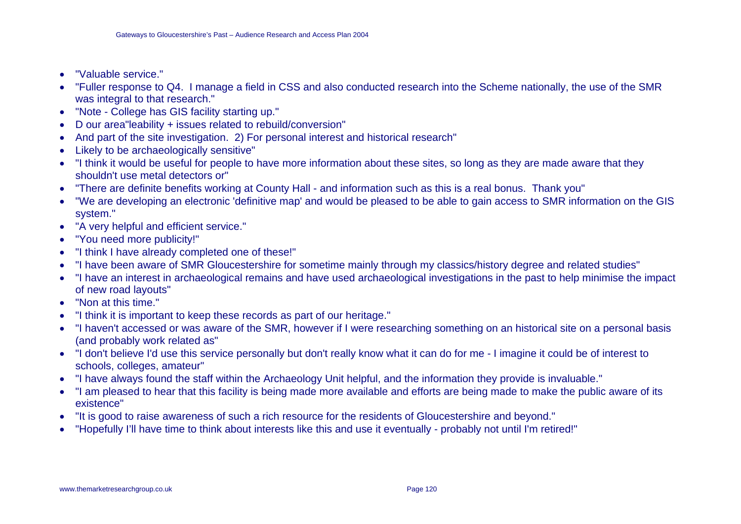- •"Valuable service."
- • "Fuller response to Q4. I manage a field in CSS and also conducted research into the Scheme nationally, the use of the SMR was integral to that research."
- "Note College has GIS facility starting up."
- D our area"leability + issues related to rebuild/conversion"
- And part of the site investigation. 2) For personal interest and historical research"
- Likely to be archaeologically sensitive"
- "I think it would be useful for people to have more information about these sites, so long as they are made aware that they shouldn't use metal detectors or"
- "There are definite benefits working at County Hall and information such as this is a real bonus. Thank you"
- • "We are developing an electronic 'definitive map' and would be pleased to be able to gain access to SMR information on the GIS system."
- "A very helpful and efficient service."
- •"You need more publicity!"
- "I think I have already completed one of these!"
- "I have been aware of SMR Gloucestershire for sometime mainly through my classics/history degree and related studies"
- "I have an interest in archaeological remains and have used archaeological investigations in the past to help minimise the impact of new road layouts"
- "Non at this time."
- •"I think it is important to keep these records as part of our heritage."
- "I haven't accessed or was aware of the SMR, however if I were researching something on an historical site on a personal basis (and probably work related as"
- "I don't believe I'd use this service personally but don't really know what it can do for me I imagine it could be of interest to schools, colleges, amateur"
- "I have always found the staff within the Archaeology Unit helpful, and the information they provide is invaluable."
- "I am pleased to hear that this facility is being made more available and efforts are being made to make the public aware of its existence"
- "It is good to raise awareness of such a rich resource for the residents of Gloucestershire and beyond."
- •"Hopefully I'll have time to think about interests like this and use it eventually - probably not until I'm retired!"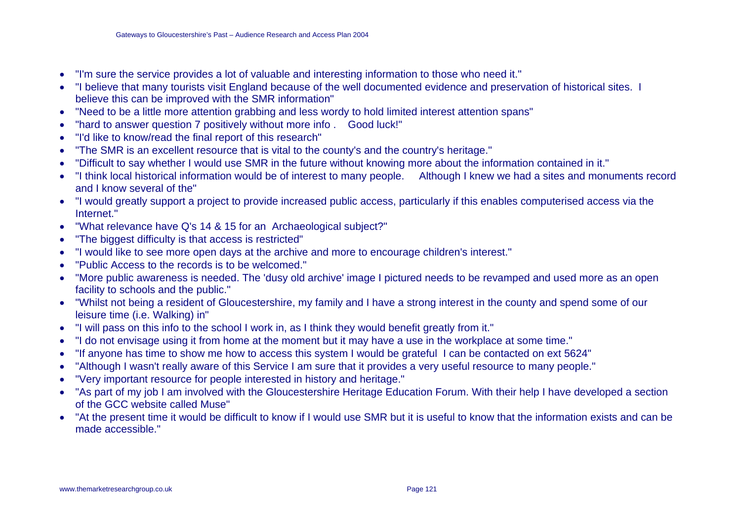- •"I'm sure the service provides a lot of valuable and interesting information to those who need it."
- • "I believe that many tourists visit England because of the well documented evidence and preservation of historical sites. I believe this can be improved with the SMR information"
- $\bullet$ "Need to be a little more attention grabbing and less wordy to hold limited interest attention spans"
- •"hard to answer question 7 positively without more info . Good luck!"
- •"I'd like to know/read the final report of this research"
- •"The SMR is an excellent resource that is vital to the county's and the country's heritage."
- •"Difficult to say whether I would use SMR in the future without knowing more about the information contained in it."
- "I think local historical information would be of interest to many people. Although I knew we had a sites and monuments record and I know several of the"
- "I would greatly support a project to provide increased public access, particularly if this enables computerised access via the Internet."
- •"What relevance have Q's 14 & 15 for an Archaeological subject?"
- •"The biggest difficulty is that access is restricted"
- $\bullet$ "I would like to see more open days at the archive and more to encourage children's interest."
- •"Public Access to the records is to be welcomed."
- • "More public awareness is needed. The 'dusy old archive' image I pictured needs to be revamped and used more as an open facility to schools and the public."
- • "Whilst not being a resident of Gloucestershire, my family and I have a strong interest in the county and spend some of our leisure time (i.e. Walking) in"
- •"I will pass on this info to the school I work in, as I think they would benefit greatly from it."
- $\bullet$ "I do not envisage using it from home at the moment but it may have a use in the workplace at some time."
- •"If anyone has time to show me how to access this system I would be grateful I can be contacted on ext 5624"
- $\bullet$ "Although I wasn't really aware of this Service I am sure that it provides a very useful resource to many people."
- •"Very important resource for people interested in history and heritage."
- "As part of my job I am involved with the Gloucestershire Heritage Education Forum. With their help I have developed a section of the GCC website called Muse"
- $\bullet$  "At the present time it would be difficult to know if I would use SMR but it is useful to know that the information exists and can be made accessible."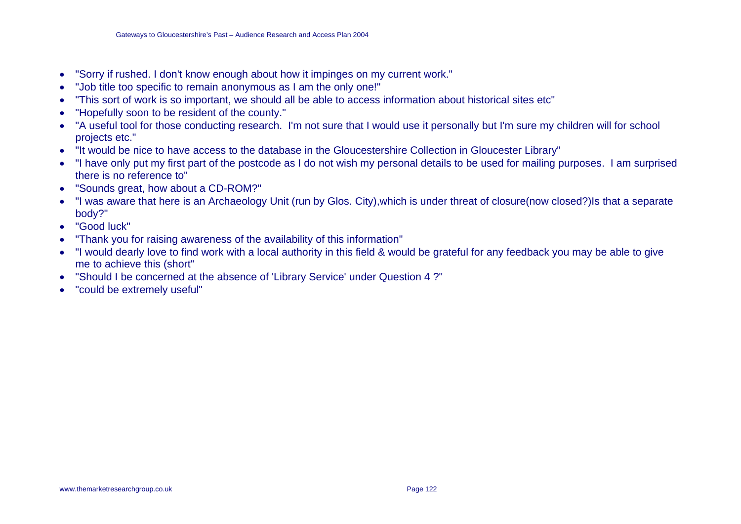- •"Sorry if rushed. I don't know enough about how it impinges on my current work."
- •"Job title too specific to remain anonymous as I am the only one!"
- •"This sort of work is so important, we should all be able to access information about historical sites etc"
- •"Hopefully soon to be resident of the county."
- • "A useful tool for those conducting research. I'm not sure that I would use it personally but I'm sure my children will for school projects etc."
- "It would be nice to have access to the database in the Gloucestershire Collection in Gloucester Library"
- • "I have only put my first part of the postcode as I do not wish my personal details to be used for mailing purposes. I am surprised there is no reference to"
- •"Sounds great, how about a CD-ROM?"
- • "I was aware that here is an Archaeology Unit (run by Glos. City),which is under threat of closure(now closed?)Is that a separate body?"
- "Good luck"
- •"Thank you for raising awareness of the availability of this information"
- • "I would dearly love to find work with a local authority in this field & would be grateful for any feedback you may be able to give me to achieve this (short"
- •"Should I be concerned at the absence of 'Library Service' under Question 4 ?"
- •"could be extremely useful"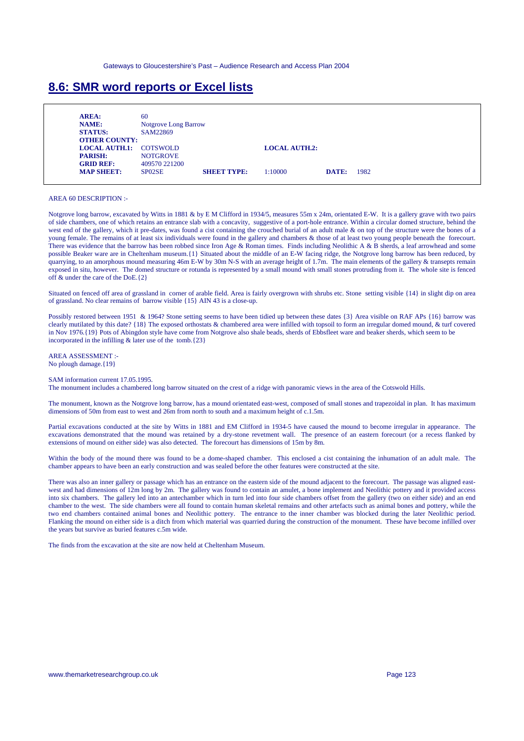### **8.6: SMR word reports or Excel lists**

| AREA:                         | 60                          |                    |                      |       |      |
|-------------------------------|-----------------------------|--------------------|----------------------|-------|------|
| <b>NAME:</b>                  | <b>Notgrove Long Barrow</b> |                    |                      |       |      |
| <b>STATUS:</b>                | SAM22869                    |                    |                      |       |      |
| <b>OTHER COUNTY:</b>          |                             |                    |                      |       |      |
| <b>LOCAL AUTH.1: COTSWOLD</b> |                             |                    | <b>LOCAL AUTH.2:</b> |       |      |
| <b>PARISH:</b>                | <b>NOTGROVE</b>             |                    |                      |       |      |
| <b>GRID REF:</b>              | 409570 221200               |                    |                      |       |      |
| <b>MAP SHEET:</b>             | SP02SE                      | <b>SHEET TYPE:</b> | 1:10000              | DATE: | 1982 |

#### AREA 60 DESCRIPTION :-

Notgrove long barrow, excavated by Witts in 1881 & by E M Clifford in 1934/5, measures 55m x 24m, orientated E-W. It is a gallery grave with two pairs of side chambers, one of which retains an entrance slab with a concavity, suggestive of a port-hole entrance. Within a circular domed structure, behind the west end of the gallery, which it pre-dates, was found a cist containing the crouched burial of an adult male & on top of the structure were the bones of a young female. The remains of at least six individuals were found in the gallery and chambers & those of at least two young people beneath the forecourt. There was evidence that the barrow has been robbed since Iron Age & Roman times. Finds including Neolithic A & B sherds, a leaf arrowhead and some possible Beaker ware are in Cheltenham museum.{1} Situated about the middle of an E-W facing ridge, the Notgrove long barrow has been reduced, by quarrying, to an amorphous mound measuring 46m E-W by 30m N-S with an average height of 1.7m. The main elements of the gallery & transepts remain exposed in situ, however. The domed structure or rotunda is represented by a small mound with small stones protruding from it. The whole site is fenced off & under the care of the DoE.{2}

Situated on fenced off area of grassland in corner of arable field. Area is fairly overgrown with shrubs etc. Stone setting visible {14} in slight dip on area of grassland. No clear remains of barrow visible {15} AIN 43 is a close-up.

Possibly restored between 1951 & 1964? Stone setting seems to have been tidied up between these dates {3} Area visible on RAF APs {16} barrow was clearly mutilated by this date? {18} The exposed orthostats & chambered area were infilled with topsoil to form an irregular domed mound, & turf covered in Nov 1976.{19} Pots of Abingdon style have come from Notgrove also shale beads, sherds of Ebbsfleet ware and beaker sherds, which seem to be incorporated in the infilling  $&$  later use of the tomb. {23}

AREA ASSESSMENT :- No plough damage.{19}

SAM information current 17.05.1995.

The monument includes a chambered long barrow situated on the crest of a ridge with panoramic views in the area of the Cotswold Hills.

The monument, known as the Notgrove long barrow, has a mound orientated east-west, composed of small stones and trapezoidal in plan. It has maximum dimensions of 50m from east to west and 26m from north to south and a maximum height of c.1.5m.

Partial excavations conducted at the site by Witts in 1881 and EM Clifford in 1934-5 have caused the mound to become irregular in appearance. The excavations demonstrated that the mound was retained by a dry-stone revetment wall. The presence of an eastern forecourt (or a recess flanked by extensions of mound on either side) was also detected. The forecourt has dimensions of 15m by 8m.

Within the body of the mound there was found to be a dome-shaped chamber. This enclosed a cist containing the inhumation of an adult male. The chamber appears to have been an early construction and was sealed before the other features were constructed at the site.

There was also an inner gallery or passage which has an entrance on the eastern side of the mound adjacent to the forecourt. The passage was aligned eastwest and had dimensions of 12m long by 2m. The gallery was found to contain an amulet, a bone implement and Neolithic pottery and it provided access into six chambers. The gallery led into an antechamber which in turn led into four side chambers offset from the gallery (two on either side) and an end chamber to the west. The side chambers were all found to contain human skeletal remains and other artefacts such as animal bones and pottery, while the two end chambers contained animal bones and Neolithic pottery. The entrance to the inner chamber was blocked during the later Neolithic period. Flanking the mound on either side is a ditch from which material was quarried during the construction of the monument. These have become infilled over the years but survive as buried features c.5m wide.

The finds from the excavation at the site are now held at Cheltenham Museum.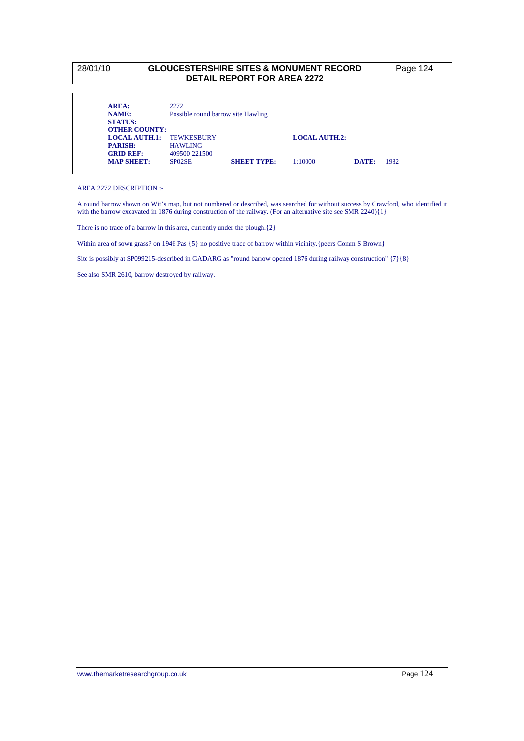#### 28/01/10 **GLOUCESTERSHIRE SITES & MONUMENT RECORD** Page 124 **DETAIL REPORT FOR AREA 2272**

| AREA:                           | 2272                               |                    |                      |       |      |
|---------------------------------|------------------------------------|--------------------|----------------------|-------|------|
| <b>NAME:</b>                    | Possible round barrow site Hawling |                    |                      |       |      |
| <b>STATUS:</b>                  |                                    |                    |                      |       |      |
| <b>OTHER COUNTY:</b>            |                                    |                    |                      |       |      |
| <b>LOCAL AUTH.1: TEWKESBURY</b> |                                    |                    | <b>LOCAL AUTH.2:</b> |       |      |
| <b>PARISH:</b>                  | <b>HAWLING</b>                     |                    |                      |       |      |
| <b>GRID REF:</b>                | 409500 221500                      |                    |                      |       |      |
| <b>MAP SHEET:</b>               | SP <sub>02</sub> SE                | <b>SHEET TYPE:</b> | 1:10000              | DATE: | 1982 |

AREA 2272 DESCRIPTION :-

A round barrow shown on Wit's map, but not numbered or described, was searched for without success by Crawford, who identified it with the barrow excavated in 1876 during construction of the railway. (For an alternative site see SMR 2240){1}

There is no trace of a barrow in this area, currently under the plough.  $\{2\}$ 

Within area of sown grass? on 1946 Pas  $\{5\}$  no positive trace of barrow within vicinity. {peers Comm S Brown}

Site is possibly at SP099215-described in GADARG as "round barrow opened 1876 during railway construction" {7}{8}

See also SMR 2610, barrow destroyed by railway.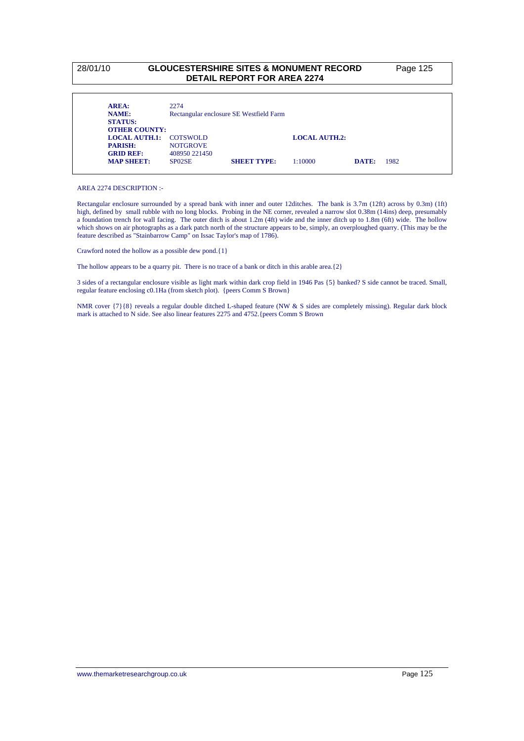#### 28/01/10 **GLOUCESTERSHIRE SITES & MONUMENT RECORD** Page 125 **DETAIL REPORT FOR AREA 2274**

| AREA:                                  | 2274            |                                         |                      |       |      |
|----------------------------------------|-----------------|-----------------------------------------|----------------------|-------|------|
| <b>NAME:</b>                           |                 | Rectangular enclosure SE Westfield Farm |                      |       |      |
| <b>STATUS:</b><br><b>OTHER COUNTY:</b> |                 |                                         |                      |       |      |
| LOCAL AUTH.1: COTSWOLD                 |                 |                                         | <b>LOCAL AUTH.2:</b> |       |      |
| <b>PARISH:</b>                         | <b>NOTGROVE</b> |                                         |                      |       |      |
| <b>GRID REF:</b>                       | 408950 221450   |                                         |                      |       |      |
| <b>MAP SHEET:</b>                      | SP02SE          | <b>SHEET TYPE:</b>                      | 1:10000              | DATE: | 1982 |

AREA 2274 DESCRIPTION :-

Rectangular enclosure surrounded by a spread bank with inner and outer 12ditches. The bank is 3.7m (12ft) across by 0.3m) (1ft) high, defined by small rubble with no long blocks. Probing in the NE corner, revealed a narrow slot 0.38m (14ins) deep, presumably a foundation trench for wall facing. The outer ditch is about 1.2m (4ft) wide and the inner ditch up to 1.8m (6ft) wide. The hollow which shows on air photographs as a dark patch north of the structure appears to be, simply, an overploughed quarry. (This may be the feature described as "Stainbarrow Camp" on Issac Taylor's map of 1786).

Crawford noted the hollow as a possible dew pond.{1}

The hollow appears to be a quarry pit. There is no trace of a bank or ditch in this arable area.  $\{2\}$ 

3 sides of a rectangular enclosure visible as light mark within dark crop field in 1946 Pas {5} banked? S side cannot be traced. Small, regular feature enclosing c0.1Ha (from sketch plot). {peers Comm S Brown}

NMR cover {7}{8} reveals a regular double ditched L-shaped feature (NW & S sides are completely missing). Regular dark block mark is attached to N side. See also linear features 2275 and 4752.{peers Comm S Brown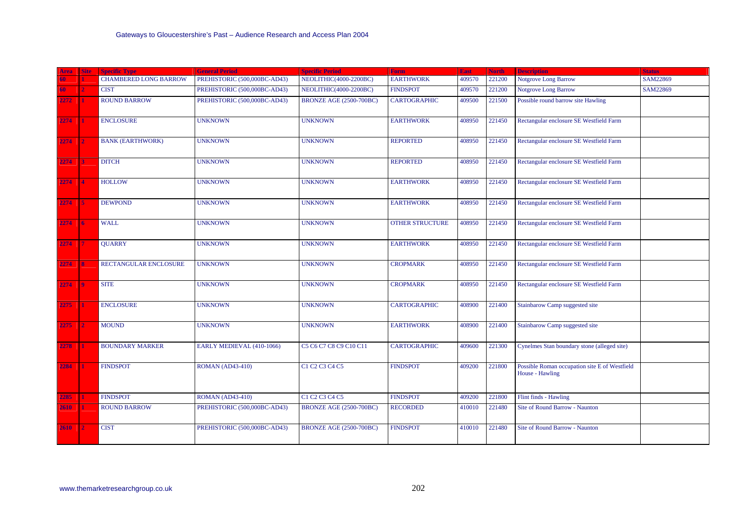| Area        | <b>Site</b>      | <b>Specific Type</b>         | <b>General Period</b>        | <b>Specific Period</b>         | <b>Form</b>            | <b>East</b> | <b>North</b> | <b>Description</b>                                               | <b>Status</b> |
|-------------|------------------|------------------------------|------------------------------|--------------------------------|------------------------|-------------|--------------|------------------------------------------------------------------|---------------|
|             |                  | <b>CHAMBERED LONG BARROW</b> | PREHISTORIC (500,000BC-AD43) | NEOLITHIC(4000-2200BC)         | <b>EARTHWORK</b>       | 409570      | 221200       | <b>Notgrove Long Barrow</b>                                      | SAM22869      |
| 50          | $\overline{2}$   | <b>CIST</b>                  | PREHISTORIC (500,000BC-AD43) | NEOLITHIC(4000-2200BC)         | <b>FINDSPOT</b>        | 409570      | 221200       | <b>Notgrove Long Barrow</b>                                      | SAM22869      |
| 2272        | 1                | <b>ROUND BARROW</b>          | PREHISTORIC (500,000BC-AD43) | <b>BRONZE AGE (2500-700BC)</b> | <b>CARTOGRAPHIC</b>    | 409500      | 221500       | Possible round barrow site Hawling                               |               |
| 2274        | 1                | <b>ENCLOSURE</b>             | <b>UNKNOWN</b>               | <b>UNKNOWN</b>                 | <b>EARTHWORK</b>       | 408950      | 221450       | Rectangular enclosure SE Westfield Farm                          |               |
| 2274        | $\overline{2}$   | <b>BANK (EARTHWORK)</b>      | <b>UNKNOWN</b>               | <b>UNKNOWN</b>                 | <b>REPORTED</b>        | 408950      | 221450       | Rectangular enclosure SE Westfield Farm                          |               |
| 2274        | R                | <b>DITCH</b>                 | <b>UNKNOWN</b>               | <b>UNKNOWN</b>                 | <b>REPORTED</b>        | 408950      | 221450       | Rectangular enclosure SE Westfield Farm                          |               |
| 2274        | $\boldsymbol{A}$ | <b>HOLLOW</b>                | <b>UNKNOWN</b>               | <b>UNKNOWN</b>                 | <b>EARTHWORK</b>       | 408950      | 221450       | Rectangular enclosure SE Westfield Farm                          |               |
| 2274        | -5               | <b>DEWPOND</b>               | <b>UNKNOWN</b>               | <b>UNKNOWN</b>                 | <b>EARTHWORK</b>       | 408950      | 221450       | Rectangular enclosure SE Westfield Farm                          |               |
| 2274        | 16               | <b>WALL</b>                  | <b>UNKNOWN</b>               | <b>UNKNOWN</b>                 | <b>OTHER STRUCTURE</b> | 408950      | 221450       | Rectangular enclosure SE Westfield Farm                          |               |
| 2274        |                  | <b>QUARRY</b>                | <b>UNKNOWN</b>               | <b>UNKNOWN</b>                 | <b>EARTHWORK</b>       | 408950      | 221450       | Rectangular enclosure SE Westfield Farm                          |               |
| 2274        | <b>8</b>         | RECTANGULAR ENCLOSURE        | <b>UNKNOWN</b>               | <b>UNKNOWN</b>                 | <b>CROPMARK</b>        | 408950      | 221450       | Rectangular enclosure SE Westfield Farm                          |               |
| 2274        | 19               | <b>SITE</b>                  | <b>UNKNOWN</b>               | <b>UNKNOWN</b>                 | <b>CROPMARK</b>        | 408950      | 221450       | Rectangular enclosure SE Westfield Farm                          |               |
| $2275 -$    | H.               | <b>ENCLOSURE</b>             | <b>UNKNOWN</b>               | <b>UNKNOWN</b>                 | <b>CARTOGRAPHIC</b>    | 408900      | 221400       | Stainbarow Camp suggested site                                   |               |
| 2275        | $\mathbf{2}$     | <b>MOUND</b>                 | <b>UNKNOWN</b>               | <b>UNKNOWN</b>                 | <b>EARTHWORK</b>       | 408900      | 221400       | Stainbarow Camp suggested site                                   |               |
| 2278        |                  | <b>BOUNDARY MARKER</b>       | EARLY MEDIEVAL (410-1066)    | C5 C6 C7 C8 C9 C10 C11         | <b>CARTOGRAPHIC</b>    | 409600      | 221300       | Cynelmes Stan boundary stone (alleged site)                      |               |
| 2284        | п                | <b>FINDSPOT</b>              | <b>ROMAN (AD43-410)</b>      | C1 C2 C3 C4 C5                 | <b>FINDSPOT</b>        | 409200      | 221800       | Possible Roman occupation site E of Westfield<br>House - Hawling |               |
| 2285        | 1                | <b>FINDSPOT</b>              | <b>ROMAN (AD43-410)</b>      | C1 C2 C3 C4 C5                 | <b>FINDSPOT</b>        | 409200      | 221800       | Flint finds - Hawling                                            |               |
| 2610        | $\mathbf{1}$     | <b>ROUND BARROW</b>          | PREHISTORIC (500,000BC-AD43) | BRONZE AGE (2500-700BC)        | <b>RECORDED</b>        | 410010      | 221480       | Site of Round Barrow - Naunton                                   |               |
| <b>2610</b> | $\mathbf{r}$     | <b>CIST</b>                  | PREHISTORIC (500,000BC-AD43) | <b>BRONZE AGE (2500-700BC)</b> | <b>FINDSPOT</b>        | 410010      | 221480       | <b>Site of Round Barrow - Naunton</b>                            |               |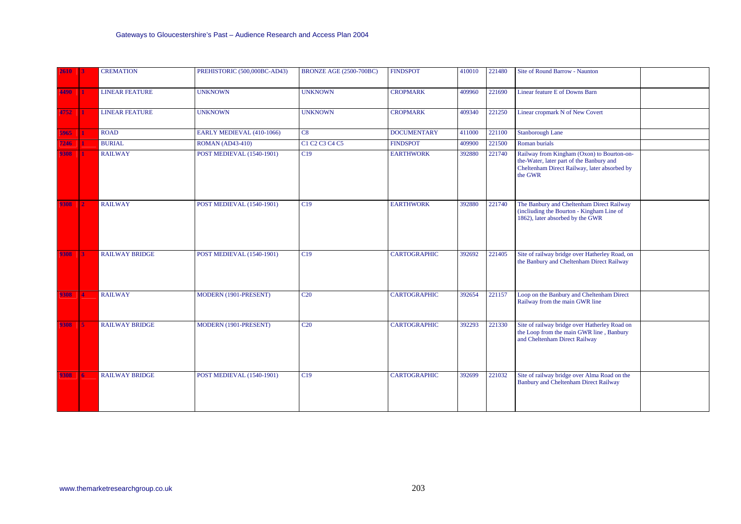| 2610 | 13.            | <b>CREMATION</b>      | PREHISTORIC (500,000BC-AD43)     | <b>BRONZE AGE (2500-700BC)</b> | <b>FINDSPOT</b>     | 410010 | 221480 | Site of Round Barrow - Naunton                                                                                                                    |
|------|----------------|-----------------------|----------------------------------|--------------------------------|---------------------|--------|--------|---------------------------------------------------------------------------------------------------------------------------------------------------|
| 4490 | И.             | <b>LINEAR FEATURE</b> | <b>UNKNOWN</b>                   | <b>UNKNOWN</b>                 | <b>CROPMARK</b>     | 409960 | 221690 | Linear feature E of Downs Barn                                                                                                                    |
| 4752 |                | <b>LINEAR FEATURE</b> | <b>UNKNOWN</b>                   | <b>UNKNOWN</b>                 | <b>CROPMARK</b>     | 409340 | 221250 | Linear cropmark N of New Covert                                                                                                                   |
| 5965 | $\blacksquare$ | <b>ROAD</b>           | EARLY MEDIEVAL (410-1066)        | C8                             | <b>DOCUMENTARY</b>  | 411000 | 221100 | <b>Stanborough Lane</b>                                                                                                                           |
| 7246 | $\blacksquare$ | <b>BURIAL</b>         | <b>ROMAN (AD43-410)</b>          | C1 C2 C3 C4 C5                 | <b>FINDSPOT</b>     | 409900 | 221500 | Roman burials                                                                                                                                     |
| 9308 | -1             | <b>RAILWAY</b>        | POST MEDIEVAL (1540-1901)        | C19                            | <b>EARTHWORK</b>    | 392880 | 221740 | Railway from Kingham (Oxon) to Bourton-on-<br>the-Water, later part of the Banbury and<br>Cheltenham Direct Railway, later absorbed by<br>the GWR |
| 9308 | 2              | <b>RAILWAY</b>        | POST MEDIEVAL (1540-1901)        | C19                            | <b>EARTHWORK</b>    | 392880 | 221740 | The Banbury and Cheltenham Direct Railway<br>(incliuding the Bourton - Kingham Line of<br>1862), later absorbed by the GWR                        |
| 9308 | $\mathbf{3}$   | <b>RAILWAY BRIDGE</b> | <b>POST MEDIEVAL (1540-1901)</b> | Cl <sub>9</sub>                | <b>CARTOGRAPHIC</b> | 392692 | 221405 | Site of railway bridge over Hatherley Road, on<br>the Banbury and Cheltenham Direct Railway                                                       |
| 9308 | <b>14</b>      | <b>RAILWAY</b>        | MODERN (1901-PRESENT)            | C <sub>20</sub>                | <b>CARTOGRAPHIC</b> | 392654 | 221157 | Loop on the Banbury and Cheltenham Direct<br>Railway from the main GWR line                                                                       |
| 9308 | 15             | <b>RAILWAY BRIDGE</b> | MODERN (1901-PRESENT)            | C20                            | <b>CARTOGRAPHIC</b> | 392293 | 221330 | Site of railway bridge over Hatherley Road on<br>the Loop from the main GWR line, Banbury<br>and Cheltenham Direct Railway                        |
| 9308 | <b>6</b>       | <b>RAILWAY BRIDGE</b> | POST MEDIEVAL (1540-1901)        | C19                            | <b>CARTOGRAPHIC</b> | 392699 | 221032 | Site of railway bridge over Alma Road on the<br><b>Banbury and Cheltenham Direct Railway</b>                                                      |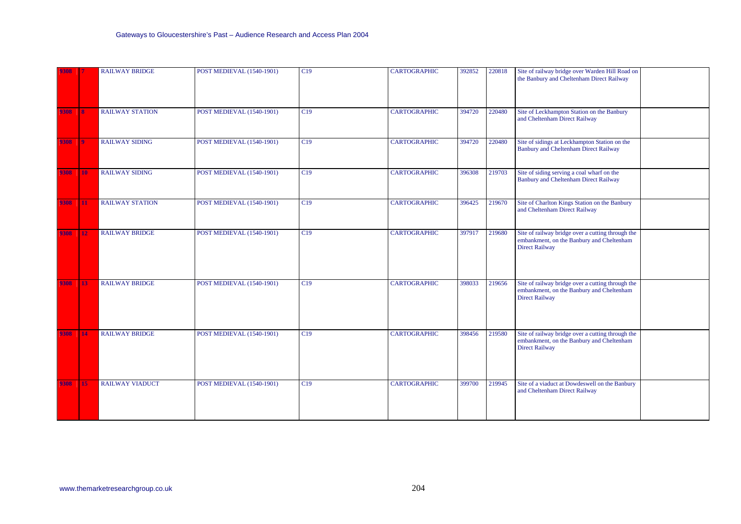| 9308 |                         | <b>RAILWAY BRIDGE</b>  | POST MEDIEVAL (1540-1901)        | C19 | <b>CARTOGRAPHIC</b> | 392852 | 220818 | Site of railway bridge over Warden Hill Road on<br>the Banbury and Cheltenham Direct Railway                            |
|------|-------------------------|------------------------|----------------------------------|-----|---------------------|--------|--------|-------------------------------------------------------------------------------------------------------------------------|
| 9308 | 18.                     | <b>RAILWAY STATION</b> | POST MEDIEVAL (1540-1901)        | C19 | <b>CARTOGRAPHIC</b> | 394720 | 220480 | Site of Leckhampton Station on the Banbury<br>and Cheltenham Direct Railway                                             |
| 9308 | $\overline{\mathbf{9}}$ | <b>RAILWAY SIDING</b>  | POST MEDIEVAL (1540-1901)        | C19 | <b>CARTOGRAPHIC</b> | 394720 | 220480 | Site of sidings at Leckhampton Station on the<br><b>Banbury and Cheltenham Direct Railway</b>                           |
| 9308 | <b>10</b>               | <b>RAILWAY SIDING</b>  | <b>POST MEDIEVAL (1540-1901)</b> | CI9 | <b>CARTOGRAPHIC</b> | 396308 | 219703 | Site of siding serving a coal wharf on the<br>Banbury and Cheltenham Direct Railway                                     |
| 9308 | 11                      | <b>RAILWAY STATION</b> | <b>POST MEDIEVAL (1540-1901)</b> | C19 | <b>CARTOGRAPHIC</b> | 396425 | 219670 | Site of Charlton Kings Station on the Banbury<br>and Cheltenham Direct Railway                                          |
| 9308 | $\boxed{12}$            | <b>RAILWAY BRIDGE</b>  | <b>POST MEDIEVAL (1540-1901)</b> | C19 | <b>CARTOGRAPHIC</b> | 397917 | 219680 | Site of railway bridge over a cutting through the<br>embankment, on the Banbury and Cheltenham<br><b>Direct Railway</b> |
| 9308 | <b>13</b>               | <b>RAILWAY BRIDGE</b>  | <b>POST MEDIEVAL (1540-1901)</b> | C19 | <b>CARTOGRAPHIC</b> | 398033 | 219656 | Site of railway bridge over a cutting through the<br>embankment, on the Banbury and Cheltenham<br><b>Direct Railway</b> |
| 9308 | 14                      | <b>RAILWAY BRIDGE</b>  | <b>POST MEDIEVAL (1540-1901)</b> | C19 | <b>CARTOGRAPHIC</b> | 398456 | 219580 | Site of railway bridge over a cutting through the<br>embankment, on the Banbury and Cheltenham<br><b>Direct Railway</b> |
| 9308 | 15                      | <b>RAILWAY VIADUCT</b> | <b>POST MEDIEVAL (1540-1901)</b> | C19 | <b>CARTOGRAPHIC</b> | 399700 | 219945 | Site of a viaduct at Dowdeswell on the Banbury<br>and Cheltenham Direct Railway                                         |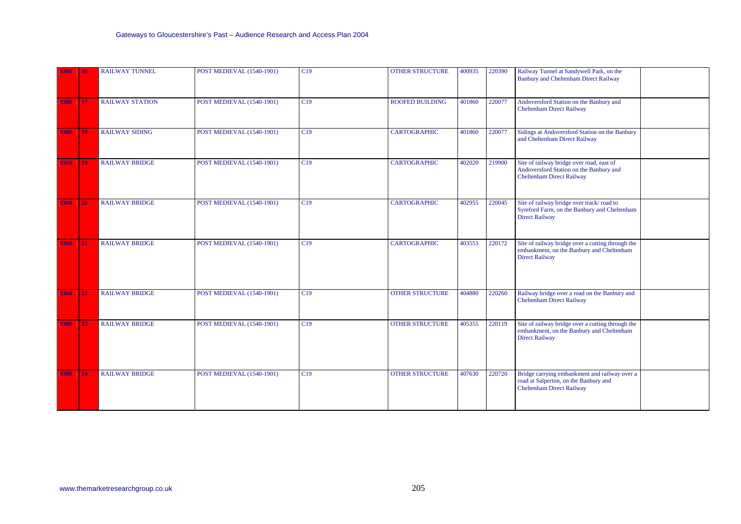| 9308 | 16               | <b>RAILWAY TUNNEL</b>  | POST MEDIEVAL (1540-1901)        | C19 | <b>OTHER STRUCTURE</b> | 400935 | 220390 | Railway Tunnel at Sandywell Park, on the<br><b>Banbury and Cheltenham Direct Railway</b>                                   |
|------|------------------|------------------------|----------------------------------|-----|------------------------|--------|--------|----------------------------------------------------------------------------------------------------------------------------|
| 9308 | $\vert 17 \vert$ | <b>RAILWAY STATION</b> | POST MEDIEVAL (1540-1901)        | C19 | <b>ROOFED BUILDING</b> | 401860 | 220077 | Andoversford Station on the Banbury and<br><b>Cheltenham Direct Railway</b>                                                |
| 9308 | <b>18</b>        | <b>RAILWAY SIDING</b>  | <b>POST MEDIEVAL (1540-1901)</b> | C19 | <b>CARTOGRAPHIC</b>    | 401860 | 220077 | Sidings at Andoversford Station on the Banbury<br>and Cheltenham Direct Railway                                            |
| 9308 | <b>19</b>        | <b>RAILWAY BRIDGE</b>  | POST MEDIEVAL (1540-1901)        | C19 | <b>CARTOGRAPHIC</b>    | 402020 | 219900 | Site of railway bridge over road, east of<br>Andoversford Station on the Banbury and<br><b>Cheltenham Direct Railway</b>   |
| 9308 | <b>20</b>        | <b>RAILWAY BRIDGE</b>  | <b>POST MEDIEVAL (1540-1901)</b> | C19 | <b>CARTOGRAPHIC</b>    | 402955 | 220045 | Site of railway bridge over track/road to<br>Syreford Farm, on the Banbury and Cheltenham<br><b>Direct Railway</b>         |
| 9308 | 21               | <b>RAILWAY BRIDGE</b>  | <b>POST MEDIEVAL (1540-1901)</b> | C19 | <b>CARTOGRAPHIC</b>    | 403553 | 220172 | Site of railway bridge over a cutting through the<br>embankment, on the Banbury and Cheltenham<br><b>Direct Railway</b>    |
| 9308 | 22               | <b>RAILWAY BRIDGE</b>  | POST MEDIEVAL (1540-1901)        | C19 | <b>OTHER STRUCTURE</b> | 404880 | 220260 | Railway bridge over a road on the Banbury and<br><b>Cheltenham Direct Railway</b>                                          |
| 9308 | 23               | <b>RAILWAY BRIDGE</b>  | POST MEDIEVAL (1540-1901)        | C19 | <b>OTHER STRUCTURE</b> | 405355 | 220119 | Site of railway bridge over a cutting through the<br>embankment, on the Banbury and Cheltenham<br><b>Direct Railway</b>    |
| 9308 | 24               | <b>RAILWAY BRIDGE</b>  | <b>POST MEDIEVAL (1540-1901)</b> | C19 | <b>OTHER STRUCTURE</b> | 407630 | 220720 | Bridge carrying embankment and railway over a<br>road at Salperton, on the Banbury and<br><b>Cheltenham Direct Railway</b> |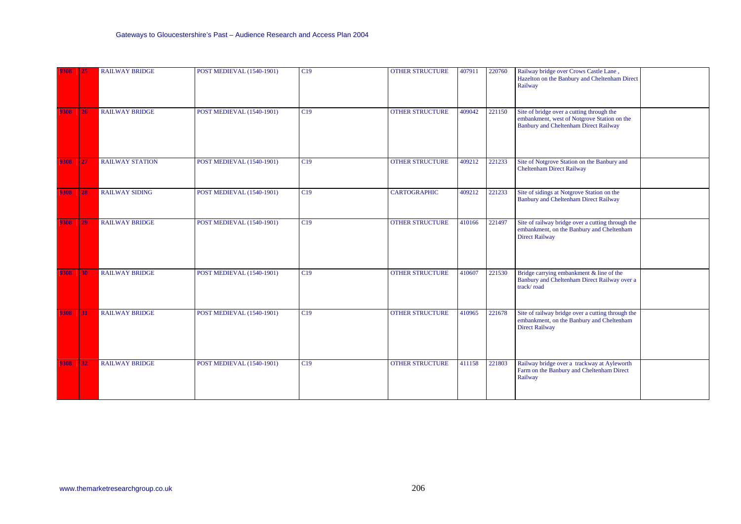| 9308 | 25        | <b>RAILWAY BRIDGE</b>  | POST MEDIEVAL (1540-1901)        | C19 | <b>OTHER STRUCTURE</b> | 407911 | 220760 | Railway bridge over Crows Castle Lane,<br>Hazelton on the Banbury and Cheltenham Direct<br>Railway                                       |
|------|-----------|------------------------|----------------------------------|-----|------------------------|--------|--------|------------------------------------------------------------------------------------------------------------------------------------------|
| 9308 | <b>26</b> | <b>RAILWAY BRIDGE</b>  | POST MEDIEVAL (1540-1901)        | C19 | <b>OTHER STRUCTURE</b> | 409042 | 221150 | Site of bridge over a cutting through the<br>embankment, west of Notgrove Station on the<br><b>Banbury and Cheltenham Direct Railway</b> |
| 9308 | 27        | <b>RAILWAY STATION</b> | <b>POST MEDIEVAL (1540-1901)</b> | C19 | <b>OTHER STRUCTURE</b> | 409212 | 221233 | Site of Notgrove Station on the Banbury and<br><b>Cheltenham Direct Railway</b>                                                          |
| 9308 | 28        | <b>RAILWAY SIDING</b>  | POST MEDIEVAL (1540-1901)        | C19 | <b>CARTOGRAPHIC</b>    | 409212 | 221233 | Site of sidings at Notgrove Station on the<br><b>Banbury and Cheltenham Direct Railway</b>                                               |
| 9308 | 29        | <b>RAILWAY BRIDGE</b>  | POST MEDIEVAL (1540-1901)        | C19 | <b>OTHER STRUCTURE</b> | 410166 | 221497 | Site of railway bridge over a cutting through the<br>embankment, on the Banbury and Cheltenham<br><b>Direct Railway</b>                  |
| 9308 | 30        | <b>RAILWAY BRIDGE</b>  | <b>POST MEDIEVAL (1540-1901)</b> | C19 | <b>OTHER STRUCTURE</b> | 410607 | 221530 | Bridge carrying embankment $\&$ line of the<br>Banbury and Cheltenham Direct Railway over a<br>track/road                                |
| 9308 | 31        | <b>RAILWAY BRIDGE</b>  | POST MEDIEVAL (1540-1901)        | C19 | <b>OTHER STRUCTURE</b> | 410965 | 221678 | Site of railway bridge over a cutting through the<br>embankment, on the Banbury and Cheltenham<br><b>Direct Railway</b>                  |
| 9308 | $32$      | <b>RAILWAY BRIDGE</b>  | <b>POST MEDIEVAL (1540-1901)</b> | C19 | <b>OTHER STRUCTURE</b> | 411158 | 221803 | Railway bridge over a trackway at Ayleworth<br>Farm on the Banbury and Cheltenham Direct<br>Railway                                      |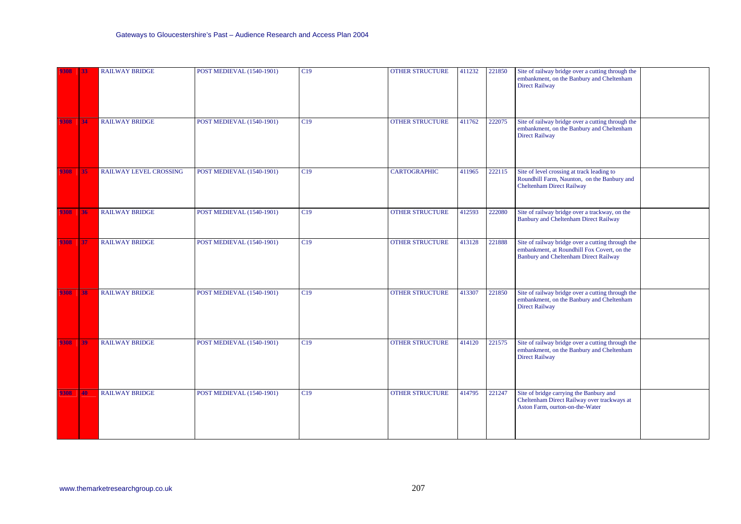| 9308 | <b>33</b>       | <b>RAILWAY BRIDGE</b>         | POST MEDIEVAL (1540-1901)        | C19 | <b>OTHER STRUCTURE</b> | 411232 | 221850 | Site of railway bridge over a cutting through the<br>embankment, on the Banbury and Cheltenham<br><b>Direct Railway</b>                   |
|------|-----------------|-------------------------------|----------------------------------|-----|------------------------|--------|--------|-------------------------------------------------------------------------------------------------------------------------------------------|
| 9308 | 34              | <b>RAILWAY BRIDGE</b>         | <b>POST MEDIEVAL (1540-1901)</b> | C19 | <b>OTHER STRUCTURE</b> | 411762 | 222075 | Site of railway bridge over a cutting through the<br>embankment, on the Banbury and Cheltenham<br><b>Direct Railway</b>                   |
| 9308 | 35 <sub>5</sub> | <b>RAILWAY LEVEL CROSSING</b> | <b>POST MEDIEVAL (1540-1901)</b> | C19 | <b>CARTOGRAPHIC</b>    | 411965 | 222115 | Site of level crossing at track leading to<br>Roundhill Farm, Naunton, on the Banbury and<br><b>Cheltenham Direct Railway</b>             |
| 9308 | 36              | <b>RAILWAY BRIDGE</b>         | POST MEDIEVAL (1540-1901)        | C19 | <b>OTHER STRUCTURE</b> | 412593 | 222080 | Site of railway bridge over a trackway, on the<br><b>Banbury and Cheltenham Direct Railway</b>                                            |
| 9308 | 37              | <b>RAILWAY BRIDGE</b>         | <b>POST MEDIEVAL (1540-1901)</b> | C19 | <b>OTHER STRUCTURE</b> | 413128 | 221888 | Site of railway bridge over a cutting through the<br>embankment, at Roundhill Fox Covert, on the<br>Banbury and Cheltenham Direct Railway |
| 9308 | 38              | <b>RAILWAY BRIDGE</b>         | <b>POST MEDIEVAL (1540-1901)</b> | C19 | <b>OTHER STRUCTURE</b> | 413307 | 221850 | Site of railway bridge over a cutting through the<br>embankment, on the Banbury and Cheltenham<br><b>Direct Railway</b>                   |
| 9308 | 39              | <b>RAILWAY BRIDGE</b>         | <b>POST MEDIEVAL (1540-1901)</b> | C19 | <b>OTHER STRUCTURE</b> | 414120 | 221575 | Site of railway bridge over a cutting through the<br>embankment, on the Banbury and Cheltenham<br><b>Direct Railway</b>                   |
| 9308 | 40              | <b>RAILWAY BRIDGE</b>         | <b>POST MEDIEVAL (1540-1901)</b> | C19 | <b>OTHER STRUCTURE</b> | 414795 | 221247 | Site of bridge carrying the Banbury and<br>Cheltenham Direct Railway over trackways at<br>Aston Farm, ourton-on-the-Water                 |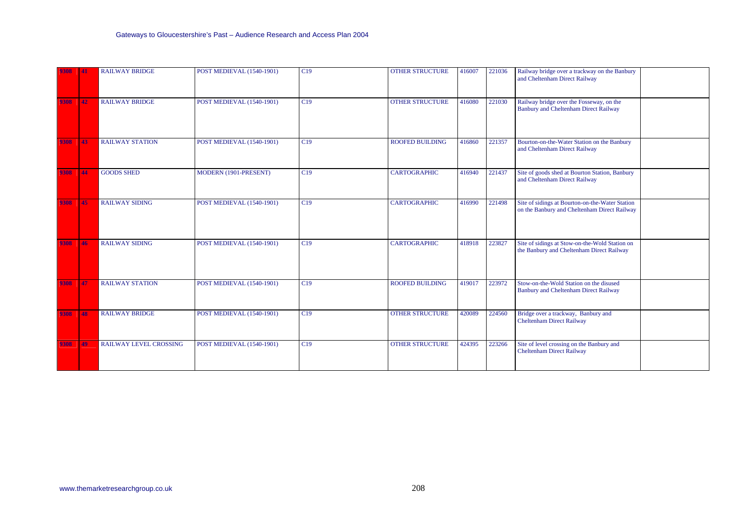| 9308 | 41        | <b>RAILWAY BRIDGE</b>         | <b>POST MEDIEVAL (1540-1901)</b> | C19 | <b>OTHER STRUCTURE</b> | 416007 | 221036 | Railway bridge over a trackway on the Banbury<br>and Cheltenham Direct Railway                  |
|------|-----------|-------------------------------|----------------------------------|-----|------------------------|--------|--------|-------------------------------------------------------------------------------------------------|
| 9308 | 42        | <b>RAILWAY BRIDGE</b>         | POST MEDIEVAL (1540-1901)        | C19 | <b>OTHER STRUCTURE</b> | 416080 | 221030 | Railway bridge over the Fosseway, on the<br><b>Banbury and Cheltenham Direct Railway</b>        |
| 9308 | 43        | <b>RAILWAY STATION</b>        | POST MEDIEVAL (1540-1901)        | C19 | <b>ROOFED BUILDING</b> | 416860 | 221357 | Bourton-on-the-Water Station on the Banbury<br>and Cheltenham Direct Railway                    |
| 9308 | 44        | <b>GOODS SHED</b>             | MODERN (1901-PRESENT)            | C19 | <b>CARTOGRAPHIC</b>    | 416940 | 221437 | Site of goods shed at Bourton Station, Banbury<br>and Cheltenham Direct Railway                 |
| 9308 | 45        | <b>RAILWAY SIDING</b>         | POST MEDIEVAL (1540-1901)        | C19 | <b>CARTOGRAPHIC</b>    | 416990 | 221498 | Site of sidings at Bourton-on-the-Water Station<br>on the Banbury and Cheltenham Direct Railway |
| 9308 | 46        | <b>RAILWAY SIDING</b>         | POST MEDIEVAL (1540-1901)        | C19 | <b>CARTOGRAPHIC</b>    | 418918 | 223827 | Site of sidings at Stow-on-the-Wold Station on<br>the Banbury and Cheltenham Direct Railway     |
| 9308 | 47        | <b>RAILWAY STATION</b>        | POST MEDIEVAL (1540-1901)        | C19 | <b>ROOFED BUILDING</b> | 419017 | 223972 | Stow-on-the-Wold Station on the disused<br><b>Banbury and Cheltenham Direct Railway</b>         |
| 9308 | 48        | <b>RAILWAY BRIDGE</b>         | POST MEDIEVAL (1540-1901)        | C19 | <b>OTHER STRUCTURE</b> | 420089 | 224560 | Bridge over a trackway, Banbury and<br><b>Cheltenham Direct Railway</b>                         |
| 9308 | <b>49</b> | <b>RAILWAY LEVEL CROSSING</b> | POST MEDIEVAL (1540-1901)        | C19 | <b>OTHER STRUCTURE</b> | 424395 | 223266 | Site of level crossing on the Banbury and<br><b>Cheltenham Direct Railway</b>                   |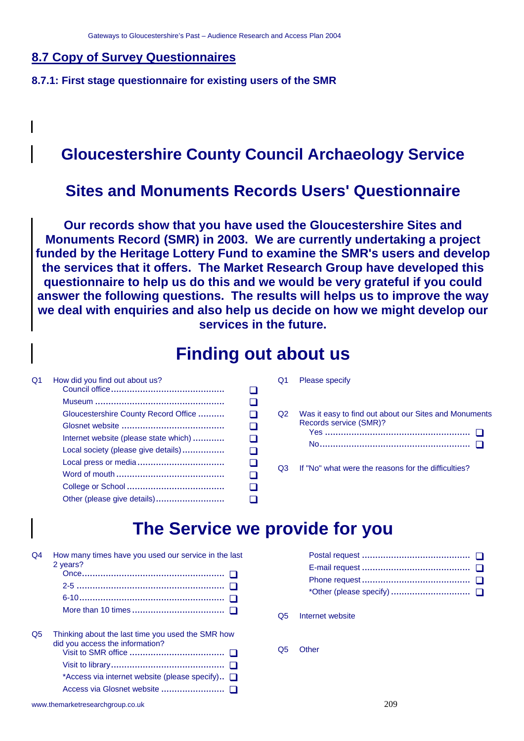#### **8.7 Copy of Survey Questionnaires**

 $\mathbf l$ 

**8.7.1: First stage questionnaire for existing users of the SMR** 

## **Gloucestershire County Council Archaeology Service**

## **Sites and Monuments Records Users' Questionnaire**

**Our records show that you have used the Gloucestershire Sites and Monuments Record (SMR) in 2003. We are currently undertaking a project funded by the Heritage Lottery Fund to examine the SMR's users and develop the services that it offers. The Market Research Group have developed this questionnaire to help us do this and we would be very grateful if you could answer the following questions. The results will helps us to improve the way we deal with enquiries and also help us decide on how we might develop our services in the future.**

## **Finding out about us**

| Q1 | How did you find out about us?        |    |
|----|---------------------------------------|----|
|    |                                       |    |
|    | Gloucestershire County Record Office  |    |
|    |                                       |    |
|    | Internet website (please state which) | ΓI |
|    | Local society (please give details)   |    |
|    |                                       |    |
|    |                                       |    |
|    |                                       |    |
|    |                                       |    |

| Q1 | Please specify                                                                  |
|----|---------------------------------------------------------------------------------|
| Q2 | Was it easy to find out about our Sites and Monuments<br>Records service (SMR)? |
| റദ | If "No" what were the reasons for the difficulties?                             |

## **The Service we provide for you**

| O4 | How many times have you used our service in the last<br>2 years?                     |
|----|--------------------------------------------------------------------------------------|
|    |                                                                                      |
|    |                                                                                      |
|    | 6-10………………………………………………… □                                                            |
|    |                                                                                      |
| Q5 | Thinking about the last time you used the SMR how<br>did you access the information? |
|    |                                                                                      |
|    | *Access via internet website (please specify) $\Box$                                 |
|    |                                                                                      |
|    |                                                                                      |

- Q5 Internet website
- Q5 Other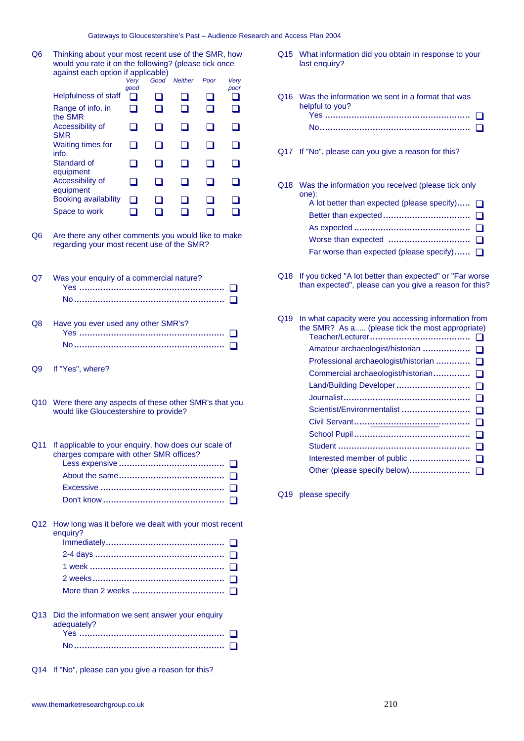Q6 Thinking about your most recent use of the SMR, how would you rate it on the following? (please tick once against each option if applicable)

|                                              | Verv<br>good | Good | <b>Neither</b> | Poor | Very<br>poor |
|----------------------------------------------|--------------|------|----------------|------|--------------|
| Helpfulness of staff                         | ×.           |      |                |      |              |
| Range of info. in<br>the SMR                 |              |      |                |      |              |
| Accessibility of<br><b>SMR</b>               |              |      |                |      |              |
| <b>Waiting times for</b><br>info.            |              |      |                |      |              |
| Standard of<br>equipment                     |              |      |                |      |              |
| Accessibility of<br>equipment                |              |      |                |      |              |
| <b>Booking availability</b><br>Space to work | . I          |      |                |      |              |

- Q8 Have you ever used any other SMR's? Yes ....................................................... No.........................................................
- Q9 If "Yes", where?
- Q10 Were there any aspects of these other SMR's that you would like Gloucestershire to provide?

| Q11 If applicable to your enquiry, how does our scale of<br>charges compare with other SMR offices? |
|-----------------------------------------------------------------------------------------------------|
|                                                                                                     |
|                                                                                                     |
|                                                                                                     |
|                                                                                                     |
|                                                                                                     |

Q12 How long was it before we dealt with your most recent enquiry? Immediately.............................................

Q13 Did the information we sent answer your enquiry adequately? Yes ....................................................... No.........................................................

Q14 If "No", please can you give a reason for this?

Q15 What information did you obtain in response to your last enquiry?

|    | against each option if applicable)                       |              |        |                |        |              |                                                                                                                        |
|----|----------------------------------------------------------|--------------|--------|----------------|--------|--------------|------------------------------------------------------------------------------------------------------------------------|
|    |                                                          | Very<br>good | Good   | <b>Neither</b> | Poor   | Very<br>poor |                                                                                                                        |
|    | <b>Helpfulness of staff</b>                              | $\Box$       | $\Box$ | ப              | ❏      | ❏            | Q16 Was the information we sent in a format that was                                                                   |
|    | Range of info. in<br>the SMR                             | □            | ❏      | □              | □      | ❏            | helpful to you?                                                                                                        |
|    | Accessibility of<br><b>SMR</b>                           | □            | ◻      | ◻              | □      | □            | $\blacksquare$                                                                                                         |
|    | Waiting times for<br>info.                               | ◻            | ◻      | ◻              | ❏      | □            | Q17 If "No", please can you give a reason for this?                                                                    |
|    | Standard of<br>equipment                                 | ❏            | ❏      | ❏              | □      | □            |                                                                                                                        |
|    | Accessibility of<br>equipment                            | □            | $\Box$ | ❏              | ❏      | ❏            | Q18 Was the information you received (please tick only<br>one):                                                        |
|    | <b>Booking availability</b>                              | ◻            | ◻      | ⊔              | $\Box$ | ◻            | A lot better than expected (please specify) $\Box$                                                                     |
|    | Space to work                                            | ◻            | ❏      | □              | □      | ❏            |                                                                                                                        |
|    |                                                          |              |        |                |        |              |                                                                                                                        |
| Q6 | Are there any other comments you would like to make      |              |        |                |        |              |                                                                                                                        |
|    | regarding your most recent use of the SMR?               |              |        |                |        |              | Far worse than expected (please specify) $\Box$                                                                        |
| Q7 | Was your enquiry of a commercial nature?                 |              |        |                |        |              | Q18 If you ticked "A lot better than expected" or "Far worse<br>than expected", please can you give a reason for this? |
|    |                                                          |              |        |                |        |              |                                                                                                                        |
| Q8 | Have you ever used any other SMR's?                      |              |        |                |        |              | Q19 In what capacity were you accessing information from<br>the SMR? As a (please tick the most appropriate)           |
|    |                                                          |              |        |                |        |              |                                                                                                                        |
|    |                                                          |              |        |                |        |              | Professional archaeologist/historian<br>$\perp$                                                                        |
| Q9 | If "Yes", where?                                         |              |        |                |        |              | Commercial archaeologist/historian □                                                                                   |
|    |                                                          |              |        |                |        |              |                                                                                                                        |
|    | Q10 Were there any aspects of these other SMR's that you |              |        |                |        |              |                                                                                                                        |
|    | would like Gloucestershire to provide?                   |              |        |                |        |              | Scientist/Environmentalist  □                                                                                          |
|    |                                                          |              |        |                |        |              |                                                                                                                        |
|    |                                                          |              |        |                |        |              |                                                                                                                        |
|    | Q11 If applicable to your enquiry, how does our scale of |              |        |                |        |              |                                                                                                                        |

 Interested member of public ....................... Other (please specify below).......................

Q19 please specify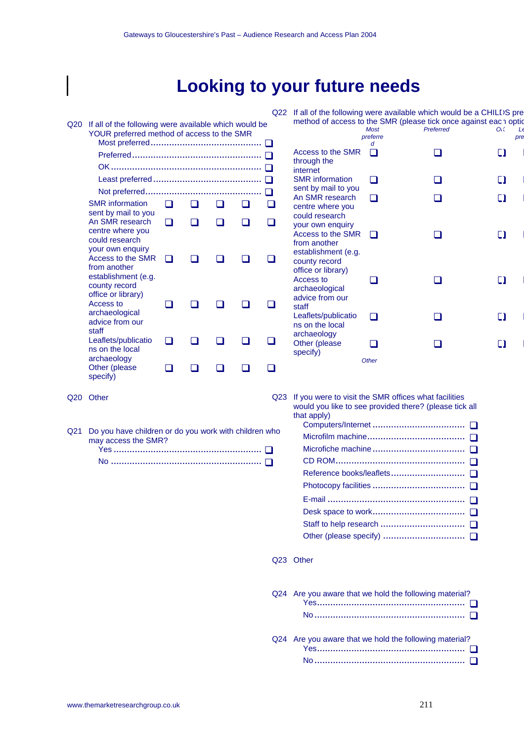# **Looking to your future needs**

Q20 If all of the following were available which would be YOUR preferred method of access to the SMR Most preferred.......................................... Preferred................................................. OK......................................................... Least preferred ......................................... Not preferred............................................ SMR information sent by mail to you An SMR research centre where you could research your own enquiry Access to the SMR from another establishment (e.g. county record office or library) Access to archaeological advice from our staff Leaflets/publicatio ns on the local archaeology Other (please Q22 If all of the following were available which would be a CHILDS pre method of access to the SMR (please tick once against each option *Most preferre d Preferred OK Le pre* Access to the SMR through the internet SMR information sent by mail to you An SMR research centre where you could research your own enquiry Access to the SMR from another establishment (e.g. county record office or library) Access to archaeological advice from our staff Leaflets/publicatio ns on the local archaeology Other (please specify) **Other** 

> Q23 If you were to visit the SMR offices what facilities would you like to see provided there? (please tick all that apply)

| ho |  |
|----|--|
|    |  |
|    |  |
|    |  |
|    |  |
|    |  |
|    |  |
|    |  |
|    |  |
|    |  |

#### Q23 Other

| Q24 Are you aware that we hold the following material? |
|--------------------------------------------------------|
|                                                        |
| Q24 Are you aware that we hold the following material? |

Q21 Do you have children or do you work with children who may access the SMR? Yes ........................................................ No .........................................................

specify)

Q20 Other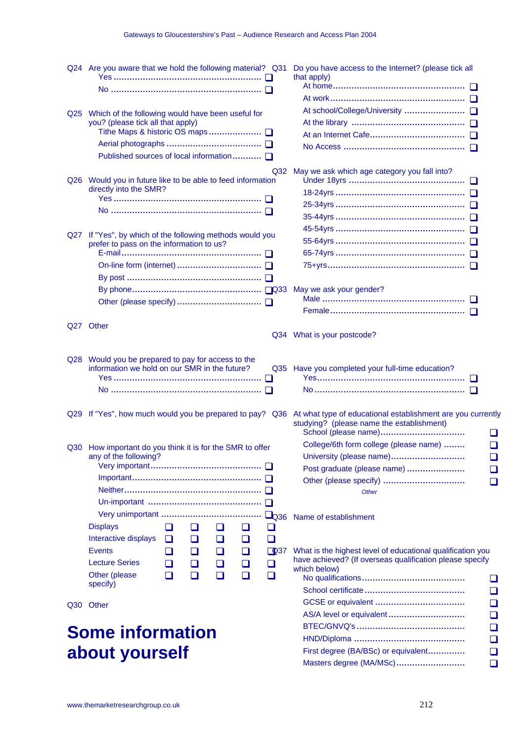| Q24 Are you aware that we hold the following material? Q31                                 | Do you have access to the Internet? (please tick all                                              |
|--------------------------------------------------------------------------------------------|---------------------------------------------------------------------------------------------------|
|                                                                                            | that apply)                                                                                       |
|                                                                                            | At work………………………………………… □                                                                         |
|                                                                                            |                                                                                                   |
| Q25 Which of the following would have been useful for<br>you? (please tick all that apply) |                                                                                                   |
|                                                                                            |                                                                                                   |
|                                                                                            |                                                                                                   |
| Published sources of local information □                                                   |                                                                                                   |
|                                                                                            |                                                                                                   |
| Q32<br>Q26 Would you in future like to be able to feed information                         | May we ask which age category you fall into?                                                      |
| directly into the SMR?                                                                     |                                                                                                   |
|                                                                                            | 25-34yrs …………………………………………… □                                                                      |
| No …………………………………………………… □                                                                  |                                                                                                   |
|                                                                                            |                                                                                                   |
| Q27 If "Yes", by which of the following methods would you                                  |                                                                                                   |
| prefer to pass on the information to us?                                                   |                                                                                                   |
|                                                                                            |                                                                                                   |
|                                                                                            |                                                                                                   |
|                                                                                            | May we ask your gender?                                                                           |
|                                                                                            |                                                                                                   |
|                                                                                            |                                                                                                   |
| Q27 Other                                                                                  |                                                                                                   |
|                                                                                            | Q34 What is your postcode?                                                                        |
|                                                                                            |                                                                                                   |
| Q28 Would you be prepared to pay for access to the                                         |                                                                                                   |
| information we hold on our SMR in the future?                                              | Q35 Have you completed your full-time education?                                                  |
| No …………………………………………………… □                                                                  | $\mathsf{No}\dots\dots\dots\dots\dots\dots\dots\dots\dots\dots\dots\dots\dots\dots\ \blacksquare$ |
|                                                                                            |                                                                                                   |
| Q29 If "Yes", how much would you be prepared to pay?<br>Q36                                | At what type of educational establishment are you currently                                       |
|                                                                                            | studying? (please name the establishment)                                                         |
|                                                                                            |                                                                                                   |
| Q30 How important do you think it is for the SMR to offer                                  | College/6th form college (please name)<br>$\Box$                                                  |
| any of the following?                                                                      | University (please name)<br>ப                                                                     |
|                                                                                            | Post graduate (please name)                                                                       |
|                                                                                            | $\Box$                                                                                            |
|                                                                                            | <b>Other</b>                                                                                      |
|                                                                                            |                                                                                                   |
| $L_{Q36}$<br><b>Displays</b><br>ப<br>ப<br>❏<br>ப<br>ப                                      | Name of establishment                                                                             |
| Interactive displays<br>❏<br>$\Box$<br>ப<br>ப<br>□                                         |                                                                                                   |
| <b>Events</b><br>$\Box$ 937<br>❏<br>ப<br>❏<br>⊔                                            | What is the highest level of educational qualification you                                        |
| <b>Lecture Series</b><br>ப<br>$\Box$<br>❏<br>❏<br>❏                                        | have achieved? (If overseas qualification please specify                                          |
| Other (please<br>◻<br>❏<br>❏<br>❏<br>◻                                                     | which below)                                                                                      |
| specify)                                                                                   | ப                                                                                                 |
|                                                                                            | ப                                                                                                 |
| Q30 Other                                                                                  | ❏                                                                                                 |
|                                                                                            | AS/A level or equivalent<br>❏                                                                     |
| <b>Some information</b>                                                                    | ❏                                                                                                 |
|                                                                                            | ❏                                                                                                 |
| about yourself                                                                             | First degree (BA/BSc) or equivalent<br>❏<br>$Mof$ dograp $(MAN/MCo)$<br>n                         |

 First degree (BA/BSc) or equivalent.............. Masters degree (MA/MSc)..........................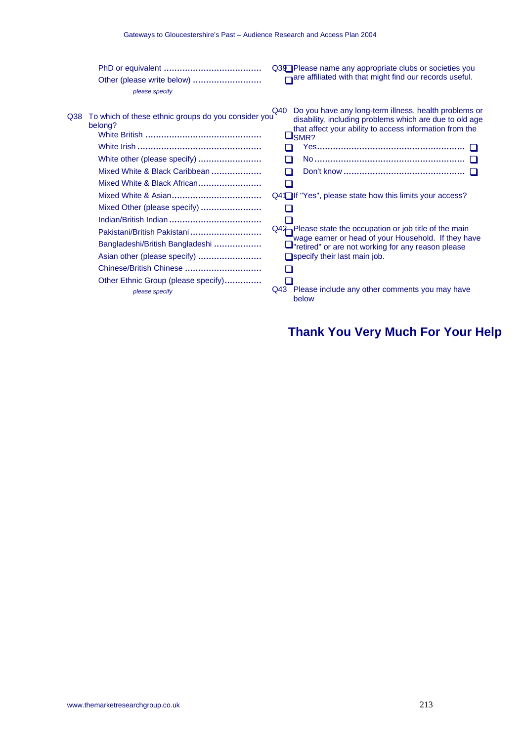|      | Other (please write below)<br>please specify                                                                                                                                                   | Q39 <sup>P</sup> Please name any appropriate clubs or societies you<br>$\Box$ are affiliated with that might find our records useful.                                                                                                                                                 |
|------|------------------------------------------------------------------------------------------------------------------------------------------------------------------------------------------------|---------------------------------------------------------------------------------------------------------------------------------------------------------------------------------------------------------------------------------------------------------------------------------------|
| Q38. | To which of these ethnic groups do you consider you<br>belong?<br>White other (please specify)<br>Mixed White & Black Caribbean<br>Mixed White & Black African<br>Mixed Other (please specify) | Do you have any long-term illness, health problems or<br>Q40<br>disability, including problems which are due to old age<br>that affect your ability to access information from the<br>$\sqcup$ SMR?<br>П<br>П<br>H<br>$Q4$ $\Box$ If "Yes", please state how this limits your access? |
|      | Pakistani/British Pakistani<br>Bangladeshi/British Bangladeshi<br>Asian other (please specify)<br>Chinese/British Chinese<br>Other Ethnic Group (please specify)<br>please specify             | $Q42$ Please state the occupation or job title of the main<br>wage earner or head of your Household. If they have<br>⊔"retired" or are not working for any reason please<br>$\Box$ specify their last main job.<br>Q43 Please include any other comments you may have<br>below        |

## **Thank You Very Much For Your Help**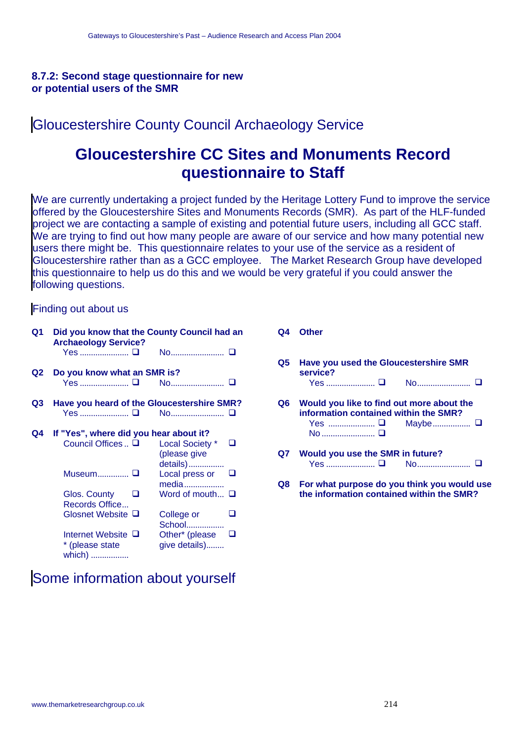#### **8.7.2: Second stage questionnaire for new or potential users of the SMR**

## Gloucestershire County Council Archaeology Service

## **Gloucestershire CC Sites and Monuments Record questionnaire to Staff**

We are currently undertaking a project funded by the Heritage Lottery Fund to improve the service offered by the Gloucestershire Sites and Monuments Records (SMR). As part of the HLF-funded project we are contacting a sample of existing and potential future users, including all GCC staff. We are trying to find out how many people are aware of our service and how many potential new users there might be. This questionnaire relates to your use of the service as a resident of Gloucestershire rather than as a GCC employee. The Market Research Group have developed this questionnaire to help us do this and we would be very grateful if you could answer the following questions.

#### Finding out about us

| Q1   | Did you know that the County Council had an<br><b>Archaeology Service?</b> |                                                  |  |  |  |
|------|----------------------------------------------------------------------------|--------------------------------------------------|--|--|--|
|      | Yes <b>□</b>                                                               | No <b>□</b>                                      |  |  |  |
| Q2   | Do you know what an SMR is?                                                |                                                  |  |  |  |
|      |                                                                            | Yes <b>□</b> No <b>□</b>                         |  |  |  |
| Q3 I |                                                                            | Have you heard of the Gloucestershire SMR?       |  |  |  |
|      |                                                                            | Yes  □  No □                                     |  |  |  |
| Q4   | If "Yes", where did you hear about it?                                     |                                                  |  |  |  |
|      | Council Offices  □                                                         | Local Society *<br>⊔<br>(please give<br>details) |  |  |  |
|      | Museum <b>□</b>                                                            | Local press or<br>media                          |  |  |  |
|      | Glos. County<br>Records Office                                             | Word of mouth $\Box$                             |  |  |  |
|      | Glosnet Website <b>□</b>                                                   | College or<br>School                             |  |  |  |
|      | Internet Website $\Box$<br>* (please state<br>which)                       | Other* (please<br>$\Box$<br>give details)        |  |  |  |

#### **Q4 Other Q5 Have you used the Gloucestershire SMR service?** Yes ...................... No........................ **Q6 Would you like to find out more about the information contained within the SMR?** Yes ..................... Maybe................. No ............................ □ **Q7 Would you use the SMR in future?** Yes ...................... **□** No......................... **□ Q8 For what purpose do you think you would use**

**the information contained within the SMR?**

## Some information about yourself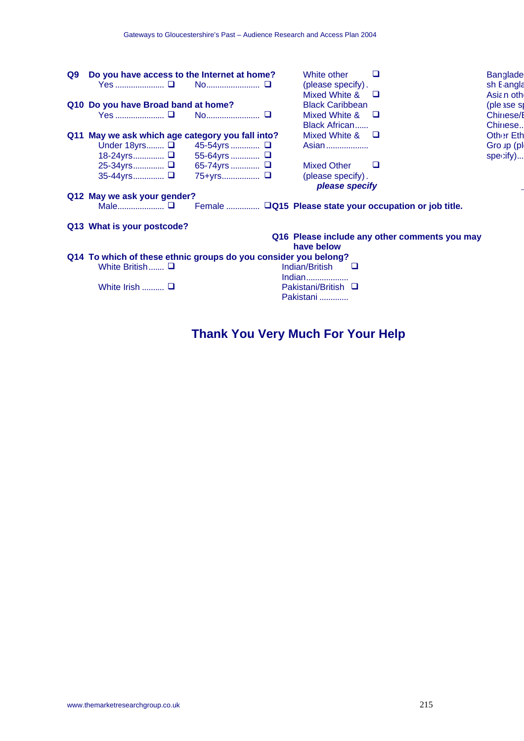| Q9 I | Do you have access to the Internet at home?                     |          |  | White other<br>(please specify).<br>Mixed White & | ப<br>⊔                                                  | <b>Banglade</b><br>sh E angla<br>Asian oth |  |
|------|-----------------------------------------------------------------|----------|--|---------------------------------------------------|---------------------------------------------------------|--------------------------------------------|--|
|      | Q10 Do you have Broad band at home?                             |          |  | <b>Black Caribbean</b>                            |                                                         | (ple ase sp                                |  |
|      |                                                                 |          |  | Mixed White &<br>Black African                    | ⊔                                                       | Chinese/E<br>Chinese                       |  |
|      | Q11 May we ask which age category you fall into?                |          |  | Mixed White $\&$ $\Box$                           |                                                         | <b>Other Eth</b>                           |  |
|      | Under 18 yrs $\Box$ 45-54 yrs $\Box$                            |          |  | Asian                                             |                                                         | Gro up (pl                                 |  |
|      | 18-24yrs □ 55-64yrs  □                                          |          |  |                                                   |                                                         | specify)                                   |  |
|      | 25-34yrs □ 65-74yrs  □                                          |          |  | <b>Mixed Other</b>                                | ◻                                                       |                                            |  |
|      | 35-44yrs □                                                      | 75+yrs □ |  | (please specify).                                 |                                                         |                                            |  |
|      |                                                                 |          |  | please specify                                    |                                                         |                                            |  |
|      | Q12 May we ask your gender?                                     |          |  |                                                   |                                                         |                                            |  |
|      | Male <b>□</b>                                                   |          |  |                                                   | Female  QQ15 Please state your occupation or job title. |                                            |  |
|      | Q13 What is your postcode?                                      |          |  |                                                   |                                                         |                                            |  |
|      |                                                                 |          |  | have below                                        | Q16 Please include any other comments you may           |                                            |  |
|      | Q14 To which of these ethnic groups do you consider you belong? |          |  |                                                   |                                                         |                                            |  |
|      | White British $\square$                                         |          |  | Indian/British<br>$\sqcup$                        |                                                         |                                            |  |
|      | White Irish $\square$                                           |          |  | Indian<br>Pakistani/British □<br>Pakistani        |                                                         |                                            |  |

## **Thank You Very Much For Your Help**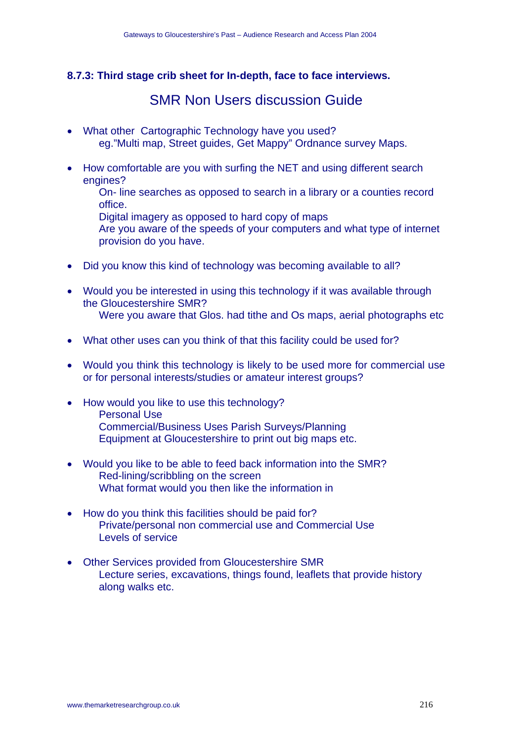#### **8.7.3: Third stage crib sheet for In-depth, face to face interviews.**

## SMR Non Users discussion Guide

- What other Cartographic Technology have you used? eg."Multi map, Street guides, Get Mappy" Ordnance survey Maps.
- How comfortable are you with surfing the NET and using different search engines?

On- line searches as opposed to search in a library or a counties record office.

Digital imagery as opposed to hard copy of maps

Are you aware of the speeds of your computers and what type of internet provision do you have.

- Did you know this kind of technology was becoming available to all?
- Would you be interested in using this technology if it was available through the Gloucestershire SMR? Were you aware that Glos, had tithe and Os maps, aerial photographs etc.
- What other uses can you think of that this facility could be used for?
- Would you think this technology is likely to be used more for commercial use or for personal interests/studies or amateur interest groups?
- How would you like to use this technology? Personal Use Commercial/Business Uses Parish Surveys/Planning Equipment at Gloucestershire to print out big maps etc.
- Would you like to be able to feed back information into the SMR? Red-lining/scribbling on the screen What format would you then like the information in
- How do you think this facilities should be paid for? Private/personal non commercial use and Commercial Use Levels of service
- Other Services provided from Gloucestershire SMR Lecture series, excavations, things found, leaflets that provide history along walks etc.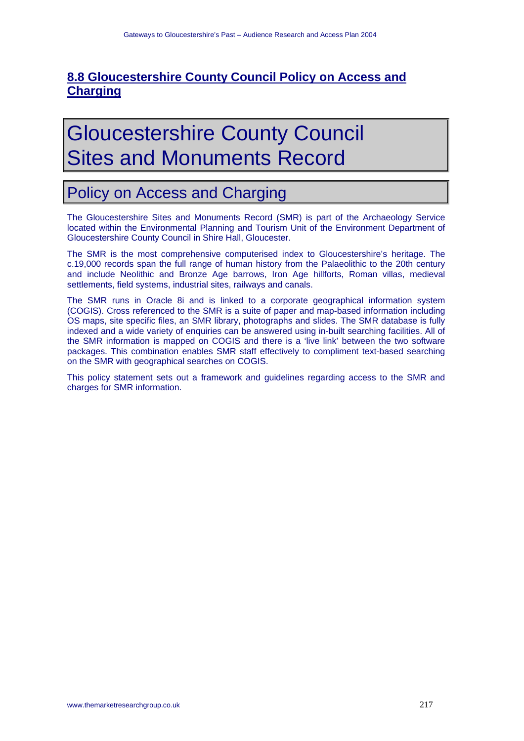### **8.8 Gloucestershire County Council Policy on Access and Charging**

# Gloucestershire County Council Sites and Monuments Record

## Policy on Access and Charging

The Gloucestershire Sites and Monuments Record (SMR) is part of the Archaeology Service located within the Environmental Planning and Tourism Unit of the Environment Department of Gloucestershire County Council in Shire Hall, Gloucester.

The SMR is the most comprehensive computerised index to Gloucestershire's heritage. The c.19,000 records span the full range of human history from the Palaeolithic to the 20th century and include Neolithic and Bronze Age barrows, Iron Age hillforts, Roman villas, medieval settlements, field systems, industrial sites, railways and canals.

The SMR runs in Oracle 8i and is linked to a corporate geographical information system (COGIS). Cross referenced to the SMR is a suite of paper and map-based information including OS maps, site specific files, an SMR library, photographs and slides. The SMR database is fully indexed and a wide variety of enquiries can be answered using in-built searching facilities. All of the SMR information is mapped on COGIS and there is a 'live link' between the two software packages. This combination enables SMR staff effectively to compliment text-based searching on the SMR with geographical searches on COGIS.

This policy statement sets out a framework and guidelines regarding access to the SMR and charges for SMR information.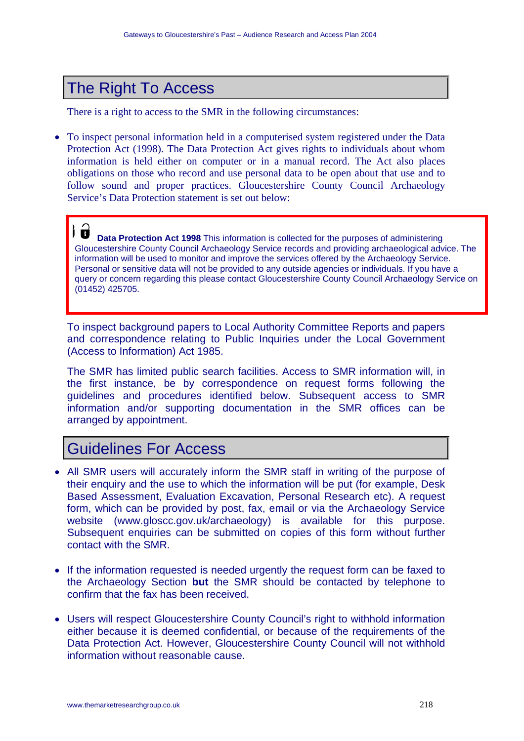## The Right To Access

There is a right to access to the SMR in the following circumstances:

• To inspect personal information held in a computerised system registered under the Data Protection Act (1998). The Data Protection Act gives rights to individuals about whom information is held either on computer or in a manual record. The Act also places obligations on those who record and use personal data to be open about that use and to follow sound and proper practices. Gloucestershire County Council Archaeology Service's Data Protection statement is set out below:

) Ø **Data Protection Act 1998** This information is collected for the purposes of administering Gloucestershire County Council Archaeology Service records and providing archaeological advice. The information will be used to monitor and improve the services offered by the Archaeology Service. Personal or sensitive data will not be provided to any outside agencies or individuals. If you have a query or concern regarding this please contact Gloucestershire County Council Archaeology Service on (01452) 425705.

To inspect background papers to Local Authority Committee Reports and papers and correspondence relating to Public Inquiries under the Local Government (Access to Information) Act 1985.

The SMR has limited public search facilities. Access to SMR information will, in the first instance, be by correspondence on request forms following the guidelines and procedures identified below. Subsequent access to SMR information and/or supporting documentation in the SMR offices can be arranged by appointment.

## Guidelines For Access

- All SMR users will accurately inform the SMR staff in writing of the purpose of their enquiry and the use to which the information will be put (for example, Desk Based Assessment, Evaluation Excavation, Personal Research etc). A request form, which can be provided by post, fax, email or via the Archaeology Service website (www.gloscc.gov.uk/archaeology) is available for this purpose. Subsequent enquiries can be submitted on copies of this form without further contact with the SMR.
- If the information requested is needed urgently the request form can be faxed to the Archaeology Section **but** the SMR should be contacted by telephone to confirm that the fax has been received.
- Users will respect Gloucestershire County Council's right to withhold information either because it is deemed confidential, or because of the requirements of the Data Protection Act. However, Gloucestershire County Council will not withhold information without reasonable cause.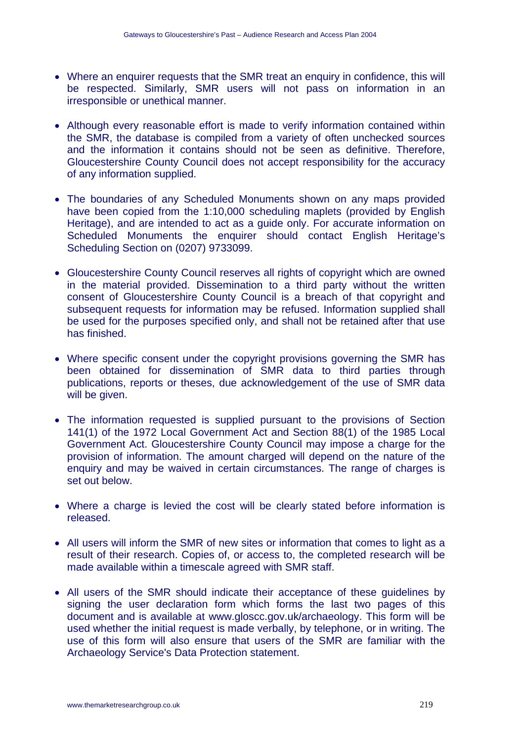- Where an enquirer requests that the SMR treat an enquiry in confidence, this will be respected. Similarly, SMR users will not pass on information in an irresponsible or unethical manner.
- Although every reasonable effort is made to verify information contained within the SMR, the database is compiled from a variety of often unchecked sources and the information it contains should not be seen as definitive. Therefore, Gloucestershire County Council does not accept responsibility for the accuracy of any information supplied.
- The boundaries of any Scheduled Monuments shown on any maps provided have been copied from the 1:10,000 scheduling maplets (provided by English Heritage), and are intended to act as a guide only. For accurate information on Scheduled Monuments the enquirer should contact English Heritage's Scheduling Section on (0207) 9733099.
- Gloucestershire County Council reserves all rights of copyright which are owned in the material provided. Dissemination to a third party without the written consent of Gloucestershire County Council is a breach of that copyright and subsequent requests for information may be refused. Information supplied shall be used for the purposes specified only, and shall not be retained after that use has finished.
- Where specific consent under the copyright provisions governing the SMR has been obtained for dissemination of SMR data to third parties through publications, reports or theses, due acknowledgement of the use of SMR data will be given.
- The information requested is supplied pursuant to the provisions of Section 141(1) of the 1972 Local Government Act and Section 88(1) of the 1985 Local Government Act. Gloucestershire County Council may impose a charge for the provision of information. The amount charged will depend on the nature of the enquiry and may be waived in certain circumstances. The range of charges is set out below.
- Where a charge is levied the cost will be clearly stated before information is released.
- All users will inform the SMR of new sites or information that comes to light as a result of their research. Copies of, or access to, the completed research will be made available within a timescale agreed with SMR staff.
- All users of the SMR should indicate their acceptance of these guidelines by signing the user declaration form which forms the last two pages of this document and is available at www.gloscc.gov.uk/archaeology. This form will be used whether the initial request is made verbally, by telephone, or in writing. The use of this form will also ensure that users of the SMR are familiar with the Archaeology Service's Data Protection statement.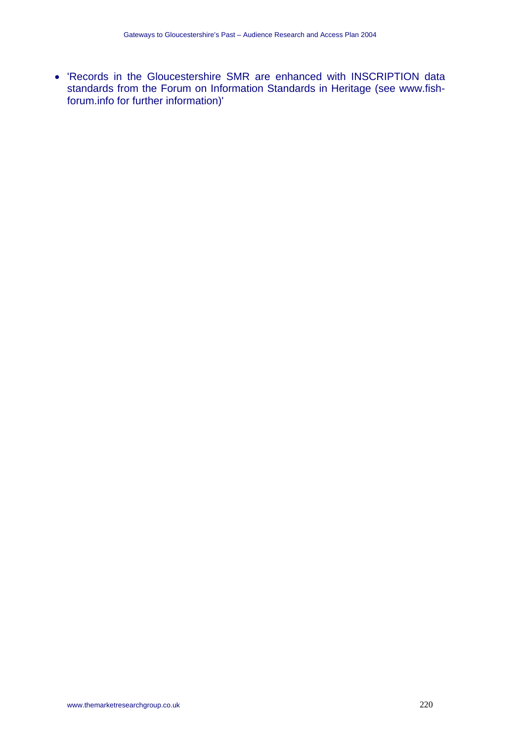• 'Records in the Gloucestershire SMR are enhanced with INSCRIPTION data standards from the Forum on Information Standards in Heritage (see www.fishforum.info for further information)'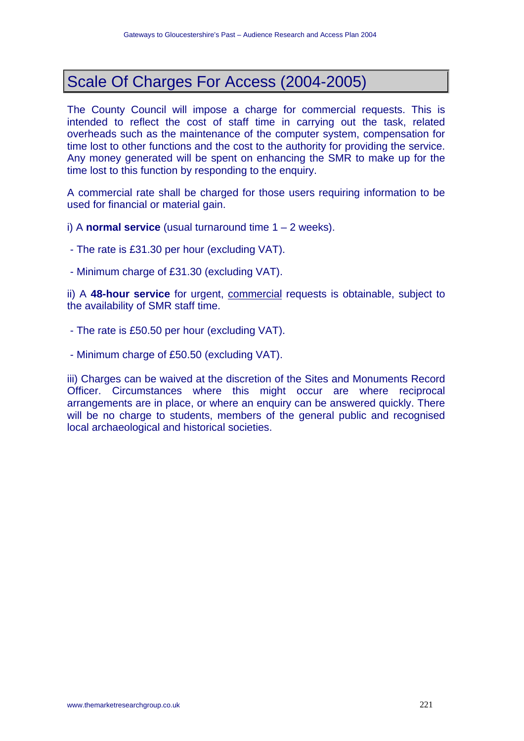## Scale Of Charges For Access (2004-2005)

The County Council will impose a charge for commercial requests. This is intended to reflect the cost of staff time in carrying out the task, related overheads such as the maintenance of the computer system, compensation for time lost to other functions and the cost to the authority for providing the service. Any money generated will be spent on enhancing the SMR to make up for the time lost to this function by responding to the enquiry.

A commercial rate shall be charged for those users requiring information to be used for financial or material gain.

i) A **normal service** (usual turnaround time 1 – 2 weeks).

- The rate is £31.30 per hour (excluding VAT).
- Minimum charge of £31.30 (excluding VAT).

ii) A **48-hour service** for urgent, commercial requests is obtainable, subject to the availability of SMR staff time.

- The rate is £50.50 per hour (excluding VAT).
- Minimum charge of £50.50 (excluding VAT).

iii) Charges can be waived at the discretion of the Sites and Monuments Record Officer. Circumstances where this might occur are where reciprocal arrangements are in place, or where an enquiry can be answered quickly. There will be no charge to students, members of the general public and recognised local archaeological and historical societies.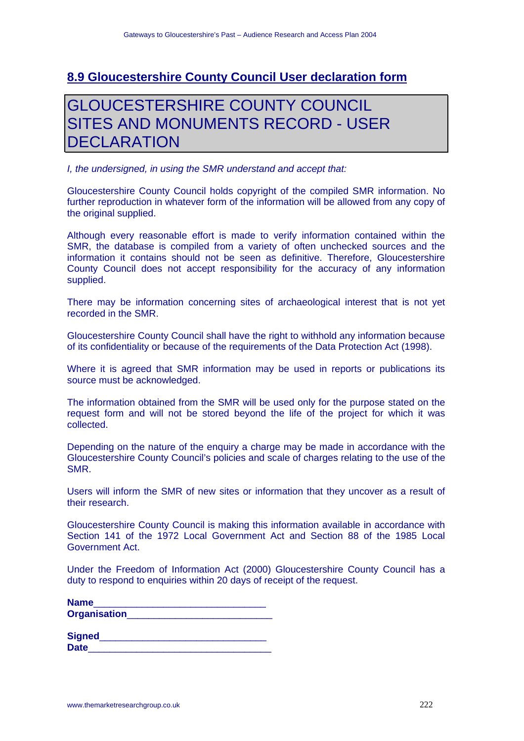#### **8.9 Gloucestershire County Council User declaration form**

## GLOUCESTERSHIRE COUNTY COUNCIL SITES AND MONUMENTS RECORD - USER **DECLARATION**

*I, the undersigned, in using the SMR understand and accept that:* 

Gloucestershire County Council holds copyright of the compiled SMR information. No further reproduction in whatever form of the information will be allowed from any copy of the original supplied.

Although every reasonable effort is made to verify information contained within the SMR, the database is compiled from a variety of often unchecked sources and the information it contains should not be seen as definitive. Therefore, Gloucestershire County Council does not accept responsibility for the accuracy of any information supplied.

There may be information concerning sites of archaeological interest that is not yet recorded in the SMR.

Gloucestershire County Council shall have the right to withhold any information because of its confidentiality or because of the requirements of the Data Protection Act (1998).

Where it is agreed that SMR information may be used in reports or publications its source must be acknowledged.

The information obtained from the SMR will be used only for the purpose stated on the request form and will not be stored beyond the life of the project for which it was collected.

Depending on the nature of the enquiry a charge may be made in accordance with the Gloucestershire County Council's policies and scale of charges relating to the use of the SMR.

Users will inform the SMR of new sites or information that they uncover as a result of their research.

Gloucestershire County Council is making this information available in accordance with Section 141 of the 1972 Local Government Act and Section 88 of the 1985 Local Government Act.

Under the Freedom of Information Act (2000) Gloucestershire County Council has a duty to respond to enquiries within 20 days of receipt of the request.

| <b>Name</b>         |  |
|---------------------|--|
| <b>Organisation</b> |  |

| <b>Signed</b> |  |  |  |
|---------------|--|--|--|
| <b>Date</b>   |  |  |  |